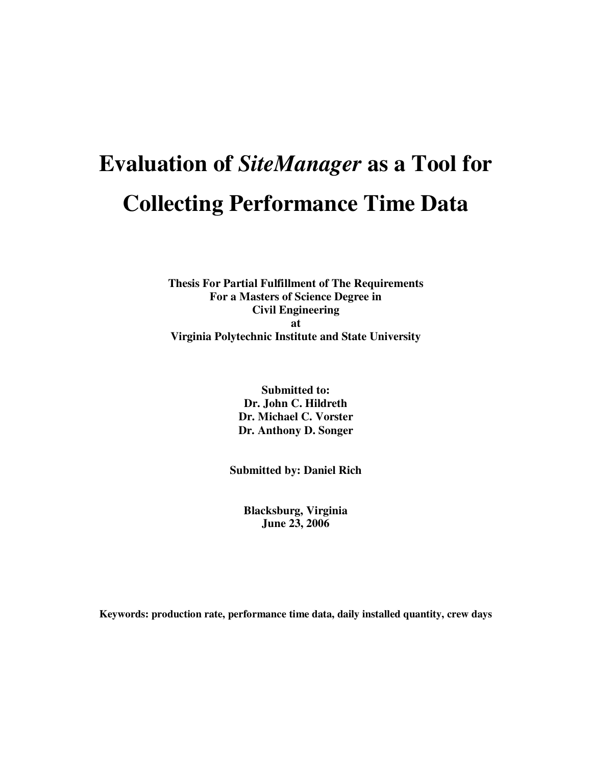# **Evaluation of** *SiteManager* **as a Tool for Collecting Performance Time Data**

**Thesis For Partial Fulfillment of The Requirements For a Masters of Science Degree in Civil Engineering at Virginia Polytechnic Institute and State University**

> **Submitted to: Dr. John C. Hildreth Dr. Michael C. Vorster Dr. Anthony D. Songer**

**Submitted by: Daniel Rich**

**Blacksburg, Virginia June 23, 2006**

**Keywords: production rate, performance time data, daily installed quantity, crew days**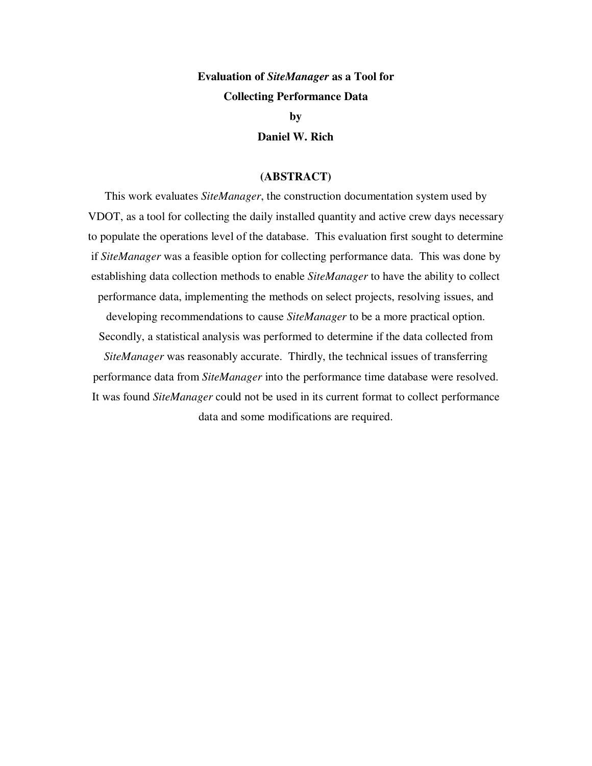### **Evaluation of** *SiteManager* **as a Tool for Collecting Performance Data**

**by**

**Daniel W. Rich**

#### **(ABSTRACT)**

This work evaluates *SiteManager*, the construction documentation system used by VDOT, as a tool for collecting the daily installed quantity and active crew days necessary to populate the operations level of the database. This evaluation first sought to determine if *SiteManager* was a feasible option for collecting performance data. This was done by establishing data collection methods to enable *SiteManager* to have the ability to collect performance data, implementing the methods on select projects, resolving issues, and developing recommendations to cause *SiteManager* to be a more practical option.

Secondly, a statistical analysis was performed to determine if the data collected from *SiteManager* was reasonably accurate. Thirdly, the technical issues of transferring performance data from *SiteManager* into the performance time database were resolved. It was found *SiteManager* could not be used in its current format to collect performance

data and some modifications are required.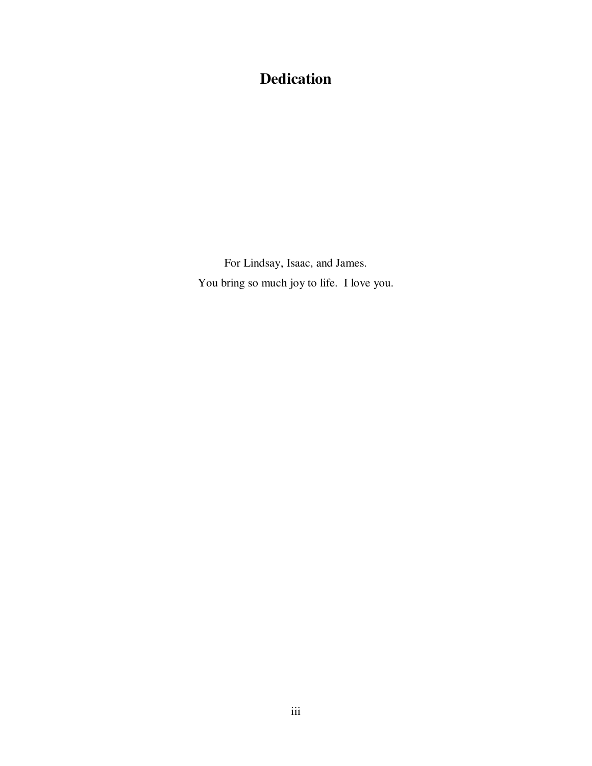# **Dedication**

For Lindsay, Isaac, and James. You bring so much joy to life. I love you.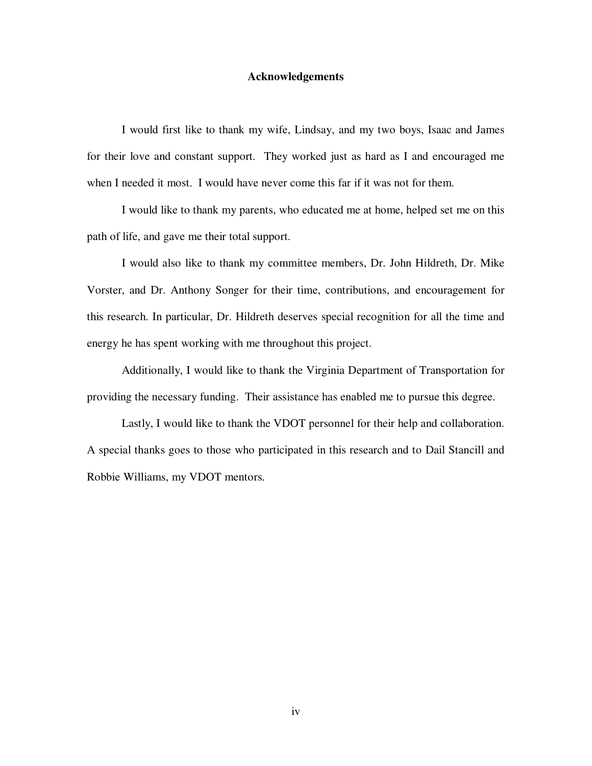#### **Acknowledgements**

I would first like to thank my wife, Lindsay, and my two boys, Isaac and James for their love and constant support. They worked just as hard as I and encouraged me when I needed it most. I would have never come this far if it was not for them.

I would like to thank my parents, who educated me at home, helped set me on this path of life, and gave me their total support.

I would also like to thank my committee members, Dr. John Hildreth, Dr. Mike Vorster, and Dr. Anthony Songer for their time, contributions, and encouragement for this research. In particular, Dr. Hildreth deserves special recognition for all the time and energy he has spent working with me throughout this project.

Additionally, I would like to thank the Virginia Department of Transportation for providing the necessary funding. Their assistance has enabled me to pursue this degree.

Lastly, I would like to thank the VDOT personnel for their help and collaboration. A special thanks goes to those who participated in this research and to Dail Stancill and Robbie Williams, my VDOT mentors.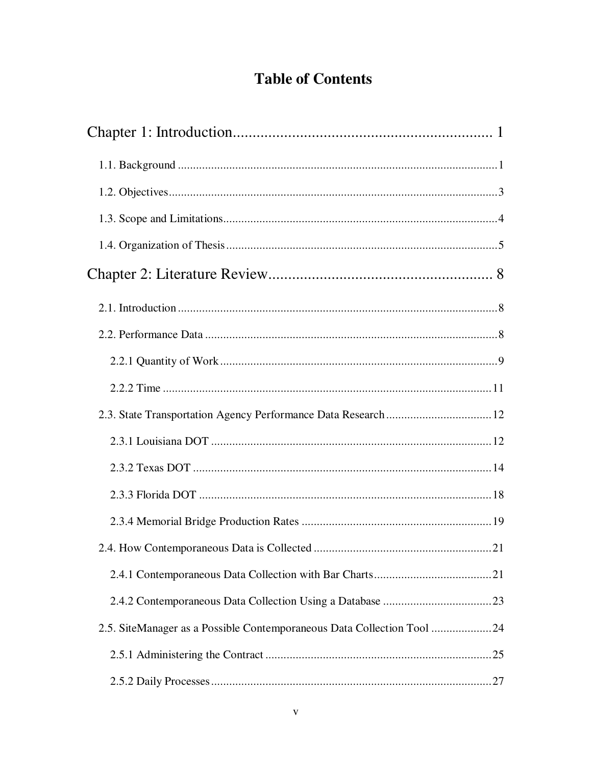# **Table of Contents**

| 2.5. SiteManager as a Possible Contemporaneous Data Collection Tool 24 |
|------------------------------------------------------------------------|
|                                                                        |
|                                                                        |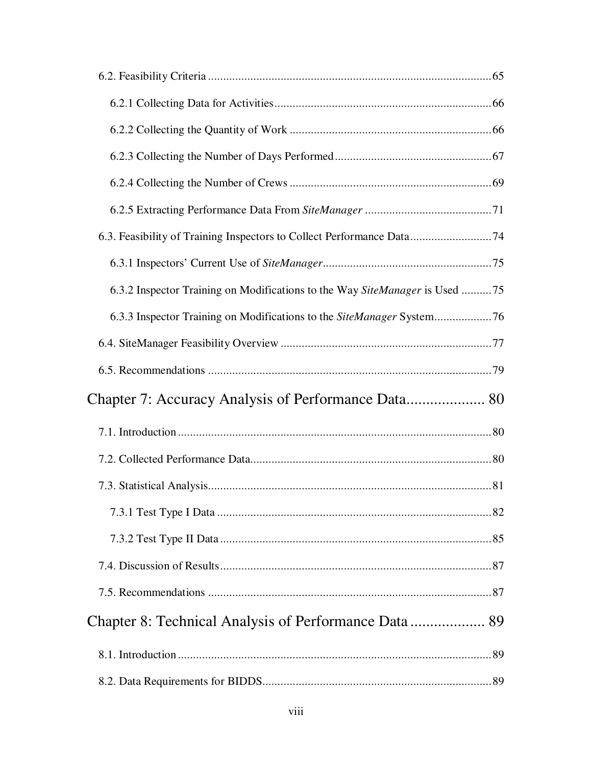| 6.3.2 Inspector Training on Modifications to the Way SiteManager is Used 75 |  |
|-----------------------------------------------------------------------------|--|
|                                                                             |  |
|                                                                             |  |
|                                                                             |  |
| Chapter 7: Accuracy Analysis of Performance Data 80                         |  |
|                                                                             |  |
|                                                                             |  |
|                                                                             |  |
|                                                                             |  |
|                                                                             |  |
|                                                                             |  |
|                                                                             |  |
|                                                                             |  |
|                                                                             |  |
|                                                                             |  |
|                                                                             |  |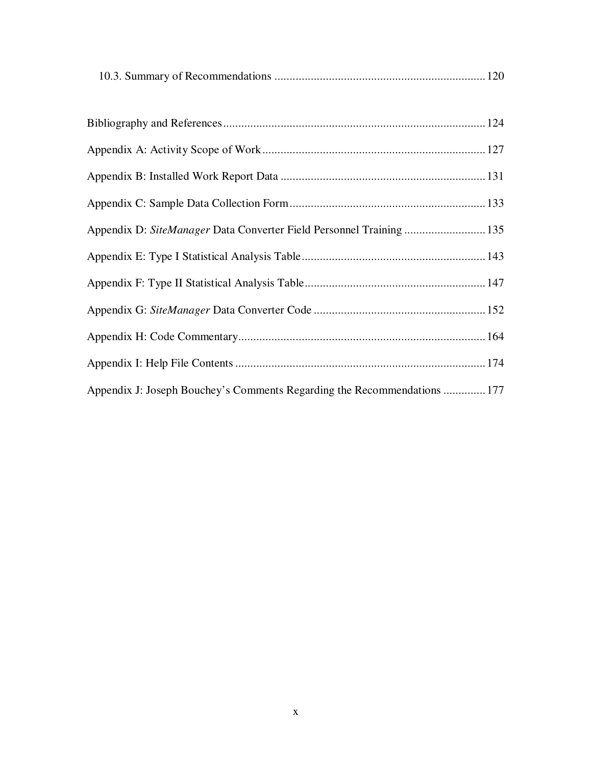|--|

| Appendix D: SiteManager Data Converter Field Personnel Training  135     |  |
|--------------------------------------------------------------------------|--|
|                                                                          |  |
|                                                                          |  |
|                                                                          |  |
|                                                                          |  |
|                                                                          |  |
| Appendix J: Joseph Bouchey's Comments Regarding the Recommendations  177 |  |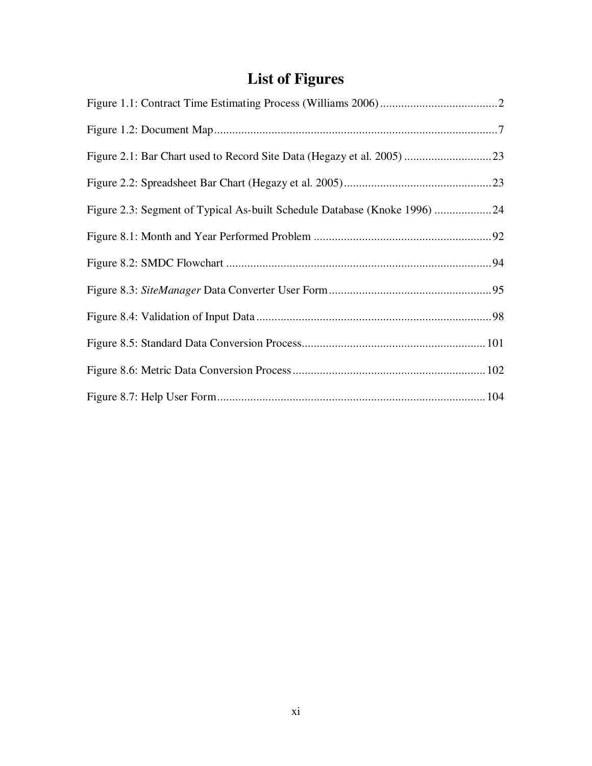# **List of Figures**

| Figure 2.3: Segment of Typical As-built Schedule Database (Knoke 1996) 24 |
|---------------------------------------------------------------------------|
|                                                                           |
|                                                                           |
|                                                                           |
|                                                                           |
|                                                                           |
|                                                                           |
|                                                                           |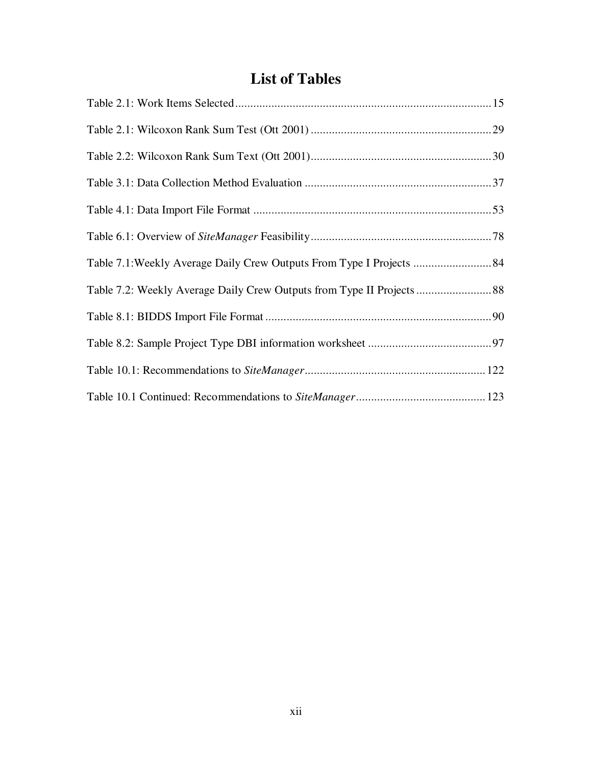### **List of Tables**

| Table 7.1: Weekly Average Daily Crew Outputs From Type I Projects  84 |  |
|-----------------------------------------------------------------------|--|
|                                                                       |  |
|                                                                       |  |
|                                                                       |  |
|                                                                       |  |
|                                                                       |  |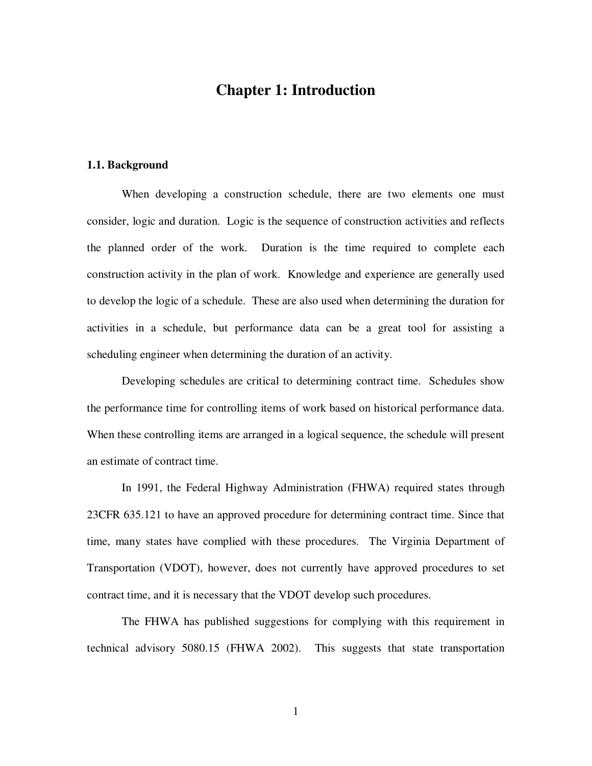### **Chapter 1: Introduction**

#### **1.1. Background**

When developing a construction schedule, there are two elements one must consider, logic and duration. Logic is the sequence of construction activities and reflects the planned order of the work. Duration is the time required to complete each construction activity in the plan of work. Knowledge and experience are generally used to develop the logic of a schedule. These are also used when determining the duration for activities in a schedule, but performance data can be a great tool for assisting a scheduling engineer when determining the duration of an activity.

Developing schedules are critical to determining contract time. Schedules show the performance time for controlling items of work based on historical performance data. When these controlling items are arranged in a logical sequence, the schedule will present an estimate of contract time.

In 1991, the Federal Highway Administration (FHWA) required states through 23CFR 635.121 to have an approved procedure for determining contract time. Since that time, many states have complied with these procedures. The Virginia Department of Transportation (VDOT), however, does not currently have approved procedures to set contract time, and it is necessary that the VDOT develop such procedures.

The FHWA has published suggestions for complying with this requirement in technical advisory 5080.15 (FHWA 2002). This suggests that state transportation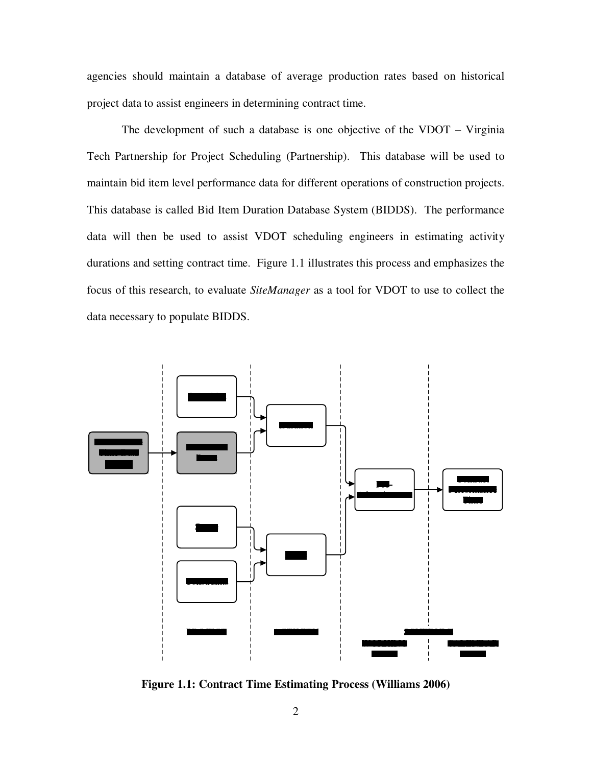agencies should maintain a database of average production rates based on historical project data to assist engineers in determining contract time.

The development of such a database is one objective of the VDOT – Virginia Tech Partnership for Project Scheduling (Partnership). This database will be used to maintain bid item level performance data for different operations of construction projects. This database is called Bid Item Duration Database System (BIDDS). The performance data will then be used to assist VDOT scheduling engineers in estimating activity durations and setting contract time. Figure 1.1 illustrates this process and emphasizes the focus of this research, to evaluate *SiteManager* as a tool for VDOT to use to collect the data necessary to populate BIDDS.



**Figure 1.1: Contract Time Estimating Process (Williams 2006)**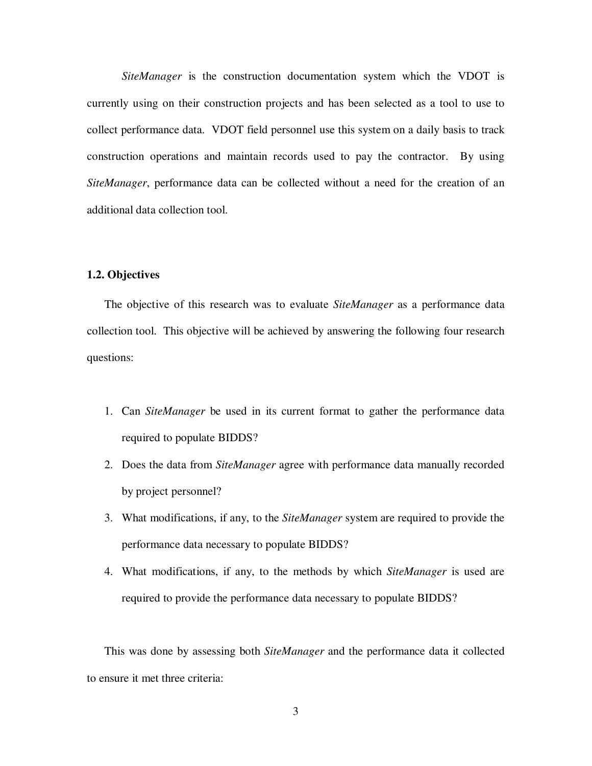*SiteManager* is the construction documentation system which the VDOT is currently using on their construction projects and has been selected as a tool to use to collect performance data. VDOT field personnel use this system on a daily basis to track construction operations and maintain records used to pay the contractor. By using *SiteManager*, performance data can be collected without a need for the creation of an additional data collection tool.

#### **1.2. Objectives**

The objective of this research was to evaluate *SiteManager* as a performance data collection tool. This objective will be achieved by answering the following four research questions:

- 1. Can *SiteManager* be used in its current format to gather the performance data required to populate BIDDS?
- 2. Does the data from *SiteManager* agree with performance data manually recorded by project personnel?
- 3. What modifications, if any, to the *SiteManager* system are required to provide the performance data necessary to populate BIDDS?
- 4. What modifications, if any, to the methods by which *SiteManager* is used are required to provide the performance data necessary to populate BIDDS?

This was done by assessing both *SiteManager* and the performance data it collected to ensure it met three criteria: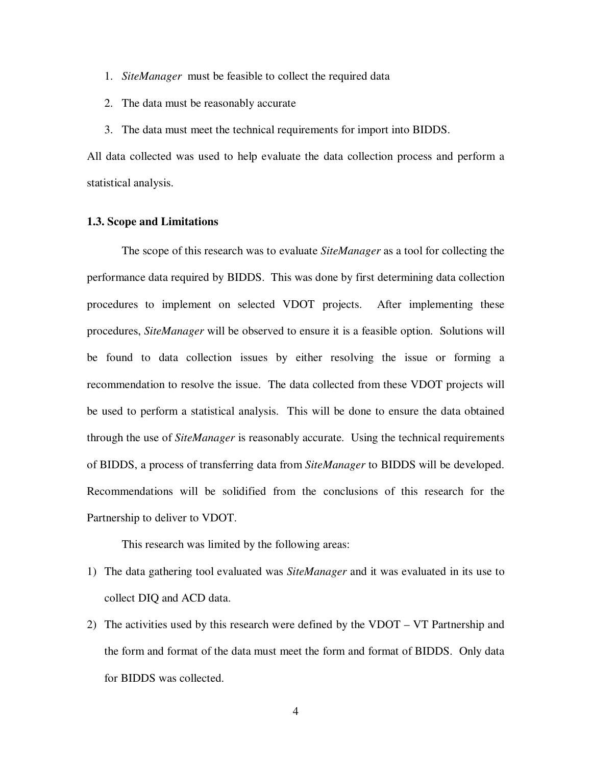- 1. *SiteManager* must be feasible to collect the required data
- 2. The data must be reasonably accurate
- 3. The data must meet the technical requirements for import into BIDDS.

All data collected was used to help evaluate the data collection process and perform a statistical analysis.

#### **1.3. Scope and Limitations**

The scope of this research was to evaluate *SiteManager* as a tool for collecting the performance data required by BIDDS. This was done by first determining data collection procedures to implement on selected VDOT projects. After implementing these procedures, *SiteManager* will be observed to ensure it is a feasible option. Solutions will be found to data collection issues by either resolving the issue or forming a recommendation to resolve the issue. The data collected from these VDOT projects will be used to perform a statistical analysis. This will be done to ensure the data obtained through the use of *SiteManager* is reasonably accurate. Using the technical requirements of BIDDS, a process of transferring data from *SiteManager* to BIDDS will be developed. Recommendations will be solidified from the conclusions of this research for the Partnership to deliver to VDOT.

This research was limited by the following areas:

- 1) The data gathering tool evaluated was *SiteManager* and it was evaluated in its use to collect DIQ and ACD data.
- 2) The activities used by this research were defined by the VDOT VT Partnership and the form and format of the data must meet the form and format of BIDDS. Only data for BIDDS was collected.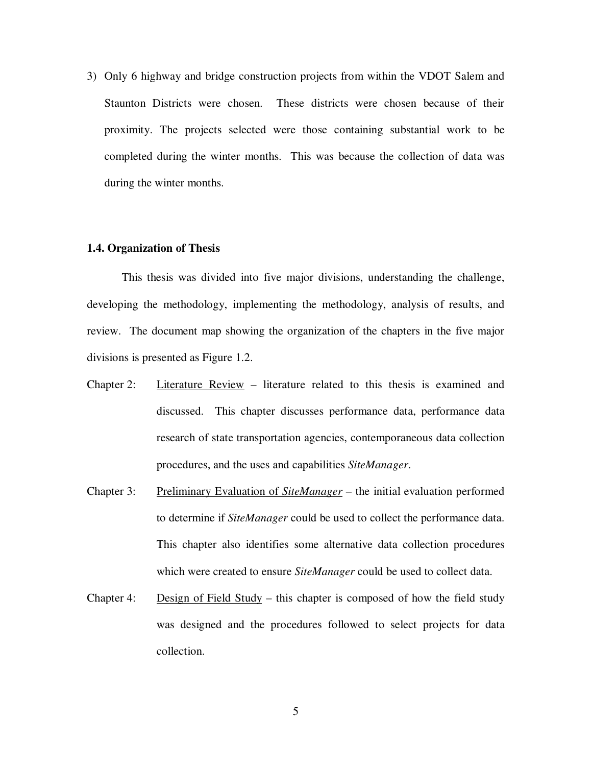3) Only 6 highway and bridge construction projects from within the VDOT Salem and Staunton Districts were chosen. These districts were chosen because of their proximity. The projects selected were those containing substantial work to be completed during the winter months. This was because the collection of data was during the winter months.

#### **1.4. Organization of Thesis**

This thesis was divided into five major divisions, understanding the challenge, developing the methodology, implementing the methodology, analysis of results, and review. The document map showing the organization of the chapters in the five major divisions is presented as Figure 1.2.

- Chapter 2: Literature Review literature related to this thesis is examined and discussed. This chapter discusses performance data, performance data research of state transportation agencies, contemporaneous data collection procedures, and the uses and capabilities *SiteManager*.
- Chapter 3: Preliminary Evaluation of *SiteManager* the initial evaluation performed to determine if *SiteManager* could be used to collect the performance data. This chapter also identifies some alternative data collection procedures which were created to ensure *SiteManager* could be used to collect data.
- Chapter 4: Design of Field Study this chapter is composed of how the field study was designed and the procedures followed to select projects for data collection.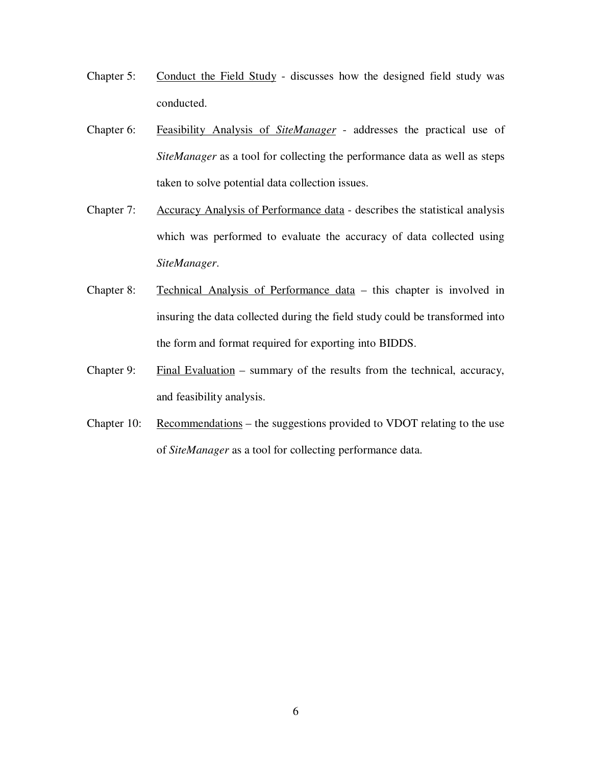- Chapter 5: Conduct the Field Study discusses how the designed field study was conducted.
- Chapter 6: Feasibility Analysis of *SiteManager* addresses the practical use of *SiteManager* as a tool for collecting the performance data as well as steps taken to solve potential data collection issues.
- Chapter 7: Accuracy Analysis of Performance data describes the statistical analysis which was performed to evaluate the accuracy of data collected using *SiteManager*.
- Chapter 8: Technical Analysis of Performance data this chapter is involved in insuring the data collected during the field study could be transformed into the form and format required for exporting into BIDDS.
- Chapter 9: Final Evaluation summary of the results from the technical, accuracy, and feasibility analysis.
- Chapter 10: Recommendations the suggestions provided to VDOT relating to the use of *SiteManager* as a tool for collecting performance data.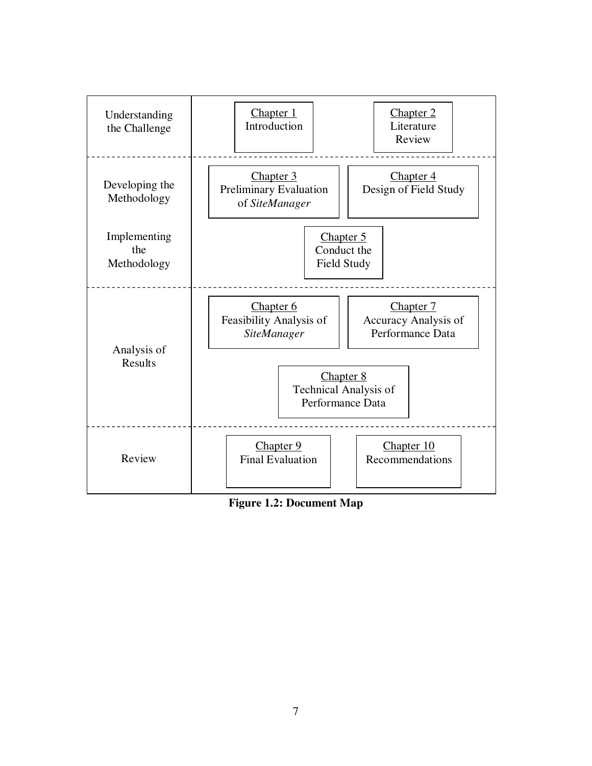

**Figure 1.2: Document Map**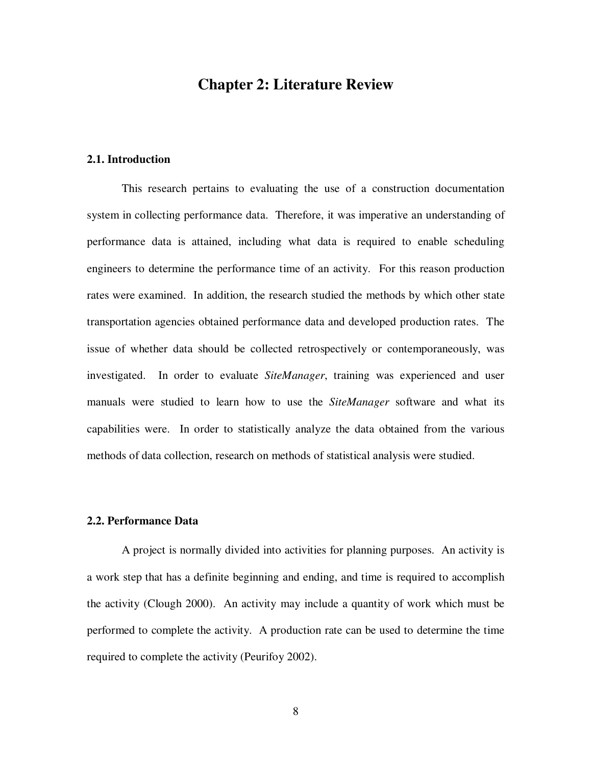### **Chapter 2: Literature Review**

#### **2.1. Introduction**

This research pertains to evaluating the use of a construction documentation system in collecting performance data. Therefore, it was imperative an understanding of performance data is attained, including what data is required to enable scheduling engineers to determine the performance time of an activity. For this reason production rates were examined. In addition, the research studied the methods by which other state transportation agencies obtained performance data and developed production rates. The issue of whether data should be collected retrospectively or contemporaneously, was investigated. In order to evaluate *SiteManager*, training was experienced and user manuals were studied to learn how to use the *SiteManager* software and what its capabilities were. In order to statistically analyze the data obtained from the various methods of data collection, research on methods of statistical analysis were studied.

#### **2.2. Performance Data**

A project is normally divided into activities for planning purposes. An activity is a work step that has a definite beginning and ending, and time is required to accomplish the activity (Clough 2000). An activity may include a quantity of work which must be performed to complete the activity. A production rate can be used to determine the time required to complete the activity (Peurifoy 2002).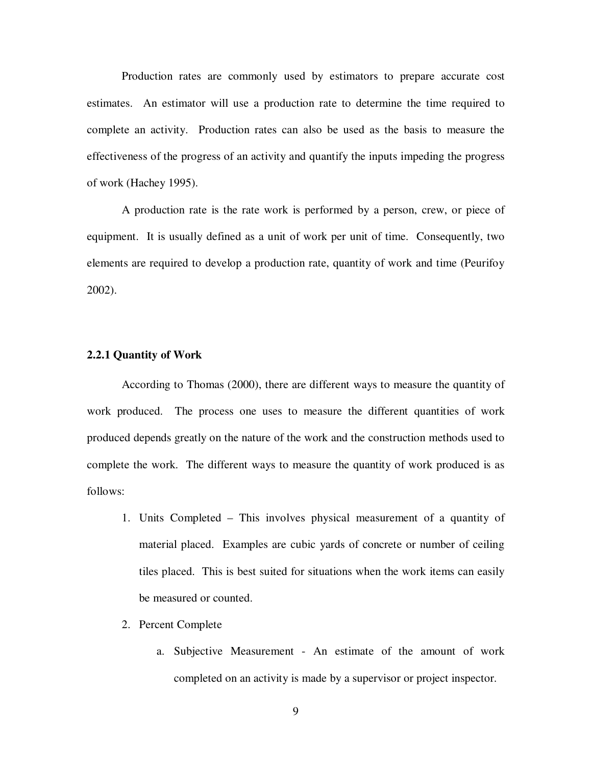Production rates are commonly used by estimators to prepare accurate cost estimates. An estimator will use a production rate to determine the time required to complete an activity. Production rates can also be used as the basis to measure the effectiveness of the progress of an activity and quantify the inputs impeding the progress of work (Hachey 1995).

A production rate is the rate work is performed by a person, crew, or piece of equipment. It is usually defined as a unit of work per unit of time. Consequently, two elements are required to develop a production rate, quantity of work and time (Peurifoy 2002).

#### **2.2.1 Quantity of Work**

According to Thomas (2000), there are different ways to measure the quantity of work produced. The process one uses to measure the different quantities of work produced depends greatly on the nature of the work and the construction methods used to complete the work. The different ways to measure the quantity of work produced is as follows:

- 1. Units Completed This involves physical measurement of a quantity of material placed. Examples are cubic yards of concrete or number of ceiling tiles placed. This is best suited for situations when the work items can easily be measured or counted.
- 2. Percent Complete
	- a. Subjective Measurement An estimate of the amount of work completed on an activity is made by a supervisor or project inspector.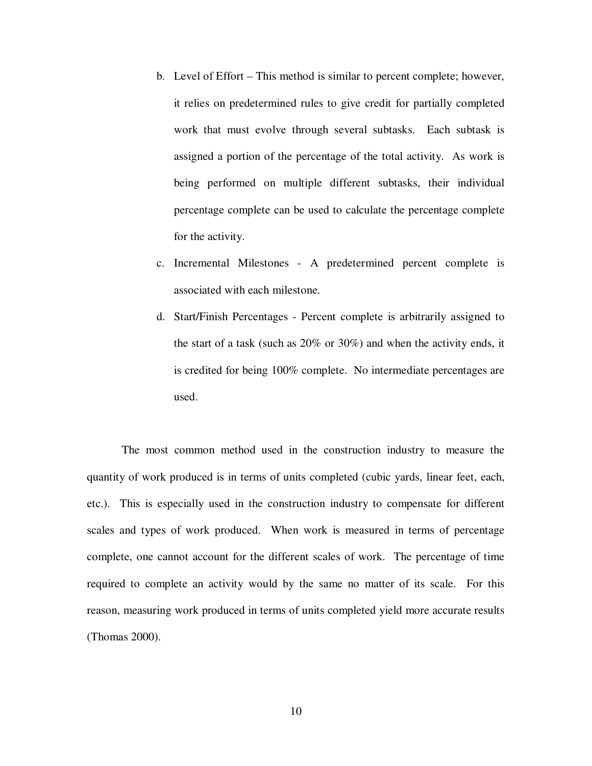- b. Level of Effort This method is similar to percent complete; however, it relies on predetermined rules to give credit for partially completed work that must evolve through several subtasks. Each subtask is assigned a portion of the percentage of the total activity. As work is being performed on multiple different subtasks, their individual percentage complete can be used to calculate the percentage complete for the activity.
- c. Incremental Milestones A predetermined percent complete is associated with each milestone.
- d. Start/Finish Percentages Percent complete is arbitrarily assigned to the start of a task (such as 20% or 30%) and when the activity ends, it is credited for being 100% complete. No intermediate percentages are used.

The most common method used in the construction industry to measure the quantity of work produced is in terms of units completed (cubic yards, linear feet, each, etc.). This is especially used in the construction industry to compensate for different scales and types of work produced. When work is measured in terms of percentage complete, one cannot account for the different scales of work. The percentage of time required to complete an activity would by the same no matter of its scale. For this reason, measuring work produced in terms of units completed yield more accurate results (Thomas 2000).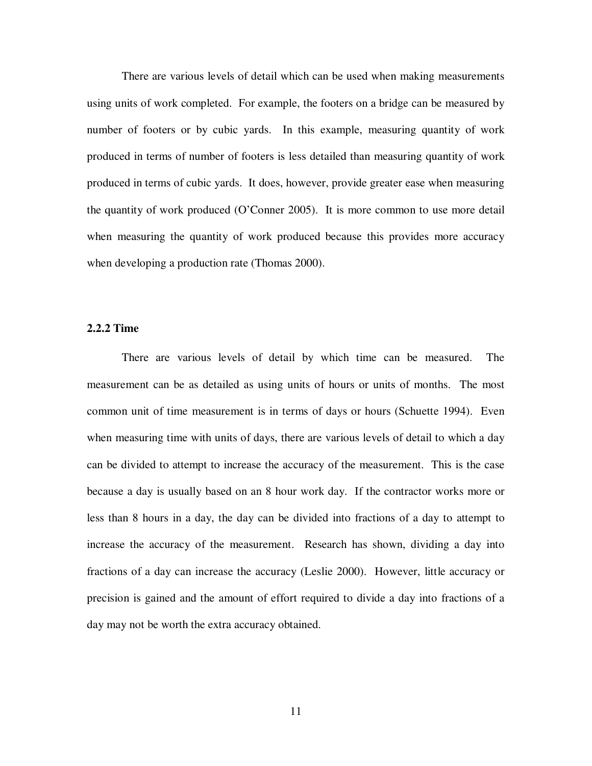There are various levels of detail which can be used when making measurements using units of work completed. For example, the footers on a bridge can be measured by number of footers or by cubic yards. In this example, measuring quantity of work produced in terms of number of footers is less detailed than measuring quantity of work produced in terms of cubic yards. It does, however, provide greater ease when measuring the quantity of work produced (O'Conner 2005). It is more common to use more detail when measuring the quantity of work produced because this provides more accuracy when developing a production rate (Thomas 2000).

#### **2.2.2 Time**

There are various levels of detail by which time can be measured. The measurement can be as detailed as using units of hours or units of months. The most common unit of time measurement is in terms of days or hours (Schuette 1994). Even when measuring time with units of days, there are various levels of detail to which a day can be divided to attempt to increase the accuracy of the measurement. This is the case because a day is usually based on an 8 hour work day. If the contractor works more or less than 8 hours in a day, the day can be divided into fractions of a day to attempt to increase the accuracy of the measurement. Research has shown, dividing a day into fractions of a day can increase the accuracy (Leslie 2000). However, little accuracy or precision is gained and the amount of effort required to divide a day into fractions of a day may not be worth the extra accuracy obtained.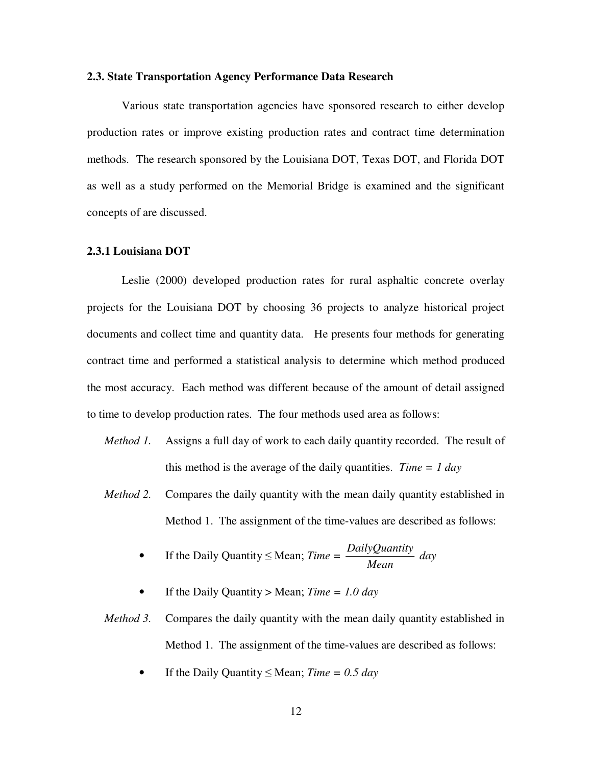#### **2.3. State Transportation Agency Performance Data Research**

Various state transportation agencies have sponsored research to either develop production rates or improve existing production rates and contract time determination methods. The research sponsored by the Louisiana DOT, Texas DOT, and Florida DOT as well as a study performed on the Memorial Bridge is examined and the significant concepts of are discussed.

#### **2.3.1 Louisiana DOT**

Leslie (2000) developed production rates for rural asphaltic concrete overlay projects for the Louisiana DOT by choosing 36 projects to analyze historical project documents and collect time and quantity data. He presents four methods for generating contract time and performed a statistical analysis to determine which method produced the most accuracy. Each method was different because of the amount of detail assigned to time to develop production rates. The four methods used area as follows:

- *Method 1.* Assigns a full day of work to each daily quantity recorded. The result of this method is the average of the daily quantities. *Time = 1 day*
- *Method 2.* Compares the daily quantity with the mean daily quantity established in Method 1. The assignment of the time-values are described as follows:

• If the Daily Quantity 
$$
\leq
$$
 Mean; *Time* =  $\frac{DailyQuantity}{Mean}$  day

If the Daily Quantity > Mean;  $Time = 1.0$  *day* 

*Method* 3. Compares the daily quantity with the mean daily quantity established in Method 1. The assignment of the time-values are described as follows:

If the Daily Quantity  $\leq$  Mean; *Time* = 0.5 *day*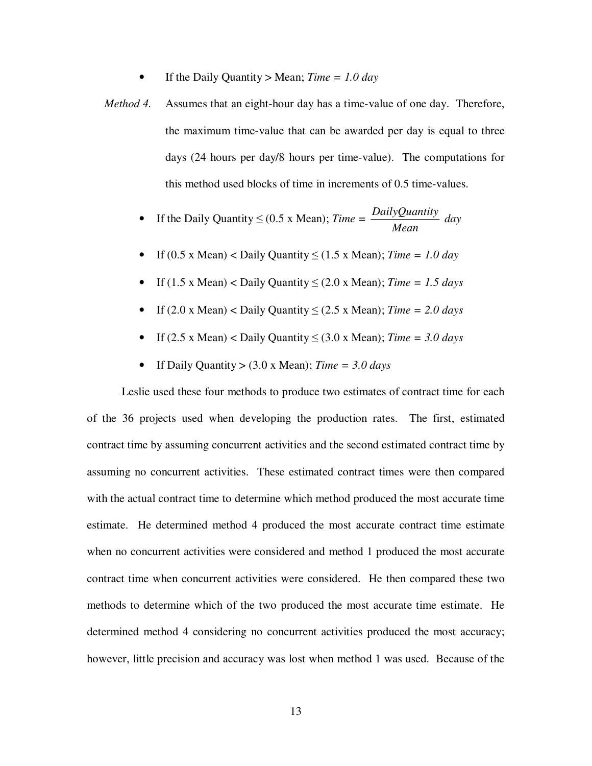- If the Daily Quantity > Mean;  $Time = 1.0$  *day*
- *Method 4.* Assumes that an eight-hour day has a time-value of one day. Therefore, the maximum time-value that can be awarded per day is equal to three days (24 hours per day/8 hours per time-value). The computations for this method used blocks of time in increments of 0.5 time-values.

• If the Daily Quantity 
$$
\leq
$$
 (0.5 x Mean); *Time =*  $\frac{DailyQuantity}{Mean}$  day

- If (0.5 x Mean) < Daily Quantity  $\leq$  (1.5 x Mean); *Time* = 1.0 *day*
- If (1.5 x Mean) < Daily Quantity  $\leq$  (2.0 x Mean); *Time* = 1.5 *days*
- If  $(2.0 \times Mean) <$  Daily Quantity  $\leq (2.5 \times Mean)$ ; *Time* = 2.0 *days*
- If  $(2.5 \times Mean) <$  Daily Quantity  $\leq (3.0 \times Mean)$ ; *Time* = 3.0 *days*
- If Daily Quantity > (3.0 x Mean); *Time = 3.0 days*

Leslie used these four methods to produce two estimates of contract time for each of the 36 projects used when developing the production rates. The first, estimated contract time by assuming concurrent activities and the second estimated contract time by assuming no concurrent activities. These estimated contract times were then compared with the actual contract time to determine which method produced the most accurate time estimate. He determined method 4 produced the most accurate contract time estimate when no concurrent activities were considered and method 1 produced the most accurate contract time when concurrent activities were considered. He then compared these two methods to determine which of the two produced the most accurate time estimate. He determined method 4 considering no concurrent activities produced the most accuracy; however, little precision and accuracy was lost when method 1 was used. Because of the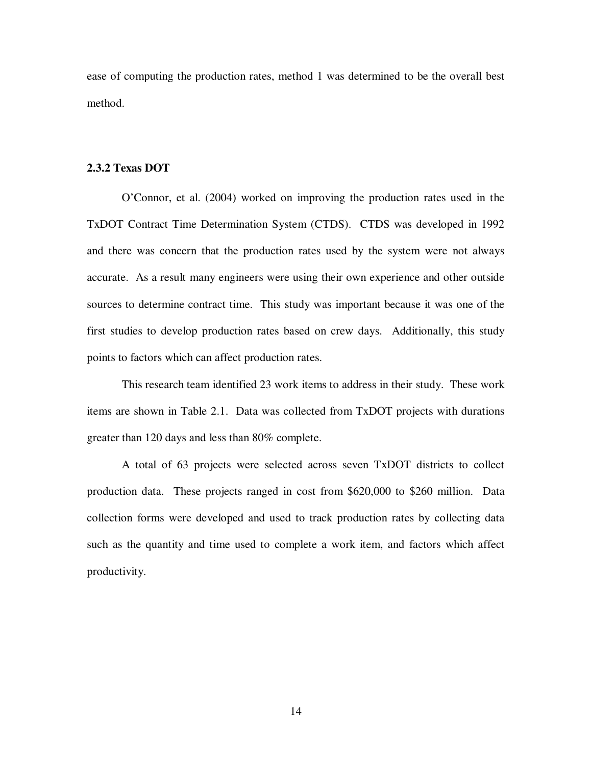ease of computing the production rates, method 1 was determined to be the overall best method.

#### **2.3.2 Texas DOT**

O'Connor, et al. (2004) worked on improving the production rates used in the TxDOT Contract Time Determination System (CTDS). CTDS was developed in 1992 and there was concern that the production rates used by the system were not always accurate. As a result many engineers were using their own experience and other outside sources to determine contract time. This study was important because it was one of the first studies to develop production rates based on crew days. Additionally, this study points to factors which can affect production rates.

This research team identified 23 work items to address in their study. These work items are shown in Table 2.1. Data was collected from TxDOT projects with durations greater than 120 days and less than 80% complete.

A total of 63 projects were selected across seven TxDOT districts to collect production data. These projects ranged in cost from \$620,000 to \$260 million. Data collection forms were developed and used to track production rates by collecting data such as the quantity and time used to complete a work item, and factors which affect productivity.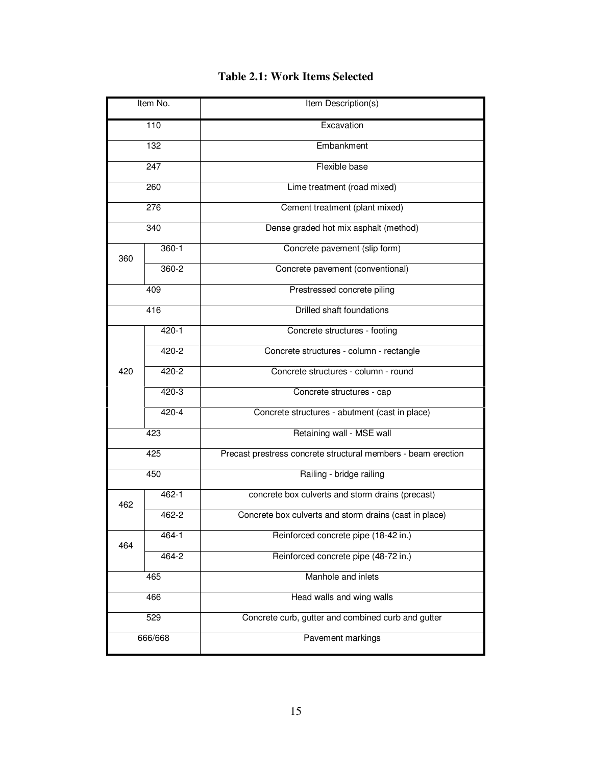| Item No.         |           | Item Description(s)                                           |  |  |  |  |  |
|------------------|-----------|---------------------------------------------------------------|--|--|--|--|--|
| $\overline{110}$ |           | Excavation                                                    |  |  |  |  |  |
| 132              |           | Embankment                                                    |  |  |  |  |  |
|                  | 247       | Flexible base                                                 |  |  |  |  |  |
|                  | 260       | Lime treatment (road mixed)                                   |  |  |  |  |  |
|                  | 276       | Cement treatment (plant mixed)                                |  |  |  |  |  |
|                  | 340       | Dense graded hot mix asphalt (method)                         |  |  |  |  |  |
| 360              | $360-1$   | Concrete pavement (slip form)                                 |  |  |  |  |  |
|                  | $360 - 2$ | Concrete pavement (conventional)                              |  |  |  |  |  |
|                  | 409       | Prestressed concrete piling                                   |  |  |  |  |  |
|                  | 416       | <b>Drilled shaft foundations</b>                              |  |  |  |  |  |
|                  | $420 - 1$ | Concrete structures - footing                                 |  |  |  |  |  |
|                  | $420 - 2$ | Concrete structures - column - rectangle                      |  |  |  |  |  |
| 420              | $420 - 2$ | Concrete structures - column - round                          |  |  |  |  |  |
|                  | 420-3     | Concrete structures - cap                                     |  |  |  |  |  |
|                  | 420-4     | Concrete structures - abutment (cast in place)                |  |  |  |  |  |
|                  | 423       | Retaining wall - MSE wall                                     |  |  |  |  |  |
|                  | 425       | Precast prestress concrete structural members - beam erection |  |  |  |  |  |
|                  | 450       | Railing - bridge railing                                      |  |  |  |  |  |
| 462              | $462 - 1$ | concrete box culverts and storm drains (precast)              |  |  |  |  |  |
|                  | 462-2     | Concrete box culverts and storm drains (cast in place)        |  |  |  |  |  |
| 464              | 464-1     | Reinforced concrete pipe (18-42 in.)                          |  |  |  |  |  |
|                  | $464 - 2$ | Reinforced concrete pipe (48-72 in.)                          |  |  |  |  |  |
| 465              |           | Manhole and inlets                                            |  |  |  |  |  |
|                  | 466       | Head walls and wing walls                                     |  |  |  |  |  |
|                  | 529       | Concrete curb, gutter and combined curb and gutter            |  |  |  |  |  |
| 666/668          |           | Pavement markings                                             |  |  |  |  |  |

### **Table 2.1: Work Items Selected**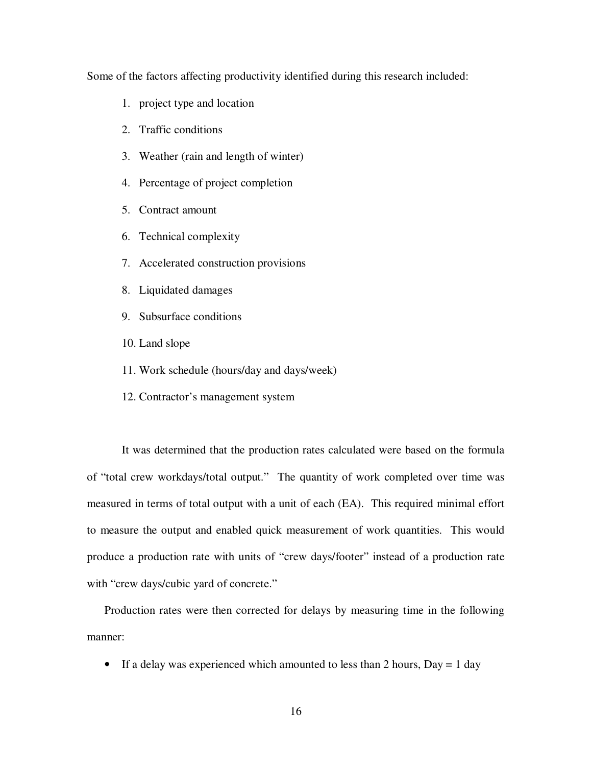Some of the factors affecting productivity identified during this research included:

- 1. project type and location
- 2. Traffic conditions
- 3. Weather (rain and length of winter)
- 4. Percentage of project completion
- 5. Contract amount
- 6. Technical complexity
- 7. Accelerated construction provisions
- 8. Liquidated damages
- 9. Subsurface conditions
- 10. Land slope
- 11. Work schedule (hours/day and days/week)
- 12. Contractor's management system

It was determined that the production rates calculated were based on the formula of "total crew workdays/total output." The quantity of work completed over time was measured in terms of total output with a unit of each (EA). This required minimal effort to measure the output and enabled quick measurement of work quantities. This would produce a production rate with units of "crew days/footer" instead of a production rate with "crew days/cubic yard of concrete."

Production rates were then corrected for delays by measuring time in the following manner:

• If a delay was experienced which amounted to less than 2 hours,  $Day = 1$  day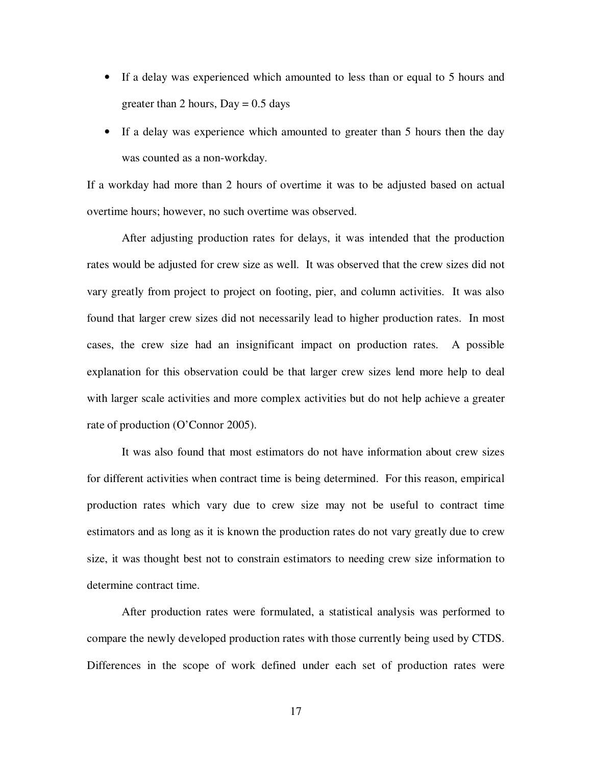- If a delay was experienced which amounted to less than or equal to 5 hours and greater than 2 hours,  $Day = 0.5$  days
- If a delay was experience which amounted to greater than 5 hours then the day was counted as a non-workday.

If a workday had more than 2 hours of overtime it was to be adjusted based on actual overtime hours; however, no such overtime was observed.

After adjusting production rates for delays, it was intended that the production rates would be adjusted for crew size as well. It was observed that the crew sizes did not vary greatly from project to project on footing, pier, and column activities. It was also found that larger crew sizes did not necessarily lead to higher production rates. In most cases, the crew size had an insignificant impact on production rates. A possible explanation for this observation could be that larger crew sizes lend more help to deal with larger scale activities and more complex activities but do not help achieve a greater rate of production (O'Connor 2005).

It was also found that most estimators do not have information about crew sizes for different activities when contract time is being determined. For this reason, empirical production rates which vary due to crew size may not be useful to contract time estimators and as long as it is known the production rates do not vary greatly due to crew size, it was thought best not to constrain estimators to needing crew size information to determine contract time.

After production rates were formulated, a statistical analysis was performed to compare the newly developed production rates with those currently being used by CTDS. Differences in the scope of work defined under each set of production rates were

17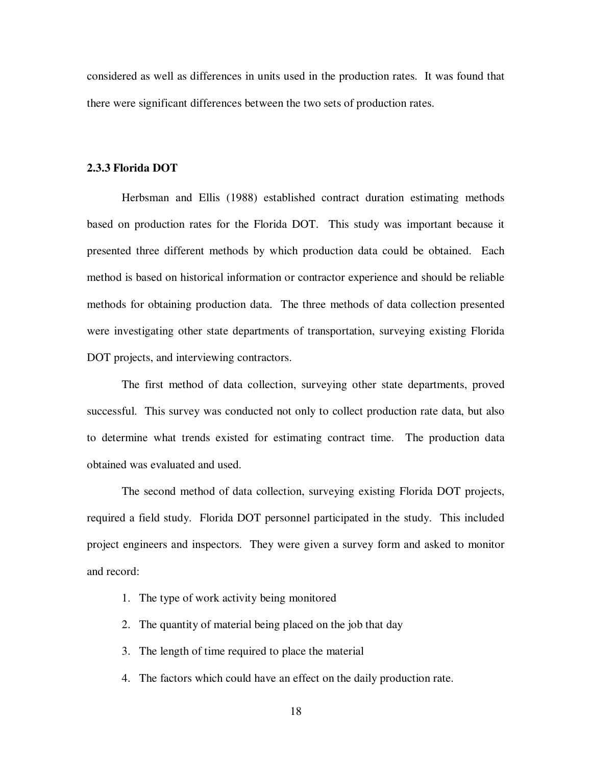considered as well as differences in units used in the production rates. It was found that there were significant differences between the two sets of production rates.

#### **2.3.3 Florida DOT**

Herbsman and Ellis (1988) established contract duration estimating methods based on production rates for the Florida DOT. This study was important because it presented three different methods by which production data could be obtained. Each method is based on historical information or contractor experience and should be reliable methods for obtaining production data. The three methods of data collection presented were investigating other state departments of transportation, surveying existing Florida DOT projects, and interviewing contractors.

The first method of data collection, surveying other state departments, proved successful. This survey was conducted not only to collect production rate data, but also to determine what trends existed for estimating contract time. The production data obtained was evaluated and used.

The second method of data collection, surveying existing Florida DOT projects, required a field study. Florida DOT personnel participated in the study. This included project engineers and inspectors. They were given a survey form and asked to monitor and record:

- 1. The type of work activity being monitored
- 2. The quantity of material being placed on the job that day
- 3. The length of time required to place the material
- 4. The factors which could have an effect on the daily production rate.
	- 18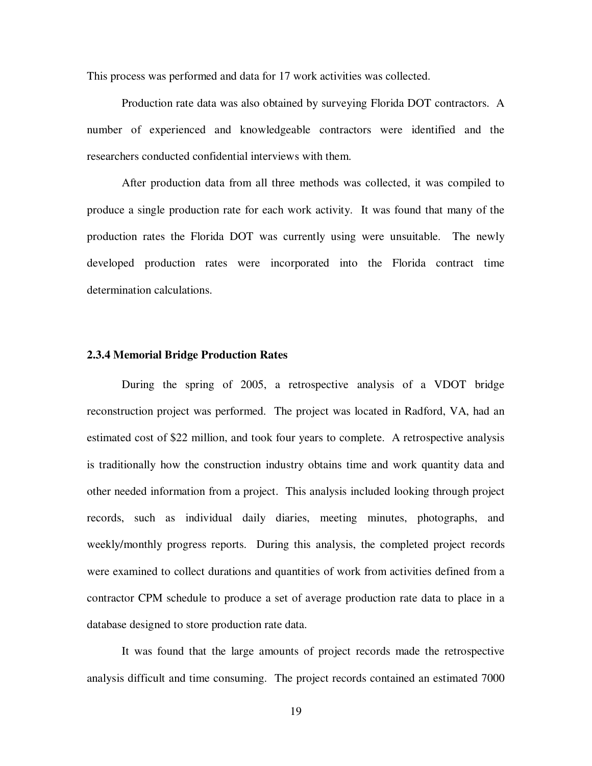This process was performed and data for 17 work activities was collected.

Production rate data was also obtained by surveying Florida DOT contractors. A number of experienced and knowledgeable contractors were identified and the researchers conducted confidential interviews with them.

After production data from all three methods was collected, it was compiled to produce a single production rate for each work activity. It was found that many of the production rates the Florida DOT was currently using were unsuitable. The newly developed production rates were incorporated into the Florida contract time determination calculations.

#### **2.3.4 Memorial Bridge Production Rates**

During the spring of 2005, a retrospective analysis of a VDOT bridge reconstruction project was performed. The project was located in Radford, VA, had an estimated cost of \$22 million, and took four years to complete. A retrospective analysis is traditionally how the construction industry obtains time and work quantity data and other needed information from a project. This analysis included looking through project records, such as individual daily diaries, meeting minutes, photographs, and weekly/monthly progress reports. During this analysis, the completed project records were examined to collect durations and quantities of work from activities defined from a contractor CPM schedule to produce a set of average production rate data to place in a database designed to store production rate data.

It was found that the large amounts of project records made the retrospective analysis difficult and time consuming. The project records contained an estimated 7000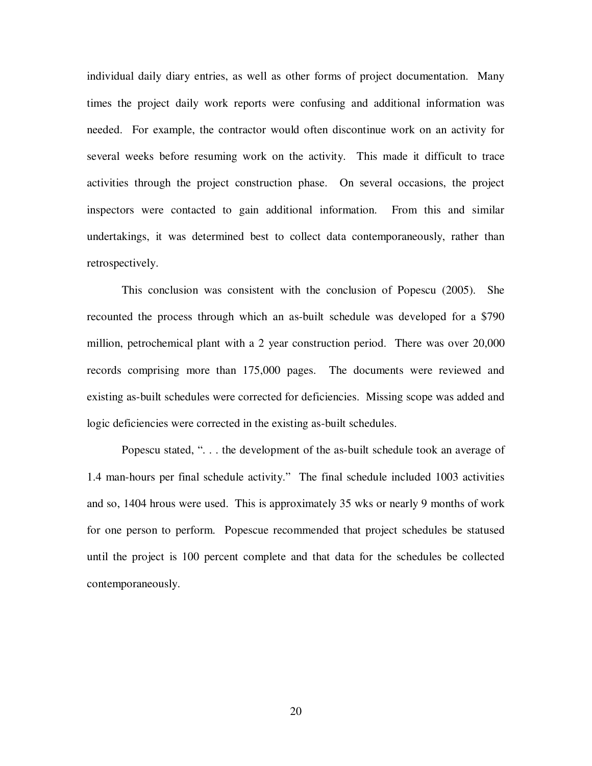individual daily diary entries, as well as other forms of project documentation. Many times the project daily work reports were confusing and additional information was needed. For example, the contractor would often discontinue work on an activity for several weeks before resuming work on the activity. This made it difficult to trace activities through the project construction phase. On several occasions, the project inspectors were contacted to gain additional information. From this and similar undertakings, it was determined best to collect data contemporaneously, rather than retrospectively.

This conclusion was consistent with the conclusion of Popescu (2005). She recounted the process through which an as-built schedule was developed for a \$790 million, petrochemical plant with a 2 year construction period. There was over 20,000 records comprising more than 175,000 pages. The documents were reviewed and existing as-built schedules were corrected for deficiencies. Missing scope was added and logic deficiencies were corrected in the existing as-built schedules.

Popescu stated, ". . . the development of the as-built schedule took an average of 1.4 man-hours per final schedule activity." The final schedule included 1003 activities and so, 1404 hrous were used. This is approximately 35 wks or nearly 9 months of work for one person to perform. Popescue recommended that project schedules be statused until the project is 100 percent complete and that data for the schedules be collected contemporaneously.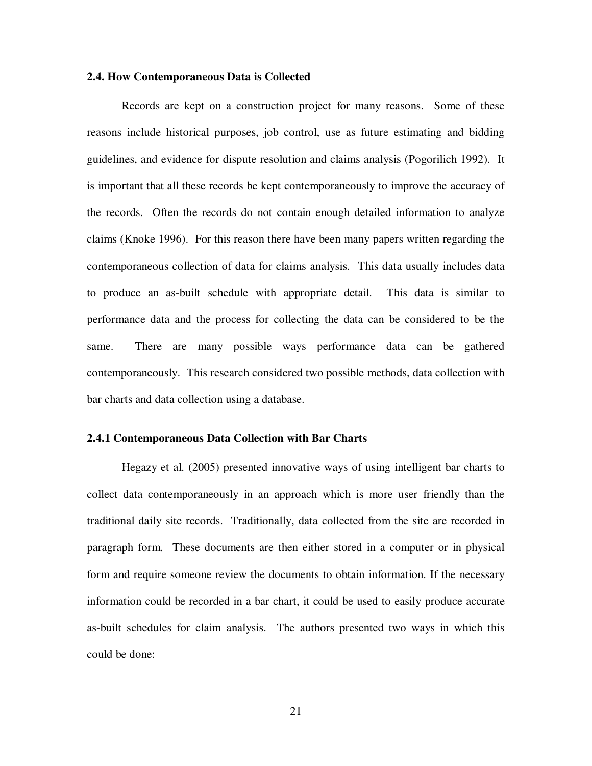#### **2.4. How Contemporaneous Data is Collected**

Records are kept on a construction project for many reasons. Some of these reasons include historical purposes, job control, use as future estimating and bidding guidelines, and evidence for dispute resolution and claims analysis (Pogorilich 1992). It is important that all these records be kept contemporaneously to improve the accuracy of the records. Often the records do not contain enough detailed information to analyze claims (Knoke 1996). For this reason there have been many papers written regarding the contemporaneous collection of data for claims analysis. This data usually includes data to produce an as-built schedule with appropriate detail. This data is similar to performance data and the process for collecting the data can be considered to be the same. There are many possible ways performance data can be gathered contemporaneously. This research considered two possible methods, data collection with bar charts and data collection using a database.

#### **2.4.1 Contemporaneous Data Collection with Bar Charts**

Hegazy et al. (2005) presented innovative ways of using intelligent bar charts to collect data contemporaneously in an approach which is more user friendly than the traditional daily site records. Traditionally, data collected from the site are recorded in paragraph form. These documents are then either stored in a computer or in physical form and require someone review the documents to obtain information. If the necessary information could be recorded in a bar chart, it could be used to easily produce accurate as-built schedules for claim analysis. The authors presented two ways in which this could be done: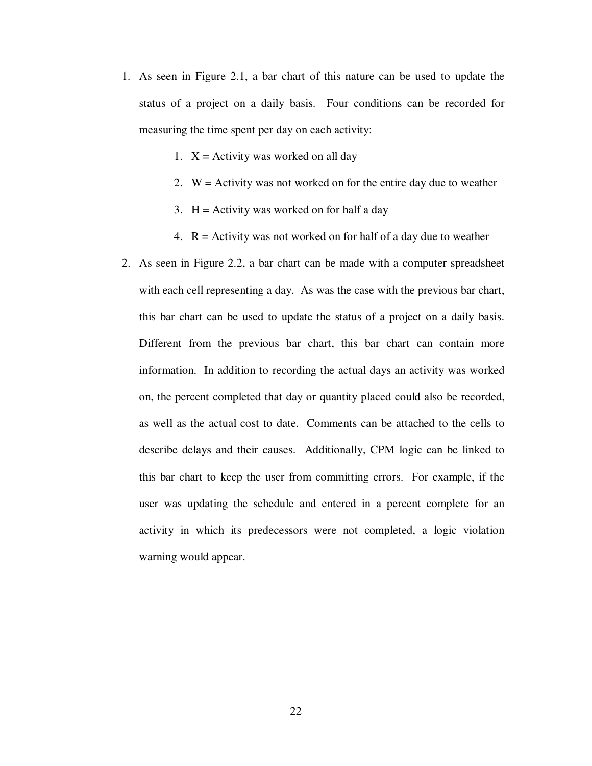- 1. As seen in Figure 2.1, a bar chart of this nature can be used to update the status of a project on a daily basis. Four conditions can be recorded for measuring the time spent per day on each activity:
	- 1.  $X =$  Activity was worked on all day
	- 2.  $W =$  Activity was not worked on for the entire day due to weather
	- 3.  $H =$  Activity was worked on for half a day
	- 4.  $R =$  Activity was not worked on for half of a day due to weather
- 2. As seen in Figure 2.2, a bar chart can be made with a computer spreadsheet with each cell representing a day. As was the case with the previous bar chart, this bar chart can be used to update the status of a project on a daily basis. Different from the previous bar chart, this bar chart can contain more information. In addition to recording the actual days an activity was worked on, the percent completed that day or quantity placed could also be recorded, as well as the actual cost to date. Comments can be attached to the cells to describe delays and their causes. Additionally, CPM logic can be linked to this bar chart to keep the user from committing errors. For example, if the user was updating the schedule and entered in a percent complete for an activity in which its predecessors were not completed, a logic violation warning would appear.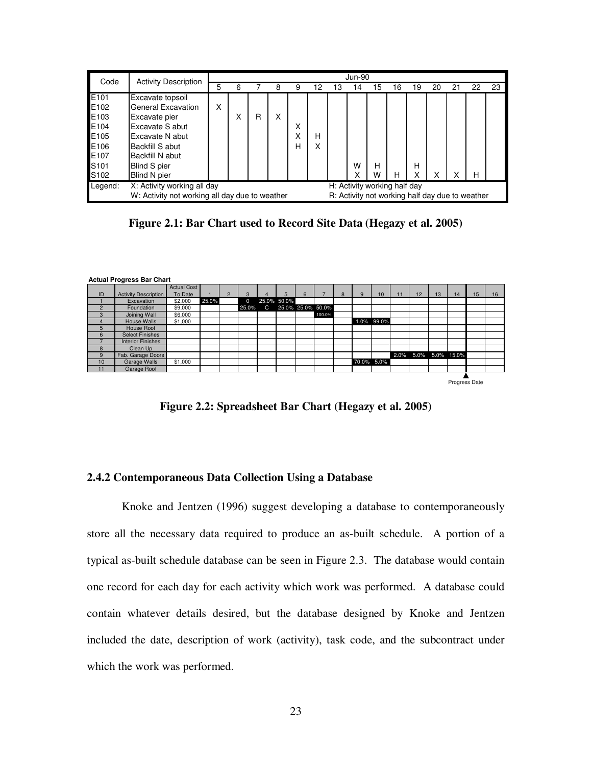| Code    | <b>Activity Description</b> | <b>Jun-90</b>                                                                                     |   |   |   |   |        |    |        |    |    |    |    |    |    |    |
|---------|-----------------------------|---------------------------------------------------------------------------------------------------|---|---|---|---|--------|----|--------|----|----|----|----|----|----|----|
|         |                             | 5                                                                                                 | 6 |   | 8 | 9 | 12     | 13 | 14     | 15 | 16 | 19 | 20 | 21 | 22 | 23 |
| E101    | Excavate topsoil            |                                                                                                   |   |   |   |   |        |    |        |    |    |    |    |    |    |    |
| E102    | General Excavation          | X                                                                                                 |   |   |   |   |        |    |        |    |    |    |    |    |    |    |
| E103    | Excavate pier               |                                                                                                   | Χ | R | X |   |        |    |        |    |    |    |    |    |    |    |
| E104    | Excavate S abut             |                                                                                                   |   |   |   | Χ |        |    |        |    |    |    |    |    |    |    |
| E105    | Excavate N abut             |                                                                                                   |   |   |   | Χ | н      |    |        |    |    |    |    |    |    |    |
| E106    | Backfill S abut             |                                                                                                   |   |   |   | н | v<br>⋏ |    |        |    |    |    |    |    |    |    |
| E107    | Backfill N abut             |                                                                                                   |   |   |   |   |        |    |        |    |    |    |    |    |    |    |
| S101    | Blind S pier                |                                                                                                   |   |   |   |   |        |    | W      | н  |    | H  |    |    |    |    |
| S102    | Blind N pier                |                                                                                                   |   |   |   |   |        |    | v<br>⋏ | W  | н  | X  | X  |    | н  |    |
| Legend: | X: Activity working all day | H: Activity working half day                                                                      |   |   |   |   |        |    |        |    |    |    |    |    |    |    |
|         |                             | W: Activity not working all day due to weather<br>R: Activity not working half day due to weather |   |   |   |   |        |    |        |    |    |    |    |    |    |    |

**Figure 2.1: Bar Chart used to Record Site Data (Hegazy et al. 2005)**



**Figure 2.2: Spreadsheet Bar Chart (Hegazy et al. 2005)**

#### **2.4.2 Contemporaneous Data Collection Using a Database**

Knoke and Jentzen (1996) suggest developing a database to contemporaneously store all the necessary data required to produce an as-built schedule. A portion of a typical as-built schedule database can be seen in Figure 2.3. The database would contain one record for each day for each activity which work was performed. A database could contain whatever details desired, but the database designed by Knoke and Jentzen included the date, description of work (activity), task code, and the subcontract under which the work was performed.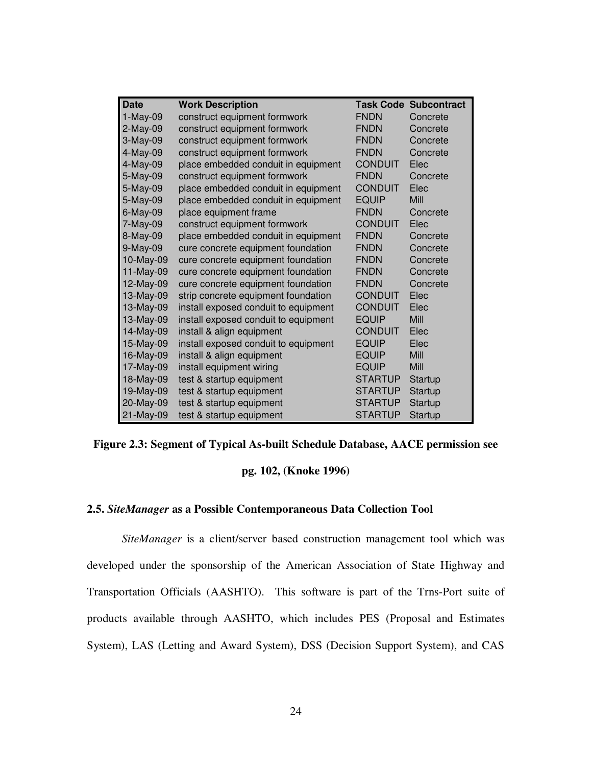| <b>Date</b> | <b>Work Description</b>              |                | <b>Task Code Subcontract</b> |
|-------------|--------------------------------------|----------------|------------------------------|
| $1-May-09$  | construct equipment formwork         | <b>FNDN</b>    | Concrete                     |
| $2-May-09$  | construct equipment formwork         | <b>FNDN</b>    | Concrete                     |
| 3-May-09    | construct equipment formwork         | <b>FNDN</b>    | Concrete                     |
| 4-May-09    | construct equipment formwork         | <b>FNDN</b>    | Concrete                     |
| 4-May-09    | place embedded conduit in equipment  | <b>CONDUIT</b> | Elec                         |
| 5-May-09    | construct equipment formwork         | <b>FNDN</b>    | Concrete                     |
| 5-May-09    | place embedded conduit in equipment  | <b>CONDUIT</b> | Elec                         |
| 5-May-09    | place embedded conduit in equipment  | <b>EQUIP</b>   | Mill                         |
| $6$ -May-09 | place equipment frame                | <b>FNDN</b>    | Concrete                     |
| 7-May-09    | construct equipment formwork         | <b>CONDUIT</b> | Elec                         |
| 8-May-09    | place embedded conduit in equipment  | <b>FNDN</b>    | Concrete                     |
| 9-May-09    | cure concrete equipment foundation   | <b>FNDN</b>    | Concrete                     |
| 10-May-09   | cure concrete equipment foundation   | <b>FNDN</b>    | Concrete                     |
| 11-May-09   | cure concrete equipment foundation   | <b>FNDN</b>    | Concrete                     |
| 12-May-09   | cure concrete equipment foundation   | <b>FNDN</b>    | Concrete                     |
| 13-May-09   | strip concrete equipment foundation  | <b>CONDUIT</b> | Elec                         |
| 13-May-09   | install exposed conduit to equipment | <b>CONDUIT</b> | Elec                         |
| 13-May-09   | install exposed conduit to equipment | <b>EQUIP</b>   | Mill                         |
| 14-May-09   | install & align equipment            | <b>CONDUIT</b> | Elec                         |
| 15-May-09   | install exposed conduit to equipment | <b>EQUIP</b>   | Elec                         |
| 16-May-09   | install & align equipment            | <b>EQUIP</b>   | Mill                         |
| 17-May-09   | install equipment wiring             | <b>EQUIP</b>   | Mill                         |
| 18-May-09   | test & startup equipment             | <b>STARTUP</b> | Startup                      |
| 19-May-09   | test & startup equipment             | <b>STARTUP</b> | Startup                      |
| 20-May-09   | test & startup equipment             | <b>STARTUP</b> | <b>Startup</b>               |
| 21-May-09   | test & startup equipment             | <b>STARTUP</b> | Startup                      |

**Figure 2.3: Segment of Typical As-built Schedule Database, AACE permission see**

#### **pg. 102, (Knoke 1996)**

#### **2.5.** *SiteManager* **as a Possible Contemporaneous Data Collection Tool**

*SiteManager* is a client/server based construction management tool which was developed under the sponsorship of the American Association of State Highway and Transportation Officials (AASHTO). This software is part of the Trns-Port suite of products available through AASHTO, which includes PES (Proposal and Estimates System), LAS (Letting and Award System), DSS (Decision Support System), and CAS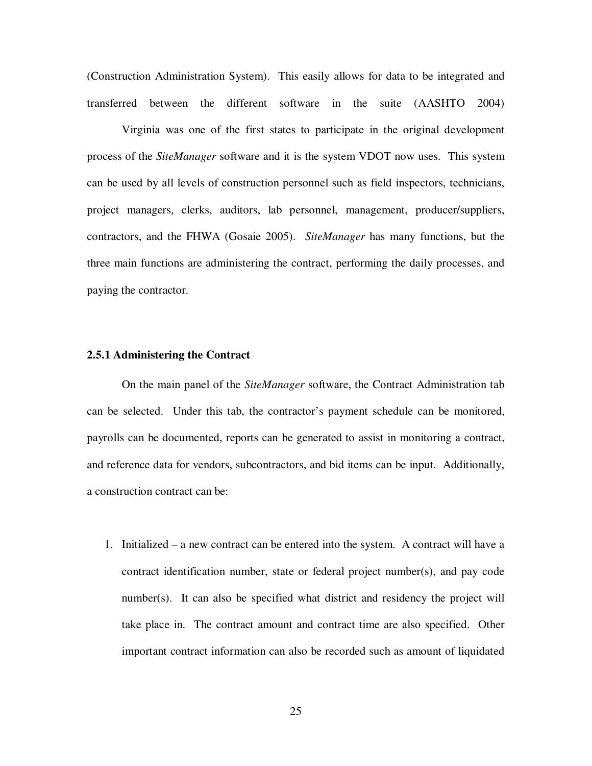(Construction Administration System). This easily allows for data to be integrated and transferred between the different software in the suite (AASHTO 2004)

Virginia was one of the first states to participate in the original development process of the *SiteManager* software and it is the system VDOT now uses. This system can be used by all levels of construction personnel such as field inspectors, technicians, project managers, clerks, auditors, lab personnel, management, producer/suppliers, contractors, and the FHWA (Gosaie 2005). *SiteManager* has many functions, but the three main functions are administering the contract, performing the daily processes, and paying the contractor.

### **2.5.1 Administering the Contract**

On the main panel of the *SiteManager* software, the Contract Administration tab can be selected. Under this tab, the contractor's payment schedule can be monitored, payrolls can be documented, reports can be generated to assist in monitoring a contract, and reference data for vendors, subcontractors, and bid items can be input. Additionally, a construction contract can be:

1. Initialized – a new contract can be entered into the system. A contract will have a contract identification number, state or federal project number(s), and pay code number(s). It can also be specified what district and residency the project will take place in. The contract amount and contract time are also specified. Other important contract information can also be recorded such as amount of liquidated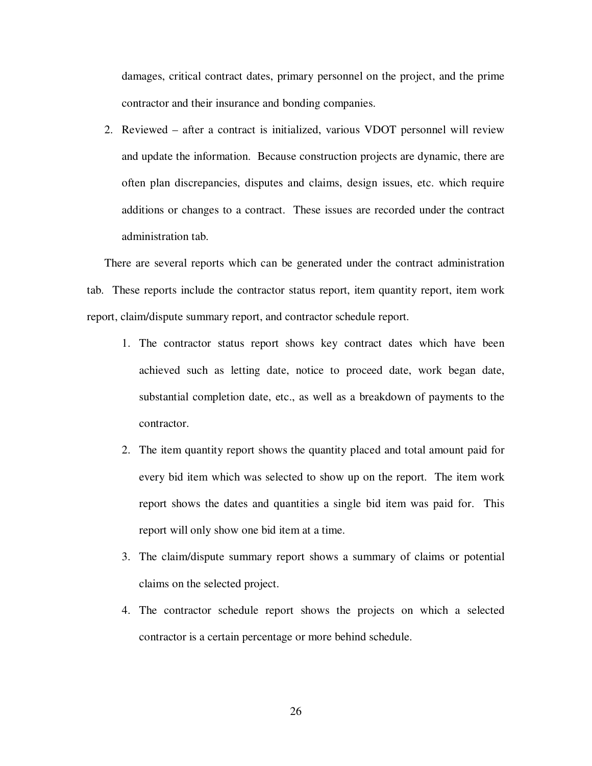damages, critical contract dates, primary personnel on the project, and the prime contractor and their insurance and bonding companies.

2. Reviewed – after a contract is initialized, various VDOT personnel will review and update the information. Because construction projects are dynamic, there are often plan discrepancies, disputes and claims, design issues, etc. which require additions or changes to a contract. These issues are recorded under the contract administration tab.

There are several reports which can be generated under the contract administration tab. These reports include the contractor status report, item quantity report, item work report, claim/dispute summary report, and contractor schedule report.

- 1. The contractor status report shows key contract dates which have been achieved such as letting date, notice to proceed date, work began date, substantial completion date, etc., as well as a breakdown of payments to the contractor.
- 2. The item quantity report shows the quantity placed and total amount paid for every bid item which was selected to show up on the report. The item work report shows the dates and quantities a single bid item was paid for. This report will only show one bid item at a time.
- 3. The claim/dispute summary report shows a summary of claims or potential claims on the selected project.
- 4. The contractor schedule report shows the projects on which a selected contractor is a certain percentage or more behind schedule.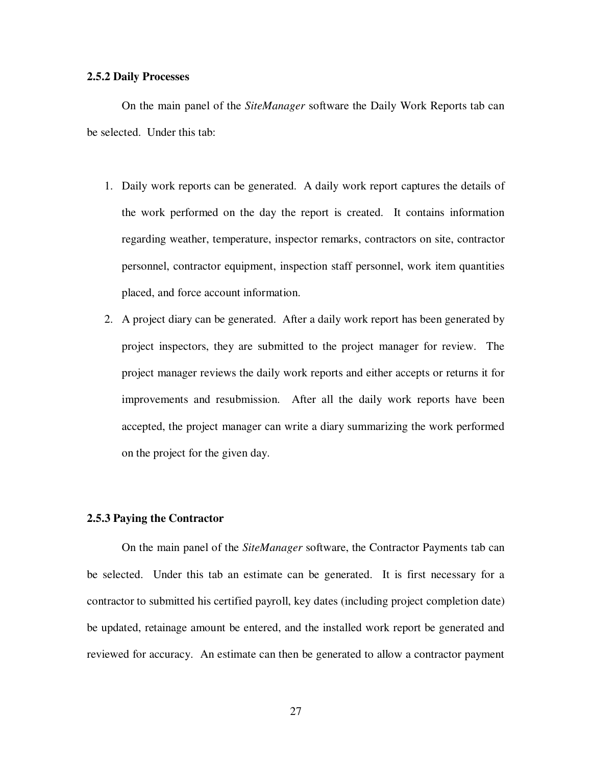## **2.5.2 Daily Processes**

On the main panel of the *SiteManager* software the Daily Work Reports tab can be selected. Under this tab:

- 1. Daily work reports can be generated. A daily work report captures the details of the work performed on the day the report is created. It contains information regarding weather, temperature, inspector remarks, contractors on site, contractor personnel, contractor equipment, inspection staff personnel, work item quantities placed, and force account information.
- 2. A project diary can be generated. After a daily work report has been generated by project inspectors, they are submitted to the project manager for review. The project manager reviews the daily work reports and either accepts or returns it for improvements and resubmission. After all the daily work reports have been accepted, the project manager can write a diary summarizing the work performed on the project for the given day.

## **2.5.3 Paying the Contractor**

On the main panel of the *SiteManager* software, the Contractor Payments tab can be selected. Under this tab an estimate can be generated. It is first necessary for a contractor to submitted his certified payroll, key dates (including project completion date) be updated, retainage amount be entered, and the installed work report be generated and reviewed for accuracy. An estimate can then be generated to allow a contractor payment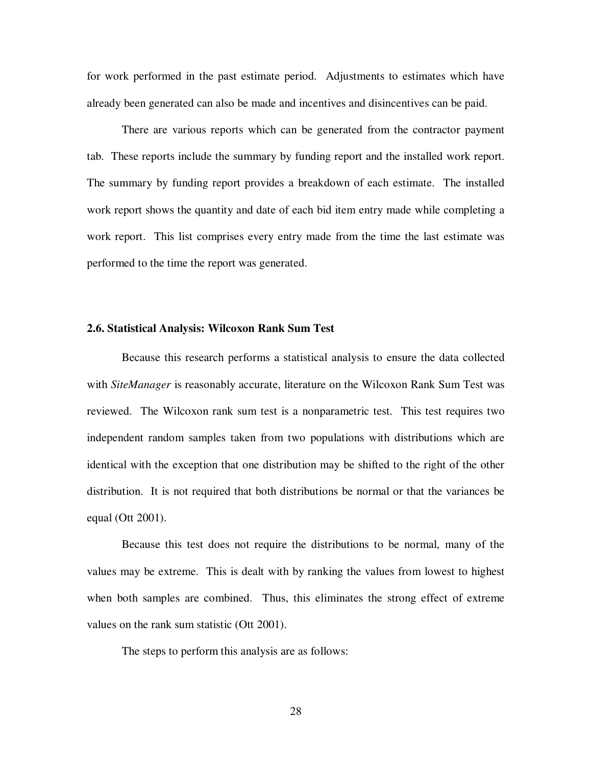for work performed in the past estimate period. Adjustments to estimates which have already been generated can also be made and incentives and disincentives can be paid.

There are various reports which can be generated from the contractor payment tab. These reports include the summary by funding report and the installed work report. The summary by funding report provides a breakdown of each estimate. The installed work report shows the quantity and date of each bid item entry made while completing a work report. This list comprises every entry made from the time the last estimate was performed to the time the report was generated.

### **2.6. Statistical Analysis: Wilcoxon Rank Sum Test**

Because this research performs a statistical analysis to ensure the data collected with *SiteManager* is reasonably accurate, literature on the Wilcoxon Rank Sum Test was reviewed. The Wilcoxon rank sum test is a nonparametric test. This test requires two independent random samples taken from two populations with distributions which are identical with the exception that one distribution may be shifted to the right of the other distribution. It is not required that both distributions be normal or that the variances be equal (Ott 2001).

Because this test does not require the distributions to be normal, many of the values may be extreme. This is dealt with by ranking the values from lowest to highest when both samples are combined. Thus, this eliminates the strong effect of extreme values on the rank sum statistic (Ott 2001).

The steps to perform this analysis are as follows:

28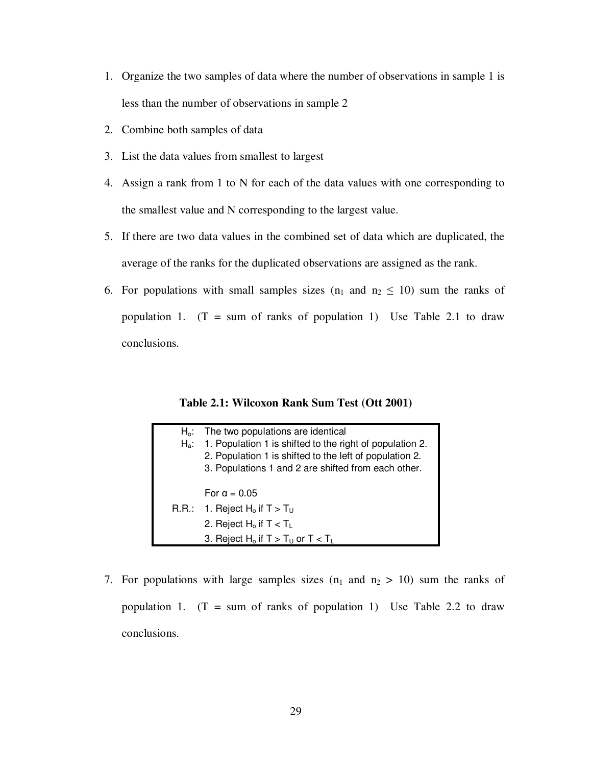- 1. Organize the two samples of data where the number of observations in sample 1 is less than the number of observations in sample 2
- 2. Combine both samples of data
- 3. List the data values from smallest to largest
- 4. Assign a rank from 1 to N for each of the data values with one corresponding to the smallest value and N corresponding to the largest value.
- 5. If there are two data values in the combined set of data which are duplicated, the average of the ranks for the duplicated observations are assigned as the rank.
- 6. For populations with small samples sizes  $(n_1 \text{ and } n_2 \leq 10)$  sum the ranks of population 1.  $(T = sum of ranks of population 1)$  Use Table 2.1 to draw conclusions.

**Table 2.1: Wilcoxon Rank Sum Test (Ott 2001)**

| $H_0$ :<br>$H_a$ : | The two populations are identical<br>1. Population 1 is shifted to the right of population 2.<br>2. Population 1 is shifted to the left of population 2.<br>3. Populations 1 and 2 are shifted from each other. |
|--------------------|-----------------------------------------------------------------------------------------------------------------------------------------------------------------------------------------------------------------|
|                    | For $\alpha = 0.05$                                                                                                                                                                                             |
|                    | R.R.: 1. Reject $H_0$ if $T > T_U$                                                                                                                                                                              |
|                    | 2. Reject $H_0$ if $T < T_L$                                                                                                                                                                                    |
|                    | 3. Reject H <sub>o</sub> if $T > T_U$ or $T < T_L$                                                                                                                                                              |

7. For populations with large samples sizes  $(n_1 \text{ and } n_2 > 10)$  sum the ranks of population 1.  $(T = sum of ranks of population 1)$  Use Table 2.2 to draw conclusions.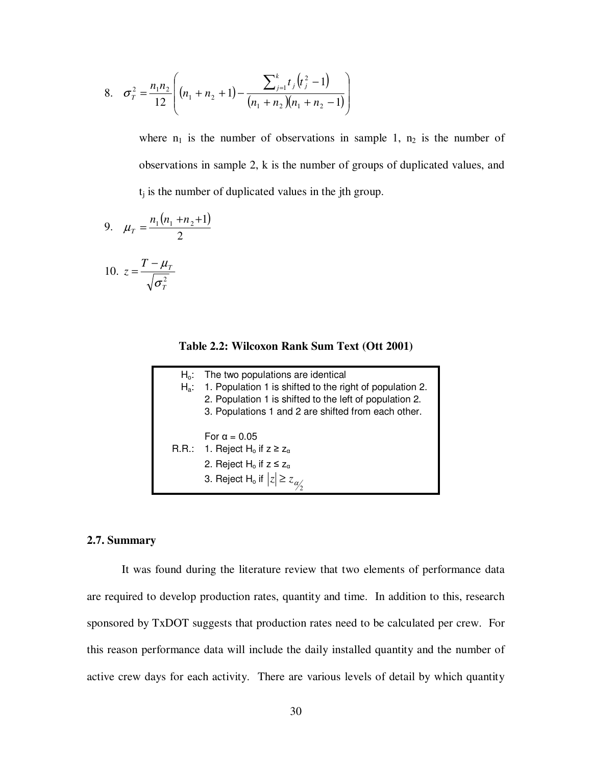8. 
$$
\sigma_{\overline{r}}^2 = \frac{n_1 n_2}{12} \left( (n_1 + n_2 + 1) - \frac{\sum_{j=1}^k t_j (t_j^2 - 1)}{(n_1 + n_2)(n_1 + n_2 - 1)} \right)
$$

where  $n_1$  is the number of observations in sample 1,  $n_2$  is the number of observations in sample 2, k is the number of groups of duplicated values, and  $t_i$  is the number of duplicated values in the jth group.

9. 
$$
\mu_T = \frac{n_1(n_1 + n_2 + 1)}{2}
$$

$$
10. \ \ z = \frac{T - \mu_r}{\sqrt{\sigma_r^2}}
$$

**Table 2.2: Wilcoxon Rank Sum Text (Ott 2001)**

| $H_0$ : | The two populations are identical                        |
|---------|----------------------------------------------------------|
| Н.:     | 1. Population 1 is shifted to the right of population 2. |
|         | 2. Population 1 is shifted to the left of population 2.  |
|         | 3. Populations 1 and 2 are shifted from each other.      |
|         |                                                          |
|         | For $\alpha = 0.05$                                      |
|         | R.R.: 1. Reject H <sub>o</sub> if $z \ge z_\alpha$       |
|         | 2. Reject H <sub>o</sub> if $z \le z_\alpha$             |
|         | 3. Reject H <sub>o</sub> if $ z  \ge z_{\alpha}$         |
|         |                                                          |

## **2.7. Summary**

It was found during the literature review that two elements of performance data are required to develop production rates, quantity and time. In addition to this, research sponsored by TxDOT suggests that production rates need to be calculated per crew. For this reason performance data will include the daily installed quantity and the number of active crew days for each activity. There are various levels of detail by which quantity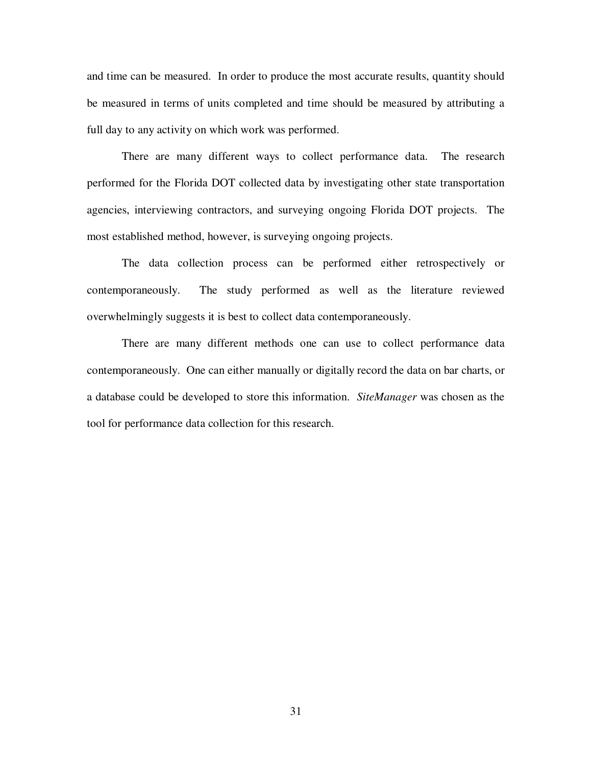and time can be measured. In order to produce the most accurate results, quantity should be measured in terms of units completed and time should be measured by attributing a full day to any activity on which work was performed.

There are many different ways to collect performance data. The research performed for the Florida DOT collected data by investigating other state transportation agencies, interviewing contractors, and surveying ongoing Florida DOT projects. The most established method, however, is surveying ongoing projects.

The data collection process can be performed either retrospectively or contemporaneously. The study performed as well as the literature reviewed overwhelmingly suggests it is best to collect data contemporaneously.

There are many different methods one can use to collect performance data contemporaneously. One can either manually or digitally record the data on bar charts, or a database could be developed to store this information. *SiteManager* was chosen as the tool for performance data collection for this research.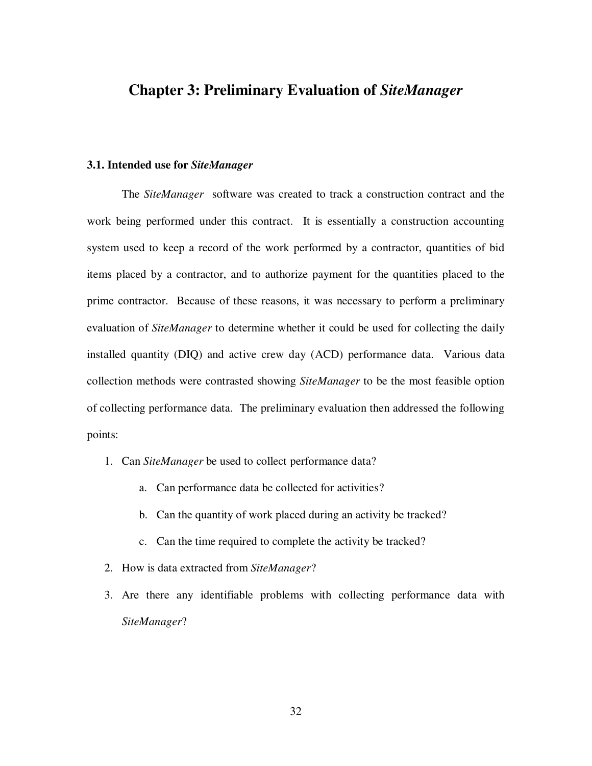# **Chapter 3: Preliminary Evaluation of** *SiteManager*

## **3.1. Intended use for** *SiteManager*

The *SiteManager* software was created to track a construction contract and the work being performed under this contract. It is essentially a construction accounting system used to keep a record of the work performed by a contractor, quantities of bid items placed by a contractor, and to authorize payment for the quantities placed to the prime contractor. Because of these reasons, it was necessary to perform a preliminary evaluation of *SiteManager* to determine whether it could be used for collecting the daily installed quantity (DIQ) and active crew day (ACD) performance data. Various data collection methods were contrasted showing *SiteManager* to be the most feasible option of collecting performance data. The preliminary evaluation then addressed the following points:

- 1. Can *SiteManager* be used to collect performance data?
	- a. Can performance data be collected for activities?
	- b. Can the quantity of work placed during an activity be tracked?
	- c. Can the time required to complete the activity be tracked?
- 2. How is data extracted from *SiteManager*?
- 3. Are there any identifiable problems with collecting performance data with *SiteManager*?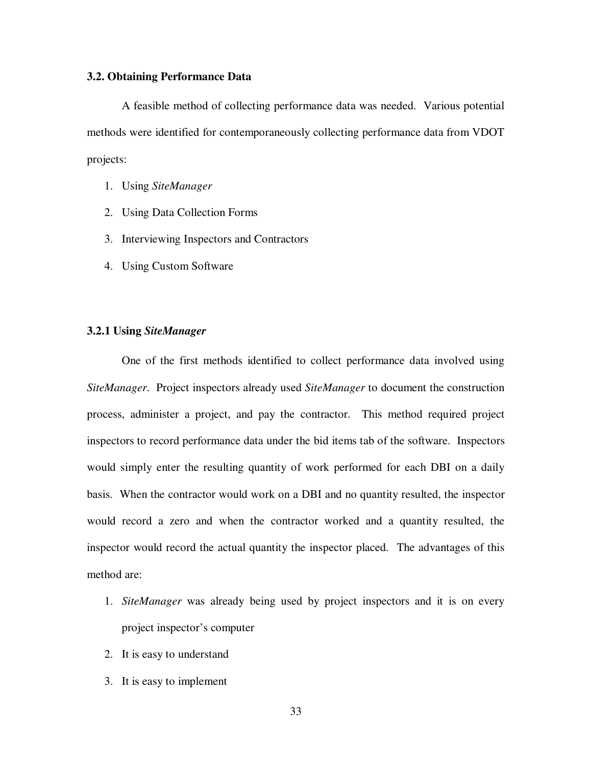## **3.2. Obtaining Performance Data**

A feasible method of collecting performance data was needed. Various potential methods were identified for contemporaneously collecting performance data from VDOT projects:

- 1. Using *SiteManager*
- 2. Using Data Collection Forms
- 3. Interviewing Inspectors and Contractors
- 4. Using Custom Software

## **3.2.1 Using** *SiteManager*

One of the first methods identified to collect performance data involved using *SiteManager*. Project inspectors already used *SiteManager* to document the construction process, administer a project, and pay the contractor. This method required project inspectors to record performance data under the bid items tab of the software. Inspectors would simply enter the resulting quantity of work performed for each DBI on a daily basis. When the contractor would work on a DBI and no quantity resulted, the inspector would record a zero and when the contractor worked and a quantity resulted, the inspector would record the actual quantity the inspector placed. The advantages of this method are:

- 1. *SiteManager* was already being used by project inspectors and it is on every project inspector's computer
- 2. It is easy to understand
- 3. It is easy to implement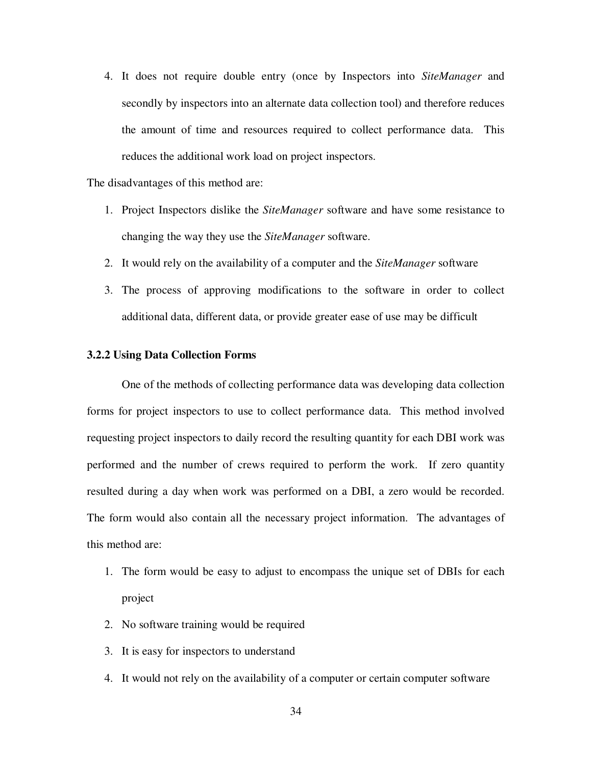4. It does not require double entry (once by Inspectors into *SiteManager* and secondly by inspectors into an alternate data collection tool) and therefore reduces the amount of time and resources required to collect performance data. This reduces the additional work load on project inspectors.

The disadvantages of this method are:

- 1. Project Inspectors dislike the *SiteManager* software and have some resistance to changing the way they use the *SiteManager* software.
- 2. It would rely on the availability of a computer and the *SiteManager* software
- 3. The process of approving modifications to the software in order to collect additional data, different data, or provide greater ease of use may be difficult

#### **3.2.2 Using Data Collection Forms**

One of the methods of collecting performance data was developing data collection forms for project inspectors to use to collect performance data. This method involved requesting project inspectors to daily record the resulting quantity for each DBI work was performed and the number of crews required to perform the work. If zero quantity resulted during a day when work was performed on a DBI, a zero would be recorded. The form would also contain all the necessary project information. The advantages of this method are:

- 1. The form would be easy to adjust to encompass the unique set of DBIs for each project
- 2. No software training would be required
- 3. It is easy for inspectors to understand
- 4. It would not rely on the availability of a computer or certain computer software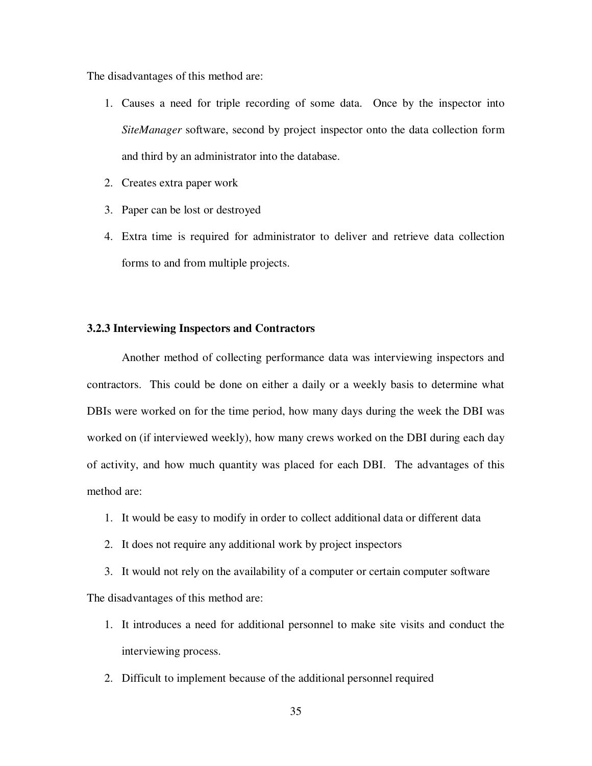The disadvantages of this method are:

- 1. Causes a need for triple recording of some data. Once by the inspector into *SiteManager* software, second by project inspector onto the data collection form and third by an administrator into the database.
- 2. Creates extra paper work
- 3. Paper can be lost or destroyed
- 4. Extra time is required for administrator to deliver and retrieve data collection forms to and from multiple projects.

# **3.2.3 Interviewing Inspectors and Contractors**

Another method of collecting performance data was interviewing inspectors and contractors. This could be done on either a daily or a weekly basis to determine what DBIs were worked on for the time period, how many days during the week the DBI was worked on (if interviewed weekly), how many crews worked on the DBI during each day of activity, and how much quantity was placed for each DBI. The advantages of this method are:

- 1. It would be easy to modify in order to collect additional data or different data
- 2. It does not require any additional work by project inspectors

3. It would not rely on the availability of a computer or certain computer software The disadvantages of this method are:

- 1. It introduces a need for additional personnel to make site visits and conduct the interviewing process.
- 2. Difficult to implement because of the additional personnel required

35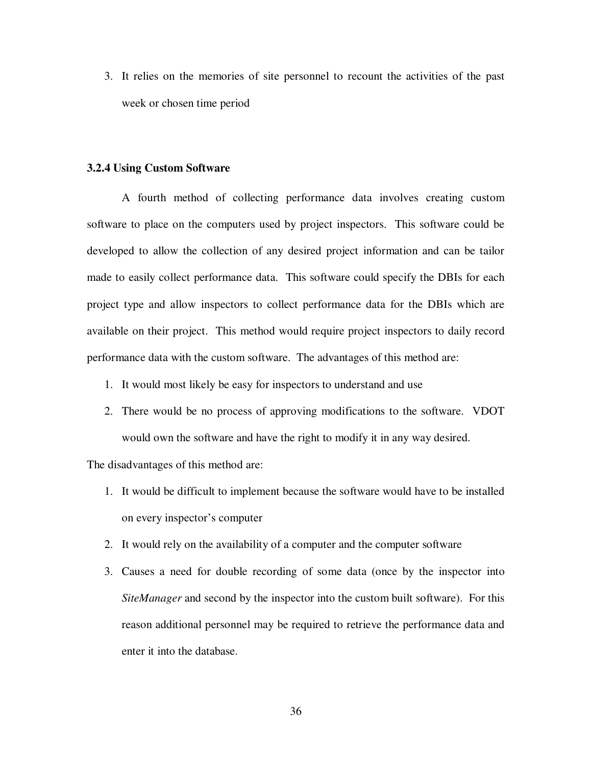3. It relies on the memories of site personnel to recount the activities of the past week or chosen time period

#### **3.2.4 Using Custom Software**

A fourth method of collecting performance data involves creating custom software to place on the computers used by project inspectors. This software could be developed to allow the collection of any desired project information and can be tailor made to easily collect performance data. This software could specify the DBIs for each project type and allow inspectors to collect performance data for the DBIs which are available on their project. This method would require project inspectors to daily record performance data with the custom software. The advantages of this method are:

- 1. It would most likely be easy for inspectors to understand and use
- 2. There would be no process of approving modifications to the software. VDOT would own the software and have the right to modify it in any way desired.

The disadvantages of this method are:

- 1. It would be difficult to implement because the software would have to be installed on every inspector's computer
- 2. It would rely on the availability of a computer and the computer software
- 3. Causes a need for double recording of some data (once by the inspector into *SiteManager* and second by the inspector into the custom built software). For this reason additional personnel may be required to retrieve the performance data and enter it into the database.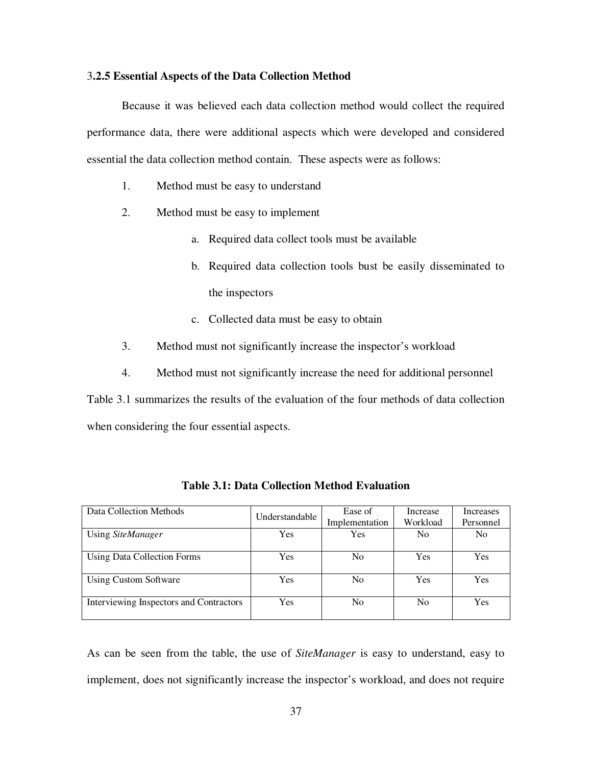## 3**.2.5 Essential Aspects of the Data Collection Method**

Because it was believed each data collection method would collect the required performance data, there were additional aspects which were developed and considered essential the data collection method contain. These aspects were as follows:

- 1. Method must be easy to understand
- 2. Method must be easy to implement
	- a. Required data collect tools must be available
	- b. Required data collection tools bust be easily disseminated to the inspectors
	- c. Collected data must be easy to obtain
- 3. Method must not significantly increase the inspector's workload
- 4. Method must not significantly increase the need for additional personnel

Table 3.1 summarizes the results of the evaluation of the four methods of data collection when considering the four essential aspects.

| Data Collection Methods                 | Understandable | Ease of<br>Implementation | Increase<br>Workload | Increases<br>Personnel |
|-----------------------------------------|----------------|---------------------------|----------------------|------------------------|
| Using SiteManager                       | Yes            | Yes                       | N <sub>0</sub>       | No                     |
| Using Data Collection Forms             | Yes            | No                        | Yes                  | Yes                    |
| <b>Using Custom Software</b>            | Yes            | No                        | Yes                  | Yes                    |
| Interviewing Inspectors and Contractors | <b>Yes</b>     | N <sub>0</sub>            | N <sub>0</sub>       | Yes                    |

**Table 3.1: Data Collection Method Evaluation**

As can be seen from the table, the use of *SiteManager* is easy to understand, easy to implement, does not significantly increase the inspector's workload, and does not require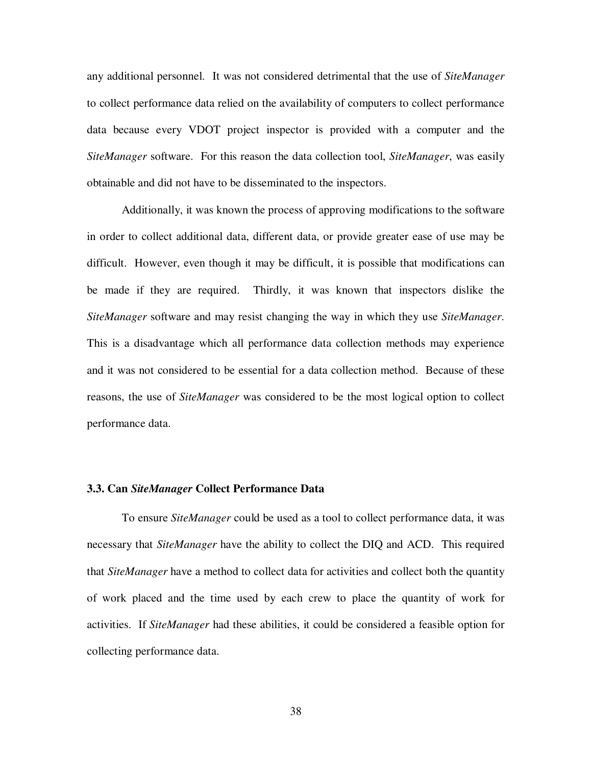any additional personnel. It was not considered detrimental that the use of *SiteManager* to collect performance data relied on the availability of computers to collect performance data because every VDOT project inspector is provided with a computer and the *SiteManager* software. For this reason the data collection tool, *SiteManager*, was easily obtainable and did not have to be disseminated to the inspectors.

Additionally, it was known the process of approving modifications to the software in order to collect additional data, different data, or provide greater ease of use may be difficult. However, even though it may be difficult, it is possible that modifications can be made if they are required. Thirdly, it was known that inspectors dislike the *SiteManager* software and may resist changing the way in which they use *SiteManager*. This is a disadvantage which all performance data collection methods may experience and it was not considered to be essential for a data collection method. Because of these reasons, the use of *SiteManager* was considered to be the most logical option to collect performance data.

## **3.3. Can** *SiteManager* **Collect Performance Data**

To ensure *SiteManager* could be used as a tool to collect performance data, it was necessary that *SiteManager* have the ability to collect the DIQ and ACD. This required that *SiteManager* have a method to collect data for activities and collect both the quantity of work placed and the time used by each crew to place the quantity of work for activities. If *SiteManager* had these abilities, it could be considered a feasible option for collecting performance data.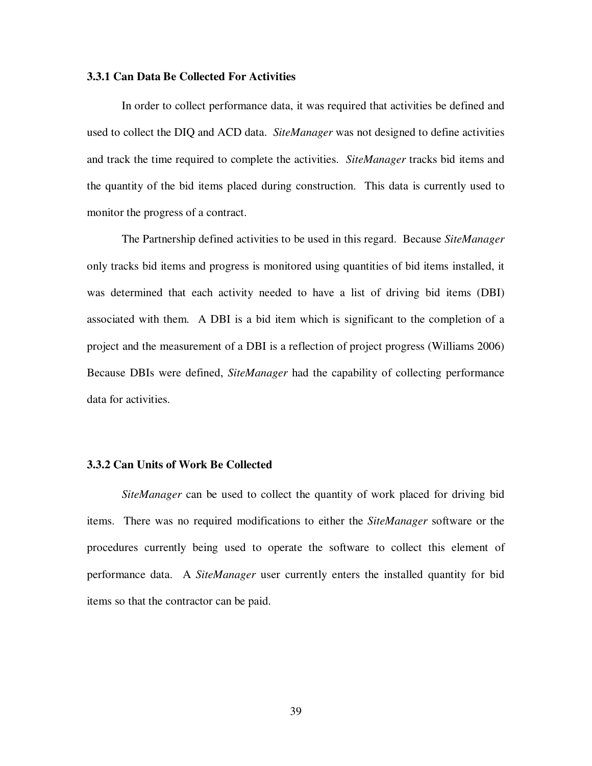## **3.3.1 Can Data Be Collected For Activities**

In order to collect performance data, it was required that activities be defined and used to collect the DIQ and ACD data. *SiteManager* was not designed to define activities and track the time required to complete the activities. *SiteManager* tracks bid items and the quantity of the bid items placed during construction. This data is currently used to monitor the progress of a contract.

The Partnership defined activities to be used in this regard. Because *SiteManager* only tracks bid items and progress is monitored using quantities of bid items installed, it was determined that each activity needed to have a list of driving bid items (DBI) associated with them. A DBI is a bid item which is significant to the completion of a project and the measurement of a DBI is a reflection of project progress (Williams 2006) Because DBIs were defined, *SiteManager* had the capability of collecting performance data for activities.

## **3.3.2 Can Units of Work Be Collected**

*SiteManager* can be used to collect the quantity of work placed for driving bid items. There was no required modifications to either the *SiteManager* software or the procedures currently being used to operate the software to collect this element of performance data. A *SiteManager* user currently enters the installed quantity for bid items so that the contractor can be paid.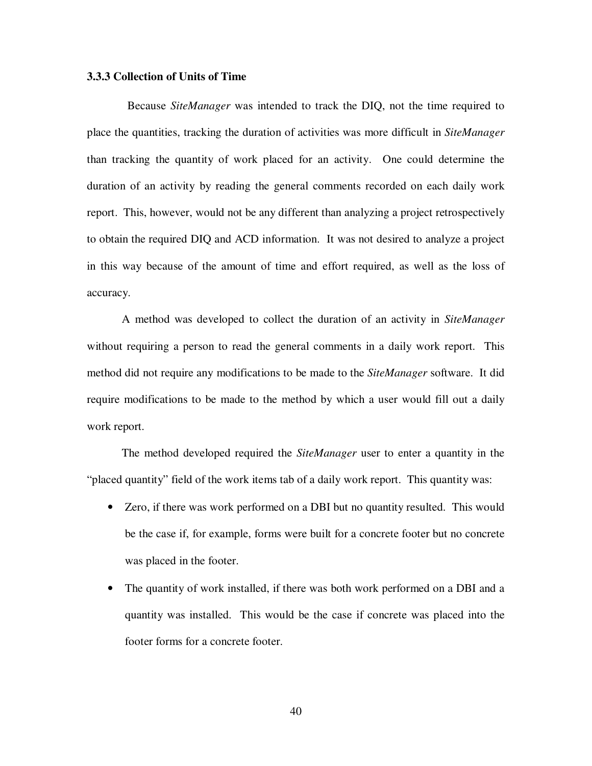## **3.3.3 Collection of Units of Time**

Because *SiteManager* was intended to track the DIQ, not the time required to place the quantities, tracking the duration of activities was more difficult in *SiteManager* than tracking the quantity of work placed for an activity. One could determine the duration of an activity by reading the general comments recorded on each daily work report. This, however, would not be any different than analyzing a project retrospectively to obtain the required DIQ and ACD information. It was not desired to analyze a project in this way because of the amount of time and effort required, as well as the loss of accuracy.

A method was developed to collect the duration of an activity in *SiteManager* without requiring a person to read the general comments in a daily work report. This method did not require any modifications to be made to the *SiteManager* software. It did require modifications to be made to the method by which a user would fill out a daily work report.

The method developed required the *SiteManager* user to enter a quantity in the "placed quantity" field of the work items tab of a daily work report. This quantity was:

- Zero, if there was work performed on a DBI but no quantity resulted. This would be the case if, for example, forms were built for a concrete footer but no concrete was placed in the footer.
- The quantity of work installed, if there was both work performed on a DBI and a quantity was installed. This would be the case if concrete was placed into the footer forms for a concrete footer.

40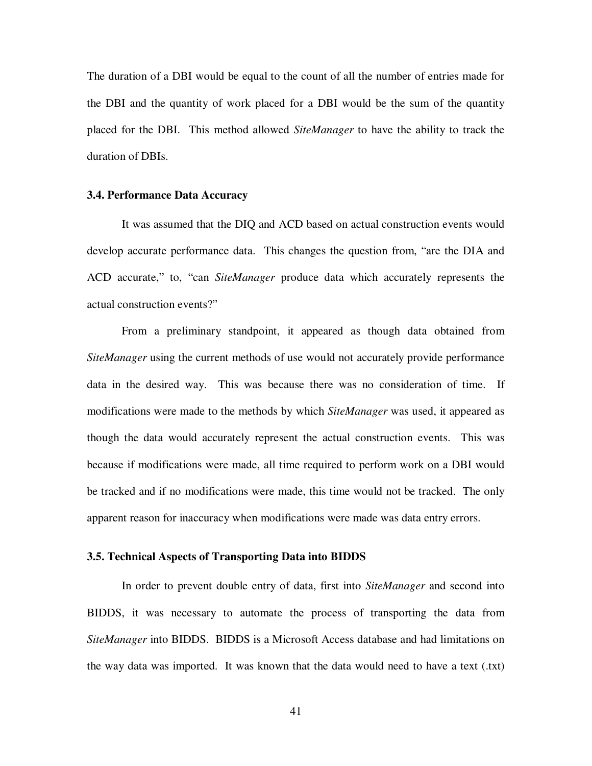The duration of a DBI would be equal to the count of all the number of entries made for the DBI and the quantity of work placed for a DBI would be the sum of the quantity placed for the DBI. This method allowed *SiteManager* to have the ability to track the duration of DBIs.

## **3.4. Performance Data Accuracy**

It was assumed that the DIQ and ACD based on actual construction events would develop accurate performance data. This changes the question from, "are the DIA and ACD accurate," to, "can *SiteManager* produce data which accurately represents the actual construction events?"

From a preliminary standpoint, it appeared as though data obtained from *SiteManager* using the current methods of use would not accurately provide performance data in the desired way. This was because there was no consideration of time. If modifications were made to the methods by which *SiteManager* was used, it appeared as though the data would accurately represent the actual construction events. This was because if modifications were made, all time required to perform work on a DBI would be tracked and if no modifications were made, this time would not be tracked. The only apparent reason for inaccuracy when modifications were made was data entry errors.

## **3.5. Technical Aspects of Transporting Data into BIDDS**

In order to prevent double entry of data, first into *SiteManager* and second into BIDDS, it was necessary to automate the process of transporting the data from *SiteManager* into BIDDS. BIDDS is a Microsoft Access database and had limitations on the way data was imported. It was known that the data would need to have a text (.txt)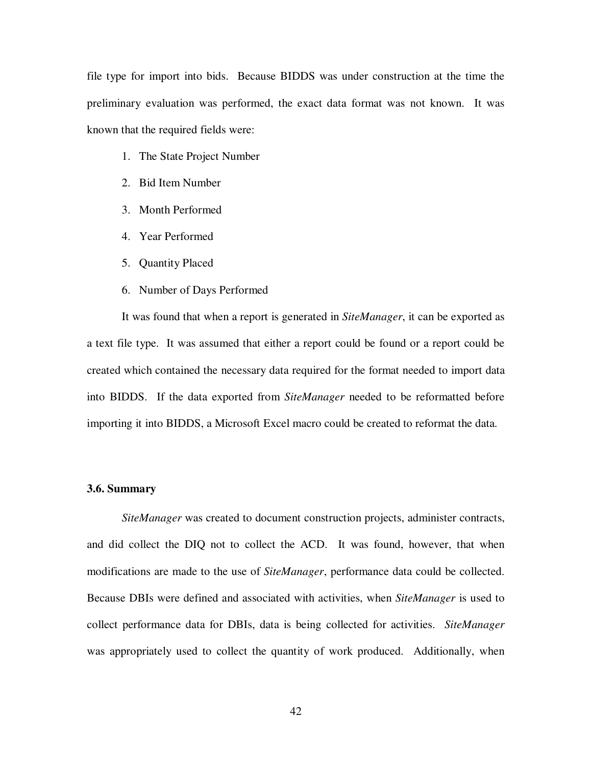file type for import into bids. Because BIDDS was under construction at the time the preliminary evaluation was performed, the exact data format was not known. It was known that the required fields were:

- 1. The State Project Number
- 2. Bid Item Number
- 3. Month Performed
- 4. Year Performed
- 5. Quantity Placed
- 6. Number of Days Performed

It was found that when a report is generated in *SiteManager*, it can be exported as a text file type. It was assumed that either a report could be found or a report could be created which contained the necessary data required for the format needed to import data into BIDDS. If the data exported from *SiteManager* needed to be reformatted before importing it into BIDDS, a Microsoft Excel macro could be created to reformat the data.

## **3.6. Summary**

*SiteManager* was created to document construction projects, administer contracts, and did collect the DIQ not to collect the ACD. It was found, however, that when modifications are made to the use of *SiteManager*, performance data could be collected. Because DBIs were defined and associated with activities, when *SiteManager* is used to collect performance data for DBIs, data is being collected for activities. *SiteManager* was appropriately used to collect the quantity of work produced. Additionally, when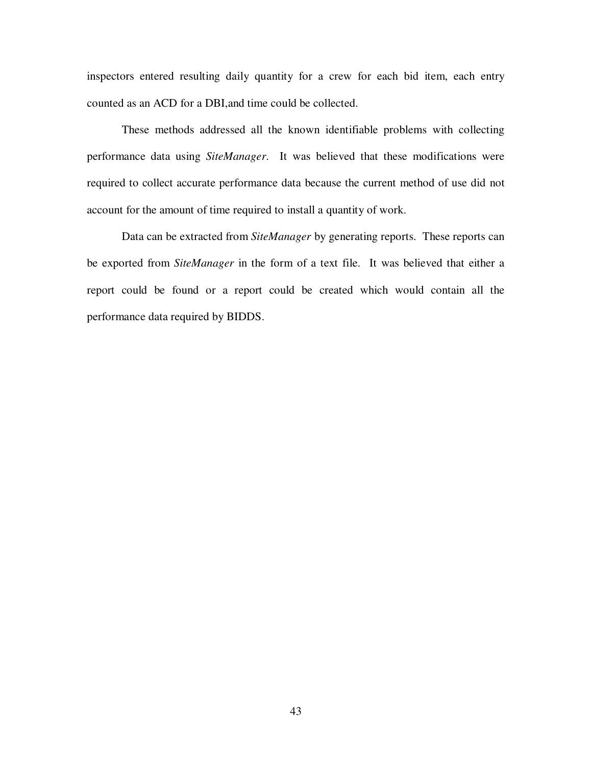inspectors entered resulting daily quantity for a crew for each bid item, each entry counted as an ACD for a DBI,and time could be collected.

These methods addressed all the known identifiable problems with collecting performance data using *SiteManager*. It was believed that these modifications were required to collect accurate performance data because the current method of use did not account for the amount of time required to install a quantity of work.

Data can be extracted from *SiteManager* by generating reports. These reports can be exported from *SiteManager* in the form of a text file. It was believed that either a report could be found or a report could be created which would contain all the performance data required by BIDDS.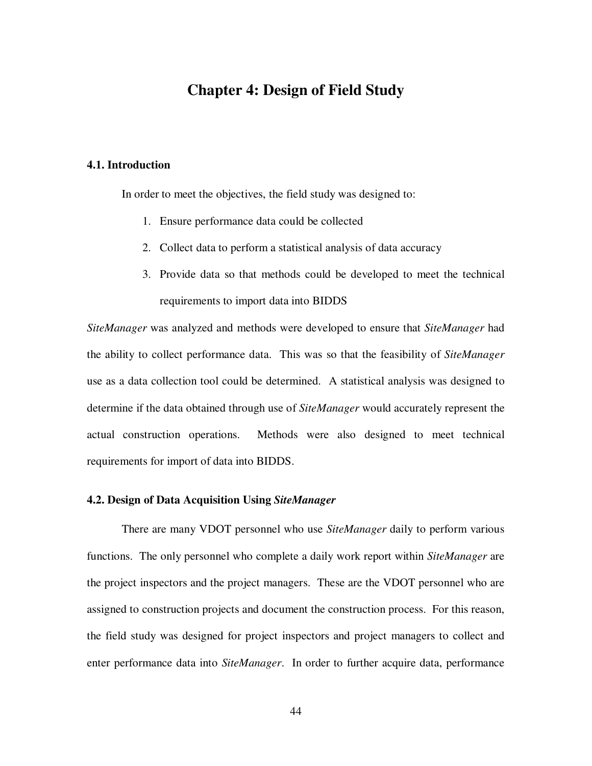# **Chapter 4: Design of Field Study**

# **4.1. Introduction**

In order to meet the objectives, the field study was designed to:

- 1. Ensure performance data could be collected
- 2. Collect data to perform a statistical analysis of data accuracy
- 3. Provide data so that methods could be developed to meet the technical requirements to import data into BIDDS

*SiteManager* was analyzed and methods were developed to ensure that *SiteManager* had the ability to collect performance data. This was so that the feasibility of *SiteManager* use as a data collection tool could be determined. A statistical analysis was designed to determine if the data obtained through use of *SiteManager* would accurately represent the actual construction operations. Methods were also designed to meet technical requirements for import of data into BIDDS.

# **4.2. Design of Data Acquisition Using** *SiteManager*

There are many VDOT personnel who use *SiteManager* daily to perform various functions. The only personnel who complete a daily work report within *SiteManager* are the project inspectors and the project managers. These are the VDOT personnel who are assigned to construction projects and document the construction process. For this reason, the field study was designed for project inspectors and project managers to collect and enter performance data into *SiteManager*. In order to further acquire data, performance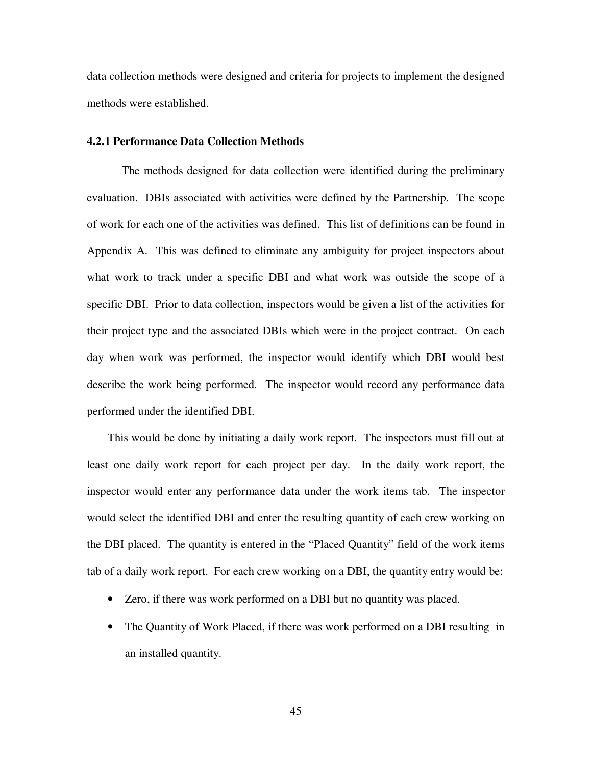data collection methods were designed and criteria for projects to implement the designed methods were established.

## **4.2.1 Performance Data Collection Methods**

The methods designed for data collection were identified during the preliminary evaluation. DBIs associated with activities were defined by the Partnership. The scope of work for each one of the activities was defined. This list of definitions can be found in Appendix A. This was defined to eliminate any ambiguity for project inspectors about what work to track under a specific DBI and what work was outside the scope of a specific DBI. Prior to data collection, inspectors would be given a list of the activities for their project type and the associated DBIs which were in the project contract. On each day when work was performed, the inspector would identify which DBI would best describe the work being performed. The inspector would record any performance data performed under the identified DBI.

This would be done by initiating a daily work report. The inspectors must fill out at least one daily work report for each project per day. In the daily work report, the inspector would enter any performance data under the work items tab. The inspector would select the identified DBI and enter the resulting quantity of each crew working on the DBI placed. The quantity is entered in the "Placed Quantity" field of the work items tab of a daily work report. For each crew working on a DBI, the quantity entry would be:

- Zero, if there was work performed on a DBI but no quantity was placed.
- The Quantity of Work Placed, if there was work performed on a DBI resulting in an installed quantity.

45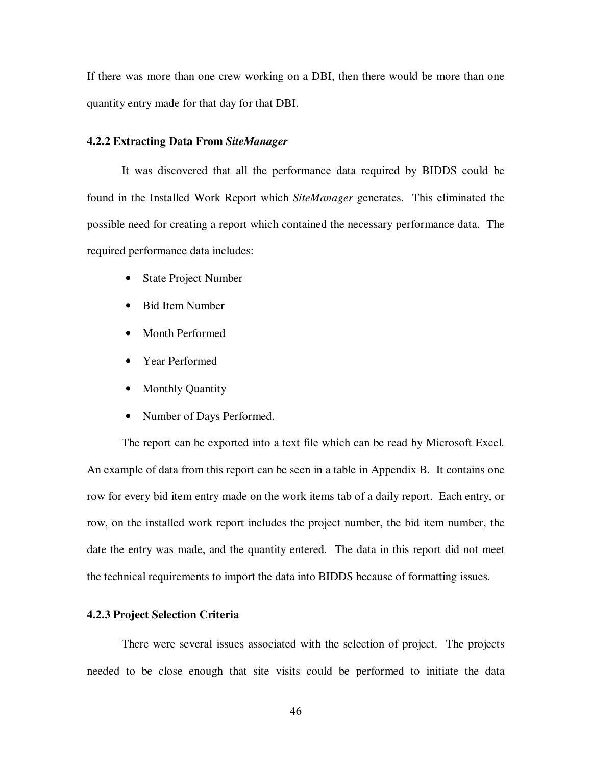If there was more than one crew working on a DBI, then there would be more than one quantity entry made for that day for that DBI.

## **4.2.2 Extracting Data From** *SiteManager*

It was discovered that all the performance data required by BIDDS could be found in the Installed Work Report which *SiteManager* generates. This eliminated the possible need for creating a report which contained the necessary performance data. The required performance data includes:

- State Project Number
- Bid Item Number
- Month Performed
- Year Performed
- Monthly Quantity
- Number of Days Performed.

The report can be exported into a text file which can be read by Microsoft Excel. An example of data from this report can be seen in a table in Appendix B. It contains one row for every bid item entry made on the work items tab of a daily report. Each entry, or row, on the installed work report includes the project number, the bid item number, the date the entry was made, and the quantity entered. The data in this report did not meet the technical requirements to import the data into BIDDS because of formatting issues.

## **4.2.3 Project Selection Criteria**

There were several issues associated with the selection of project. The projects needed to be close enough that site visits could be performed to initiate the data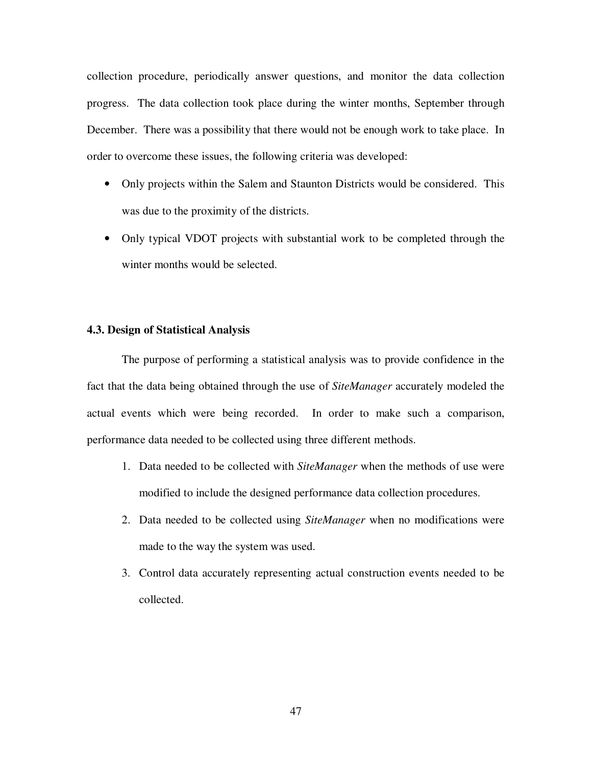collection procedure, periodically answer questions, and monitor the data collection progress. The data collection took place during the winter months, September through December. There was a possibility that there would not be enough work to take place. In order to overcome these issues, the following criteria was developed:

- Only projects within the Salem and Staunton Districts would be considered. This was due to the proximity of the districts.
- Only typical VDOT projects with substantial work to be completed through the winter months would be selected.

## **4.3. Design of Statistical Analysis**

The purpose of performing a statistical analysis was to provide confidence in the fact that the data being obtained through the use of *SiteManager* accurately modeled the actual events which were being recorded. In order to make such a comparison, performance data needed to be collected using three different methods.

- 1. Data needed to be collected with *SiteManager* when the methods of use were modified to include the designed performance data collection procedures.
- 2. Data needed to be collected using *SiteManager* when no modifications were made to the way the system was used.
- 3. Control data accurately representing actual construction events needed to be collected.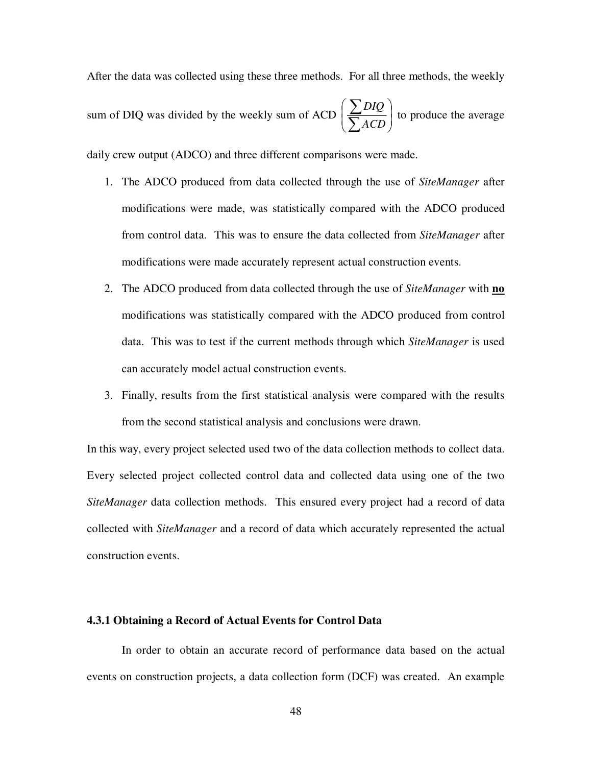After the data was collected using these three methods. For all three methods, the weekly sum of DIQ was divided by the weekly sum of ACD  $\left| \frac{\sum D_l Q}{\sum A C D} \right|$ -  $\backslash$  $\mathsf{I}$  $\mathsf{I}$  $\setminus$ ſ  $\overline{\sum}$  $\overline{\sum}$ *ACD DIQ* to produce the average

daily crew output (ADCO) and three different comparisons were made.

- 1. The ADCO produced from data collected through the use of *SiteManager* after modifications were made, was statistically compared with the ADCO produced from control data. This was to ensure the data collected from *SiteManager* after modifications were made accurately represent actual construction events.
- 2. The ADCO produced from data collected through the use of *SiteManager* with **no** modifications was statistically compared with the ADCO produced from control data. This was to test if the current methods through which *SiteManager* is used can accurately model actual construction events.
- 3. Finally, results from the first statistical analysis were compared with the results from the second statistical analysis and conclusions were drawn.

In this way, every project selected used two of the data collection methods to collect data. Every selected project collected control data and collected data using one of the two *SiteManager* data collection methods. This ensured every project had a record of data collected with *SiteManager* and a record of data which accurately represented the actual construction events.

#### **4.3.1 Obtaining a Record of Actual Events for Control Data**

In order to obtain an accurate record of performance data based on the actual events on construction projects, a data collection form (DCF) was created. An example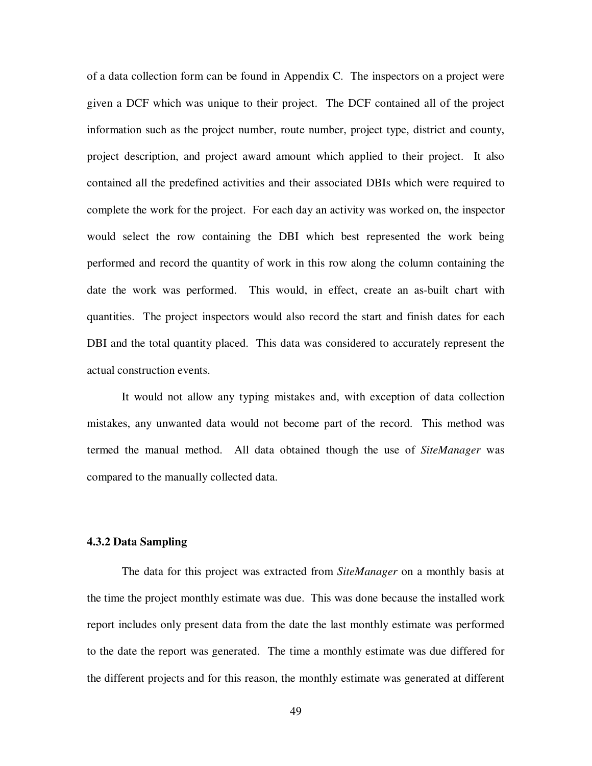of a data collection form can be found in Appendix C. The inspectors on a project were given a DCF which was unique to their project. The DCF contained all of the project information such as the project number, route number, project type, district and county, project description, and project award amount which applied to their project. It also contained all the predefined activities and their associated DBIs which were required to complete the work for the project. For each day an activity was worked on, the inspector would select the row containing the DBI which best represented the work being performed and record the quantity of work in this row along the column containing the date the work was performed. This would, in effect, create an as-built chart with quantities. The project inspectors would also record the start and finish dates for each DBI and the total quantity placed. This data was considered to accurately represent the actual construction events.

It would not allow any typing mistakes and, with exception of data collection mistakes, any unwanted data would not become part of the record. This method was termed the manual method. All data obtained though the use of *SiteManager* was compared to the manually collected data.

# **4.3.2 Data Sampling**

The data for this project was extracted from *SiteManager* on a monthly basis at the time the project monthly estimate was due. This was done because the installed work report includes only present data from the date the last monthly estimate was performed to the date the report was generated. The time a monthly estimate was due differed for the different projects and for this reason, the monthly estimate was generated at different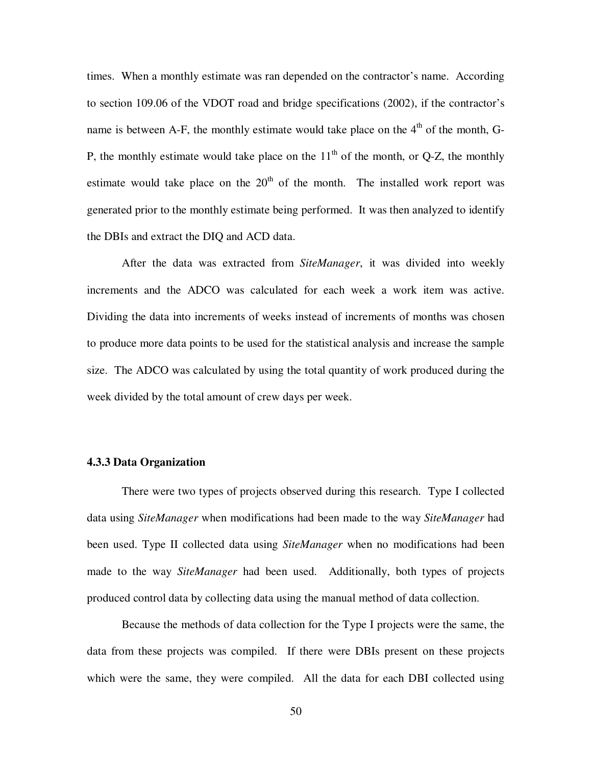times. When a monthly estimate was ran depended on the contractor's name. According to section 109.06 of the VDOT road and bridge specifications (2002), if the contractor's name is between A-F, the monthly estimate would take place on the  $4<sup>th</sup>$  of the month, G-P, the monthly estimate would take place on the  $11<sup>th</sup>$  of the month, or Q-Z, the monthly estimate would take place on the  $20<sup>th</sup>$  of the month. The installed work report was generated prior to the monthly estimate being performed. It was then analyzed to identify the DBIs and extract the DIQ and ACD data.

After the data was extracted from *SiteManager*, it was divided into weekly increments and the ADCO was calculated for each week a work item was active. Dividing the data into increments of weeks instead of increments of months was chosen to produce more data points to be used for the statistical analysis and increase the sample size. The ADCO was calculated by using the total quantity of work produced during the week divided by the total amount of crew days per week.

## **4.3.3 Data Organization**

There were two types of projects observed during this research. Type I collected data using *SiteManager* when modifications had been made to the way *SiteManager* had been used. Type II collected data using *SiteManager* when no modifications had been made to the way *SiteManager* had been used. Additionally, both types of projects produced control data by collecting data using the manual method of data collection.

Because the methods of data collection for the Type I projects were the same, the data from these projects was compiled. If there were DBIs present on these projects which were the same, they were compiled. All the data for each DBI collected using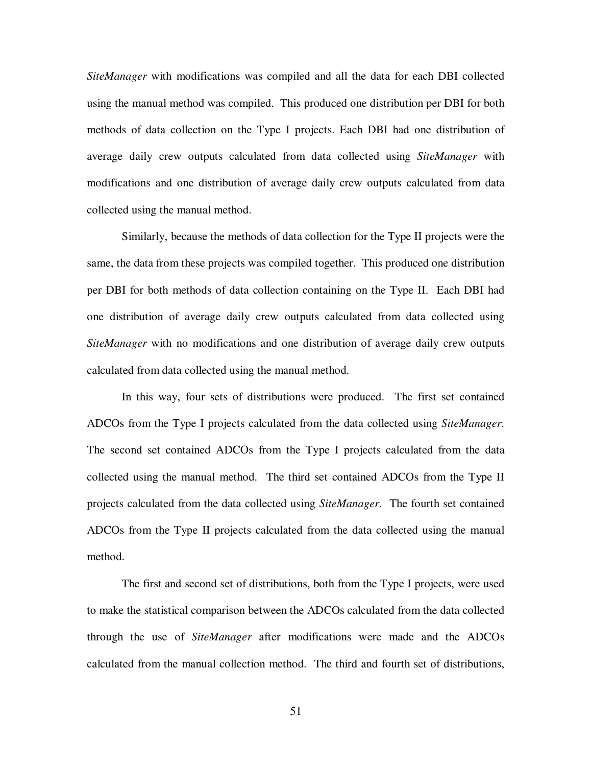*SiteManager* with modifications was compiled and all the data for each DBI collected using the manual method was compiled. This produced one distribution per DBI for both methods of data collection on the Type I projects. Each DBI had one distribution of average daily crew outputs calculated from data collected using *SiteManager* with modifications and one distribution of average daily crew outputs calculated from data collected using the manual method.

Similarly, because the methods of data collection for the Type II projects were the same, the data from these projects was compiled together. This produced one distribution per DBI for both methods of data collection containing on the Type II. Each DBI had one distribution of average daily crew outputs calculated from data collected using *SiteManager* with no modifications and one distribution of average daily crew outputs calculated from data collected using the manual method.

In this way, four sets of distributions were produced. The first set contained ADCOs from the Type I projects calculated from the data collected using *SiteManager*. The second set contained ADCOs from the Type I projects calculated from the data collected using the manual method. The third set contained ADCOs from the Type II projects calculated from the data collected using *SiteManager*. The fourth set contained ADCOs from the Type II projects calculated from the data collected using the manual method.

The first and second set of distributions, both from the Type I projects, were used to make the statistical comparison between the ADCOs calculated from the data collected through the use of *SiteManager* after modifications were made and the ADCOs calculated from the manual collection method. The third and fourth set of distributions,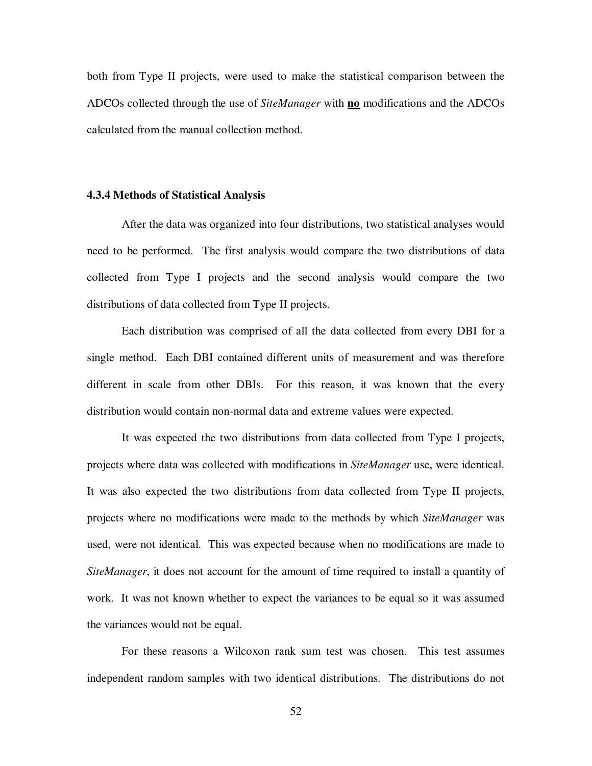both from Type II projects, were used to make the statistical comparison between the ADCOs collected through the use of *SiteManager* with **no** modifications and the ADCOs calculated from the manual collection method.

### **4.3.4 Methods of Statistical Analysis**

After the data was organized into four distributions, two statistical analyses would need to be performed. The first analysis would compare the two distributions of data collected from Type I projects and the second analysis would compare the two distributions of data collected from Type II projects.

Each distribution was comprised of all the data collected from every DBI for a single method. Each DBI contained different units of measurement and was therefore different in scale from other DBIs. For this reason, it was known that the every distribution would contain non-normal data and extreme values were expected.

It was expected the two distributions from data collected from Type I projects, projects where data was collected with modifications in *SiteManager* use, were identical. It was also expected the two distributions from data collected from Type II projects, projects where no modifications were made to the methods by which *SiteManager* was used, were not identical. This was expected because when no modifications are made to *SiteManager*, it does not account for the amount of time required to install a quantity of work. It was not known whether to expect the variances to be equal so it was assumed the variances would not be equal.

For these reasons a Wilcoxon rank sum test was chosen. This test assumes independent random samples with two identical distributions. The distributions do not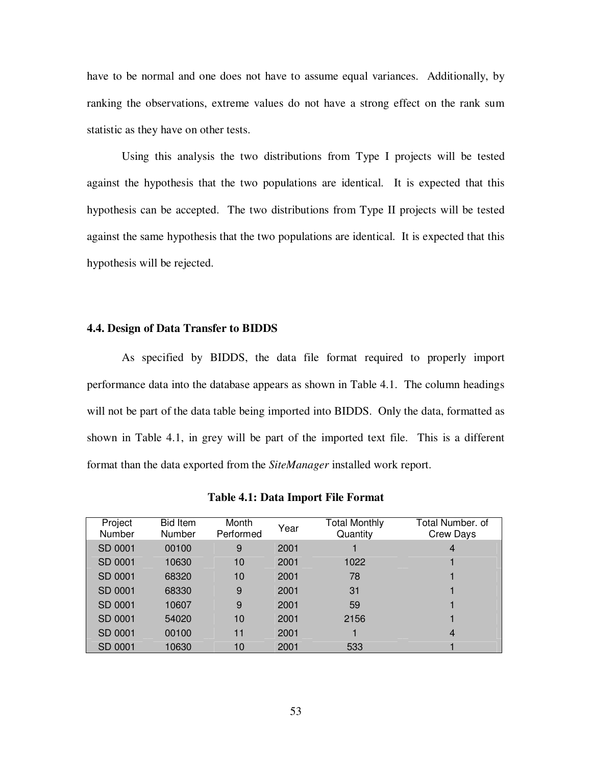have to be normal and one does not have to assume equal variances. Additionally, by ranking the observations, extreme values do not have a strong effect on the rank sum statistic as they have on other tests.

Using this analysis the two distributions from Type I projects will be tested against the hypothesis that the two populations are identical. It is expected that this hypothesis can be accepted. The two distributions from Type II projects will be tested against the same hypothesis that the two populations are identical. It is expected that this hypothesis will be rejected.

### **4.4. Design of Data Transfer to BIDDS**

As specified by BIDDS, the data file format required to properly import performance data into the database appears as shown in Table 4.1. The column headings will not be part of the data table being imported into BIDDS. Only the data, formatted as shown in Table 4.1, in grey will be part of the imported text file. This is a different format than the data exported from the *SiteManager* installed work report.

| Project<br>Number | <b>Bid Item</b><br><b>Number</b> | Month<br>Performed | Year | Total Monthly<br>Quantity | Total Number. of<br><b>Crew Days</b> |
|-------------------|----------------------------------|--------------------|------|---------------------------|--------------------------------------|
| SD 0001           | 00100                            | 9                  | 2001 |                           | 4                                    |
| SD 0001           | 10630                            | 10                 | 2001 | 1022                      |                                      |
| SD 0001           | 68320                            | 10                 | 2001 | 78                        |                                      |
| SD 0001           | 68330                            | 9                  | 2001 | 31                        |                                      |
| SD 0001           | 10607                            | 9                  | 2001 | 59                        |                                      |
| SD 0001           | 54020                            | 10                 | 2001 | 2156                      |                                      |
| SD 0001           | 00100                            | 11                 | 2001 |                           | $\overline{4}$                       |
| SD 0001           | 10630                            | 10                 | 2001 | 533                       |                                      |

**Table 4.1: Data Import File Format**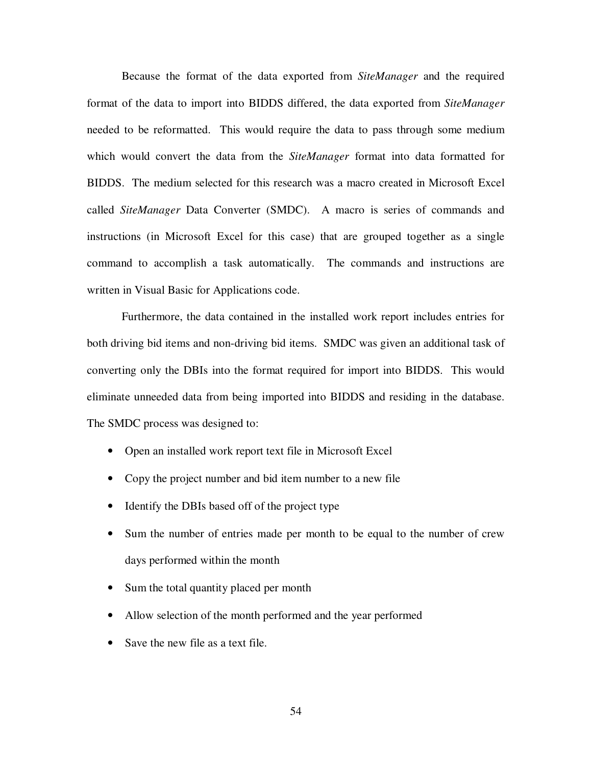Because the format of the data exported from *SiteManager* and the required format of the data to import into BIDDS differed, the data exported from *SiteManager* needed to be reformatted. This would require the data to pass through some medium which would convert the data from the *SiteManager* format into data formatted for BIDDS. The medium selected for this research was a macro created in Microsoft Excel called *SiteManager* Data Converter (SMDC). A macro is series of commands and instructions (in Microsoft Excel for this case) that are grouped together as a single command to accomplish a task automatically. The commands and instructions are written in Visual Basic for Applications code.

Furthermore, the data contained in the installed work report includes entries for both driving bid items and non-driving bid items. SMDC was given an additional task of converting only the DBIs into the format required for import into BIDDS. This would eliminate unneeded data from being imported into BIDDS and residing in the database. The SMDC process was designed to:

- Open an installed work report text file in Microsoft Excel
- Copy the project number and bid item number to a new file
- Identify the DBIs based off of the project type
- Sum the number of entries made per month to be equal to the number of crew days performed within the month
- Sum the total quantity placed per month
- Allow selection of the month performed and the year performed
- Save the new file as a text file.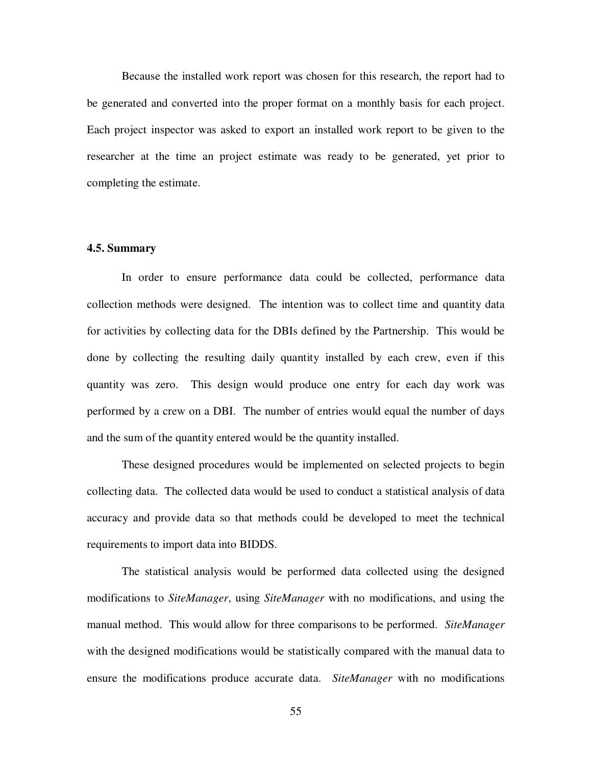Because the installed work report was chosen for this research, the report had to be generated and converted into the proper format on a monthly basis for each project. Each project inspector was asked to export an installed work report to be given to the researcher at the time an project estimate was ready to be generated, yet prior to completing the estimate.

## **4.5. Summary**

In order to ensure performance data could be collected, performance data collection methods were designed. The intention was to collect time and quantity data for activities by collecting data for the DBIs defined by the Partnership. This would be done by collecting the resulting daily quantity installed by each crew, even if this quantity was zero. This design would produce one entry for each day work was performed by a crew on a DBI. The number of entries would equal the number of days and the sum of the quantity entered would be the quantity installed.

These designed procedures would be implemented on selected projects to begin collecting data. The collected data would be used to conduct a statistical analysis of data accuracy and provide data so that methods could be developed to meet the technical requirements to import data into BIDDS.

The statistical analysis would be performed data collected using the designed modifications to *SiteManager*, using *SiteManager* with no modifications, and using the manual method. This would allow for three comparisons to be performed. *SiteManager* with the designed modifications would be statistically compared with the manual data to ensure the modifications produce accurate data. *SiteManager* with no modifications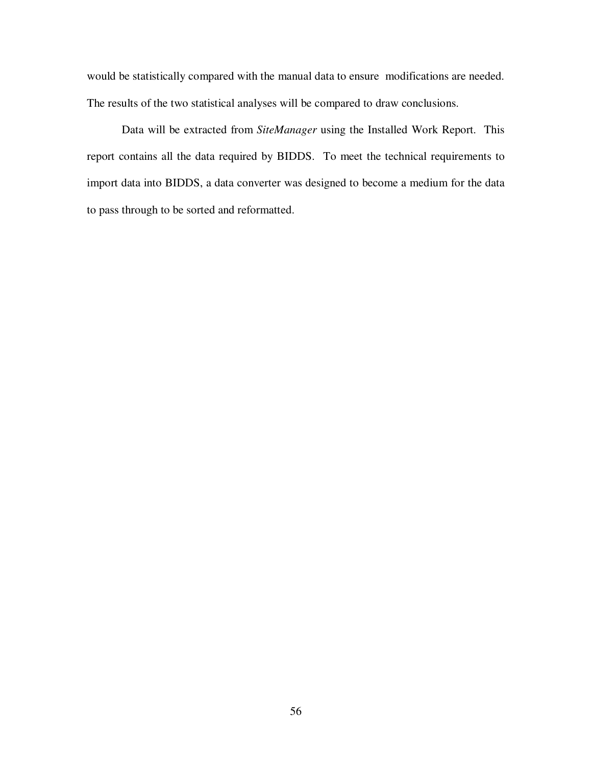would be statistically compared with the manual data to ensure modifications are needed. The results of the two statistical analyses will be compared to draw conclusions.

Data will be extracted from *SiteManager* using the Installed Work Report. This report contains all the data required by BIDDS. To meet the technical requirements to import data into BIDDS, a data converter was designed to become a medium for the data to pass through to be sorted and reformatted.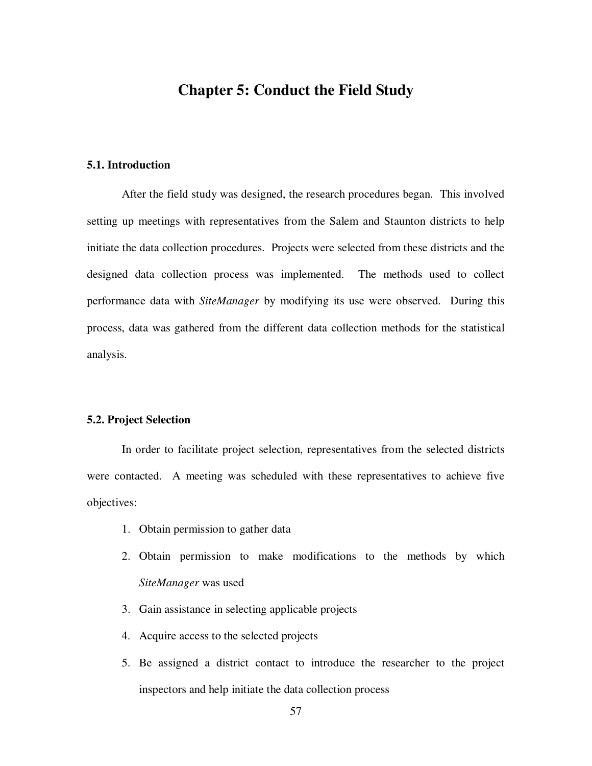# **Chapter 5: Conduct the Field Study**

# **5.1. Introduction**

After the field study was designed, the research procedures began. This involved setting up meetings with representatives from the Salem and Staunton districts to help initiate the data collection procedures. Projects were selected from these districts and the designed data collection process was implemented. The methods used to collect performance data with *SiteManager* by modifying its use were observed. During this process, data was gathered from the different data collection methods for the statistical analysis.

## **5.2. Project Selection**

In order to facilitate project selection, representatives from the selected districts were contacted. A meeting was scheduled with these representatives to achieve five objectives:

- 1. Obtain permission to gather data
- 2. Obtain permission to make modifications to the methods by which *SiteManager* was used
- 3. Gain assistance in selecting applicable projects
- 4. Acquire access to the selected projects
- 5. Be assigned a district contact to introduce the researcher to the project inspectors and help initiate the data collection process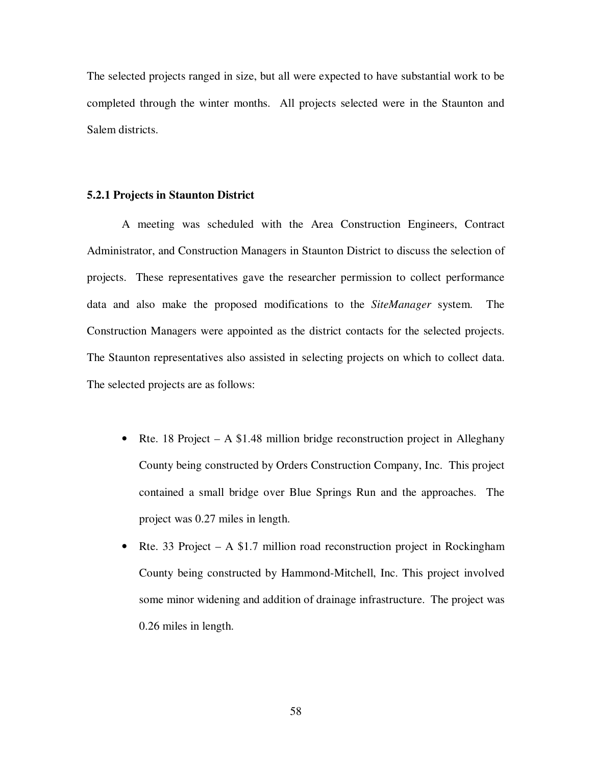The selected projects ranged in size, but all were expected to have substantial work to be completed through the winter months. All projects selected were in the Staunton and Salem districts.

## **5.2.1 Projects in Staunton District**

A meeting was scheduled with the Area Construction Engineers, Contract Administrator, and Construction Managers in Staunton District to discuss the selection of projects. These representatives gave the researcher permission to collect performance data and also make the proposed modifications to the *SiteManager* system. The Construction Managers were appointed as the district contacts for the selected projects. The Staunton representatives also assisted in selecting projects on which to collect data. The selected projects are as follows:

- Rte. 18 Project A \$1.48 million bridge reconstruction project in Alleghany County being constructed by Orders Construction Company, Inc. This project contained a small bridge over Blue Springs Run and the approaches. The project was 0.27 miles in length.
- Rte. 33 Project A \$1.7 million road reconstruction project in Rockingham County being constructed by Hammond-Mitchell, Inc. This project involved some minor widening and addition of drainage infrastructure. The project was 0.26 miles in length.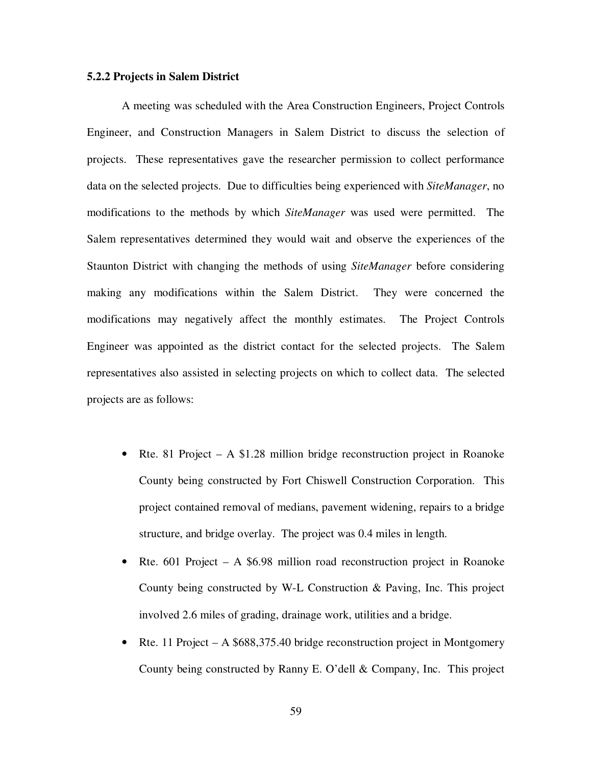## **5.2.2 Projects in Salem District**

A meeting was scheduled with the Area Construction Engineers, Project Controls Engineer, and Construction Managers in Salem District to discuss the selection of projects. These representatives gave the researcher permission to collect performance data on the selected projects. Due to difficulties being experienced with *SiteManager*, no modifications to the methods by which *SiteManager* was used were permitted. The Salem representatives determined they would wait and observe the experiences of the Staunton District with changing the methods of using *SiteManager* before considering making any modifications within the Salem District. They were concerned the modifications may negatively affect the monthly estimates. The Project Controls Engineer was appointed as the district contact for the selected projects. The Salem representatives also assisted in selecting projects on which to collect data. The selected projects are as follows:

- Rte. 81 Project  $A$  \$1.28 million bridge reconstruction project in Roanoke County being constructed by Fort Chiswell Construction Corporation. This project contained removal of medians, pavement widening, repairs to a bridge structure, and bridge overlay. The project was 0.4 miles in length.
- Rte. 601 Project A \$6.98 million road reconstruction project in Roanoke County being constructed by W-L Construction & Paving, Inc. This project involved 2.6 miles of grading, drainage work, utilities and a bridge.
- Rte. 11 Project A \$688,375.40 bridge reconstruction project in Montgomery County being constructed by Ranny E. O'dell & Company, Inc. This project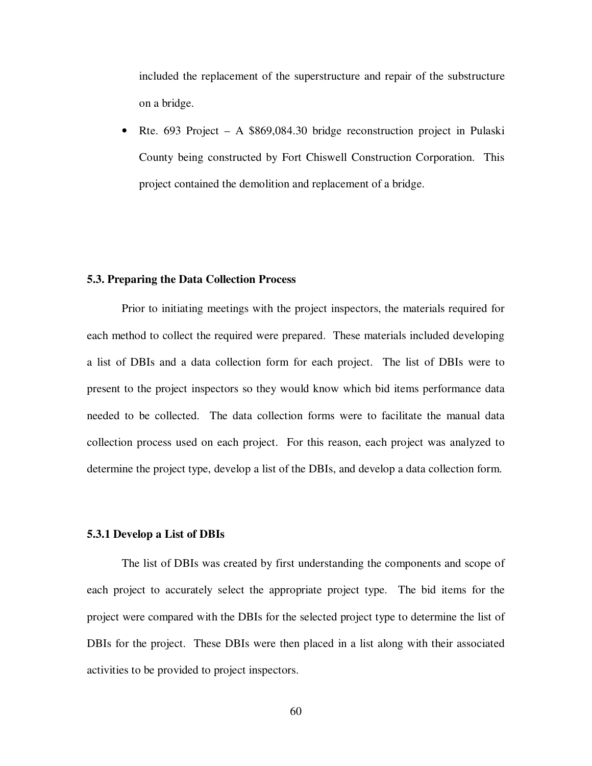included the replacement of the superstructure and repair of the substructure on a bridge.

• Rte. 693 Project – A \$869,084.30 bridge reconstruction project in Pulaski County being constructed by Fort Chiswell Construction Corporation. This project contained the demolition and replacement of a bridge.

## **5.3. Preparing the Data Collection Process**

Prior to initiating meetings with the project inspectors, the materials required for each method to collect the required were prepared. These materials included developing a list of DBIs and a data collection form for each project. The list of DBIs were to present to the project inspectors so they would know which bid items performance data needed to be collected. The data collection forms were to facilitate the manual data collection process used on each project. For this reason, each project was analyzed to determine the project type, develop a list of the DBIs, and develop a data collection form.

## **5.3.1 Develop a List of DBIs**

The list of DBIs was created by first understanding the components and scope of each project to accurately select the appropriate project type. The bid items for the project were compared with the DBIs for the selected project type to determine the list of DBIs for the project. These DBIs were then placed in a list along with their associated activities to be provided to project inspectors.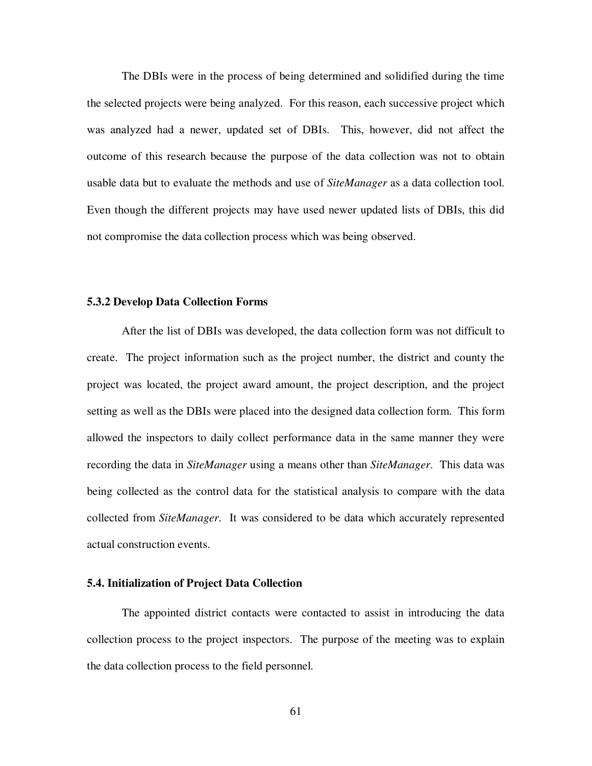The DBIs were in the process of being determined and solidified during the time the selected projects were being analyzed. For this reason, each successive project which was analyzed had a newer, updated set of DBIs. This, however, did not affect the outcome of this research because the purpose of the data collection was not to obtain usable data but to evaluate the methods and use of *SiteManager* as a data collection tool. Even though the different projects may have used newer updated lists of DBIs, this did not compromise the data collection process which was being observed.

#### **5.3.2 Develop Data Collection Forms**

After the list of DBIs was developed, the data collection form was not difficult to create. The project information such as the project number, the district and county the project was located, the project award amount, the project description, and the project setting as well as the DBIs were placed into the designed data collection form. This form allowed the inspectors to daily collect performance data in the same manner they were recording the data in *SiteManager* using a means other than *SiteManager*. This data was being collected as the control data for the statistical analysis to compare with the data collected from *SiteManager*. It was considered to be data which accurately represented actual construction events.

## **5.4. Initialization of Project Data Collection**

The appointed district contacts were contacted to assist in introducing the data collection process to the project inspectors. The purpose of the meeting was to explain the data collection process to the field personnel.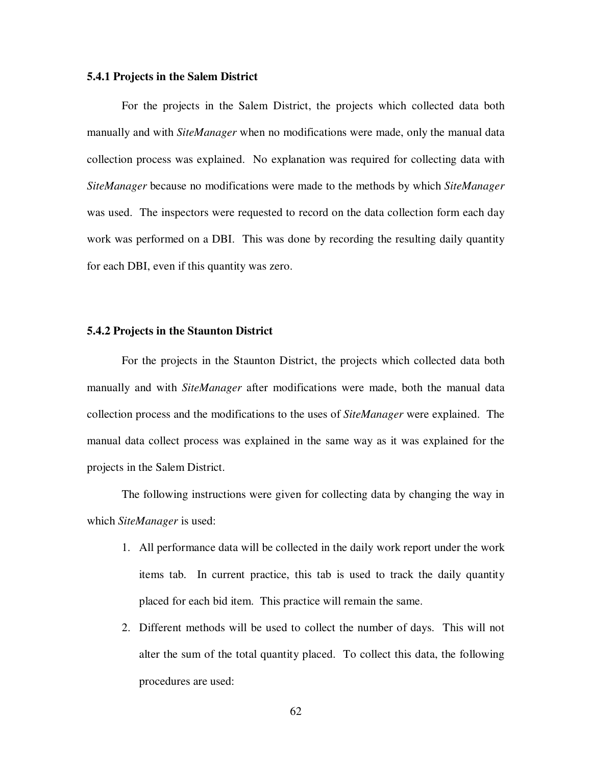### **5.4.1 Projects in the Salem District**

For the projects in the Salem District, the projects which collected data both manually and with *SiteManager* when no modifications were made, only the manual data collection process was explained. No explanation was required for collecting data with *SiteManager* because no modifications were made to the methods by which *SiteManager* was used. The inspectors were requested to record on the data collection form each day work was performed on a DBI. This was done by recording the resulting daily quantity for each DBI, even if this quantity was zero.

### **5.4.2 Projects in the Staunton District**

For the projects in the Staunton District, the projects which collected data both manually and with *SiteManager* after modifications were made, both the manual data collection process and the modifications to the uses of *SiteManager* were explained. The manual data collect process was explained in the same way as it was explained for the projects in the Salem District.

The following instructions were given for collecting data by changing the way in which *SiteManager* is used:

- 1. All performance data will be collected in the daily work report under the work items tab. In current practice, this tab is used to track the daily quantity placed for each bid item. This practice will remain the same.
- 2. Different methods will be used to collect the number of days. This will not alter the sum of the total quantity placed. To collect this data, the following procedures are used: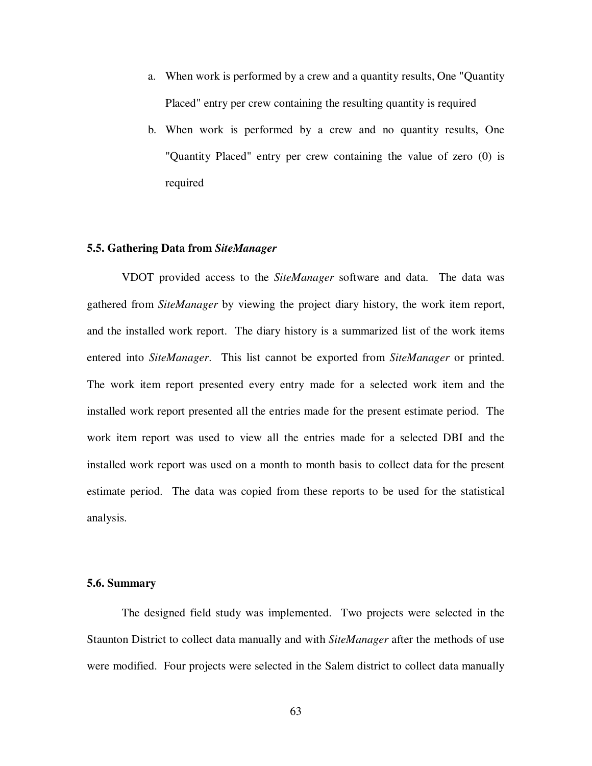- a. When work is performed by a crew and a quantity results, One "Quantity Placed" entry per crew containing the resulting quantity is required
- b. When work is performed by a crew and no quantity results, One "Quantity Placed" entry per crew containing the value of zero (0) is required

### **5.5. Gathering Data from** *SiteManager*

VDOT provided access to the *SiteManager* software and data. The data was gathered from *SiteManager* by viewing the project diary history, the work item report, and the installed work report. The diary history is a summarized list of the work items entered into *SiteManager*. This list cannot be exported from *SiteManager* or printed. The work item report presented every entry made for a selected work item and the installed work report presented all the entries made for the present estimate period. The work item report was used to view all the entries made for a selected DBI and the installed work report was used on a month to month basis to collect data for the present estimate period. The data was copied from these reports to be used for the statistical analysis.

### **5.6. Summary**

The designed field study was implemented. Two projects were selected in the Staunton District to collect data manually and with *SiteManager* after the methods of use were modified. Four projects were selected in the Salem district to collect data manually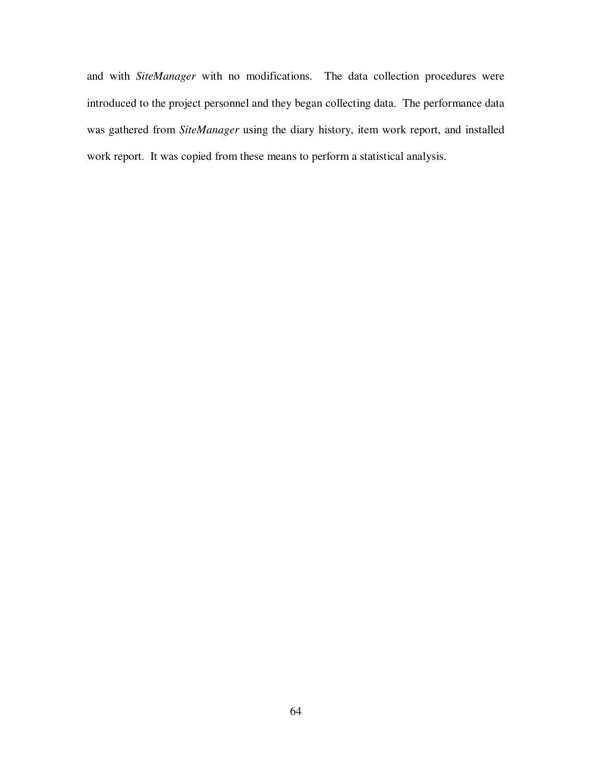and with *SiteManager* with no modifications. The data collection procedures were introduced to the project personnel and they began collecting data. The performance data was gathered from *SiteManager* using the diary history, item work report, and installed work report. It was copied from these means to perform a statistical analysis.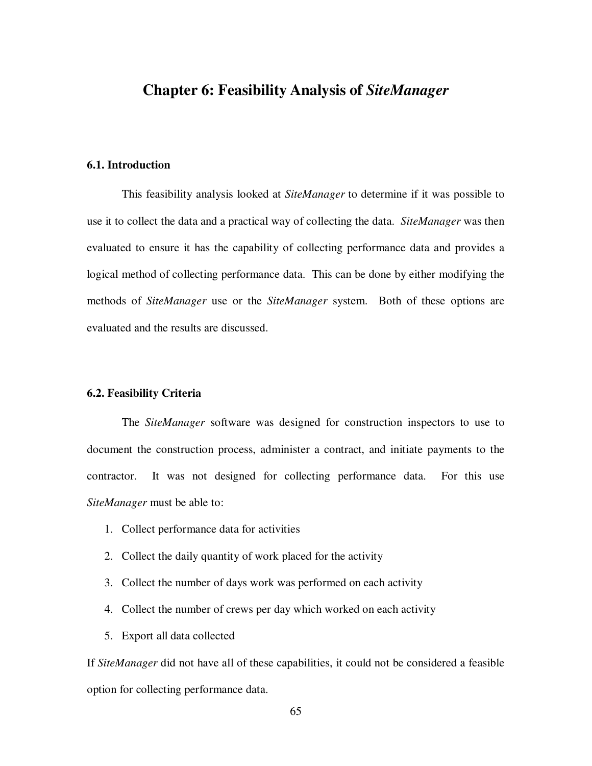# **Chapter 6: Feasibility Analysis of** *SiteManager*

# **6.1. Introduction**

This feasibility analysis looked at *SiteManager* to determine if it was possible to use it to collect the data and a practical way of collecting the data. *SiteManager* was then evaluated to ensure it has the capability of collecting performance data and provides a logical method of collecting performance data. This can be done by either modifying the methods of *SiteManager* use or the *SiteManager* system. Both of these options are evaluated and the results are discussed.

### **6.2. Feasibility Criteria**

The *SiteManager* software was designed for construction inspectors to use to document the construction process, administer a contract, and initiate payments to the contractor. It was not designed for collecting performance data. For this use *SiteManager* must be able to:

- 1. Collect performance data for activities
- 2. Collect the daily quantity of work placed for the activity
- 3. Collect the number of days work was performed on each activity
- 4. Collect the number of crews per day which worked on each activity
- 5. Export all data collected

If *SiteManager* did not have all of these capabilities, it could not be considered a feasible option for collecting performance data.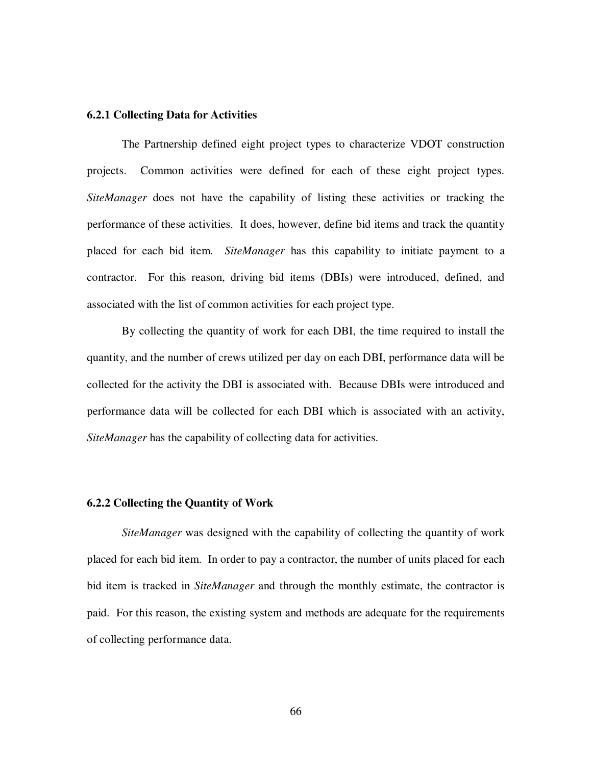### **6.2.1 Collecting Data for Activities**

The Partnership defined eight project types to characterize VDOT construction projects. Common activities were defined for each of these eight project types. *SiteManager* does not have the capability of listing these activities or tracking the performance of these activities. It does, however, define bid items and track the quantity placed for each bid item. *SiteManager* has this capability to initiate payment to a contractor. For this reason, driving bid items (DBIs) were introduced, defined, and associated with the list of common activities for each project type.

By collecting the quantity of work for each DBI, the time required to install the quantity, and the number of crews utilized per day on each DBI, performance data will be collected for the activity the DBI is associated with. Because DBIs were introduced and performance data will be collected for each DBI which is associated with an activity, *SiteManager* has the capability of collecting data for activities.

### **6.2.2 Collecting the Quantity of Work**

*SiteManager* was designed with the capability of collecting the quantity of work placed for each bid item. In order to pay a contractor, the number of units placed for each bid item is tracked in *SiteManager* and through the monthly estimate, the contractor is paid. For this reason, the existing system and methods are adequate for the requirements of collecting performance data.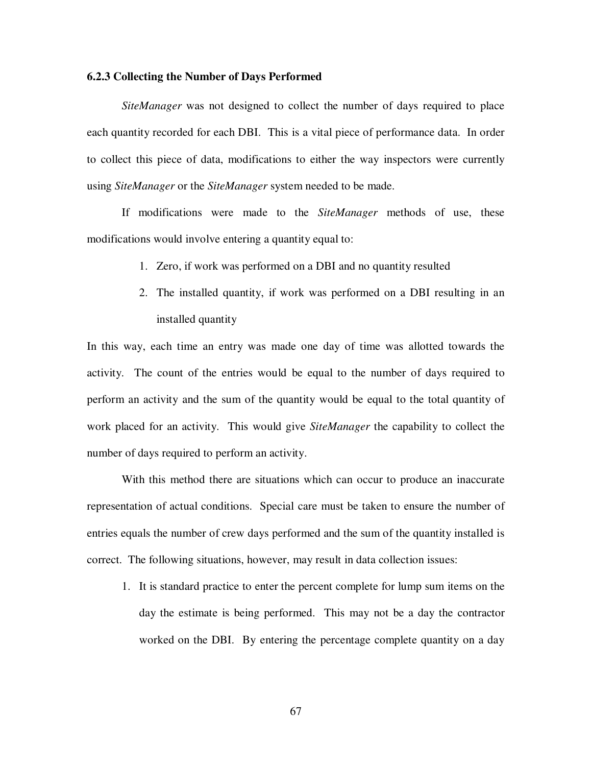### **6.2.3 Collecting the Number of Days Performed**

*SiteManager* was not designed to collect the number of days required to place each quantity recorded for each DBI. This is a vital piece of performance data. In order to collect this piece of data, modifications to either the way inspectors were currently using *SiteManager* or the *SiteManager* system needed to be made.

If modifications were made to the *SiteManager* methods of use, these modifications would involve entering a quantity equal to:

- 1. Zero, if work was performed on a DBI and no quantity resulted
- 2. The installed quantity, if work was performed on a DBI resulting in an installed quantity

In this way, each time an entry was made one day of time was allotted towards the activity. The count of the entries would be equal to the number of days required to perform an activity and the sum of the quantity would be equal to the total quantity of work placed for an activity. This would give *SiteManager* the capability to collect the number of days required to perform an activity.

With this method there are situations which can occur to produce an inaccurate representation of actual conditions. Special care must be taken to ensure the number of entries equals the number of crew days performed and the sum of the quantity installed is correct. The following situations, however, may result in data collection issues:

1. It is standard practice to enter the percent complete for lump sum items on the day the estimate is being performed. This may not be a day the contractor worked on the DBI. By entering the percentage complete quantity on a day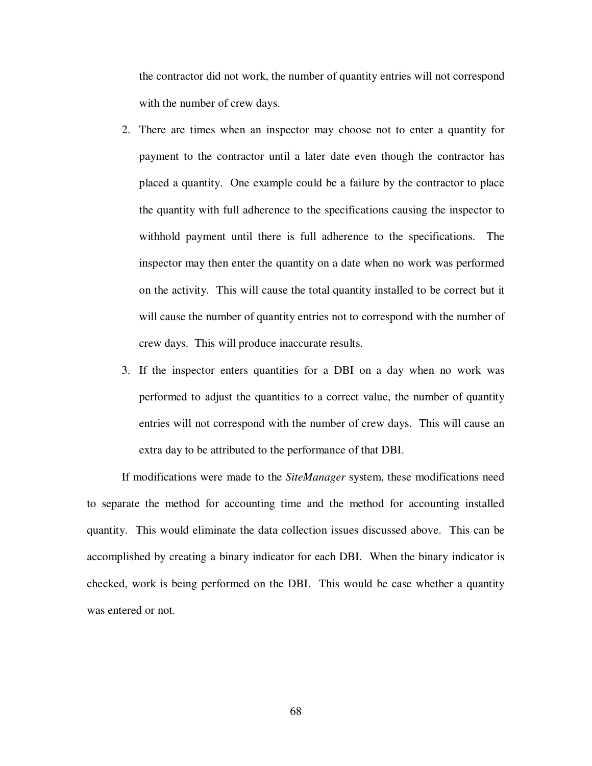the contractor did not work, the number of quantity entries will not correspond with the number of crew days.

- 2. There are times when an inspector may choose not to enter a quantity for payment to the contractor until a later date even though the contractor has placed a quantity. One example could be a failure by the contractor to place the quantity with full adherence to the specifications causing the inspector to withhold payment until there is full adherence to the specifications. The inspector may then enter the quantity on a date when no work was performed on the activity. This will cause the total quantity installed to be correct but it will cause the number of quantity entries not to correspond with the number of crew days. This will produce inaccurate results.
- 3. If the inspector enters quantities for a DBI on a day when no work was performed to adjust the quantities to a correct value, the number of quantity entries will not correspond with the number of crew days. This will cause an extra day to be attributed to the performance of that DBI.

If modifications were made to the *SiteManager* system, these modifications need to separate the method for accounting time and the method for accounting installed quantity. This would eliminate the data collection issues discussed above. This can be accomplished by creating a binary indicator for each DBI. When the binary indicator is checked, work is being performed on the DBI. This would be case whether a quantity was entered or not.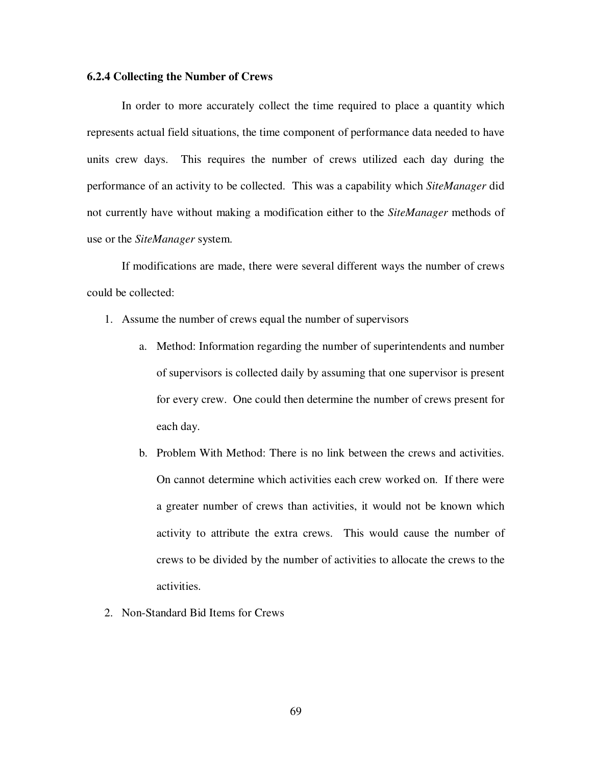### **6.2.4 Collecting the Number of Crews**

In order to more accurately collect the time required to place a quantity which represents actual field situations, the time component of performance data needed to have units crew days. This requires the number of crews utilized each day during the performance of an activity to be collected. This was a capability which *SiteManager* did not currently have without making a modification either to the *SiteManager* methods of use or the *SiteManager* system.

If modifications are made, there were several different ways the number of crews could be collected:

- 1. Assume the number of crews equal the number of supervisors
	- a. Method: Information regarding the number of superintendents and number of supervisors is collected daily by assuming that one supervisor is present for every crew. One could then determine the number of crews present for each day.
	- b. Problem With Method: There is no link between the crews and activities. On cannot determine which activities each crew worked on. If there were a greater number of crews than activities, it would not be known which activity to attribute the extra crews. This would cause the number of crews to be divided by the number of activities to allocate the crews to the activities.
- 2. Non-Standard Bid Items for Crews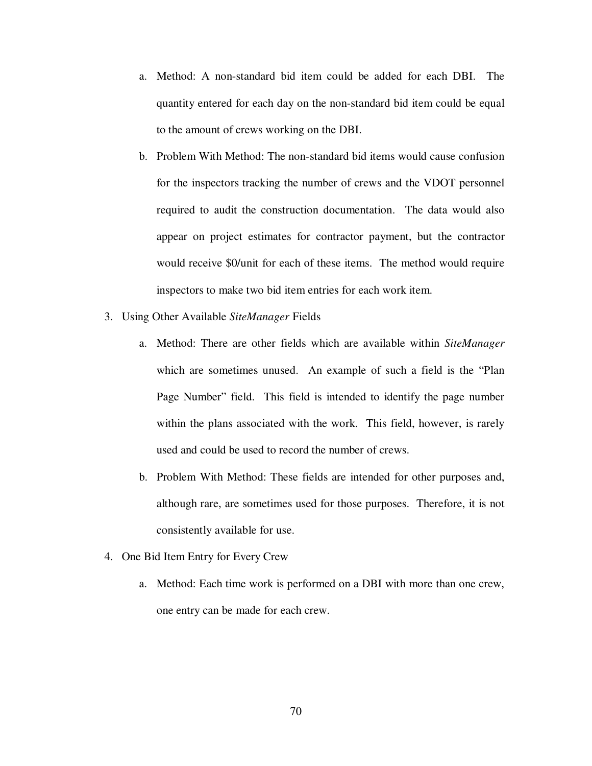- a. Method: A non-standard bid item could be added for each DBI. The quantity entered for each day on the non-standard bid item could be equal to the amount of crews working on the DBI.
- b. Problem With Method: The non-standard bid items would cause confusion for the inspectors tracking the number of crews and the VDOT personnel required to audit the construction documentation. The data would also appear on project estimates for contractor payment, but the contractor would receive \$0/unit for each of these items. The method would require inspectors to make two bid item entries for each work item.
- 3. Using Other Available *SiteManager* Fields
	- a. Method: There are other fields which are available within *SiteManager* which are sometimes unused. An example of such a field is the "Plan Page Number" field. This field is intended to identify the page number within the plans associated with the work. This field, however, is rarely used and could be used to record the number of crews.
	- b. Problem With Method: These fields are intended for other purposes and, although rare, are sometimes used for those purposes. Therefore, it is not consistently available for use.
- 4. One Bid Item Entry for Every Crew
	- a. Method: Each time work is performed on a DBI with more than one crew, one entry can be made for each crew.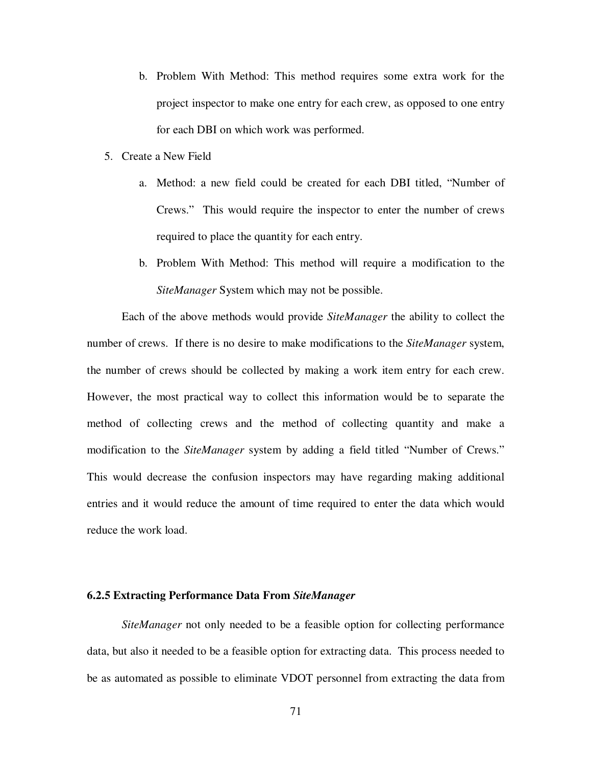- b. Problem With Method: This method requires some extra work for the project inspector to make one entry for each crew, as opposed to one entry for each DBI on which work was performed.
- 5. Create a New Field
	- a. Method: a new field could be created for each DBI titled, "Number of Crews." This would require the inspector to enter the number of crews required to place the quantity for each entry.
	- b. Problem With Method: This method will require a modification to the *SiteManager* System which may not be possible.

Each of the above methods would provide *SiteManager* the ability to collect the number of crews. If there is no desire to make modifications to the *SiteManager* system, the number of crews should be collected by making a work item entry for each crew. However, the most practical way to collect this information would be to separate the method of collecting crews and the method of collecting quantity and make a modification to the *SiteManager* system by adding a field titled "Number of Crews." This would decrease the confusion inspectors may have regarding making additional entries and it would reduce the amount of time required to enter the data which would reduce the work load.

### **6.2.5 Extracting Performance Data From** *SiteManager*

*SiteManager* not only needed to be a feasible option for collecting performance data, but also it needed to be a feasible option for extracting data. This process needed to be as automated as possible to eliminate VDOT personnel from extracting the data from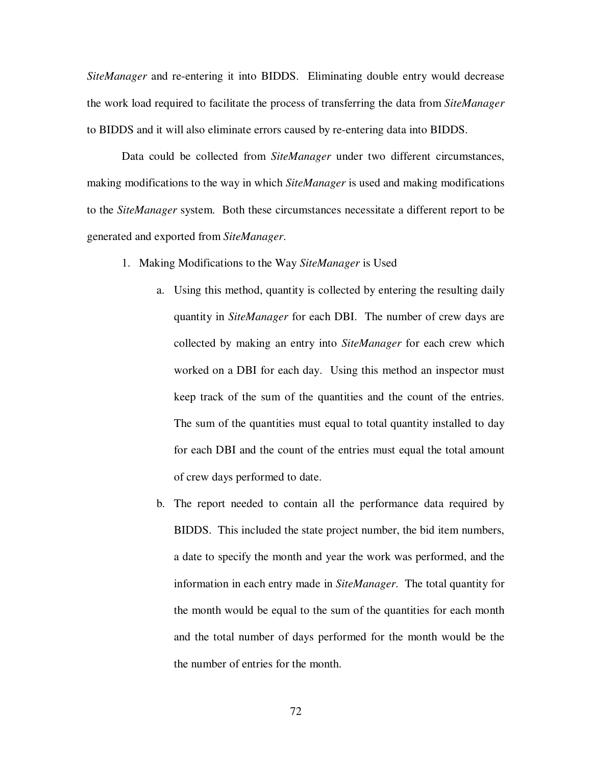*SiteManager* and re-entering it into BIDDS. Eliminating double entry would decrease the work load required to facilitate the process of transferring the data from *SiteManager* to BIDDS and it will also eliminate errors caused by re-entering data into BIDDS.

Data could be collected from *SiteManager* under two different circumstances, making modifications to the way in which *SiteManager* is used and making modifications to the *SiteManager* system. Both these circumstances necessitate a different report to be generated and exported from *SiteManager*.

- 1. Making Modifications to the Way *SiteManager* is Used
	- a. Using this method, quantity is collected by entering the resulting daily quantity in *SiteManager* for each DBI. The number of crew days are collected by making an entry into *SiteManager* for each crew which worked on a DBI for each day. Using this method an inspector must keep track of the sum of the quantities and the count of the entries. The sum of the quantities must equal to total quantity installed to day for each DBI and the count of the entries must equal the total amount of crew days performed to date.
	- b. The report needed to contain all the performance data required by BIDDS. This included the state project number, the bid item numbers, a date to specify the month and year the work was performed, and the information in each entry made in *SiteManager*. The total quantity for the month would be equal to the sum of the quantities for each month and the total number of days performed for the month would be the the number of entries for the month.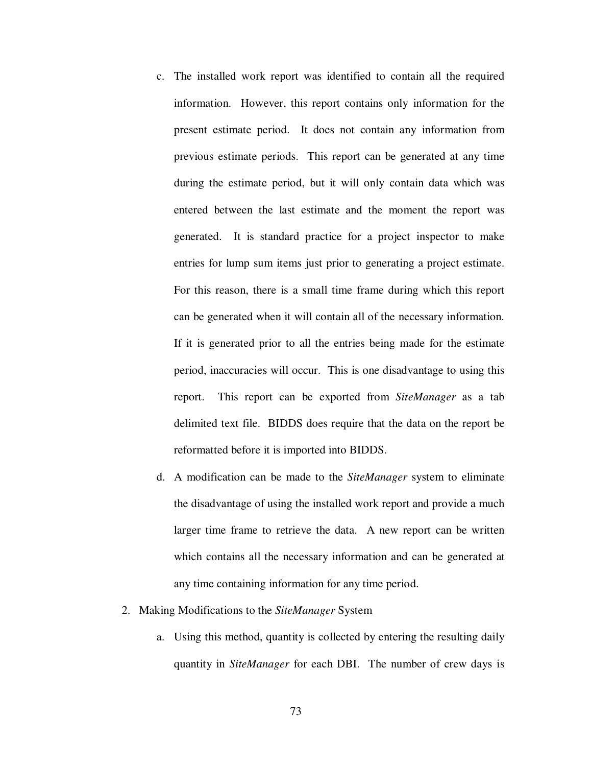- c. The installed work report was identified to contain all the required information. However, this report contains only information for the present estimate period. It does not contain any information from previous estimate periods. This report can be generated at any time during the estimate period, but it will only contain data which was entered between the last estimate and the moment the report was generated. It is standard practice for a project inspector to make entries for lump sum items just prior to generating a project estimate. For this reason, there is a small time frame during which this report can be generated when it will contain all of the necessary information. If it is generated prior to all the entries being made for the estimate period, inaccuracies will occur. This is one disadvantage to using this report. This report can be exported from *SiteManager* as a tab delimited text file. BIDDS does require that the data on the report be reformatted before it is imported into BIDDS.
- d. A modification can be made to the *SiteManager* system to eliminate the disadvantage of using the installed work report and provide a much larger time frame to retrieve the data. A new report can be written which contains all the necessary information and can be generated at any time containing information for any time period.

### 2. Making Modifications to the *SiteManager* System

a. Using this method, quantity is collected by entering the resulting daily quantity in *SiteManager* for each DBI. The number of crew days is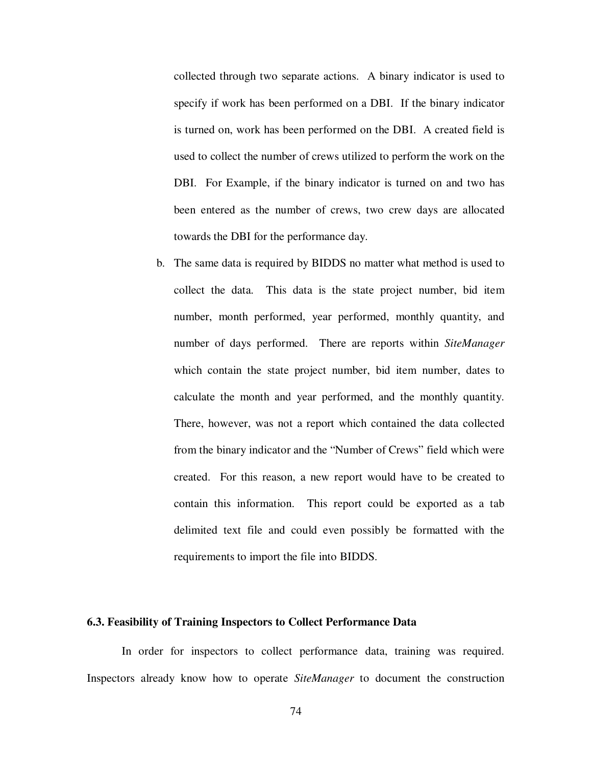collected through two separate actions. A binary indicator is used to specify if work has been performed on a DBI. If the binary indicator is turned on, work has been performed on the DBI. A created field is used to collect the number of crews utilized to perform the work on the DBI. For Example, if the binary indicator is turned on and two has been entered as the number of crews, two crew days are allocated towards the DBI for the performance day.

b. The same data is required by BIDDS no matter what method is used to collect the data. This data is the state project number, bid item number, month performed, year performed, monthly quantity, and number of days performed. There are reports within *SiteManager* which contain the state project number, bid item number, dates to calculate the month and year performed, and the monthly quantity. There, however, was not a report which contained the data collected from the binary indicator and the "Number of Crews" field which were created. For this reason, a new report would have to be created to contain this information. This report could be exported as a tab delimited text file and could even possibly be formatted with the requirements to import the file into BIDDS.

### **6.3. Feasibility of Training Inspectors to Collect Performance Data**

In order for inspectors to collect performance data, training was required. Inspectors already know how to operate *SiteManager* to document the construction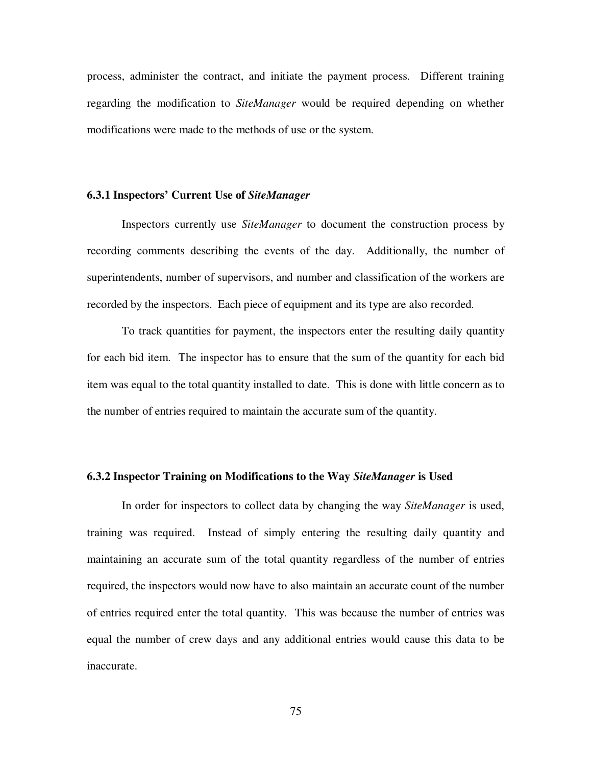process, administer the contract, and initiate the payment process. Different training regarding the modification to *SiteManager* would be required depending on whether modifications were made to the methods of use or the system.

### **6.3.1 Inspectors' Current Use of** *SiteManager*

Inspectors currently use *SiteManager* to document the construction process by recording comments describing the events of the day. Additionally, the number of superintendents, number of supervisors, and number and classification of the workers are recorded by the inspectors. Each piece of equipment and its type are also recorded.

To track quantities for payment, the inspectors enter the resulting daily quantity for each bid item. The inspector has to ensure that the sum of the quantity for each bid item was equal to the total quantity installed to date. This is done with little concern as to the number of entries required to maintain the accurate sum of the quantity.

## **6.3.2 Inspector Training on Modifications to the Way** *SiteManager* **is Used**

In order for inspectors to collect data by changing the way *SiteManager* is used, training was required. Instead of simply entering the resulting daily quantity and maintaining an accurate sum of the total quantity regardless of the number of entries required, the inspectors would now have to also maintain an accurate count of the number of entries required enter the total quantity. This was because the number of entries was equal the number of crew days and any additional entries would cause this data to be inaccurate.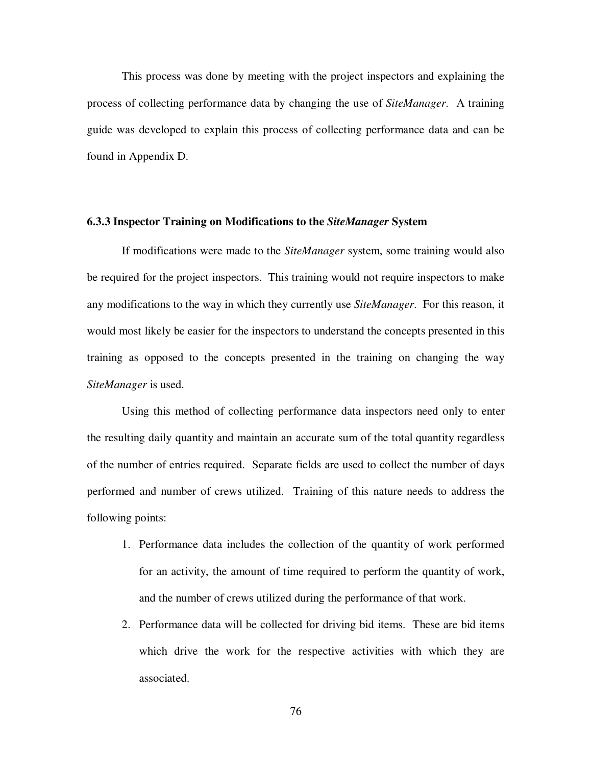This process was done by meeting with the project inspectors and explaining the process of collecting performance data by changing the use of *SiteManager*. A training guide was developed to explain this process of collecting performance data and can be found in Appendix D.

### **6.3.3 Inspector Training on Modifications to the** *SiteManager* **System**

If modifications were made to the *SiteManager* system, some training would also be required for the project inspectors. This training would not require inspectors to make any modifications to the way in which they currently use *SiteManager*. For this reason, it would most likely be easier for the inspectors to understand the concepts presented in this training as opposed to the concepts presented in the training on changing the way *SiteManager* is used.

Using this method of collecting performance data inspectors need only to enter the resulting daily quantity and maintain an accurate sum of the total quantity regardless of the number of entries required. Separate fields are used to collect the number of days performed and number of crews utilized. Training of this nature needs to address the following points:

- 1. Performance data includes the collection of the quantity of work performed for an activity, the amount of time required to perform the quantity of work, and the number of crews utilized during the performance of that work.
- 2. Performance data will be collected for driving bid items. These are bid items which drive the work for the respective activities with which they are associated.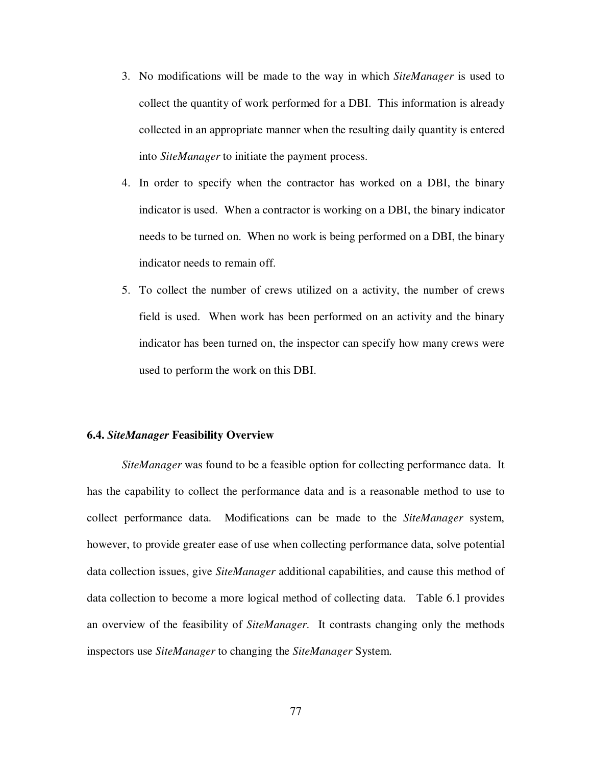- 3. No modifications will be made to the way in which *SiteManager* is used to collect the quantity of work performed for a DBI. This information is already collected in an appropriate manner when the resulting daily quantity is entered into *SiteManager* to initiate the payment process.
- 4. In order to specify when the contractor has worked on a DBI, the binary indicator is used. When a contractor is working on a DBI, the binary indicator needs to be turned on. When no work is being performed on a DBI, the binary indicator needs to remain off.
- 5. To collect the number of crews utilized on a activity, the number of crews field is used. When work has been performed on an activity and the binary indicator has been turned on, the inspector can specify how many crews were used to perform the work on this DBI.

### **6.4.** *SiteManager* **Feasibility Overview**

*SiteManager* was found to be a feasible option for collecting performance data. It has the capability to collect the performance data and is a reasonable method to use to collect performance data. Modifications can be made to the *SiteManager* system, however, to provide greater ease of use when collecting performance data, solve potential data collection issues, give *SiteManager* additional capabilities, and cause this method of data collection to become a more logical method of collecting data. Table 6.1 provides an overview of the feasibility of *SiteManager*. It contrasts changing only the methods inspectors use *SiteManager* to changing the *SiteManager* System.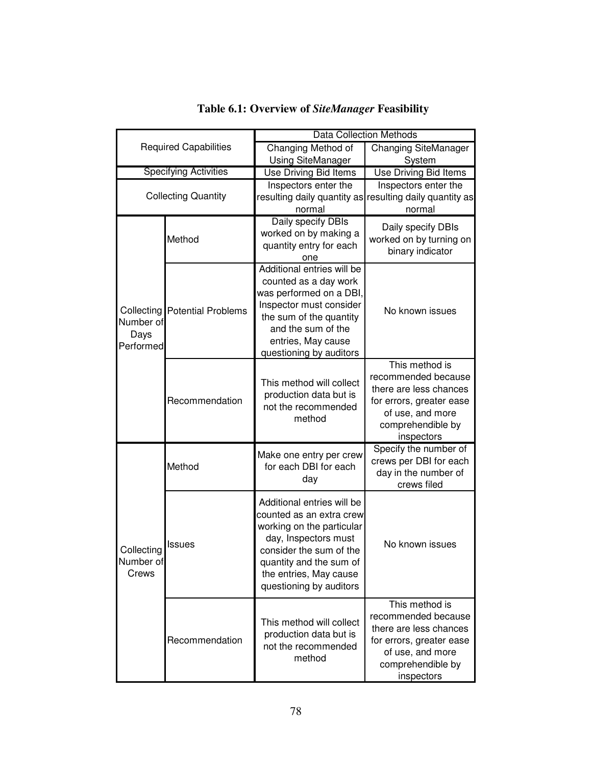| <b>Required Capabilities</b><br><b>Specifying Activities</b> |                                        | <b>Data Collection Methods</b>                                                                                                                                                                                         |                                                                                                                                                    |  |  |
|--------------------------------------------------------------|----------------------------------------|------------------------------------------------------------------------------------------------------------------------------------------------------------------------------------------------------------------------|----------------------------------------------------------------------------------------------------------------------------------------------------|--|--|
|                                                              |                                        | Changing Method of                                                                                                                                                                                                     | <b>Changing SiteManager</b>                                                                                                                        |  |  |
|                                                              |                                        | <b>Using SiteManager</b>                                                                                                                                                                                               | System                                                                                                                                             |  |  |
|                                                              |                                        | Use Driving Bid Items                                                                                                                                                                                                  | Use Driving Bid Items                                                                                                                              |  |  |
| <b>Collecting Quantity</b>                                   |                                        | Inspectors enter the                                                                                                                                                                                                   | Inspectors enter the                                                                                                                               |  |  |
|                                                              |                                        |                                                                                                                                                                                                                        | resulting daily quantity as resulting daily quantity as                                                                                            |  |  |
|                                                              |                                        | normal                                                                                                                                                                                                                 | normal                                                                                                                                             |  |  |
| Number of<br>Days<br>Performed                               | Method                                 | Daily specify DBIs<br>worked on by making a<br>quantity entry for each<br>one                                                                                                                                          | Daily specify DBIs<br>worked on by turning on<br>binary indicator                                                                                  |  |  |
|                                                              | <b>Collecting   Potential Problems</b> | Additional entries will be<br>counted as a day work<br>was performed on a DBI,<br>Inspector must consider<br>the sum of the quantity<br>and the sum of the<br>entries, May cause<br>questioning by auditors            | No known issues                                                                                                                                    |  |  |
|                                                              | Recommendation                         | This method will collect<br>production data but is<br>not the recommended<br>method                                                                                                                                    | This method is<br>recommended because<br>there are less chances<br>for errors, greater ease<br>of use, and more<br>comprehendible by<br>inspectors |  |  |
| Collecting<br>Number of<br>Crews                             | Method                                 | Make one entry per crew<br>for each DBI for each<br>day                                                                                                                                                                | Specify the number of<br>crews per DBI for each<br>day in the number of<br>crews filed                                                             |  |  |
|                                                              | <b>Issues</b>                          | Additional entries will be<br>counted as an extra crew<br>working on the particular<br>day, Inspectors must<br>consider the sum of the<br>quantity and the sum of<br>the entries, May cause<br>questioning by auditors | No known issues                                                                                                                                    |  |  |
|                                                              | Recommendation                         | This method will collect<br>production data but is<br>not the recommended<br>method                                                                                                                                    | This method is<br>recommended because<br>there are less chances<br>for errors, greater ease<br>of use, and more<br>comprehendible by<br>inspectors |  |  |

# **Table 6.1: Overview of** *SiteManager* **Feasibility**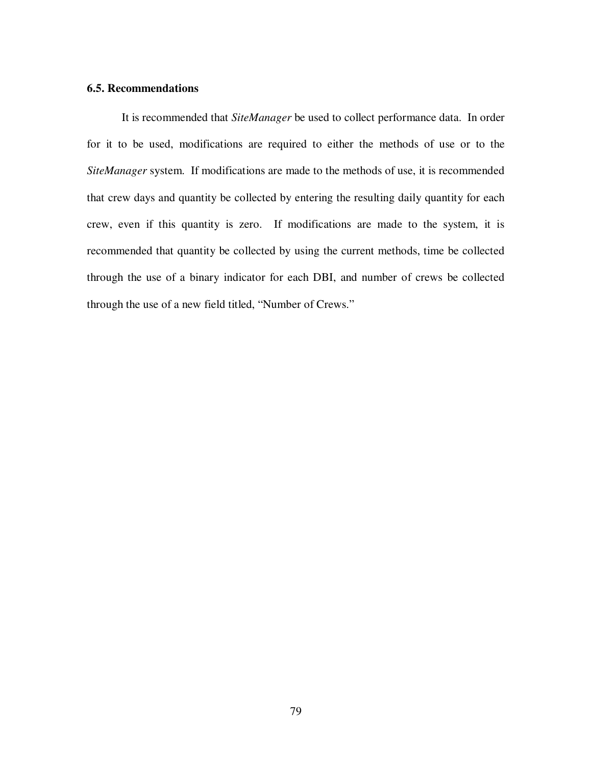# **6.5. Recommendations**

It is recommended that *SiteManager* be used to collect performance data. In order for it to be used, modifications are required to either the methods of use or to the *SiteManager* system. If modifications are made to the methods of use, it is recommended that crew days and quantity be collected by entering the resulting daily quantity for each crew, even if this quantity is zero. If modifications are made to the system, it is recommended that quantity be collected by using the current methods, time be collected through the use of a binary indicator for each DBI, and number of crews be collected through the use of a new field titled, "Number of Crews."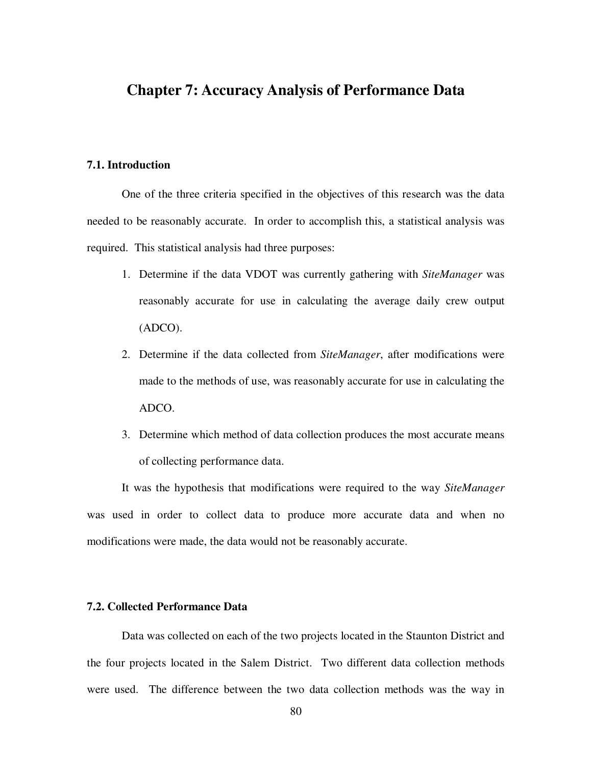# **Chapter 7: Accuracy Analysis of Performance Data**

# **7.1. Introduction**

One of the three criteria specified in the objectives of this research was the data needed to be reasonably accurate. In order to accomplish this, a statistical analysis was required. This statistical analysis had three purposes:

- 1. Determine if the data VDOT was currently gathering with *SiteManager* was reasonably accurate for use in calculating the average daily crew output (ADCO).
- 2. Determine if the data collected from *SiteManager*, after modifications were made to the methods of use, was reasonably accurate for use in calculating the ADCO.
- 3. Determine which method of data collection produces the most accurate means of collecting performance data.

It was the hypothesis that modifications were required to the way *SiteManager* was used in order to collect data to produce more accurate data and when no modifications were made, the data would not be reasonably accurate.

# **7.2. Collected Performance Data**

Data was collected on each of the two projects located in the Staunton District and the four projects located in the Salem District. Two different data collection methods were used. The difference between the two data collection methods was the way in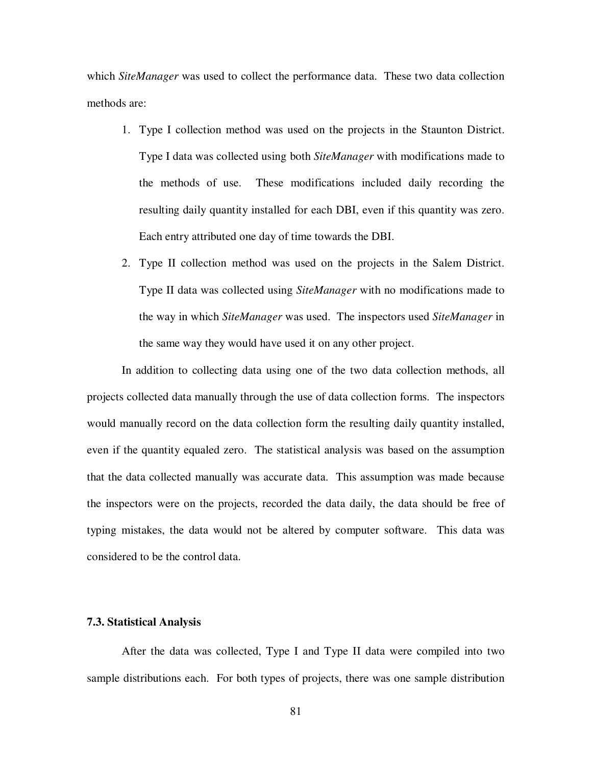which *SiteManager* was used to collect the performance data. These two data collection methods are:

- 1. Type I collection method was used on the projects in the Staunton District. Type I data was collected using both *SiteManager* with modifications made to the methods of use. These modifications included daily recording the resulting daily quantity installed for each DBI, even if this quantity was zero. Each entry attributed one day of time towards the DBI.
- 2. Type II collection method was used on the projects in the Salem District. Type II data was collected using *SiteManager* with no modifications made to the way in which *SiteManager* was used. The inspectors used *SiteManager* in the same way they would have used it on any other project.

In addition to collecting data using one of the two data collection methods, all projects collected data manually through the use of data collection forms. The inspectors would manually record on the data collection form the resulting daily quantity installed, even if the quantity equaled zero. The statistical analysis was based on the assumption that the data collected manually was accurate data. This assumption was made because the inspectors were on the projects, recorded the data daily, the data should be free of typing mistakes, the data would not be altered by computer software. This data was considered to be the control data.

## **7.3. Statistical Analysis**

After the data was collected, Type I and Type II data were compiled into two sample distributions each. For both types of projects, there was one sample distribution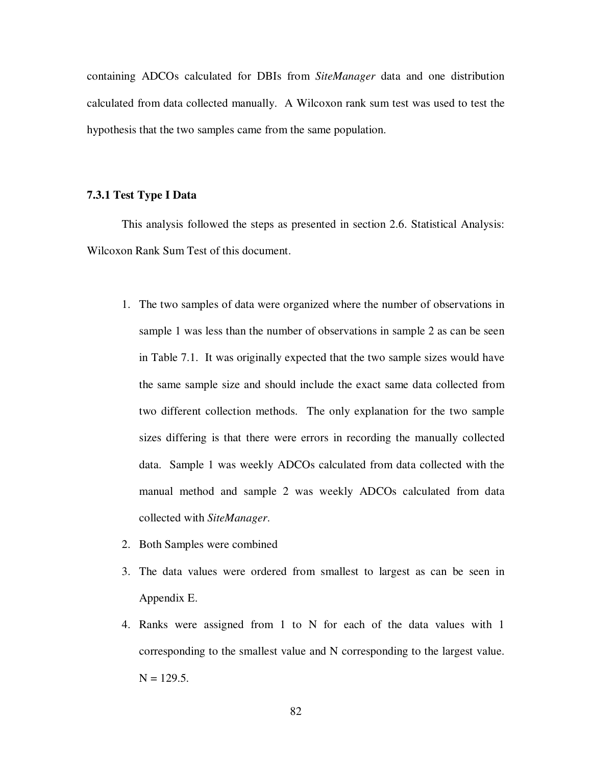containing ADCOs calculated for DBIs from *SiteManager* data and one distribution calculated from data collected manually. A Wilcoxon rank sum test was used to test the hypothesis that the two samples came from the same population.

# **7.3.1 Test Type I Data**

This analysis followed the steps as presented in section 2.6. Statistical Analysis: Wilcoxon Rank Sum Test of this document.

- 1. The two samples of data were organized where the number of observations in sample 1 was less than the number of observations in sample 2 as can be seen in Table 7.1. It was originally expected that the two sample sizes would have the same sample size and should include the exact same data collected from two different collection methods. The only explanation for the two sample sizes differing is that there were errors in recording the manually collected data. Sample 1 was weekly ADCOs calculated from data collected with the manual method and sample 2 was weekly ADCOs calculated from data collected with *SiteManager*.
- 2. Both Samples were combined
- 3. The data values were ordered from smallest to largest as can be seen in Appendix E.
- 4. Ranks were assigned from 1 to N for each of the data values with 1 corresponding to the smallest value and N corresponding to the largest value.  $N = 129.5$ .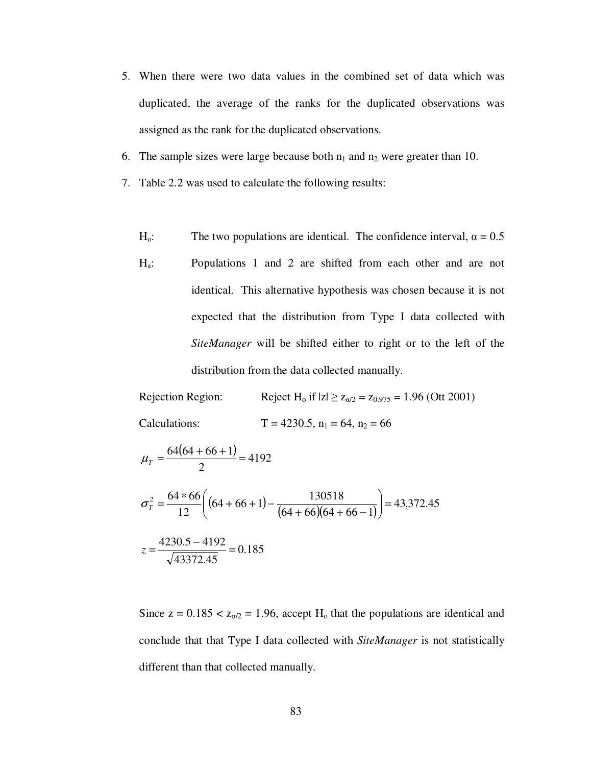- 5. When there were two data values in the combined set of data which was duplicated, the average of the ranks for the duplicated observations was assigned as the rank for the duplicated observations.
- 6. The sample sizes were large because both  $n_1$  and  $n_2$  were greater than 10.
- 7. Table 2.2 was used to calculate the following results:
	- $H_0$ : The two populations are identical. The confidence interval,  $\alpha = 0.5$
	- Ha: Populations 1 and 2 are shifted from each other and are not identical. This alternative hypothesis was chosen because it is not expected that the distribution from Type I data collected with *SiteManager* will be shifted either to right or to the left of the distribution from the data collected manually.

Rejection Region: Reject H<sub>o</sub> if  $|z| \ge z_{\alpha/2} = z_{0.975} = 1.96$  (Ott 2001) Calculations:  $T = 4230.5$ ,  $n_1 = 64$ ,  $n_2 = 66$ 

$$
\mu_{\tau} = \frac{64(64 + 66 + 1)}{2} = 4192
$$
\n
$$
\sigma_{\tau}^{2} = \frac{64 * 66}{12} \left( (64 + 66 + 1) - \frac{130518}{(64 + 66)(64 + 66 - 1)} \right) = 43,372.45
$$
\n
$$
z = \frac{4230.5 - 4192}{\sqrt{43372.45}} = 0.185
$$

Since  $z = 0.185 < z_{\alpha/2} = 1.96$ , accept H<sub>o</sub> that the populations are identical and conclude that that Type I data collected with *SiteManager* is not statistically different than that collected manually.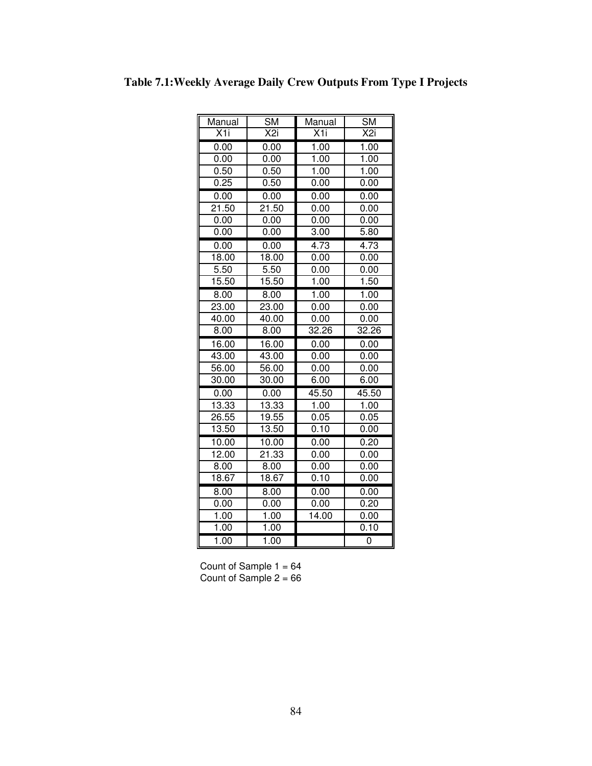| Manual         | $\overline{\text{SM}}$ | Manual            | <b>SM</b>       |
|----------------|------------------------|-------------------|-----------------|
| X <sub>1</sub> | X <sub>2i</sub>        | X <sub>1</sub>    | X <sub>2i</sub> |
| 0.00           | 0.00                   | 1.00              | 1.00            |
| 0.00           | 0.00                   | 1.00              | 1.00            |
| 0.50           | 0.50                   | 1.00              | 1.00            |
| 0.25           | 0.50                   | 0.00              | 0.00            |
| 0.00           | 0.00                   | 0.00              | 0.00            |
| 21.50          | 21.50                  | 0.00              | 0.00            |
| 0.00           | 0.00                   | 0.00              | 0.00            |
| 0.00           | 0.00                   | 3.00              | 5.80            |
| 0.00           | 0.00                   | $\overline{4.73}$ | 4.73            |
| 18.00          | 18.00                  | 0.00              | 0.00            |
| 5.50           | 5.50                   | 0.00              | 0.00            |
| 15.50          | 15.50                  | 1.00              | 1.50            |
| 8.00           | 8.00                   | 1.00              | 1.00            |
| 23.00          | 23.00                  | 0.00              | 0.00            |
| 40.00          | 40.00                  | 0.00              | 0.00            |
| 8.00           | 8.00                   | 32.26             | 32.26           |
| 16.00          | 16.00                  | 0.00              | 0.00            |
| 43.00          | 43.00                  | 0.00              | 0.00            |
| 56.00          | 56.00                  | 0.00              | 0.00            |
| 30.00          | 30.00                  | 6.00              | 6.00            |
| 0.00           | 0.00                   | 45.50             | 45.50           |
| 13.33          | 13.33                  | 1.00              | 1.00            |
| 26.55          | 19.55                  | 0.05              | 0.05            |
| 13.50          | 13.50                  | 0.10              | 0.00            |
| 10.00          | 10.00                  | 0.00              | 0.20            |
| 12.00          | 21.33                  | 0.00              | 0.00            |
| 8.00           | 8.00                   | 0.00              | 0.00            |
| 18.67          | 18.67                  | 0.10              | 0.00            |
| 8.00           | 8.00                   | 0.00              | 0.00            |
| 0.00           | 0.00                   | 0.00              | 0.20            |
| 1.00           | 1.00                   | 14.00             | 0.00            |
| 1.00           | 1.00                   |                   | 0.10            |
| 1.00           | 1.00                   |                   | 0               |

**Table 7.1:Weekly Average Daily Crew Outputs From Type I Projects**

Count of Sample  $1 = 64$ Count of Sample 2 = 66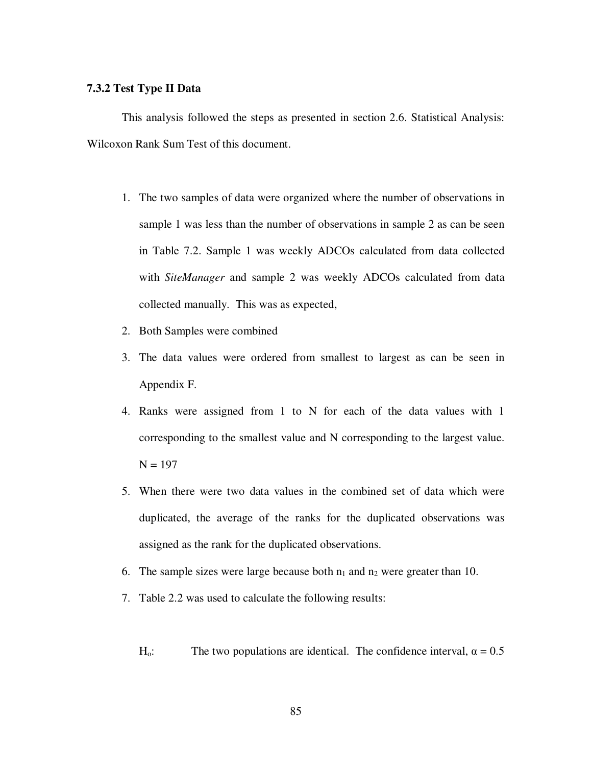## **7.3.2 Test Type II Data**

This analysis followed the steps as presented in section 2.6. Statistical Analysis: Wilcoxon Rank Sum Test of this document.

- 1. The two samples of data were organized where the number of observations in sample 1 was less than the number of observations in sample 2 as can be seen in Table 7.2. Sample 1 was weekly ADCOs calculated from data collected with *SiteManager* and sample 2 was weekly ADCOs calculated from data collected manually. This was as expected,
- 2. Both Samples were combined
- 3. The data values were ordered from smallest to largest as can be seen in Appendix F.
- 4. Ranks were assigned from 1 to N for each of the data values with 1 corresponding to the smallest value and N corresponding to the largest value.  $N = 197$
- 5. When there were two data values in the combined set of data which were duplicated, the average of the ranks for the duplicated observations was assigned as the rank for the duplicated observations.
- 6. The sample sizes were large because both  $n_1$  and  $n_2$  were greater than 10.
- 7. Table 2.2 was used to calculate the following results:
	- $H_0$ : The two populations are identical. The confidence interval,  $\alpha = 0.5$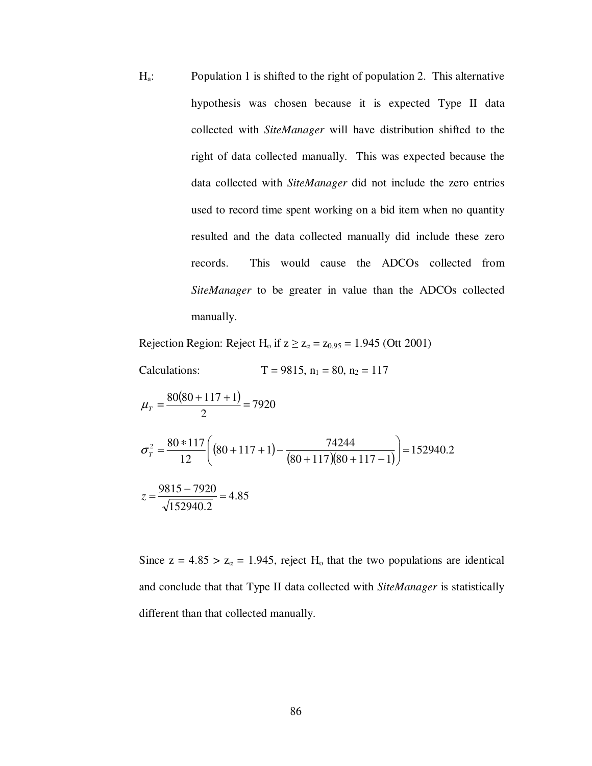Ha: Population 1 is shifted to the right of population 2. This alternative hypothesis was chosen because it is expected Type II data collected with *SiteManager* will have distribution shifted to the right of data collected manually. This was expected because the data collected with *SiteManager* did not include the zero entries used to record time spent working on a bid item when no quantity resulted and the data collected manually did include these zero records. This would cause the ADCOs collected from *SiteManager* to be greater in value than the ADCOs collected manually.

Rejection Region: Reject H<sub>o</sub> if  $z \ge z_\alpha = z_{0.95} = 1.945$  (Ott 2001)

Calculations:  $T = 9815$ ,  $n_1 = 80$ ,  $n_2 = 117$ 

$$
\mu_{T} = \frac{80(80 + 117 + 1)}{2} = 7920
$$
\n
$$
\sigma_{T}^{2} = \frac{80 * 117}{12} \left( (80 + 117 + 1) - \frac{74244}{(80 + 117)(80 + 117 - 1)} \right) = 152940.2
$$
\n
$$
z = \frac{9815 - 7920}{\sqrt{152940.2}} = 4.85
$$

Since  $z = 4.85 > z_\alpha = 1.945$ , reject H<sub>o</sub> that the two populations are identical and conclude that that Type II data collected with *SiteManager* is statistically different than that collected manually.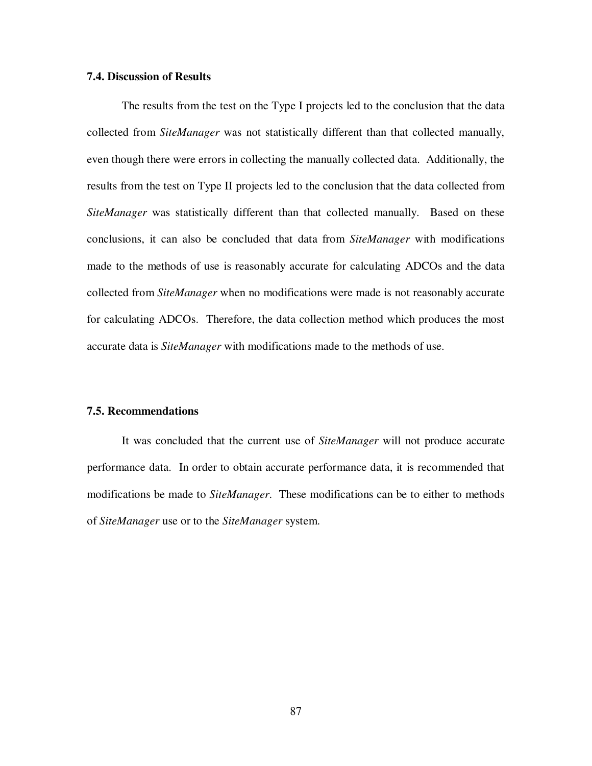### **7.4. Discussion of Results**

The results from the test on the Type I projects led to the conclusion that the data collected from *SiteManager* was not statistically different than that collected manually, even though there were errors in collecting the manually collected data. Additionally, the results from the test on Type II projects led to the conclusion that the data collected from *SiteManager* was statistically different than that collected manually. Based on these conclusions, it can also be concluded that data from *SiteManager* with modifications made to the methods of use is reasonably accurate for calculating ADCOs and the data collected from *SiteManager* when no modifications were made is not reasonably accurate for calculating ADCOs. Therefore, the data collection method which produces the most accurate data is *SiteManager* with modifications made to the methods of use.

### **7.5. Recommendations**

It was concluded that the current use of *SiteManager* will not produce accurate performance data. In order to obtain accurate performance data, it is recommended that modifications be made to *SiteManager*. These modifications can be to either to methods of *SiteManager* use or to the *SiteManager* system.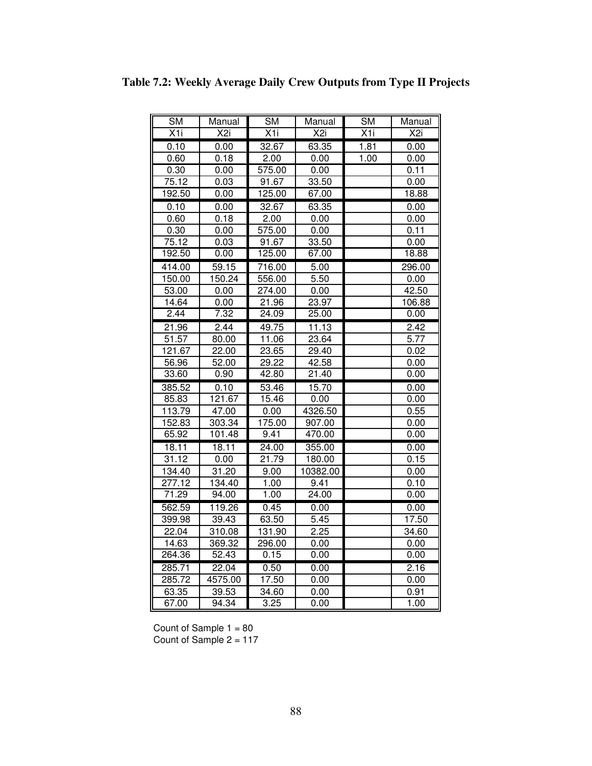| SM                | Manual           | <b>SM</b>         | Manual           | <b>SM</b> | Manual           |
|-------------------|------------------|-------------------|------------------|-----------|------------------|
| $\overline{X}$ 1i | $\overline{X2i}$ | $\overline{X}$ 1i | $\overline{X2i}$ | X1i       | $\overline{X2i}$ |
| 0.10              | 0.00             | 32.67             | 63.35            | 1.81      | 0.00             |
| 0.60              | 0.18             | 2.00              | 0.00             | 1.00      | 0.00             |
| 0.30              | 0.00             | 575.00            | 0.00             |           | 0.11             |
| 75.12             | 0.03             | 91.67             | 33.50            |           | 0.00             |
| 192.50            | 0.00             | 125.00            | 67.00            |           | 18.88            |
| 0.10              | 0.00             | 32.67             | 63.35            |           | 0.00             |
| 0.60              | 0.18             | 2.00              | 0.00             |           | 0.00             |
| 0.30              | 0.00             | 575.00            | 0.00             |           | 0.11             |
| 75.12             | 0.03             | 91.67             | 33.50            |           | 0.00             |
| 192.50            | 0.00             | 125.00            | 67.00            |           | 18.88            |
| 414.00            | 59.15            | 716.00            | 5.00             |           | 296.00           |
| 150.00            | 150.24           | 556.00            | 5.50             |           | 0.00             |
| 53.00             | 0.00             | 274.00            | 0.00             |           | 42.50            |
| 14.64             | 0.00             | 21.96             | 23.97            |           | 106.88           |
| 2.44              | 7.32             | 24.09             | 25.00            |           | 0.00             |
| 21.96             | 2.44             | 49.75             | 11.13            |           | 2.42             |
| 51.57             | 80.00            | 11.06             | 23.64            |           | 5.77             |
| 121.67            | 22.00            | 23.65             | 29.40            |           | 0.02             |
| 56.96             | 52.00            | 29.22             | 42.58            |           | 0.00             |
| 33.60             | 0.90             | 42.80             | 21.40            |           | 0.00             |
| 385.52            | 0.10             | 53.46             | 15.70            |           | 0.00             |
| 85.83             | 121.67           | 15.46             | 0.00             |           | 0.00             |
| 113.79            | 47.00            | 0.00              | 4326.50          |           | 0.55             |
| 152.83            | 303.34           | 175.00            | 907.00           |           | 0.00             |
| 65.92             | 101.48           | 9.41              | 470.00           |           | 0.00             |
| 18.11             | 18.11            | 24.00             | 355.00           |           | 0.00             |
| 31.12             | 0.00             | 21.79             | 180.00           |           | 0.15             |
| 134.40            | 31.20            | 9.00              | 10382.00         |           | 0.00             |
| 277.12            | 134.40           | 1.00              | 9.41             |           | 0.10             |
| 71.29             | 94.00            | 1.00              | 24.00            |           | 0.00             |
| 562.59            | 119.26           | 0.45              | 0.00             |           | 0.00             |
| 399.98            | 39.43            | 63.50             | 5.45             |           | 17.50            |
| 22.04             | 310.08           | 131.90            | 2.25             |           | 34.60            |
| 14.63             | 369.32           | 296.00            | 0.00             |           | 0.00             |
| 264.36            | 52.43            | 0.15              | 0.00             |           | 0.00             |
| 285.71            | 22.04            | 0.50              | 0.00             |           | 2.16             |
| 285.72            | 4575.00          | 17.50             | 0.00             |           | 0.00             |
| 63.35             | 39.53            | 34.60             | 0.00             |           | 0.91             |
| 67.00             | 94.34            | 3.25              | 0.00             |           | 1.00             |

**Table 7.2: Weekly Average Daily Crew Outputs from Type II Projects**

Count of Sample 1 = 80 Count of Sample 2 = 117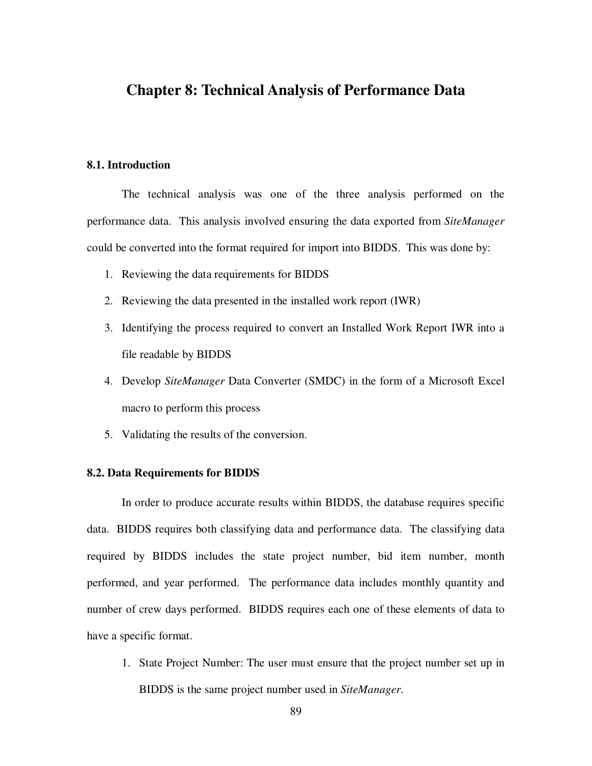# **Chapter 8: Technical Analysis of Performance Data**

# **8.1. Introduction**

The technical analysis was one of the three analysis performed on the performance data. This analysis involved ensuring the data exported from *SiteManager* could be converted into the format required for import into BIDDS. This was done by:

- 1. Reviewing the data requirements for BIDDS
- 2. Reviewing the data presented in the installed work report (IWR)
- 3. Identifying the process required to convert an Installed Work Report IWR into a file readable by BIDDS
- 4. Develop *SiteManager* Data Converter (SMDC) in the form of a Microsoft Excel macro to perform this process
- 5. Validating the results of the conversion.

### **8.2. Data Requirements for BIDDS**

In order to produce accurate results within BIDDS, the database requires specific data. BIDDS requires both classifying data and performance data. The classifying data required by BIDDS includes the state project number, bid item number, month performed, and year performed. The performance data includes monthly quantity and number of crew days performed. BIDDS requires each one of these elements of data to have a specific format.

1. State Project Number: The user must ensure that the project number set up in BIDDS is the same project number used in *SiteManager*.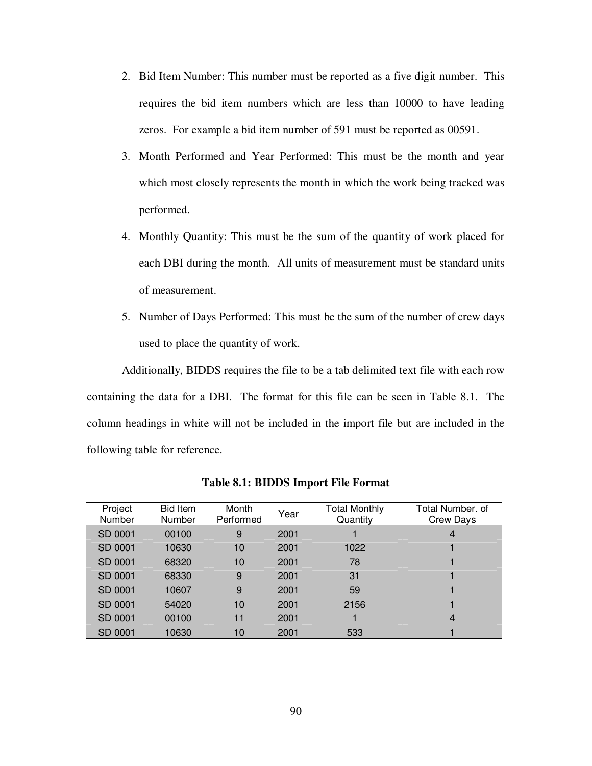- 2. Bid Item Number: This number must be reported as a five digit number. This requires the bid item numbers which are less than 10000 to have leading zeros. For example a bid item number of 591 must be reported as 00591.
- 3. Month Performed and Year Performed: This must be the month and year which most closely represents the month in which the work being tracked was performed.
- 4. Monthly Quantity: This must be the sum of the quantity of work placed for each DBI during the month. All units of measurement must be standard units of measurement.
- 5. Number of Days Performed: This must be the sum of the number of crew days used to place the quantity of work.

Additionally, BIDDS requires the file to be a tab delimited text file with each row containing the data for a DBI. The format for this file can be seen in Table 8.1. The column headings in white will not be included in the import file but are included in the following table for reference.

| Project<br><b>Number</b> | <b>Bid Item</b><br>Number | Month<br>Performed | Year | Total Monthly<br>Quantity | Total Number. of<br>Crew Days |
|--------------------------|---------------------------|--------------------|------|---------------------------|-------------------------------|
| SD 0001                  | 00100                     | 9                  | 2001 |                           | 4                             |
| SD 0001                  | 10630                     | 10                 | 2001 | 1022                      |                               |
| SD 0001                  | 68320                     | 10                 | 2001 | 78                        |                               |
| SD 0001                  | 68330                     | 9                  | 2001 | 31                        |                               |
| SD 0001                  | 10607                     | 9                  | 2001 | 59                        |                               |
| SD 0001                  | 54020                     | 10                 | 2001 | 2156                      |                               |
| SD 0001                  | 00100                     | 11                 | 2001 |                           | 4                             |
| SD 0001                  | 10630                     | 10                 | 2001 | 533                       |                               |

**Table 8.1: BIDDS Import File Format**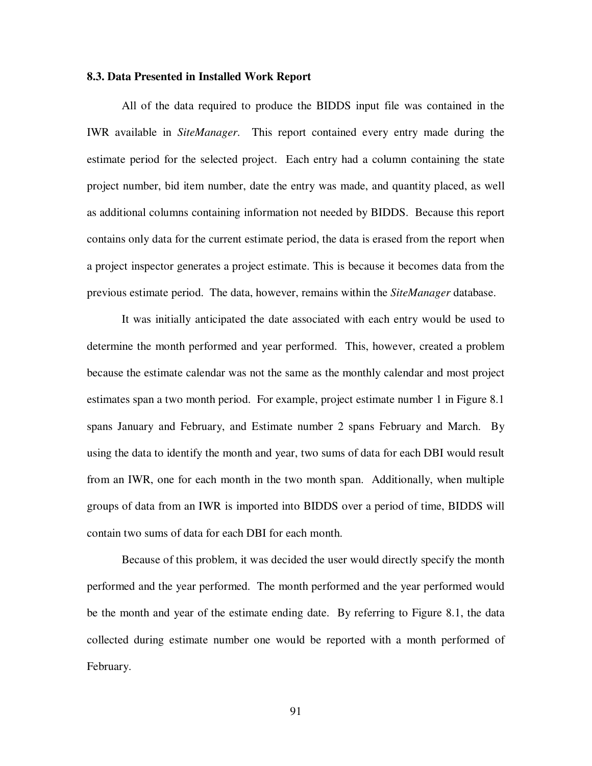### **8.3. Data Presented in Installed Work Report**

All of the data required to produce the BIDDS input file was contained in the IWR available in *SiteManager*. This report contained every entry made during the estimate period for the selected project. Each entry had a column containing the state project number, bid item number, date the entry was made, and quantity placed, as well as additional columns containing information not needed by BIDDS. Because this report contains only data for the current estimate period, the data is erased from the report when a project inspector generates a project estimate. This is because it becomes data from the previous estimate period. The data, however, remains within the *SiteManager* database.

It was initially anticipated the date associated with each entry would be used to determine the month performed and year performed. This, however, created a problem because the estimate calendar was not the same as the monthly calendar and most project estimates span a two month period. For example, project estimate number 1 in Figure 8.1 spans January and February, and Estimate number 2 spans February and March. By using the data to identify the month and year, two sums of data for each DBI would result from an IWR, one for each month in the two month span. Additionally, when multiple groups of data from an IWR is imported into BIDDS over a period of time, BIDDS will contain two sums of data for each DBI for each month.

Because of this problem, it was decided the user would directly specify the month performed and the year performed. The month performed and the year performed would be the month and year of the estimate ending date. By referring to Figure 8.1, the data collected during estimate number one would be reported with a month performed of February.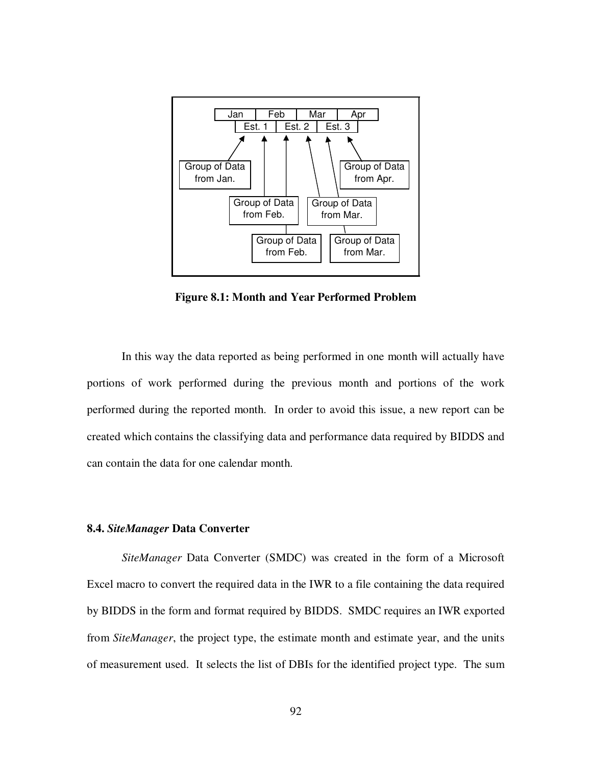

**Figure 8.1: Month and Year Performed Problem**

In this way the data reported as being performed in one month will actually have portions of work performed during the previous month and portions of the work performed during the reported month. In order to avoid this issue, a new report can be created which contains the classifying data and performance data required by BIDDS and can contain the data for one calendar month.

### **8.4.** *SiteManager* **Data Converter**

*SiteManager* Data Converter (SMDC) was created in the form of a Microsoft Excel macro to convert the required data in the IWR to a file containing the data required by BIDDS in the form and format required by BIDDS. SMDC requires an IWR exported from *SiteManager*, the project type, the estimate month and estimate year, and the units of measurement used. It selects the list of DBIs for the identified project type. The sum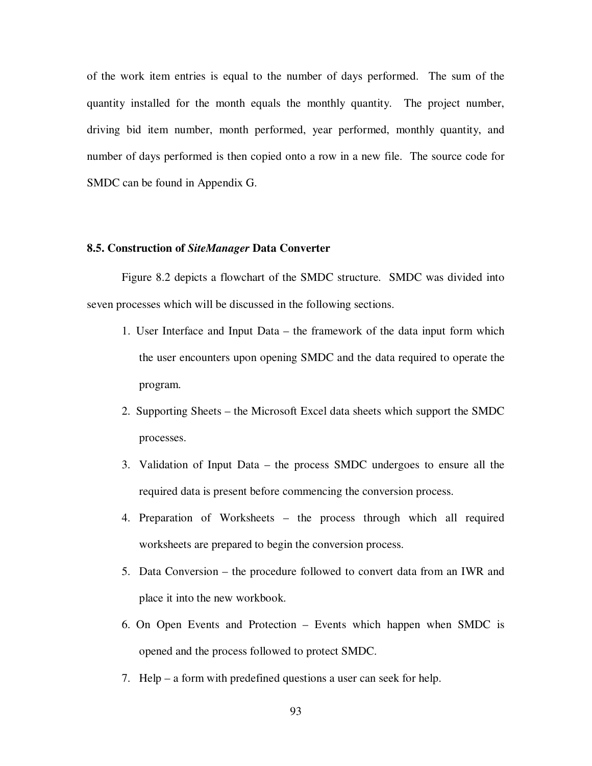of the work item entries is equal to the number of days performed. The sum of the quantity installed for the month equals the monthly quantity. The project number, driving bid item number, month performed, year performed, monthly quantity, and number of days performed is then copied onto a row in a new file. The source code for SMDC can be found in Appendix G.

### **8.5. Construction of** *SiteManager* **Data Converter**

Figure 8.2 depicts a flowchart of the SMDC structure. SMDC was divided into seven processes which will be discussed in the following sections.

- 1. User Interface and Input Data the framework of the data input form which the user encounters upon opening SMDC and the data required to operate the program.
- 2. Supporting Sheets the Microsoft Excel data sheets which support the SMDC processes.
- 3. Validation of Input Data the process SMDC undergoes to ensure all the required data is present before commencing the conversion process.
- 4. Preparation of Worksheets the process through which all required worksheets are prepared to begin the conversion process.
- 5. Data Conversion the procedure followed to convert data from an IWR and place it into the new workbook.
- 6. On Open Events and Protection Events which happen when SMDC is opened and the process followed to protect SMDC.
- 7. Help a form with predefined questions a user can seek for help.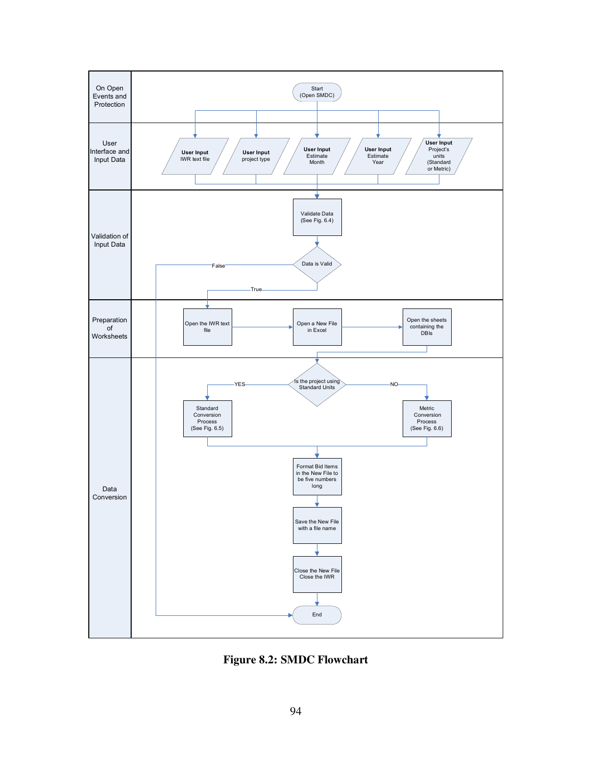

Figure 8.2: SMDC Flowchart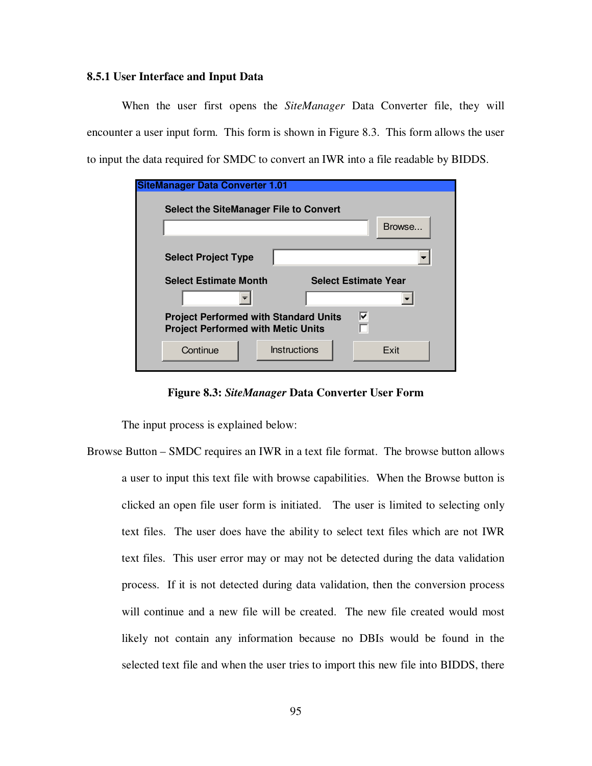### **8.5.1 User Interface and Input Data**

When the user first opens the *SiteManager* Data Converter file, they will encounter a user input form. This form is shown in Figure 8.3. This form allows the user to input the data required for SMDC to convert an IWR into a file readable by BIDDS.

| <b>SiteManager Data Converter 1.01</b>                                                              |              |                             |  |        |  |
|-----------------------------------------------------------------------------------------------------|--------------|-----------------------------|--|--------|--|
| Select the SiteManager File to Convert                                                              |              |                             |  |        |  |
|                                                                                                     |              |                             |  | Browse |  |
| <b>Select Project Type</b>                                                                          |              |                             |  |        |  |
| <b>Select Estimate Month</b>                                                                        |              | <b>Select Estimate Year</b> |  |        |  |
|                                                                                                     |              |                             |  |        |  |
| ⊽<br><b>Project Performed with Standard Units</b><br>г<br><b>Project Performed with Metic Units</b> |              |                             |  |        |  |
| Continue                                                                                            | Instructions |                             |  | Exit   |  |

**Figure 8.3:** *SiteManager* **Data Converter User Form**

The input process is explained below:

Browse Button – SMDC requires an IWR in a text file format. The browse button allows a user to input this text file with browse capabilities. When the Browse button is clicked an open file user form is initiated. The user is limited to selecting only text files. The user does have the ability to select text files which are not IWR text files. This user error may or may not be detected during the data validation process. If it is not detected during data validation, then the conversion process will continue and a new file will be created. The new file created would most likely not contain any information because no DBIs would be found in the selected text file and when the user tries to import this new file into BIDDS, there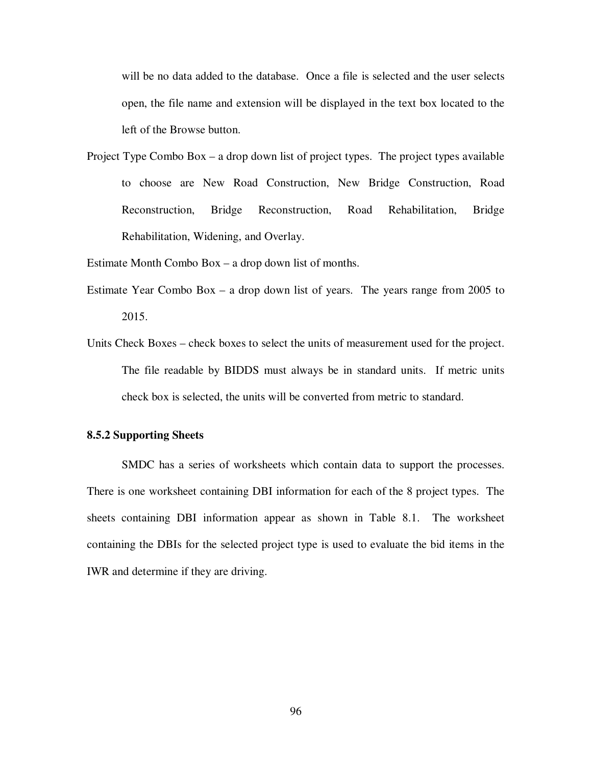will be no data added to the database. Once a file is selected and the user selects open, the file name and extension will be displayed in the text box located to the left of the Browse button.

Project Type Combo Box – a drop down list of project types. The project types available to choose are New Road Construction, New Bridge Construction, Road Reconstruction, Bridge Reconstruction, Road Rehabilitation, Bridge Rehabilitation, Widening, and Overlay.

Estimate Month Combo Box – a drop down list of months.

- Estimate Year Combo Box a drop down list of years. The years range from 2005 to 2015.
- Units Check Boxes check boxes to select the units of measurement used for the project. The file readable by BIDDS must always be in standard units. If metric units check box is selected, the units will be converted from metric to standard.

### **8.5.2 Supporting Sheets**

SMDC has a series of worksheets which contain data to support the processes. There is one worksheet containing DBI information for each of the 8 project types. The sheets containing DBI information appear as shown in Table 8.1. The worksheet containing the DBIs for the selected project type is used to evaluate the bid items in the IWR and determine if they are driving.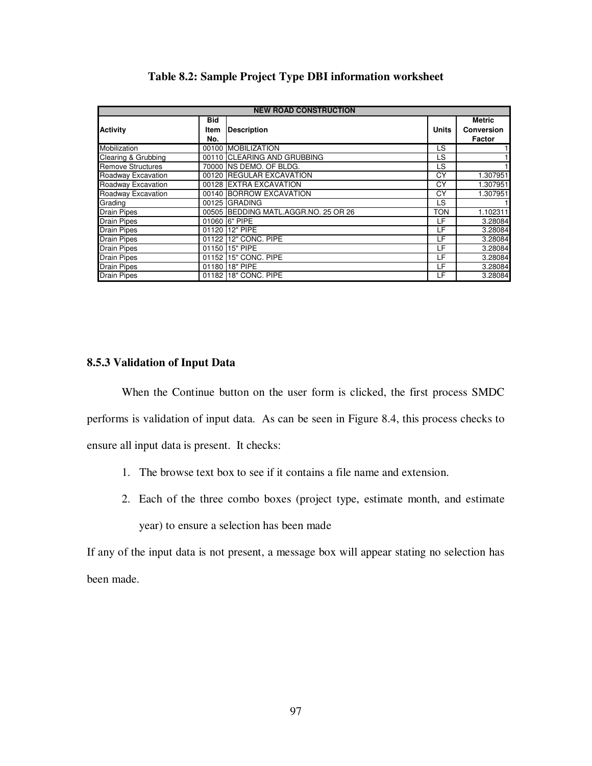| <b>NEW ROAD CONSTRUCTION</b> |                           |                                      |              |                                              |  |  |  |  |  |
|------------------------------|---------------------------|--------------------------------------|--------------|----------------------------------------------|--|--|--|--|--|
| <b>Activity</b>              | <b>Bid</b><br>Item<br>No. | <b>Description</b>                   | <b>Units</b> | <b>Metric</b><br><b>Conversion</b><br>Factor |  |  |  |  |  |
| Mobilization                 |                           | 00100 MOBILIZATION                   | LS           | 1                                            |  |  |  |  |  |
| Clearing & Grubbing          |                           | 00110 CLEARING AND GRUBBING          | LS           | 1                                            |  |  |  |  |  |
| <b>Remove Structures</b>     |                           | 70000 INS DEMO, OF BLDG.             | LS           | 1                                            |  |  |  |  |  |
| Roadway Excavation           |                           | 00120 REGULAR EXCAVATION             | СY           | 1.307951                                     |  |  |  |  |  |
| Roadway Excavation           |                           | 00128 EXTRA EXCAVATION               | СY           | 1.307951                                     |  |  |  |  |  |
| Roadway Excavation           |                           | 00140 BORROW EXCAVATION              | СY           | 1.307951                                     |  |  |  |  |  |
| Grading                      |                           | 00125 GRADING                        | LS           |                                              |  |  |  |  |  |
| <b>Drain Pipes</b>           |                           | 00505 BEDDING MATL.AGGR.NO. 25 OR 26 | <b>TON</b>   | 1.102311                                     |  |  |  |  |  |
| <b>Drain Pipes</b>           |                           | 01060 6" PIPE                        | LF           | 3.28084                                      |  |  |  |  |  |
| <b>Drain Pipes</b>           |                           | 01120 12" PIPE                       | LF           | 3.28084                                      |  |  |  |  |  |
| <b>Drain Pipes</b>           |                           | 01122 12" CONC. PIPE                 | LF           | 3.28084                                      |  |  |  |  |  |
| <b>Drain Pipes</b>           |                           | 01150 15" PIPE                       | LF           | 3.28084                                      |  |  |  |  |  |
| <b>Drain Pipes</b>           |                           | 01152 15" CONC. PIPE                 | LF           | 3.28084                                      |  |  |  |  |  |
| <b>Drain Pipes</b>           |                           | 01180 18" PIPE                       | LF           | 3.28084                                      |  |  |  |  |  |
| <b>Drain Pipes</b>           | 01182                     | 18" CONC, PIPE                       | LF           | 3.28084                                      |  |  |  |  |  |

## **Table 8.2: Sample Project Type DBI information worksheet**

## **8.5.3 Validation of Input Data**

When the Continue button on the user form is clicked, the first process SMDC performs is validation of input data. As can be seen in Figure 8.4, this process checks to ensure all input data is present. It checks:

- 1. The browse text box to see if it contains a file name and extension.
- 2. Each of the three combo boxes (project type, estimate month, and estimate

year) to ensure a selection has been made

If any of the input data is not present, a message box will appear stating no selection has been made.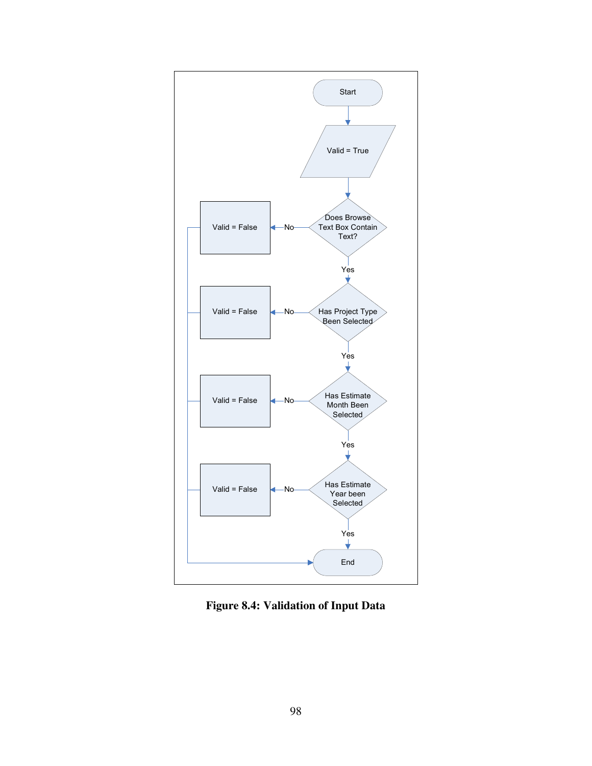

**Figure 8.4: Validation of Input Data**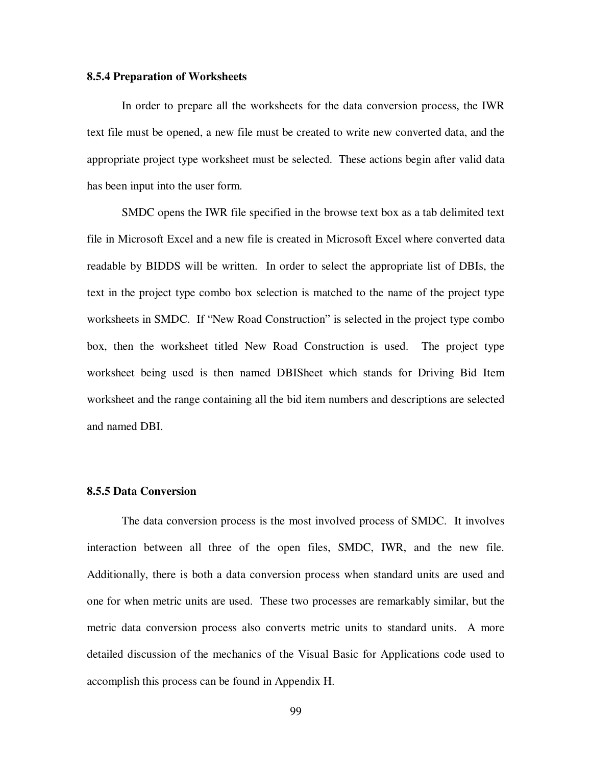#### **8.5.4 Preparation of Worksheets**

In order to prepare all the worksheets for the data conversion process, the IWR text file must be opened, a new file must be created to write new converted data, and the appropriate project type worksheet must be selected. These actions begin after valid data has been input into the user form.

SMDC opens the IWR file specified in the browse text box as a tab delimited text file in Microsoft Excel and a new file is created in Microsoft Excel where converted data readable by BIDDS will be written. In order to select the appropriate list of DBIs, the text in the project type combo box selection is matched to the name of the project type worksheets in SMDC. If "New Road Construction" is selected in the project type combo box, then the worksheet titled New Road Construction is used. The project type worksheet being used is then named DBISheet which stands for Driving Bid Item worksheet and the range containing all the bid item numbers and descriptions are selected and named DBI.

#### **8.5.5 Data Conversion**

The data conversion process is the most involved process of SMDC. It involves interaction between all three of the open files, SMDC, IWR, and the new file. Additionally, there is both a data conversion process when standard units are used and one for when metric units are used. These two processes are remarkably similar, but the metric data conversion process also converts metric units to standard units. A more detailed discussion of the mechanics of the Visual Basic for Applications code used to accomplish this process can be found in Appendix H.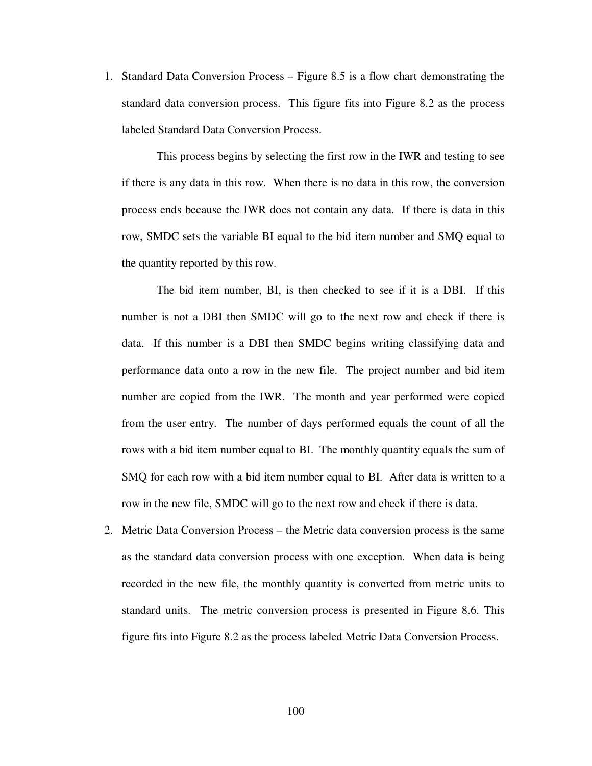1. Standard Data Conversion Process – Figure 8.5 is a flow chart demonstrating the standard data conversion process. This figure fits into Figure 8.2 as the process labeled Standard Data Conversion Process.

This process begins by selecting the first row in the IWR and testing to see if there is any data in this row. When there is no data in this row, the conversion process ends because the IWR does not contain any data. If there is data in this row, SMDC sets the variable BI equal to the bid item number and SMQ equal to the quantity reported by this row.

The bid item number, BI, is then checked to see if it is a DBI. If this number is not a DBI then SMDC will go to the next row and check if there is data. If this number is a DBI then SMDC begins writing classifying data and performance data onto a row in the new file. The project number and bid item number are copied from the IWR. The month and year performed were copied from the user entry. The number of days performed equals the count of all the rows with a bid item number equal to BI. The monthly quantity equals the sum of SMQ for each row with a bid item number equal to BI. After data is written to a row in the new file, SMDC will go to the next row and check if there is data.

2. Metric Data Conversion Process – the Metric data conversion process is the same as the standard data conversion process with one exception. When data is being recorded in the new file, the monthly quantity is converted from metric units to standard units. The metric conversion process is presented in Figure 8.6. This figure fits into Figure 8.2 as the process labeled Metric Data Conversion Process.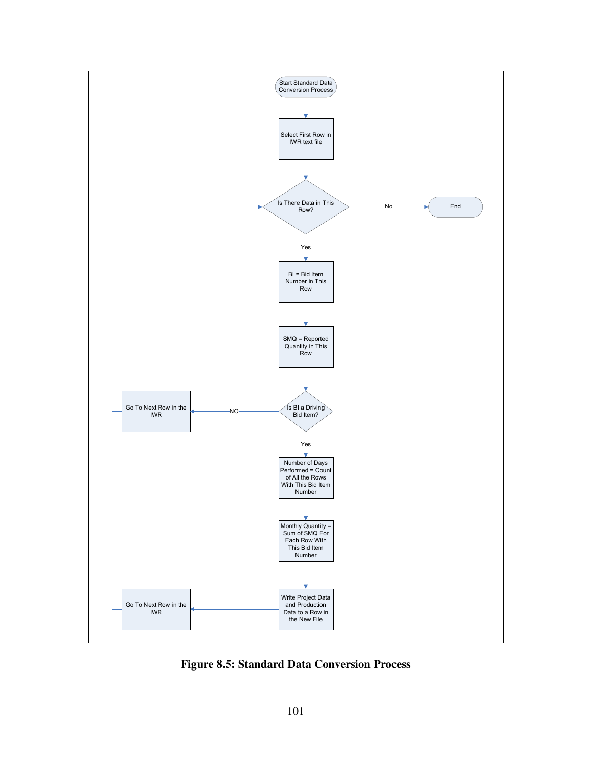

**Figure 8.5: Standard Data Conversion Process**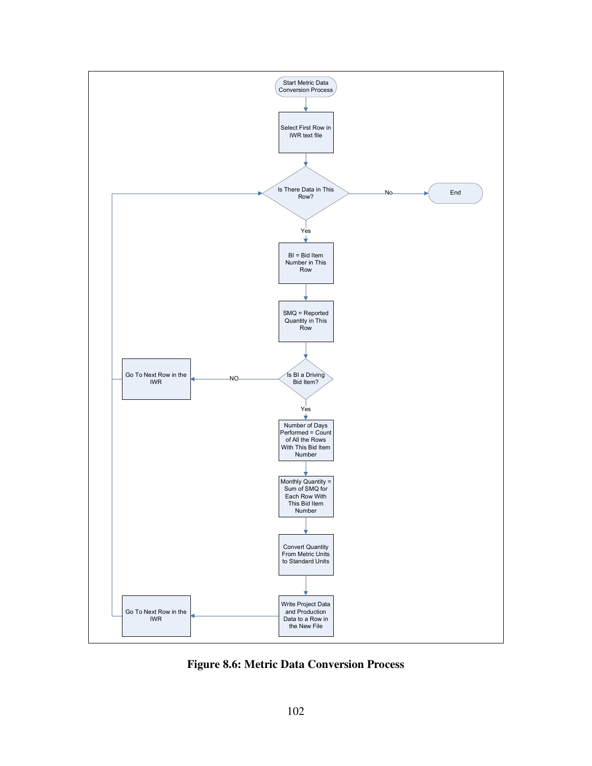

**Figure 8.6: Metric Data Conversion Process**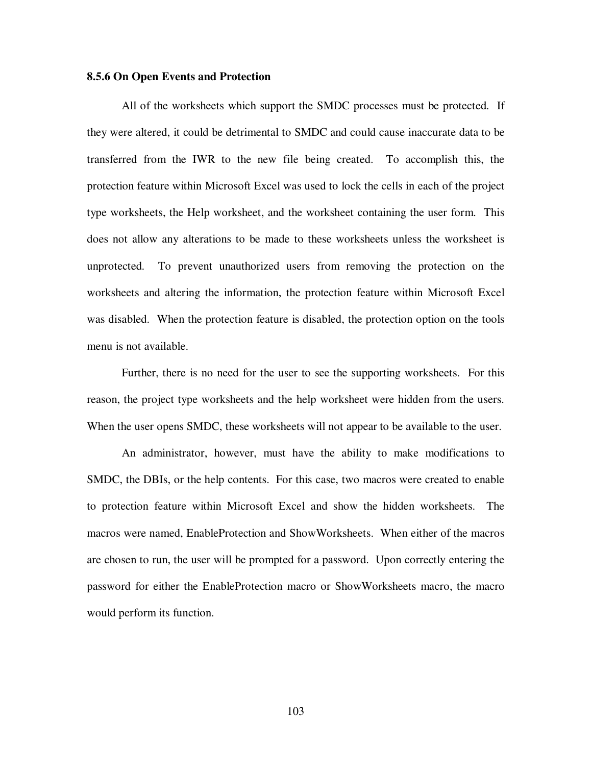#### **8.5.6 On Open Events and Protection**

All of the worksheets which support the SMDC processes must be protected. If they were altered, it could be detrimental to SMDC and could cause inaccurate data to be transferred from the IWR to the new file being created. To accomplish this, the protection feature within Microsoft Excel was used to lock the cells in each of the project type worksheets, the Help worksheet, and the worksheet containing the user form. This does not allow any alterations to be made to these worksheets unless the worksheet is unprotected. To prevent unauthorized users from removing the protection on the worksheets and altering the information, the protection feature within Microsoft Excel was disabled. When the protection feature is disabled, the protection option on the tools menu is not available.

Further, there is no need for the user to see the supporting worksheets. For this reason, the project type worksheets and the help worksheet were hidden from the users. When the user opens SMDC, these worksheets will not appear to be available to the user.

An administrator, however, must have the ability to make modifications to SMDC, the DBIs, or the help contents. For this case, two macros were created to enable to protection feature within Microsoft Excel and show the hidden worksheets. The macros were named, EnableProtection and ShowWorksheets. When either of the macros are chosen to run, the user will be prompted for a password. Upon correctly entering the password for either the EnableProtection macro or ShowWorksheets macro, the macro would perform its function.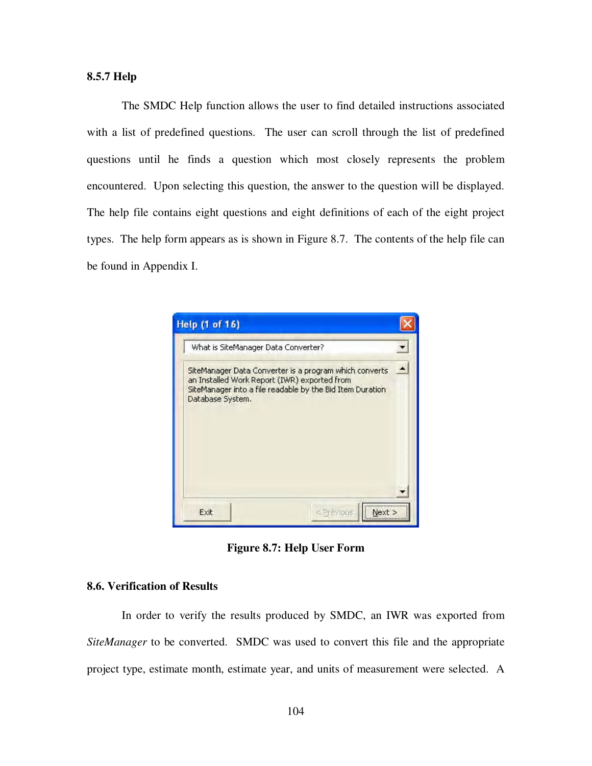## **8.5.7 Help**

The SMDC Help function allows the user to find detailed instructions associated with a list of predefined questions. The user can scroll through the list of predefined questions until he finds a question which most closely represents the problem encountered. Upon selecting this question, the answer to the question will be displayed. The help file contains eight questions and eight definitions of each of the eight project types. The help form appears as is shown in Figure 8.7. The contents of the help file can be found in Appendix I.



**Figure 8.7: Help User Form**

## **8.6. Verification of Results**

In order to verify the results produced by SMDC, an IWR was exported from *SiteManager* to be converted. SMDC was used to convert this file and the appropriate project type, estimate month, estimate year, and units of measurement were selected. A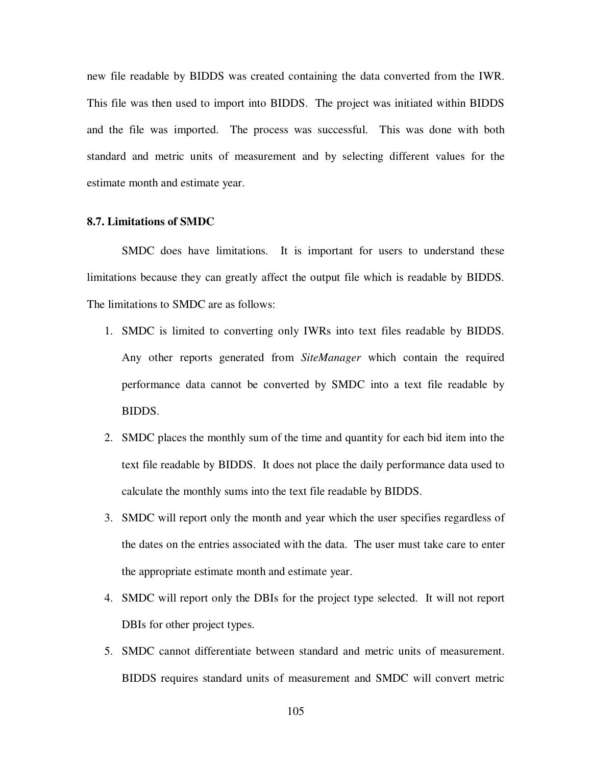new file readable by BIDDS was created containing the data converted from the IWR. This file was then used to import into BIDDS. The project was initiated within BIDDS and the file was imported. The process was successful. This was done with both standard and metric units of measurement and by selecting different values for the estimate month and estimate year.

### **8.7. Limitations of SMDC**

SMDC does have limitations. It is important for users to understand these limitations because they can greatly affect the output file which is readable by BIDDS. The limitations to SMDC are as follows:

- 1. SMDC is limited to converting only IWRs into text files readable by BIDDS. Any other reports generated from *SiteManager* which contain the required performance data cannot be converted by SMDC into a text file readable by BIDDS.
- 2. SMDC places the monthly sum of the time and quantity for each bid item into the text file readable by BIDDS. It does not place the daily performance data used to calculate the monthly sums into the text file readable by BIDDS.
- 3. SMDC will report only the month and year which the user specifies regardless of the dates on the entries associated with the data. The user must take care to enter the appropriate estimate month and estimate year.
- 4. SMDC will report only the DBIs for the project type selected. It will not report DBIs for other project types.
- 5. SMDC cannot differentiate between standard and metric units of measurement. BIDDS requires standard units of measurement and SMDC will convert metric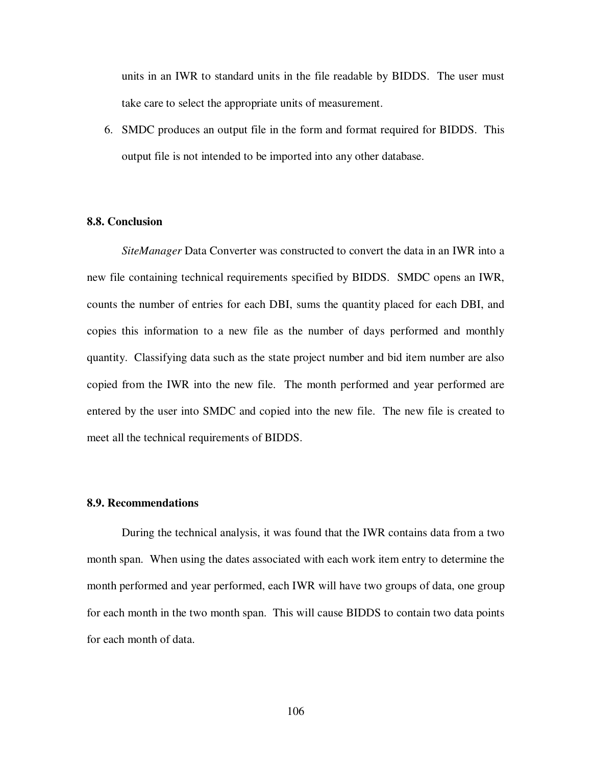units in an IWR to standard units in the file readable by BIDDS. The user must take care to select the appropriate units of measurement.

6. SMDC produces an output file in the form and format required for BIDDS. This output file is not intended to be imported into any other database.

#### **8.8. Conclusion**

*SiteManager* Data Converter was constructed to convert the data in an IWR into a new file containing technical requirements specified by BIDDS. SMDC opens an IWR, counts the number of entries for each DBI, sums the quantity placed for each DBI, and copies this information to a new file as the number of days performed and monthly quantity. Classifying data such as the state project number and bid item number are also copied from the IWR into the new file. The month performed and year performed are entered by the user into SMDC and copied into the new file. The new file is created to meet all the technical requirements of BIDDS.

#### **8.9. Recommendations**

During the technical analysis, it was found that the IWR contains data from a two month span. When using the dates associated with each work item entry to determine the month performed and year performed, each IWR will have two groups of data, one group for each month in the two month span. This will cause BIDDS to contain two data points for each month of data.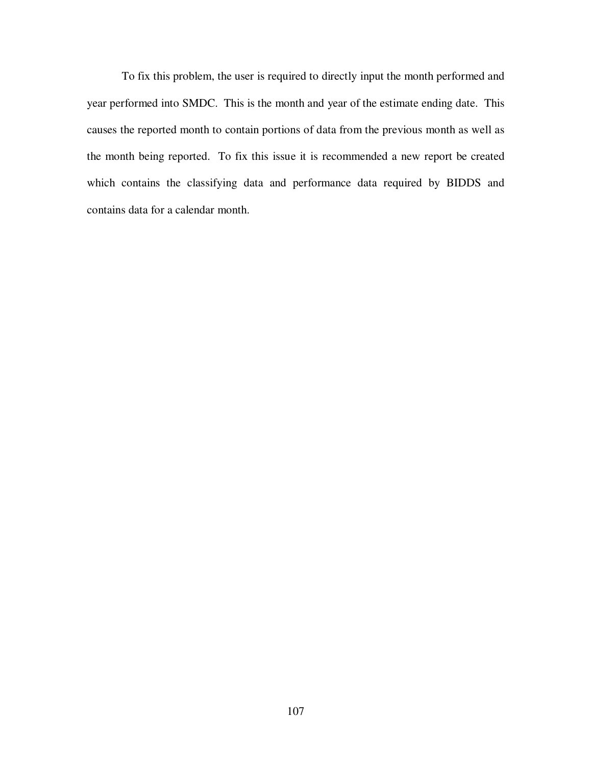To fix this problem, the user is required to directly input the month performed and year performed into SMDC. This is the month and year of the estimate ending date. This causes the reported month to contain portions of data from the previous month as well as the month being reported. To fix this issue it is recommended a new report be created which contains the classifying data and performance data required by BIDDS and contains data for a calendar month.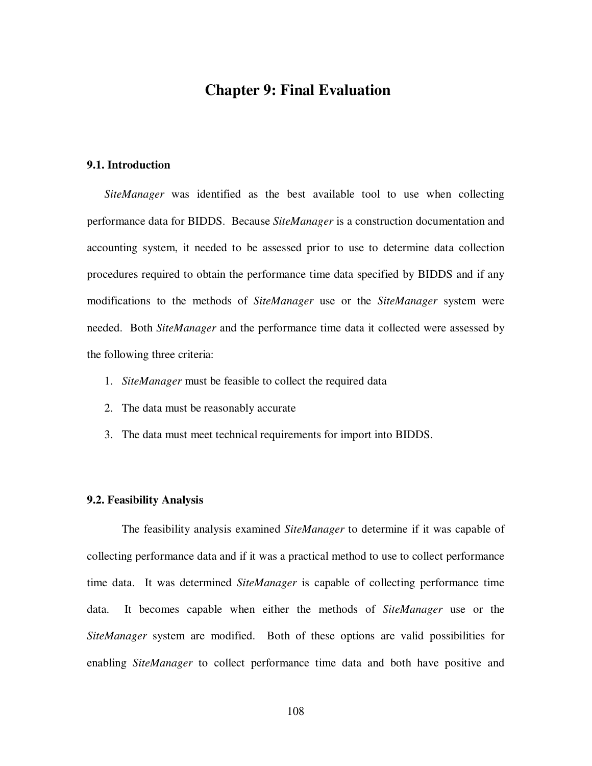## **Chapter 9: Final Evaluation**

## **9.1. Introduction**

*SiteManager* was identified as the best available tool to use when collecting performance data for BIDDS. Because *SiteManager* is a construction documentation and accounting system, it needed to be assessed prior to use to determine data collection procedures required to obtain the performance time data specified by BIDDS and if any modifications to the methods of *SiteManager* use or the *SiteManager* system were needed. Both *SiteManager* and the performance time data it collected were assessed by the following three criteria:

- 1. *SiteManager* must be feasible to collect the required data
- 2. The data must be reasonably accurate
- 3. The data must meet technical requirements for import into BIDDS.

## **9.2. Feasibility Analysis**

The feasibility analysis examined *SiteManager* to determine if it was capable of collecting performance data and if it was a practical method to use to collect performance time data. It was determined *SiteManager* is capable of collecting performance time data. It becomes capable when either the methods of *SiteManager* use or the *SiteManager* system are modified. Both of these options are valid possibilities for enabling *SiteManager* to collect performance time data and both have positive and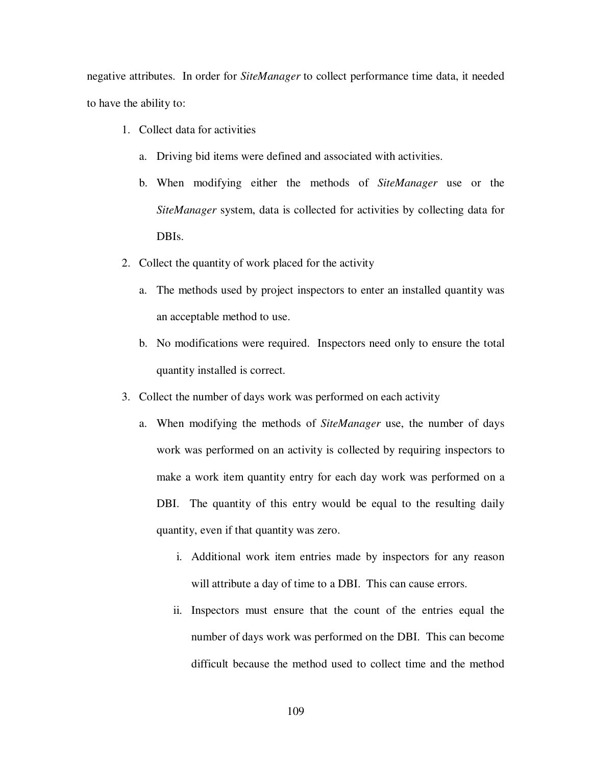negative attributes. In order for *SiteManager* to collect performance time data, it needed to have the ability to:

- 1. Collect data for activities
	- a. Driving bid items were defined and associated with activities.
	- b. When modifying either the methods of *SiteManager* use or the *SiteManager* system, data is collected for activities by collecting data for DBIs.
- 2. Collect the quantity of work placed for the activity
	- a. The methods used by project inspectors to enter an installed quantity was an acceptable method to use.
	- b. No modifications were required. Inspectors need only to ensure the total quantity installed is correct.
- 3. Collect the number of days work was performed on each activity
	- a. When modifying the methods of *SiteManager* use, the number of days work was performed on an activity is collected by requiring inspectors to make a work item quantity entry for each day work was performed on a DBI. The quantity of this entry would be equal to the resulting daily quantity, even if that quantity was zero.
		- i. Additional work item entries made by inspectors for any reason will attribute a day of time to a DBI. This can cause errors.
		- ii. Inspectors must ensure that the count of the entries equal the number of days work was performed on the DBI. This can become difficult because the method used to collect time and the method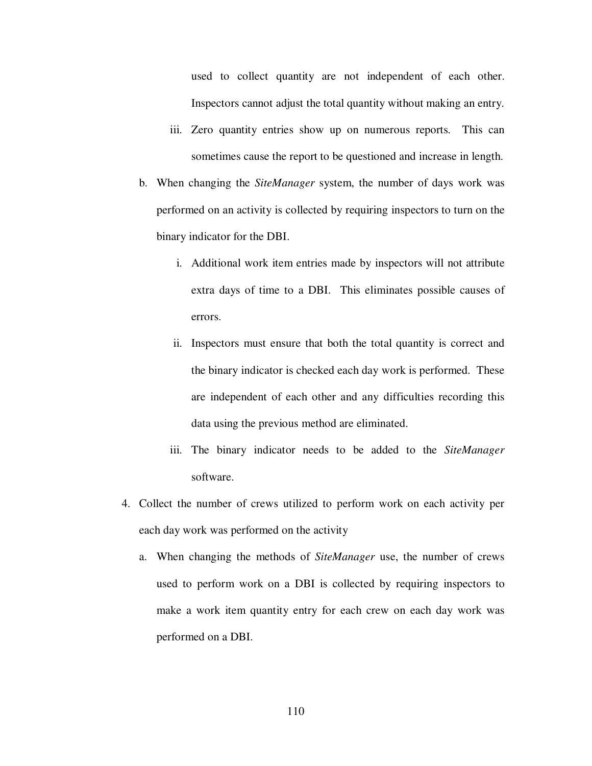used to collect quantity are not independent of each other. Inspectors cannot adjust the total quantity without making an entry.

- iii. Zero quantity entries show up on numerous reports. This can sometimes cause the report to be questioned and increase in length.
- b. When changing the *SiteManager* system, the number of days work was performed on an activity is collected by requiring inspectors to turn on the binary indicator for the DBI.
	- i. Additional work item entries made by inspectors will not attribute extra days of time to a DBI. This eliminates possible causes of errors.
	- ii. Inspectors must ensure that both the total quantity is correct and the binary indicator is checked each day work is performed. These are independent of each other and any difficulties recording this data using the previous method are eliminated.
	- iii. The binary indicator needs to be added to the *SiteManager* software.
- 4. Collect the number of crews utilized to perform work on each activity per each day work was performed on the activity
	- a. When changing the methods of *SiteManager* use, the number of crews used to perform work on a DBI is collected by requiring inspectors to make a work item quantity entry for each crew on each day work was performed on a DBI.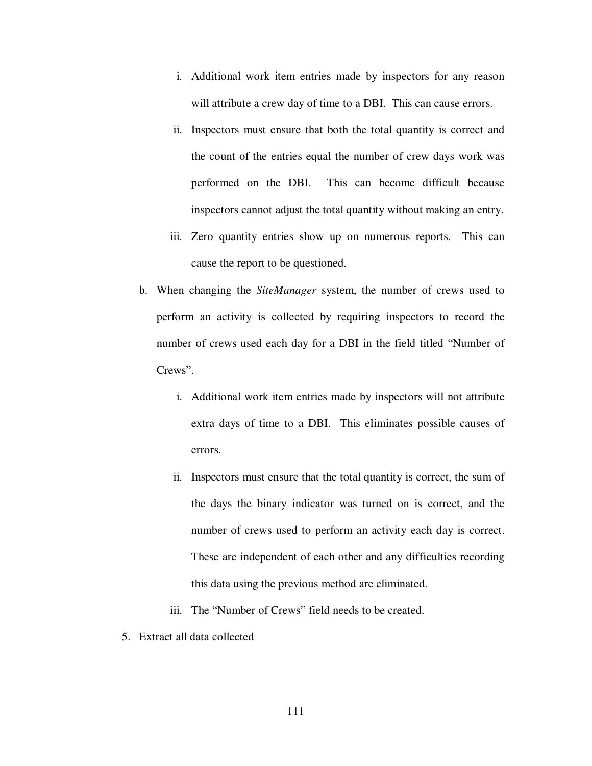- i. Additional work item entries made by inspectors for any reason will attribute a crew day of time to a DBI. This can cause errors.
- ii. Inspectors must ensure that both the total quantity is correct and the count of the entries equal the number of crew days work was performed on the DBI. This can become difficult because inspectors cannot adjust the total quantity without making an entry.
- iii. Zero quantity entries show up on numerous reports. This can cause the report to be questioned.
- b. When changing the *SiteManager* system, the number of crews used to perform an activity is collected by requiring inspectors to record the number of crews used each day for a DBI in the field titled "Number of Crews".
	- i. Additional work item entries made by inspectors will not attribute extra days of time to a DBI. This eliminates possible causes of errors.
	- ii. Inspectors must ensure that the total quantity is correct, the sum of the days the binary indicator was turned on is correct, and the number of crews used to perform an activity each day is correct. These are independent of each other and any difficulties recording this data using the previous method are eliminated.
	- iii. The "Number of Crews" field needs to be created.
- 5. Extract all data collected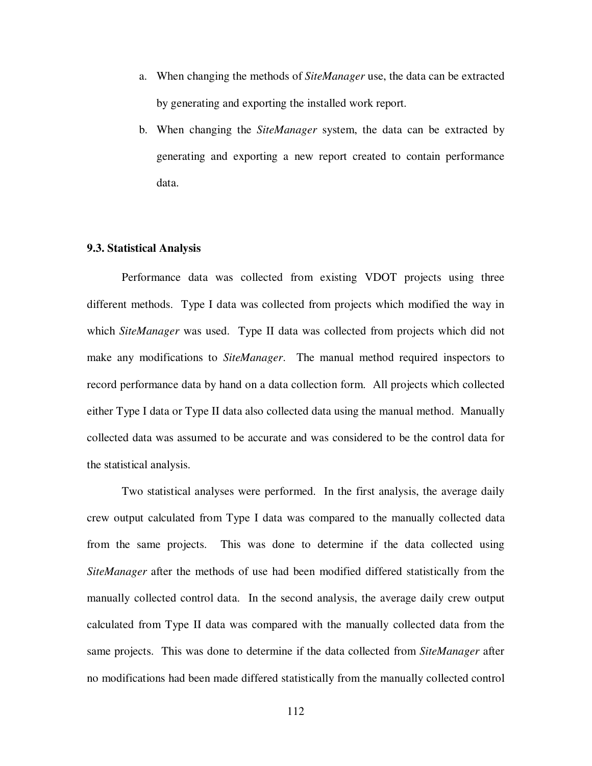- a. When changing the methods of *SiteManager* use, the data can be extracted by generating and exporting the installed work report.
- b. When changing the *SiteManager* system, the data can be extracted by generating and exporting a new report created to contain performance data.

## **9.3. Statistical Analysis**

Performance data was collected from existing VDOT projects using three different methods. Type I data was collected from projects which modified the way in which *SiteManager* was used. Type II data was collected from projects which did not make any modifications to *SiteManager*. The manual method required inspectors to record performance data by hand on a data collection form. All projects which collected either Type I data or Type II data also collected data using the manual method. Manually collected data was assumed to be accurate and was considered to be the control data for the statistical analysis.

Two statistical analyses were performed. In the first analysis, the average daily crew output calculated from Type I data was compared to the manually collected data from the same projects. This was done to determine if the data collected using *SiteManager* after the methods of use had been modified differed statistically from the manually collected control data. In the second analysis, the average daily crew output calculated from Type II data was compared with the manually collected data from the same projects. This was done to determine if the data collected from *SiteManager* after no modifications had been made differed statistically from the manually collected control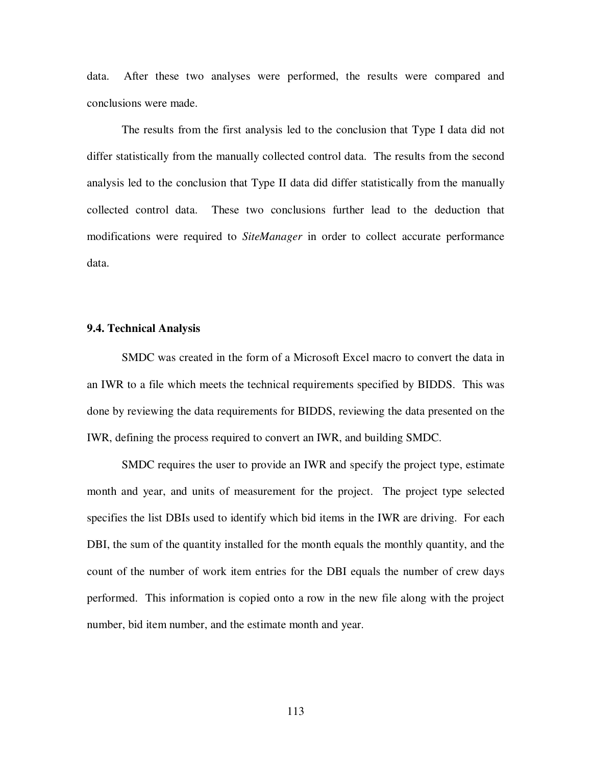data. After these two analyses were performed, the results were compared and conclusions were made.

The results from the first analysis led to the conclusion that Type I data did not differ statistically from the manually collected control data. The results from the second analysis led to the conclusion that Type II data did differ statistically from the manually collected control data. These two conclusions further lead to the deduction that modifications were required to *SiteManager* in order to collect accurate performance data.

## **9.4. Technical Analysis**

SMDC was created in the form of a Microsoft Excel macro to convert the data in an IWR to a file which meets the technical requirements specified by BIDDS. This was done by reviewing the data requirements for BIDDS, reviewing the data presented on the IWR, defining the process required to convert an IWR, and building SMDC.

SMDC requires the user to provide an IWR and specify the project type, estimate month and year, and units of measurement for the project. The project type selected specifies the list DBIs used to identify which bid items in the IWR are driving. For each DBI, the sum of the quantity installed for the month equals the monthly quantity, and the count of the number of work item entries for the DBI equals the number of crew days performed. This information is copied onto a row in the new file along with the project number, bid item number, and the estimate month and year.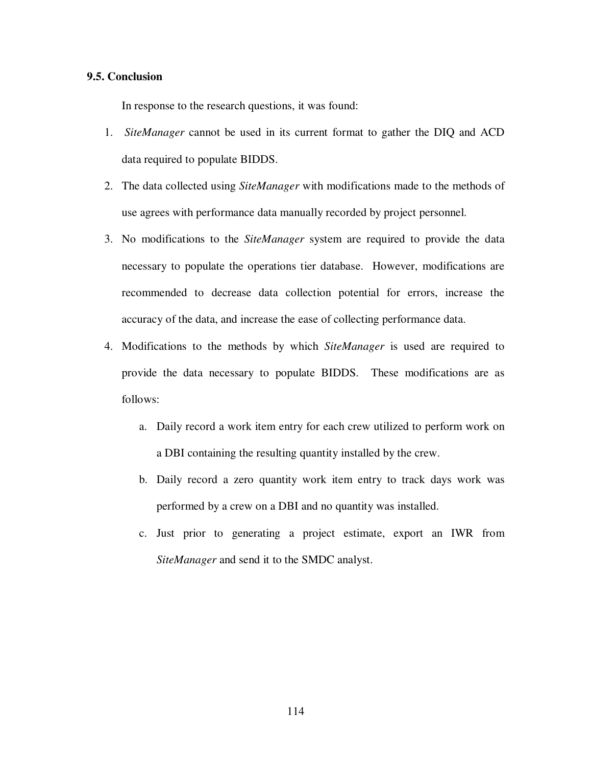## **9.5. Conclusion**

In response to the research questions, it was found:

- 1. *SiteManager* cannot be used in its current format to gather the DIQ and ACD data required to populate BIDDS.
- 2. The data collected using *SiteManager* with modifications made to the methods of use agrees with performance data manually recorded by project personnel.
- 3. No modifications to the *SiteManager* system are required to provide the data necessary to populate the operations tier database. However, modifications are recommended to decrease data collection potential for errors, increase the accuracy of the data, and increase the ease of collecting performance data.
- 4. Modifications to the methods by which *SiteManager* is used are required to provide the data necessary to populate BIDDS. These modifications are as follows:
	- a. Daily record a work item entry for each crew utilized to perform work on a DBI containing the resulting quantity installed by the crew.
	- b. Daily record a zero quantity work item entry to track days work was performed by a crew on a DBI and no quantity was installed.
	- c. Just prior to generating a project estimate, export an IWR from *SiteManager* and send it to the SMDC analyst.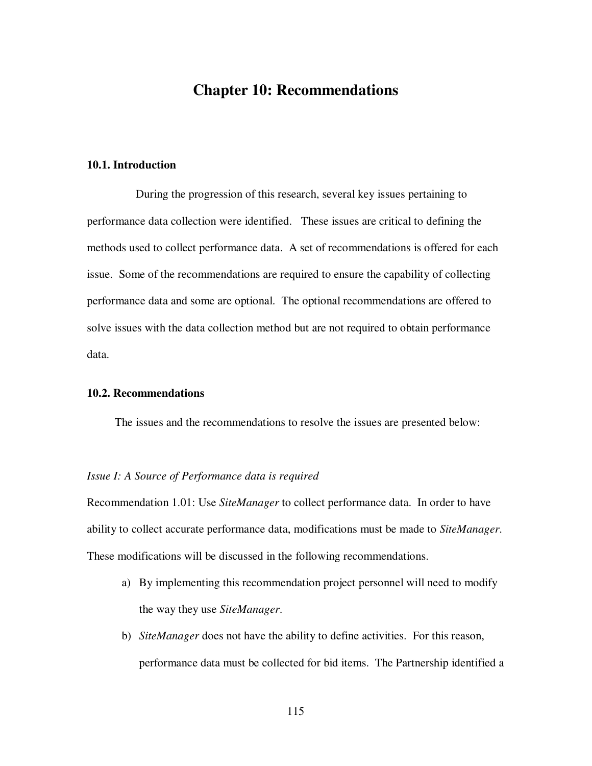## **Chapter 10: Recommendations**

## **10.1. Introduction**

During the progression of this research, several key issues pertaining to performance data collection were identified. These issues are critical to defining the methods used to collect performance data. A set of recommendations is offered for each issue. Some of the recommendations are required to ensure the capability of collecting performance data and some are optional. The optional recommendations are offered to solve issues with the data collection method but are not required to obtain performance data.

## **10.2. Recommendations**

The issues and the recommendations to resolve the issues are presented below:

## *Issue I: A Source of Performance data is required*

Recommendation 1.01: Use *SiteManager* to collect performance data. In order to have ability to collect accurate performance data, modifications must be made to *SiteManager*. These modifications will be discussed in the following recommendations.

- a) By implementing this recommendation project personnel will need to modify the way they use *SiteManager*.
- b) *SiteManager* does not have the ability to define activities. For this reason, performance data must be collected for bid items. The Partnership identified a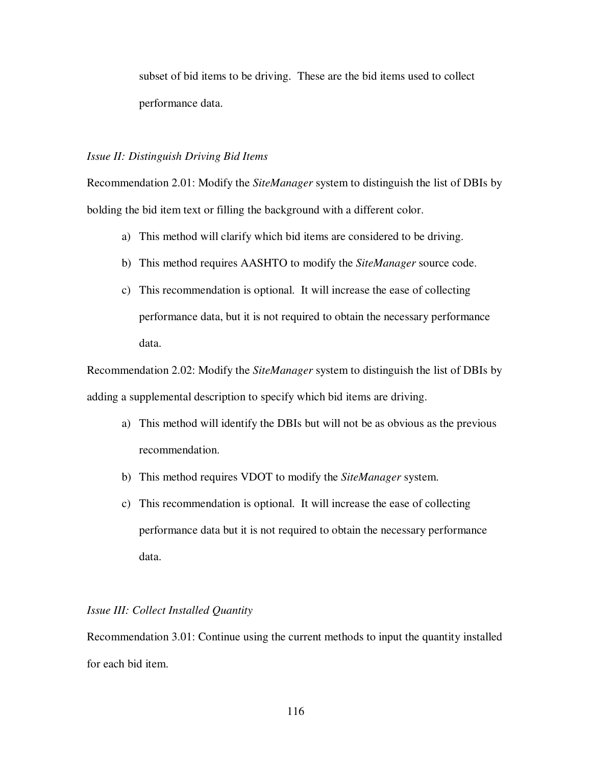subset of bid items to be driving. These are the bid items used to collect performance data.

### *Issue II: Distinguish Driving Bid Items*

Recommendation 2.01: Modify the *SiteManager* system to distinguish the list of DBIs by bolding the bid item text or filling the background with a different color.

- a) This method will clarify which bid items are considered to be driving.
- b) This method requires AASHTO to modify the *SiteManager* source code.
- c) This recommendation is optional. It will increase the ease of collecting performance data, but it is not required to obtain the necessary performance data.

Recommendation 2.02: Modify the *SiteManager* system to distinguish the list of DBIs by adding a supplemental description to specify which bid items are driving.

- a) This method will identify the DBIs but will not be as obvious as the previous recommendation.
- b) This method requires VDOT to modify the *SiteManager* system.
- c) This recommendation is optional. It will increase the ease of collecting performance data but it is not required to obtain the necessary performance data.

## *Issue III: Collect Installed Quantity*

Recommendation 3.01: Continue using the current methods to input the quantity installed for each bid item.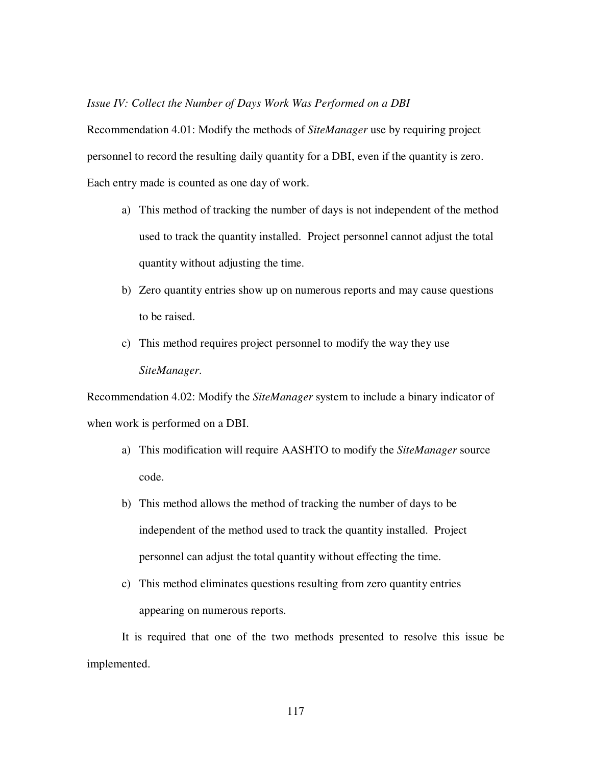#### *Issue IV: Collect the Number of Days Work Was Performed on a DBI*

Recommendation 4.01: Modify the methods of *SiteManager* use by requiring project personnel to record the resulting daily quantity for a DBI, even if the quantity is zero. Each entry made is counted as one day of work.

- a) This method of tracking the number of days is not independent of the method used to track the quantity installed. Project personnel cannot adjust the total quantity without adjusting the time.
- b) Zero quantity entries show up on numerous reports and may cause questions to be raised.
- c) This method requires project personnel to modify the way they use *SiteManager*.

Recommendation 4.02: Modify the *SiteManager* system to include a binary indicator of when work is performed on a DBI.

- a) This modification will require AASHTO to modify the *SiteManager* source code.
- b) This method allows the method of tracking the number of days to be independent of the method used to track the quantity installed. Project personnel can adjust the total quantity without effecting the time.
- c) This method eliminates questions resulting from zero quantity entries appearing on numerous reports.

It is required that one of the two methods presented to resolve this issue be implemented.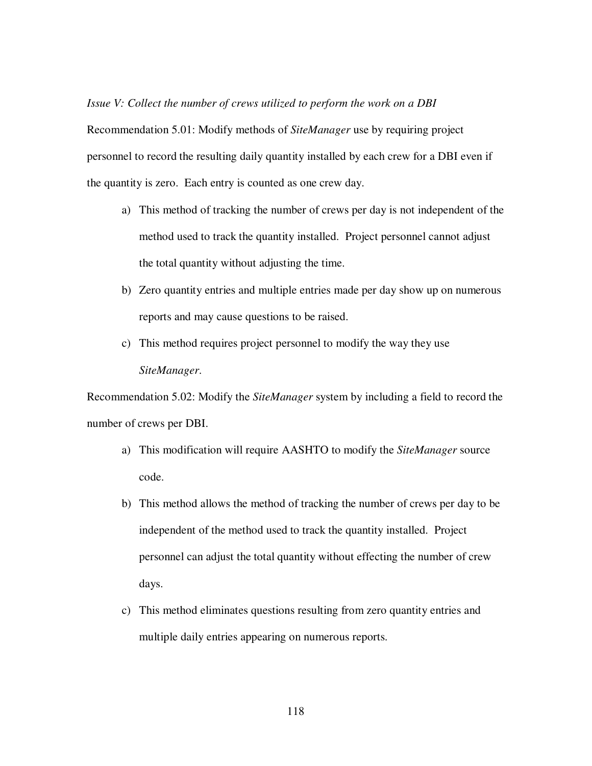*Issue V: Collect the number of crews utilized to perform the work on a DBI*

Recommendation 5.01: Modify methods of *SiteManager* use by requiring project personnel to record the resulting daily quantity installed by each crew for a DBI even if the quantity is zero. Each entry is counted as one crew day.

- a) This method of tracking the number of crews per day is not independent of the method used to track the quantity installed. Project personnel cannot adjust the total quantity without adjusting the time.
- b) Zero quantity entries and multiple entries made per day show up on numerous reports and may cause questions to be raised.
- c) This method requires project personnel to modify the way they use *SiteManager*.

Recommendation 5.02: Modify the *SiteManager* system by including a field to record the number of crews per DBI.

- a) This modification will require AASHTO to modify the *SiteManager* source code.
- b) This method allows the method of tracking the number of crews per day to be independent of the method used to track the quantity installed. Project personnel can adjust the total quantity without effecting the number of crew days.
- c) This method eliminates questions resulting from zero quantity entries and multiple daily entries appearing on numerous reports.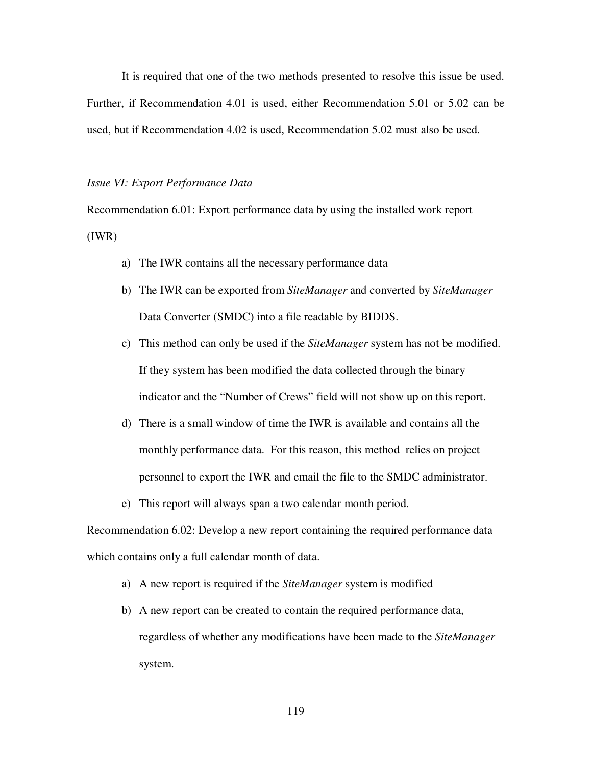It is required that one of the two methods presented to resolve this issue be used. Further, if Recommendation 4.01 is used, either Recommendation 5.01 or 5.02 can be used, but if Recommendation 4.02 is used, Recommendation 5.02 must also be used.

#### *Issue VI: Export Performance Data*

Recommendation 6.01: Export performance data by using the installed work report (IWR)

- a) The IWR contains all the necessary performance data
- b) The IWR can be exported from *SiteManager* and converted by *SiteManager* Data Converter (SMDC) into a file readable by BIDDS.
- c) This method can only be used if the *SiteManager* system has not be modified. If they system has been modified the data collected through the binary indicator and the "Number of Crews" field will not show up on this report.
- d) There is a small window of time the IWR is available and contains all the monthly performance data. For this reason, this method relies on project personnel to export the IWR and email the file to the SMDC administrator.
- e) This report will always span a two calendar month period.

Recommendation 6.02: Develop a new report containing the required performance data which contains only a full calendar month of data.

- a) A new report is required if the *SiteManager* system is modified
- b) A new report can be created to contain the required performance data, regardless of whether any modifications have been made to the *SiteManager* system.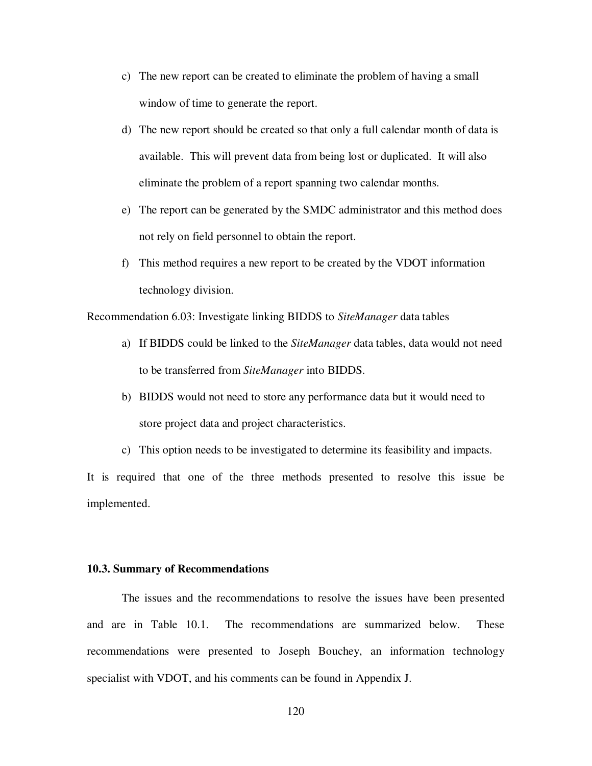- c) The new report can be created to eliminate the problem of having a small window of time to generate the report.
- d) The new report should be created so that only a full calendar month of data is available. This will prevent data from being lost or duplicated. It will also eliminate the problem of a report spanning two calendar months.
- e) The report can be generated by the SMDC administrator and this method does not rely on field personnel to obtain the report.
- f) This method requires a new report to be created by the VDOT information technology division.

Recommendation 6.03: Investigate linking BIDDS to *SiteManager* data tables

- a) If BIDDS could be linked to the *SiteManager* data tables, data would not need to be transferred from *SiteManager* into BIDDS.
- b) BIDDS would not need to store any performance data but it would need to store project data and project characteristics.
- c) This option needs to be investigated to determine its feasibility and impacts.

It is required that one of the three methods presented to resolve this issue be implemented.

## **10.3. Summary of Recommendations**

The issues and the recommendations to resolve the issues have been presented and are in Table 10.1. The recommendations are summarized below. These recommendations were presented to Joseph Bouchey, an information technology specialist with VDOT, and his comments can be found in Appendix J.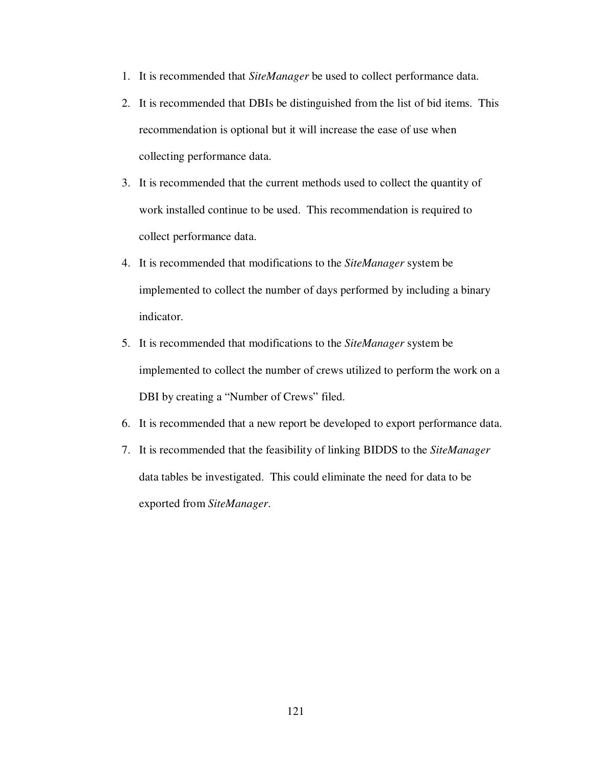- 1. It is recommended that *SiteManager* be used to collect performance data.
- 2. It is recommended that DBIs be distinguished from the list of bid items. This recommendation is optional but it will increase the ease of use when collecting performance data.
- 3. It is recommended that the current methods used to collect the quantity of work installed continue to be used. This recommendation is required to collect performance data.
- 4. It is recommended that modifications to the *SiteManager* system be implemented to collect the number of days performed by including a binary indicator.
- 5. It is recommended that modifications to the *SiteManager* system be implemented to collect the number of crews utilized to perform the work on a DBI by creating a "Number of Crews" filed.
- 6. It is recommended that a new report be developed to export performance data.
- 7. It is recommended that the feasibility of linking BIDDS to the *SiteManager* data tables be investigated. This could eliminate the need for data to be exported from *SiteManager*.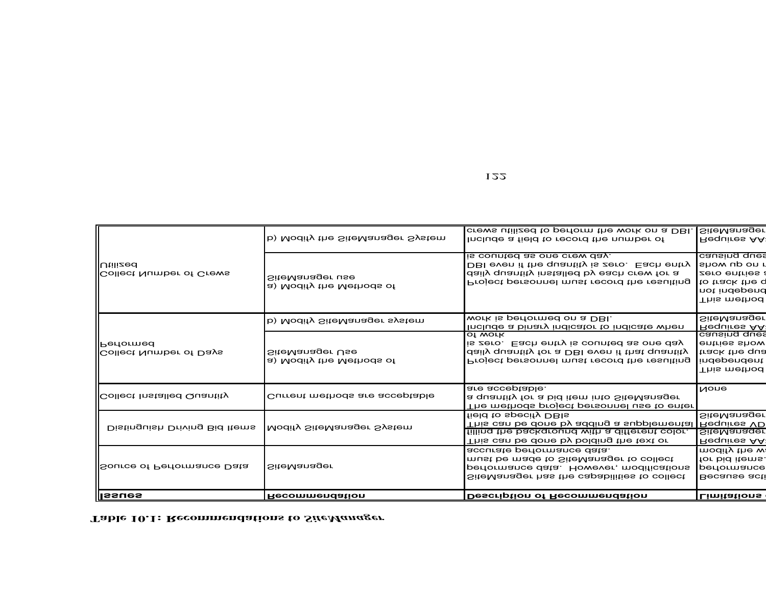| <b>Issues</b>                                       | Recommendation                              | <b>Description of Recommendation</b>                                                                                                                                      | <b>Limitations</b>                                                                                                                                                     |
|-----------------------------------------------------|---------------------------------------------|---------------------------------------------------------------------------------------------------------------------------------------------------------------------------|------------------------------------------------------------------------------------------------------------------------------------------------------------------------|
| Source of Performance Data                          | <b>SiteManager</b>                          | accurate performance data.<br>must be made to SiteManager to collect<br>performance data. However, modifications<br>SiteManager has the capabilities to collect           | for bid items.<br>performance                                                                                                                                          |
| Distinguish Driving Bid Items                       | Modify SiteManager System                   | field to specify DBIs<br>This can be done by adding a supplemental<br>filling the background with a different color.<br>This can be done by bolding the text or           | Requires VD<br>SiteManager                                                                                                                                             |
| <b>I</b> Collect Installed Quantity                 | Current methods are acceptable              | are acceptable.<br>a quantity for a bid item into SiteManager<br>The methods project personnel use to enter                                                               | <b>None</b>                                                                                                                                                            |
| <b>I</b> Performed<br><b>Collect Number of Days</b> | SiteManager Use<br>a) Modify the Methods of | of work<br>is zero. Each entry is counted as one day<br>daily quantity for a DBI even if that quantity<br>Project personnel must record the resulting                     | causing ques<br>entries show<br>track the qua<br>independent                                                                                                           |
|                                                     | b) Modify SiteManager system                | work is performed on a DBI.<br>Include a binary indicator to indicate when                                                                                                | causing ques<br>not independ<br>This method<br><b>SiteManager</b><br>Requires AA<br>This method <br><b>SiteManager</b><br>Requires AA<br>modify the wa<br>Because acti |
| <b>Utilized</b><br>Collect Number of Crews          | SiteManager use<br>a) Modify the Methods of | is counted as one crew day.<br>DBI even if the quantity is zero. Each entry<br>daily quantity installed by each crew for a<br>Project personnel must record the resulting | show up on r<br>zero entries a<br>to track the q                                                                                                                       |
|                                                     | b) Modify the SiteManager System            | crews utilized to perform the work on a DBI.<br>Include a field to record the number of                                                                                   | <b>SiteManager</b><br>Requires AA                                                                                                                                      |

## **Table 10.1: Recommendations to** *SiteManager*

122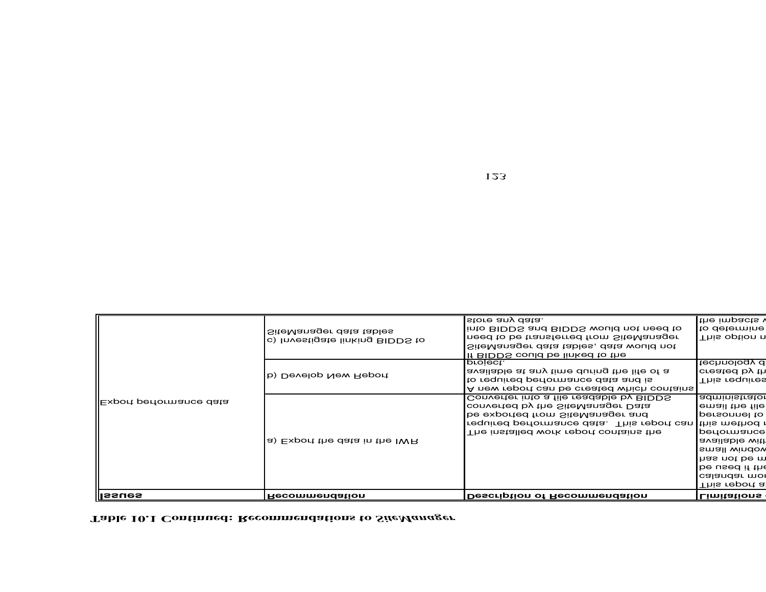| ∥lssues                  | <b>Recommendation</b>           | Description of Recommendation                            | Limitations          |
|--------------------------|---------------------------------|----------------------------------------------------------|----------------------|
|                          |                                 |                                                          | This report al       |
|                          |                                 |                                                          | calandar mor         |
|                          |                                 |                                                          | be used if the       |
|                          |                                 |                                                          | has not be m         |
|                          |                                 |                                                          | small window         |
|                          | a) Export the data in the IWR   |                                                          | available with       |
|                          |                                 | The installed work report contains the                   | performance          |
|                          |                                 | required performance data. This report can this method t |                      |
| ∥Export performance data |                                 | be exported from SiteManager and                         | personnel to         |
|                          |                                 | converted by the SiteManager Data                        | email the file       |
|                          |                                 | Converter into a file readable by BIDDS                  | administrator        |
|                          |                                 | A new report can be created which contains               |                      |
|                          | b) Develop New Report           | to required performance data and is                      | This requires        |
|                          |                                 | available at any time during the life of a               | created by th        |
|                          |                                 | If BIDDS could be linked to the<br>project.              | technology d         |
|                          |                                 | SiteManager data tables, data would not                  |                      |
|                          | c) Investigate linking BIDDS to | need to be transferred from SiteManager                  | This option n        |
|                          | SiteManager data tables         | into BIDDS and BIDDS would not need to                   | to determinel        |
|                          |                                 | store any data.                                          | the impacts <b>v</b> |

## **Table 10.1 Continued: Recommendations to** *SiteManager*

123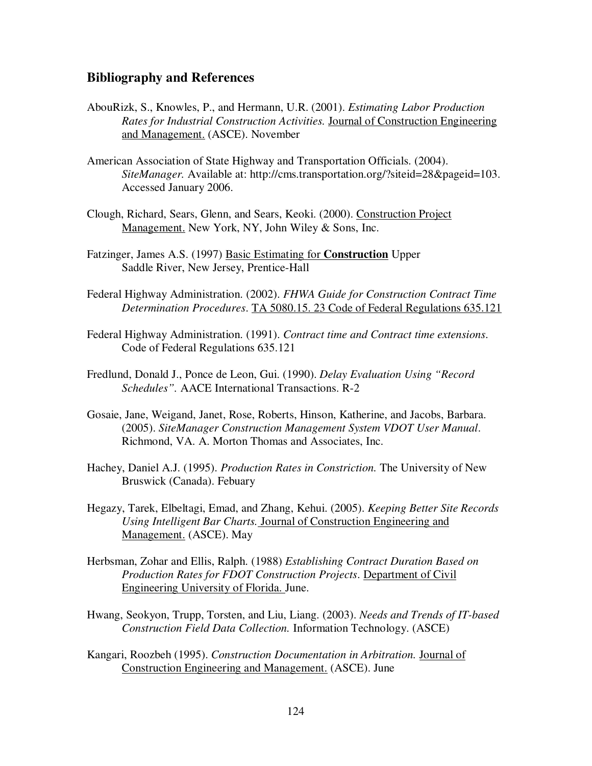## **Bibliography and References**

- AbouRizk, S., Knowles, P., and Hermann, U.R. (2001). *Estimating Labor Production Rates for Industrial Construction Activities.* Journal of Construction Engineering and Management. (ASCE). November
- American Association of State Highway and Transportation Officials. (2004). *SiteManager.* Available at: http://cms.transportation.org/?siteid=28&pageid=103. Accessed January 2006.
- Clough, Richard, Sears, Glenn, and Sears, Keoki. (2000). Construction Project Management. New York, NY, John Wiley & Sons, Inc.
- Fatzinger, James A.S. (1997) Basic Estimating for **Construction** Upper Saddle River, New Jersey, Prentice-Hall
- Federal Highway Administration. (2002). *FHWA Guide for Construction Contract Time Determination Procedures*. TA 5080.15. 23 Code of Federal Regulations 635.121
- Federal Highway Administration. (1991). *Contract time and Contract time extensions*. Code of Federal Regulations 635.121
- Fredlund, Donald J., Ponce de Leon, Gui. (1990). *Delay Evaluation Using "Record Schedules".* AACE International Transactions. R-2
- Gosaie, Jane, Weigand, Janet, Rose, Roberts, Hinson, Katherine, and Jacobs, Barbara. (2005). *SiteManager Construction Management System VDOT User Manual*. Richmond, VA. A. Morton Thomas and Associates, Inc.
- Hachey, Daniel A.J. (1995). *Production Rates in Constriction.* The University of New Bruswick (Canada). Febuary
- Hegazy, Tarek, Elbeltagi, Emad, and Zhang, Kehui. (2005). *Keeping Better Site Records Using Intelligent Bar Charts.* Journal of Construction Engineering and Management. (ASCE). May
- Herbsman, Zohar and Ellis, Ralph. (1988) *Establishing Contract Duration Based on Production Rates for FDOT Construction Projects*. Department of Civil Engineering University of Florida. June.
- Hwang, Seokyon, Trupp, Torsten, and Liu, Liang. (2003). *Needs and Trends of IT-based Construction Field Data Collection.* Information Technology. (ASCE)
- Kangari, Roozbeh (1995). *Construction Documentation in Arbitration.* Journal of Construction Engineering and Management. (ASCE). June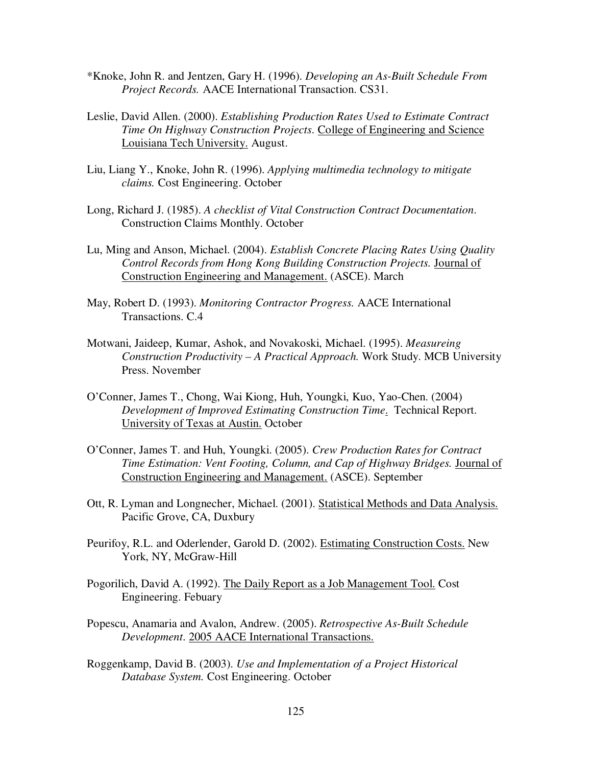- \*Knoke, John R. and Jentzen, Gary H. (1996). *Developing an As-Built Schedule From Project Records.* AACE International Transaction. CS31.
- Leslie, David Allen. (2000). *Establishing Production Rates Used to Estimate Contract Time On Highway Construction Projects*. College of Engineering and Science Louisiana Tech University. August.
- Liu, Liang Y., Knoke, John R. (1996). *Applying multimedia technology to mitigate claims.* Cost Engineering. October
- Long, Richard J. (1985). *A checklist of Vital Construction Contract Documentation*. Construction Claims Monthly. October
- Lu, Ming and Anson, Michael. (2004). *Establish Concrete Placing Rates Using Quality Control Records from Hong Kong Building Construction Projects.* Journal of Construction Engineering and Management. (ASCE). March
- May, Robert D. (1993). *Monitoring Contractor Progress.* AACE International Transactions. C.4
- Motwani, Jaideep, Kumar, Ashok, and Novakoski, Michael. (1995). *Measureing Construction Productivity – A Practical Approach.* Work Study. MCB University Press. November
- O'Conner, James T., Chong, Wai Kiong, Huh, Youngki, Kuo, Yao-Chen. (2004) *Development of Improved Estimating Construction Time*. Technical Report. University of Texas at Austin. October
- O'Conner, James T. and Huh, Youngki. (2005). *Crew Production Rates for Contract Time Estimation: Vent Footing, Column, and Cap of Highway Bridges.* Journal of Construction Engineering and Management. (ASCE). September
- Ott, R. Lyman and Longnecher, Michael. (2001). Statistical Methods and Data Analysis. Pacific Grove, CA, Duxbury
- Peurifoy, R.L. and Oderlender, Garold D. (2002). Estimating Construction Costs. New York, NY, McGraw-Hill
- Pogorilich, David A. (1992). The Daily Report as a Job Management Tool. Cost Engineering. Febuary
- Popescu, Anamaria and Avalon, Andrew. (2005). *Retrospective As-Built Schedule Development*. 2005 AACE International Transactions.
- Roggenkamp, David B. (2003). *Use and Implementation of a Project Historical Database System.* Cost Engineering. October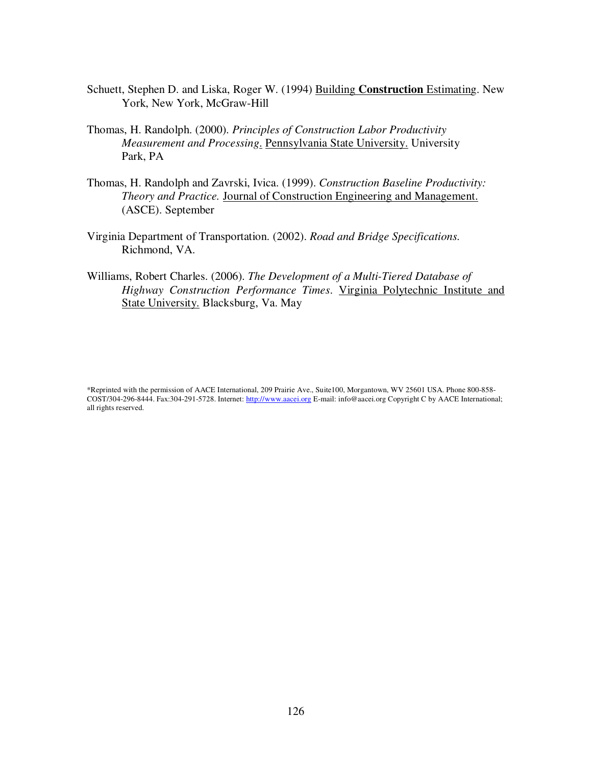- Schuett, Stephen D. and Liska, Roger W. (1994) Building **Construction** Estimating. New York, New York, McGraw-Hill
- Thomas, H. Randolph. (2000). *Principles of Construction Labor Productivity Measurement and Processing*. Pennsylvania State University. University Park, PA
- Thomas, H. Randolph and Zavrski, Ivica. (1999). *Construction Baseline Productivity: Theory and Practice.* Journal of Construction Engineering and Management. (ASCE). September
- Virginia Department of Transportation. (2002). *Road and Bridge Specifications*. Richmond, VA.
- Williams, Robert Charles. (2006). *The Development of a Multi-Tiered Database of Highway Construction Performance Times*. Virginia Polytechnic Institute and State University. Blacksburg, Va. May

<sup>\*</sup>Reprinted with the permission of AACE International, 209 Prairie Ave., Suite100, Morgantown, WV 25601 USA. Phone 800-858- COST/304-296-8444. Fax:304-291-5728. Internet: http://www.aacei.org E-mail: info@aacei.org Copyright C by AACE International; all rights reserved.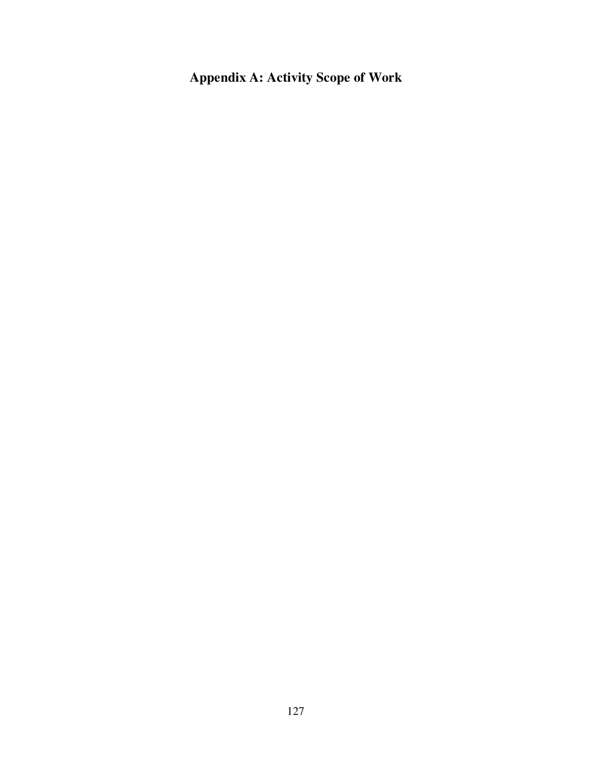**Appendix A: Activity Scope of Work**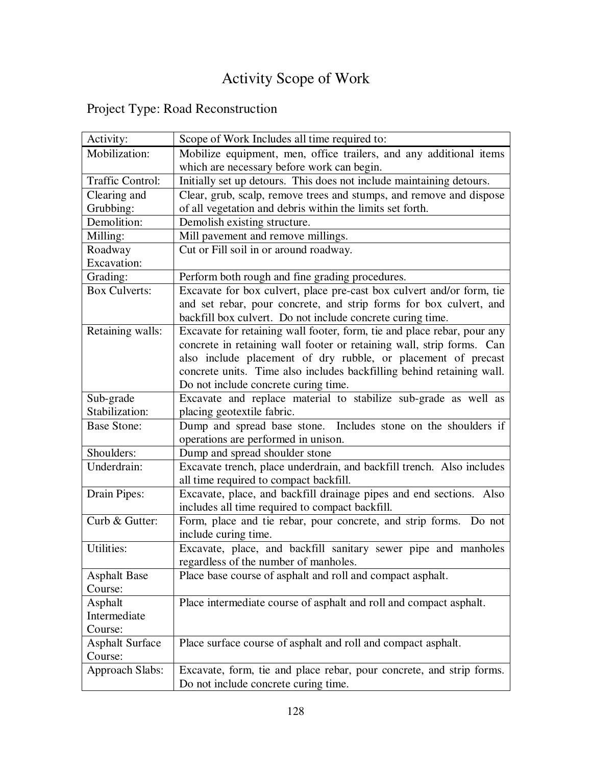# Activity Scope of Work

|  | Project Type: Road Reconstruction |
|--|-----------------------------------|
|--|-----------------------------------|

| Activity:               | Scope of Work Includes all time required to:                            |
|-------------------------|-------------------------------------------------------------------------|
| Mobilization:           | Mobilize equipment, men, office trailers, and any additional items      |
|                         | which are necessary before work can begin.                              |
| <b>Traffic Control:</b> | Initially set up detours. This does not include maintaining detours.    |
| Clearing and            | Clear, grub, scalp, remove trees and stumps, and remove and dispose     |
| Grubbing:               | of all vegetation and debris within the limits set forth.               |
| Demolition:             | Demolish existing structure.                                            |
| Milling:                | Mill pavement and remove millings.                                      |
| Roadway                 | Cut or Fill soil in or around roadway.                                  |
| <b>Excavation:</b>      |                                                                         |
| Grading:                | Perform both rough and fine grading procedures.                         |
| <b>Box Culverts:</b>    | Excavate for box culvert, place pre-cast box culvert and/or form, tie   |
|                         | and set rebar, pour concrete, and strip forms for box culvert, and      |
|                         | backfill box culvert. Do not include concrete curing time.              |
| Retaining walls:        | Excavate for retaining wall footer, form, tie and place rebar, pour any |
|                         | concrete in retaining wall footer or retaining wall, strip forms. Can   |
|                         | also include placement of dry rubble, or placement of precast           |
|                         | concrete units. Time also includes backfilling behind retaining wall.   |
|                         | Do not include concrete curing time.                                    |
| Sub-grade               | Excavate and replace material to stabilize sub-grade as well as         |
| Stabilization:          | placing geotextile fabric.                                              |
| <b>Base Stone:</b>      | Dump and spread base stone. Includes stone on the shoulders if          |
|                         | operations are performed in unison.                                     |
| Shoulders:              | Dump and spread shoulder stone                                          |
| Underdrain:             | Excavate trench, place underdrain, and backfill trench. Also includes   |
|                         | all time required to compact backfill.                                  |
| Drain Pipes:            | Excavate, place, and backfill drainage pipes and end sections. Also     |
|                         | includes all time required to compact backfill.                         |
| Curb & Gutter:          | Form, place and tie rebar, pour concrete, and strip forms. Do not       |
|                         | include curing time.                                                    |
| Utilities:              | Excavate, place, and backfill sanitary sewer pipe and manholes          |
|                         | regardless of the number of manholes.                                   |
| <b>Asphalt Base</b>     | Place base course of asphalt and roll and compact asphalt.              |
| Course:                 |                                                                         |
| Asphalt                 | Place intermediate course of asphalt and roll and compact asphalt.      |
| Intermediate            |                                                                         |
| Course:                 |                                                                         |
| <b>Asphalt Surface</b>  | Place surface course of asphalt and roll and compact asphalt.           |
| Course:                 |                                                                         |
| <b>Approach Slabs:</b>  | Excavate, form, tie and place rebar, pour concrete, and strip forms.    |
|                         | Do not include concrete curing time.                                    |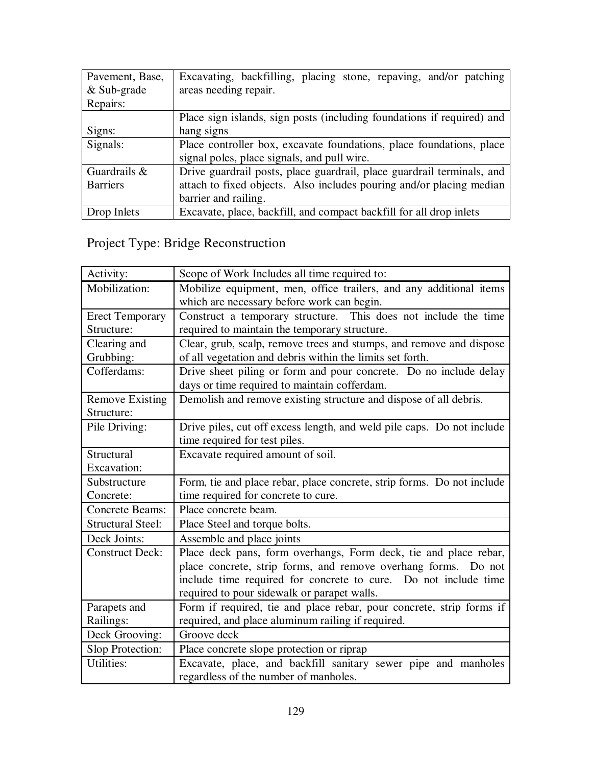| Pavement, Base, | Excavating, backfilling, placing stone, repaving, and/or patching      |  |  |  |  |  |  |  |  |  |  |  |
|-----------------|------------------------------------------------------------------------|--|--|--|--|--|--|--|--|--|--|--|
| $&$ Sub-grade   | areas needing repair.                                                  |  |  |  |  |  |  |  |  |  |  |  |
| Repairs:        |                                                                        |  |  |  |  |  |  |  |  |  |  |  |
|                 | Place sign islands, sign posts (including foundations if required) and |  |  |  |  |  |  |  |  |  |  |  |
| Signs:          | hang signs                                                             |  |  |  |  |  |  |  |  |  |  |  |
| Signals:        | Place controller box, excavate foundations, place foundations, place   |  |  |  |  |  |  |  |  |  |  |  |
|                 | signal poles, place signals, and pull wire.                            |  |  |  |  |  |  |  |  |  |  |  |
| Guardrails &    | Drive guardrail posts, place guardrail, place guardrail terminals, and |  |  |  |  |  |  |  |  |  |  |  |
| <b>Barriers</b> | attach to fixed objects. Also includes pouring and/or placing median   |  |  |  |  |  |  |  |  |  |  |  |
|                 | barrier and railing.                                                   |  |  |  |  |  |  |  |  |  |  |  |
| Drop Inlets     | Excavate, place, backfill, and compact backfill for all drop inlets    |  |  |  |  |  |  |  |  |  |  |  |

# Project Type: Bridge Reconstruction

| Activity:                | Scope of Work Includes all time required to:                           |
|--------------------------|------------------------------------------------------------------------|
| Mobilization:            | Mobilize equipment, men, office trailers, and any additional items     |
|                          | which are necessary before work can begin.                             |
| <b>Erect Temporary</b>   | Construct a temporary structure. This does not include the time        |
| Structure:               | required to maintain the temporary structure.                          |
| Clearing and             | Clear, grub, scalp, remove trees and stumps, and remove and dispose    |
| Grubbing:                | of all vegetation and debris within the limits set forth.              |
| Cofferdams:              | Drive sheet piling or form and pour concrete. Do no include delay      |
|                          | days or time required to maintain cofferdam.                           |
| <b>Remove Existing</b>   | Demolish and remove existing structure and dispose of all debris.      |
| Structure:               |                                                                        |
| Pile Driving:            | Drive piles, cut off excess length, and weld pile caps. Do not include |
|                          | time required for test piles.                                          |
| Structural               | Excavate required amount of soil.                                      |
| <b>Excavation:</b>       |                                                                        |
| Substructure             | Form, tie and place rebar, place concrete, strip forms. Do not include |
| Concrete:                | time required for concrete to cure.                                    |
| <b>Concrete Beams:</b>   | Place concrete beam.                                                   |
| <b>Structural Steel:</b> | Place Steel and torque bolts.                                          |
| Deck Joints:             | Assemble and place joints                                              |
| <b>Construct Deck:</b>   | Place deck pans, form overhangs, Form deck, tie and place rebar,       |
|                          | place concrete, strip forms, and remove overhang forms. Do not         |
|                          | include time required for concrete to cure. Do not include time        |
|                          | required to pour sidewalk or parapet walls.                            |
| Parapets and             | Form if required, tie and place rebar, pour concrete, strip forms if   |
| Railings:                | required, and place aluminum railing if required.                      |
| Deck Grooving:           | Groove deck                                                            |
| Slop Protection:         | Place concrete slope protection or riprap                              |
| <b>Utilities:</b>        | Excavate, place, and backfill sanitary sewer pipe and manholes         |
|                          | regardless of the number of manholes.                                  |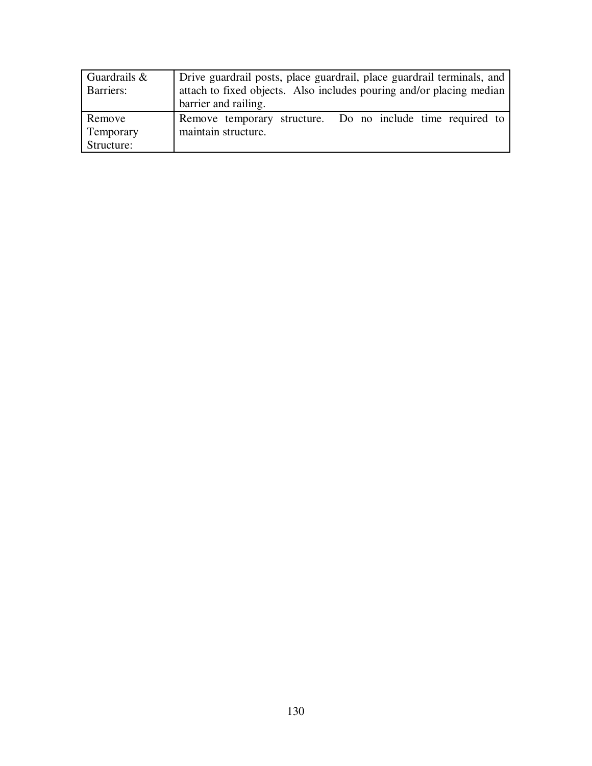| Guardrails $\&$<br>Barriers:      | Drive guardrail posts, place guardrail, place guardrail terminals, and<br>attach to fixed objects. Also includes pouring and/or placing median<br>barrier and railing. |  |  |  |  |  |  |  |  |  |
|-----------------------------------|------------------------------------------------------------------------------------------------------------------------------------------------------------------------|--|--|--|--|--|--|--|--|--|
| Remove<br>Temporary<br>Structure: | Remove temporary structure. Do no include time required to<br>maintain structure.                                                                                      |  |  |  |  |  |  |  |  |  |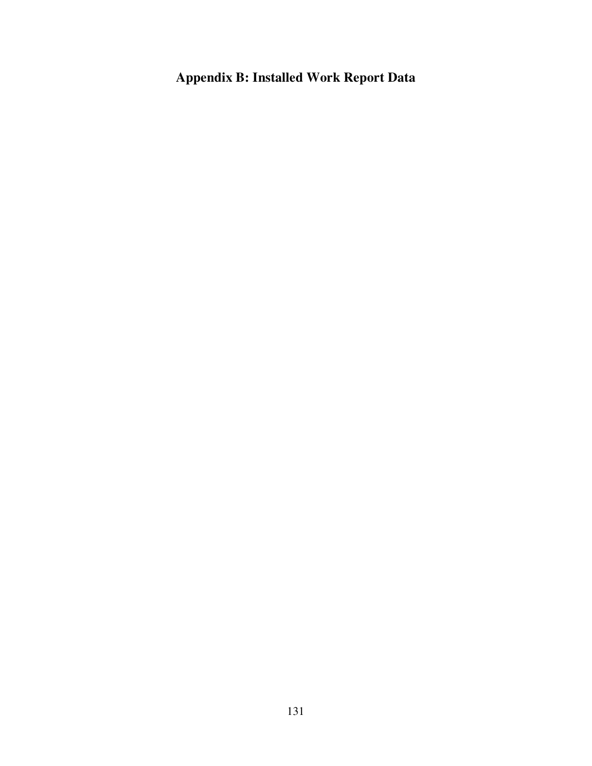## **Appendix B: Installed Work Report Data**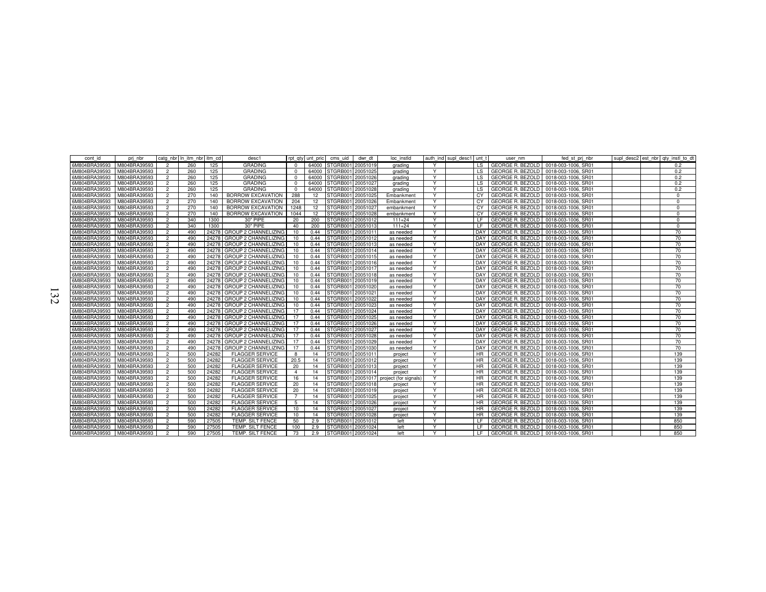| cont id       | pri nbr      |                | cato nbr In itm nbr itm cd |       | desc1                       |                  |       | rot aty unt pric cms uid dwr dt         | loc instld |   | auth ind supl desc1 unt t |           | user nm                                    | fed st pri nbr      |  | supl desc2 est nbr atv instl to dt |
|---------------|--------------|----------------|----------------------------|-------|-----------------------------|------------------|-------|-----------------------------------------|------------|---|---------------------------|-----------|--------------------------------------------|---------------------|--|------------------------------------|
| 6M804BRA39593 | M804BRA39593 | 2              | 260                        | 125   | <b>GRADING</b>              | $\Omega$         |       | 64000 STGRB001 20051019                 | grading    | Y |                           |           | LS GEORGE R. BEZOLD 0018-003-1006, SR01    |                     |  | 0.2                                |
| 6M804BRA39593 | M804BRA39593 | $\overline{2}$ | 260                        | 125   | <b>GRADING</b>              | $^{\circ}$       | 64000 | STGRB001 20051025                       | grading    | Y |                           | LS -      | GEORGE R. BEZOLD   0018-003-1006, SR01     |                     |  | 0.2                                |
| 6M804BRA39593 | M804BRA39593 | $\overline{2}$ | 260                        | 125   | <b>GRADING</b>              | $^{\circ}$       |       | 64000 STGRB001 20051026                 | aradina    | Y |                           |           | LS GEORGE R. BEZOLD 0018-003-1006, SR01    |                     |  | 0.2                                |
| 6M804BRA39593 | M804BRA39593 | $\overline{2}$ | 260                        | 125   | <b>GRADING</b>              | $^{\circ}$       | 64000 | STGRB001 20051027                       | grading    | Y |                           |           | LS GEORGE R. BEZOLD 0018-003-1006, SR01    |                     |  | 0.2                                |
| 6M804BRA39593 | M804BRA39593 | $\overline{2}$ | 260                        | 125   | <b>GRADING</b>              | $^{\circ}$       |       | 64000 STGRB001 20051028                 | grading    | Y |                           |           | LS GEORGE R. BEZOLD                        | 0018-003-1006, SR01 |  | 0.2                                |
| 6M804BRA39593 | M804BRA39593 | $\overline{2}$ | 270                        | 140   | <b>BORROW EXCAVATION</b>    | 288              | 12    | STGRB001 20051025                       | Embankment | Y |                           |           | CY GEORGE R. BEZOLD   0018-003-1006, SR01  |                     |  | $\Omega$                           |
| 6M804BRA39593 | M804BRA39593 |                | 270                        | 140   | <b>BORROW EXCAVATION</b>    | 204              | 12    | STGRB001 20051026                       | Embankment | Y |                           | CY        | <b>GEORGE R. BEZOLD</b>                    | 0018-003-1006, SR01 |  | $\Omega$                           |
| 6M804BRA39593 | M804BRA39593 | $\overline{2}$ | 270                        | 140   | <b>BORROW EXCAVATION</b>    | 1248             | 12    | STGRB001 20051027                       | embankment | Y |                           | CY .      | <b>GEORGE R. BEZOLD</b>                    | 0018-003-1006, SR01 |  | - 0                                |
| 6M804BRA39593 | M804BRA39593 | $\overline{2}$ | 270                        | 140   | <b>BORROW EXCAVATION</b>    | 1044             | 12    | STGRB001 20051028                       | embankment | Y |                           |           | CY GEORGE R. BEZOLD                        | 0018-003-1006, SR01 |  | $\Omega$                           |
| 6M804BRA39593 | M804BRA39593 | $\overline{2}$ | 340                        | 1300  | 30" PIPE                    | 20               | 200   | STGRB001 20051012                       | $111+24$   | Y |                           | LE.       | <b>GEORGE R. BEZOLD</b>                    | 0018-003-1006, SR01 |  | $\Omega$                           |
| 6M804BRA39593 | M804BRA39593 | $\overline{2}$ | 340                        | 1300  | 30" PIPE                    | 40               | 200   | STGRB001 2005101                        | $111+24$   | Y |                           | LE.       | <b>GEORGE R. BEZOLD</b>                    | 0018-003-1006, SR01 |  | $\Omega$                           |
| 6M804BRA39593 | M804BRA39593 | $\overline{2}$ | 490                        | 24278 | <b>GROUP 2 CHANNELIZING</b> | 10               | 0.44  | STGRB001 2005101                        | as needed  | Y |                           |           | DAY GEORGE R. BEZOLD                       | 0018-003-1006, SR01 |  | 70                                 |
| 6M804BRA39593 | M804BRA39593 | $\overline{2}$ | 490                        | 24278 | <b>GROUP 2 CHANNELIZING</b> | 10               | 0.44  | STGRB001 20051012                       | as needed  | Y |                           |           | DAY GEORGE R. BEZOLD 0018-003-1006, SR01   |                     |  | 70                                 |
| 6M804BRA39593 | M804BRA39593 | $\overline{2}$ | 490                        | 24278 | <b>GROUP 2 CHANNELIZING</b> | 10               | 0.44  | STGRB001 20051013                       | as needed  | Y |                           |           | DAY GEORGE R. BEZOLD 0018-003-1006, SR01   |                     |  | 70                                 |
| 6M804BRA39593 | M804BRA39593 | $\overline{2}$ | 490                        | 24278 | <b>GROUP 2 CHANNELIZING</b> | $10^{-1}$        | 0.44  | STGRB001 20051014                       | as needed  | Y |                           |           | DAY GEORGE R. BEZOLD                       | 0018-003-1006, SR01 |  | 70                                 |
| 6M804BRA39593 | M804BRA39593 | $\overline{2}$ | 490                        | 24278 | <b>GROUP 2 CHANNELIZING</b> | 10               | 0.44  | STGRB001 20051015                       | as needed  | Y |                           |           | DAY GEORGE R. BEZOLD                       | 0018-003-1006, SR01 |  | 70                                 |
| 6M804BRA39593 | M804BRA39593 | $\overline{2}$ | 490                        | 24278 | <b>GROUP 2 CHANNELIZING</b> | 10               | 0.44  | STGRB001 20051016                       | as needed  | Y |                           |           | DAY GEORGE R. BEZOLD 0018-003-1006, SR01   |                     |  | 70                                 |
| 6M804BRA39593 | M804BRA39593 | $\overline{2}$ | 490                        | 24278 | <b>GROUP 2 CHANNELIZING</b> | 10               | 0.44  | STGRB001 20051017                       | as needed  | Y |                           |           | DAY GEORGE R. BEZOLD 0018-003-1006, SR01   |                     |  | 70                                 |
| 6M804BRA39593 | M804BRA39593 | $\overline{2}$ | 490                        | 24278 | <b>GROUP 2 CHANNELIZING</b> | 10               | 0.44  | STGRB001 20051018                       | as needed  | Y |                           |           | DAY GEORGE R. BEZOLD 0018-003-1006, SR01   |                     |  | 70                                 |
| 6M804BRA39593 | M804BRA39593 |                | 490                        | 24278 | <b>GROUP 2 CHANNELIZING</b> | 10               | 0.44  | STGRB001 20051019                       | as needed  | Y |                           |           | DAY GEORGE R. BEZOLD                       | 0018-003-1006, SR01 |  | 70                                 |
| 6M804BRA39593 | M804BRA39593 | $\overline{2}$ | 490                        | 24278 | <b>GROUP 2 CHANNELIZING</b> | 10 <sup>10</sup> | 0.44  | STGRB001 2005102                        | as needed  | Y |                           |           | DAY GEORGE R. BEZOLD                       | 0018-003-1006, SR01 |  | 70                                 |
| 6M804BRA39593 | M804BRA39593 | $\overline{2}$ | 490                        | 24278 | <b>GROUP 2 CHANNELIZING</b> | 10               | 0.44  | STGRB001 20051021                       | as needed  | Y |                           |           | DAY GEORGE R. BEZOLD                       | 0018-003-1006, SR01 |  | 70                                 |
| 6M804BRA39593 | M804BRA39593 | $\overline{2}$ | 490                        | 24278 | <b>GROUP 2 CHANNELIZING</b> | 10               | 0.44  | STGRB001 20051022                       | as needed  | Y |                           |           | DAY GEORGE R. BEZOLD                       | 0018-003-1006, SR01 |  | 70                                 |
| 6M804BRA39593 | M804BRA39593 | $\overline{2}$ | 490                        | 24278 | <b>GROUP 2 CHANNELIZING</b> | 10               | 0.44  | STGRB001 20051023                       | as needed  | Y |                           |           | DAY GEORGE R. BEZOLD                       | 0018-003-1006, SR01 |  | 70                                 |
| 6M804BRA39593 | M804BRA39593 | $\overline{2}$ | 490                        | 24278 | <b>GROUP 2 CHANNELIZING</b> | 17               | 0.44  | STGRB001 20051024                       | as needed  | Y |                           |           | DAY GEORGE R. BEZOLD                       | 0018-003-1006, SR01 |  | 70                                 |
| 6M804BRA39593 | M804BRA39593 | $\overline{2}$ | 490                        | 24278 | <b>GROUP 2 CHANNELIZING</b> | 17               | 0.44  | STGRB001 20051025                       | as needed  | Y |                           |           | DAY GEORGE R. BEZOLD                       | 0018-003-1006, SR01 |  | 70                                 |
| 6M804BRA39593 | M804BRA39593 | $\overline{2}$ | 490                        | 24278 | <b>GROUP 2 CHANNELIZING</b> | 17               | 0.44  | STGRB001 20051026                       | as needed  | Y |                           |           | DAY GEORGE R. BEZOLD 0018-003-1006, SR01   |                     |  | 70                                 |
| 6M804BRA39593 | M804BRA39593 |                | 490                        | 24278 | <b>GROUP 2 CHANNELIZING</b> | 17               | 0.44  | STGRB001 20051027                       | as needed  | Y |                           |           | DAY GEORGE R. BEZOLD                       | 0018-003-1006, SR01 |  | 70                                 |
| 6M804BRA39593 | M804BRA39593 | $\overline{2}$ | 490                        | 24278 | <b>GROUP 2 CHANNELIZING</b> | 17               | 0.44  | STGRB001 20051028                       | as needed  | Y |                           |           | DAY GEORGE R. BEZOLD   0018-003-1006. SR01 |                     |  | 70                                 |
| 6M804BRA39593 | M804BRA39593 | $\overline{2}$ | 490                        | 24278 | <b>GROUP 2 CHANNELIZING</b> | 17               | 0.44  | STGRB001 20051029                       | as needed  | Y |                           |           | DAY GEORGE R. BEZOLD 0018-003-1006, SR01   |                     |  | 70                                 |
| 6M804BRA39593 | M804BRA39593 | $\overline{2}$ | 490                        | 24278 | <b>GROUP 2 CHANNELIZING</b> | 17               | 0.44  | STGRB001 20051030                       | as needed  | Y |                           |           | DAY GEORGE R. BEZOLD                       | 0018-003-1006, SR01 |  | 70                                 |
| 6M804BRA39593 | M804BRA39593 | $\overline{2}$ | 500                        | 24282 | <b>FLAGGER SERVICE</b>      | 8                | 14    | STGRB001 20051011                       | project    | Y |                           |           | HR GEORGE R. BEZOLD                        | 0018-003-1006, SR01 |  | 139                                |
| 6M804BRA39593 | M804BRA39593 | $\overline{2}$ | 500                        | 24282 | <b>FLAGGER SERVICE</b>      | 20.5             | 14    | STGRB001 20051012                       | project    | Y |                           | HR.       | <b>GEORGE R. BEZOLD</b>                    | 0018-003-1006, SR01 |  | 139                                |
| 6M804BRA39593 | M804BRA39593 | $\overline{2}$ | 500                        | 24282 | <b>FLAGGER SERVICE</b>      | 20               | 14    | STGRB001 20051013                       | project    | Y |                           | HR.       | <b>GEORGE R. BEZOLD</b>                    | 0018-003-1006, SR01 |  | 139                                |
| 6M804BRA39593 | M804BRA39593 | $\overline{2}$ | 500                        | 24282 | <b>FLAGGER SERVICE</b>      | $\overline{4}$   | 14    | STGRB001 20051014                       | project    | Y |                           |           | HR GEORGE R. BEZOLD                        | 0018-003-1006, SR01 |  | 139                                |
| 6M804BRA39593 | M804BRA39593 | $\overline{2}$ | 500                        | 24282 | <b>FLAGGER SERVICE</b>      | 16               | 14    | STGRB001 20051017 project (for signals) |            | Y |                           |           | HR GEORGE R. BEZOLD                        | 0018-003-1006, SR01 |  | 139                                |
| 6M804BRA39593 | M804BRA39593 | $\overline{2}$ | 500                        | 24282 | <b>FLAGGER SERVICE</b>      | 20               | 14    | STGRB001 2005101                        | project    | Y |                           | HR.       | GEORGE R. BEZOLD                           | 0018-003-1006, SR01 |  | 139                                |
| 6M804BRA39593 | M804BRA39593 | $\overline{2}$ | 500                        | 24282 | <b>FLAGGER SERVICE</b>      | 20               | 14    | STGRB001 20051019                       | project    | Y |                           | <b>HR</b> | <b>GEORGE R. BEZOLD</b>                    | 0018-003-1006, SR01 |  | 139                                |
| 6M804BRA39593 | M804BRA39593 | $\overline{2}$ | 500                        | 24282 | <b>FLAGGER SERVICE</b>      |                  | 14    | STGRB001 20051025                       | project    | Y |                           | <b>HR</b> | <b>GEORGE R. BEZOLD</b>                    | 0018-003-1006, SR01 |  | 139                                |
| 6M804BRA39593 | M804BRA39593 | $\overline{2}$ | 500                        | 24282 | <b>FLAGGER SERVICE</b>      | 5                | 14    | STGRB001 20051026                       | project    | Y |                           |           | HR GEORGE R. BEZOLD                        | 0018-003-1006, SR01 |  | 139                                |
| 6M804BRA39593 | M804BRA39593 |                | 500                        | 24282 | <b>FLAGGER SERVICE</b>      | 10               | 14    | STGRB001 20051027                       | project    | Y |                           | HR.       | <b>GEORGE R. BEZOLD</b>                    | 0018-003-1006, SR01 |  | 139                                |
| 6M804BRA39593 | M804BRA39593 | $\overline{2}$ | 500                        | 24282 | <b>FLAGGER SERVICE</b>      | 10               | 14    | STGRB001 20051028                       | project    | Y |                           | <b>HR</b> | <b>GEORGE R. BEZOLD</b>                    | 0018-003-1006, SR01 |  | 139                                |
| 6M804BRA39593 | M804BRA39593 | $\overline{2}$ | 590                        | 27505 | TEMP. SILT FENCE            | 50               | 2.9   | STGRB001 20051012                       | left       | Y |                           |           | LF GEORGE R. BEZOLD                        | 0018-003-1006, SR01 |  | 850                                |
| 6M804BRA39593 | M804BRA39593 | $\overline{2}$ | 590                        | 27505 | TEMP. SILT FENCE            | 100              | 2.9   | STGRB001 20051024                       | left       | Y |                           |           | LF GEORGE R. BEZOLD 0018-003-1006. SR01    |                     |  | 850                                |
| 6M804BRA39593 | M804BRA39593 | $\overline{2}$ | 590                        | 27505 | TEMP. SILT FENCE            | 73               | 2.9   | STGRB001 20051024                       | left       | Y |                           |           | LF GEORGE R. BEZOLD 0018-003-1006. SR01    |                     |  | 850                                |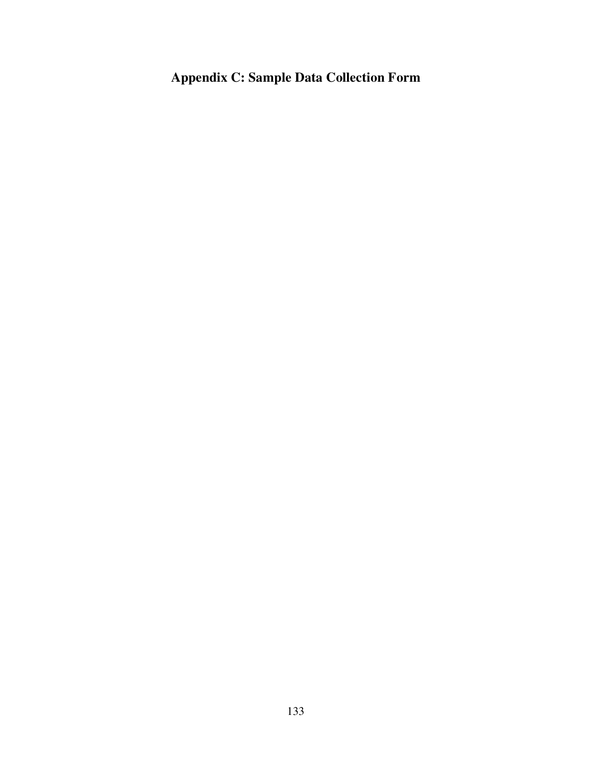# **Appendix C: Sample Data Collection Form**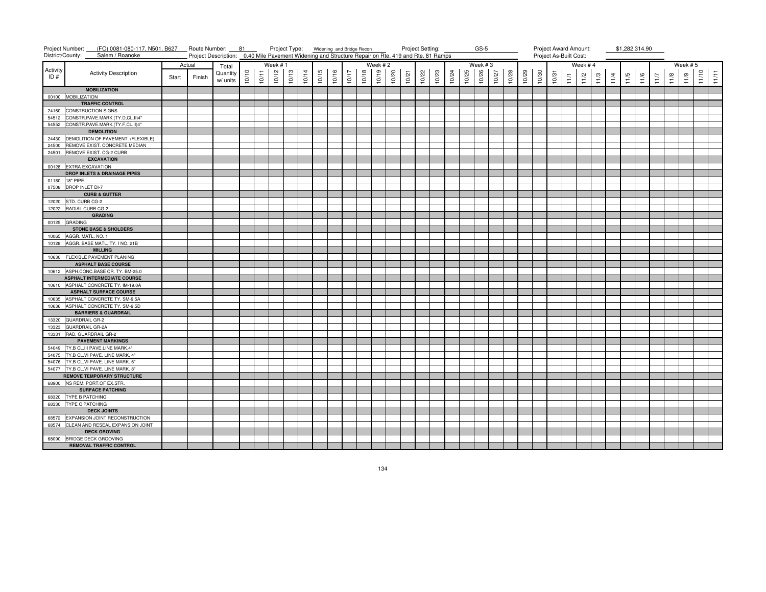|                 | Project Number:<br>(FO) 0081-080-117, N501, B627 Route Number: 81<br>District/County:<br>Salem / Roanoke |       |        | Project Description: 0.40 Mile Pavement Widening and Structure Repair on Rte. 419 and Rte. 81 Ramps |       |       | Project Type: Widening and Bridge Recon |       |       |       |       |       |       |         |       | Project Setting: |       |       |       |       | $GS-5$  |       |       |       |       | Project Award Amount:<br>Project As-Built Cost: |        |         |      |      | \$1,282,314.90 |      |               |      |            |       |       |
|-----------------|----------------------------------------------------------------------------------------------------------|-------|--------|-----------------------------------------------------------------------------------------------------|-------|-------|-----------------------------------------|-------|-------|-------|-------|-------|-------|---------|-------|------------------|-------|-------|-------|-------|---------|-------|-------|-------|-------|-------------------------------------------------|--------|---------|------|------|----------------|------|---------------|------|------------|-------|-------|
|                 |                                                                                                          |       | Actual | Total                                                                                               |       |       | Week #1                                 |       |       |       |       |       |       | Week #2 |       |                  |       |       |       |       | Week #3 |       |       |       |       |                                                 |        | Week #4 |      |      |                |      |               |      | Week $# 5$ |       |       |
| Activity<br>ID# | <b>Activity Description</b>                                                                              | Start | Finish | Quantity<br>w/ units                                                                                | 10/10 | 10/11 | 10/12                                   | 10/13 | 10/14 | 10/15 | 10/16 | 10/17 | 10/18 | 10/19   | 10/20 | 10/21            | 10/22 | 10/23 | 10/24 | 10/25 | 10/26   | 10/27 | 10/28 | 10/29 | 10/30 | 10/31                                           | $11/1$ | 11/2    | 11/3 | 11/4 | 11/5           | 11/6 | $\frac{1}{2}$ | 11/8 | 11/9       | 11/10 | 11/11 |
|                 | <b>MOBILIZATION</b>                                                                                      |       |        |                                                                                                     |       |       |                                         |       |       |       |       |       |       |         |       |                  |       |       |       |       |         |       |       |       |       |                                                 |        |         |      |      |                |      |               |      |            |       |       |
|                 | 00100 MOBILIZATION                                                                                       |       |        |                                                                                                     |       |       |                                         |       |       |       |       |       |       |         |       |                  |       |       |       |       |         |       |       |       |       |                                                 |        |         |      |      |                |      |               |      |            |       |       |
|                 | <b>TRAFFIC CONTROL</b>                                                                                   |       |        |                                                                                                     |       |       |                                         |       |       |       |       |       |       |         |       |                  |       |       |       |       |         |       |       |       |       |                                                 |        |         |      |      |                |      |               |      |            |       |       |
| 24160           | <b>CONSTRUCTION SIGNS</b>                                                                                |       |        |                                                                                                     |       |       |                                         |       |       |       |       |       |       |         |       |                  |       |       |       |       |         |       |       |       |       |                                                 |        |         |      |      |                |      |               |      |            |       |       |
| 54512           | CONSTR.PAVE.MARK.(TY.D,CL.II)4"                                                                          |       |        |                                                                                                     |       |       |                                         |       |       |       |       |       |       |         |       |                  |       |       |       |       |         |       |       |       |       |                                                 |        |         |      |      |                |      |               |      |            |       |       |
| 54552           | CONSTR.PAVE.MARK.(TY.F,CL.II)4"                                                                          |       |        |                                                                                                     |       |       |                                         |       |       |       |       |       |       |         |       |                  |       |       |       |       |         |       |       |       |       |                                                 |        |         |      |      |                |      |               |      |            |       |       |
|                 | <b>DEMOLITION</b>                                                                                        |       |        |                                                                                                     |       |       |                                         |       |       |       |       |       |       |         |       |                  |       |       |       |       |         |       |       |       |       |                                                 |        |         |      |      |                |      |               |      |            |       |       |
| 24430           | DEMOLITION OF PAVEMENT (FLEXIBLE)                                                                        |       |        |                                                                                                     |       |       |                                         |       |       |       |       |       |       |         |       |                  |       |       |       |       |         |       |       |       |       |                                                 |        |         |      |      |                |      |               |      |            |       |       |
| 24500           | REMOVE EXIST. CONCRETE MEDIAN                                                                            |       |        |                                                                                                     |       |       |                                         |       |       |       |       |       |       |         |       |                  |       |       |       |       |         |       |       |       |       |                                                 |        |         |      |      |                |      |               |      |            |       |       |
| 24501           | REMOVE EXIST. CG-2 CURB                                                                                  |       |        |                                                                                                     |       |       |                                         |       |       |       |       |       |       |         |       |                  |       |       |       |       |         |       |       |       |       |                                                 |        |         |      |      |                |      |               |      |            |       |       |
|                 | <b>EXCAVATION</b>                                                                                        |       |        |                                                                                                     |       |       |                                         |       |       |       |       |       |       |         |       |                  |       |       |       |       |         |       |       |       |       |                                                 |        |         |      |      |                |      |               |      |            |       |       |
| 00128           | <b>EXTRA EXCAVATION</b>                                                                                  |       |        |                                                                                                     |       |       |                                         |       |       |       |       |       |       |         |       |                  |       |       |       |       |         |       |       |       |       |                                                 |        |         |      |      |                |      |               |      |            |       |       |
|                 | <b>DROP INLETS &amp; DRAINAGE PIPES</b>                                                                  |       |        |                                                                                                     |       |       |                                         |       |       |       |       |       |       |         |       |                  |       |       |       |       |         |       |       |       |       |                                                 |        |         |      |      |                |      |               |      |            |       |       |
| 01180           | 18" PIPE                                                                                                 |       |        |                                                                                                     |       |       |                                         |       |       |       |       |       |       |         |       |                  |       |       |       |       |         |       |       |       |       |                                                 |        |         |      |      |                |      |               |      |            |       |       |
|                 | 07508 DROP INLET DI-7                                                                                    |       |        |                                                                                                     |       |       |                                         |       |       |       |       |       |       |         |       |                  |       |       |       |       |         |       |       |       |       |                                                 |        |         |      |      |                |      |               |      |            |       |       |
|                 | <b>CURB &amp; GUTTER</b>                                                                                 |       |        |                                                                                                     |       |       |                                         |       |       |       |       |       |       |         |       |                  |       |       |       |       |         |       |       |       |       |                                                 |        |         |      |      |                |      |               |      |            |       |       |
| 12020           | STD. CURB CG-2                                                                                           |       |        |                                                                                                     |       |       |                                         |       |       |       |       |       |       |         |       |                  |       |       |       |       |         |       |       |       |       |                                                 |        |         |      |      |                |      |               |      |            |       |       |
| 12022           | RADIAL CURB CG-2                                                                                         |       |        |                                                                                                     |       |       |                                         |       |       |       |       |       |       |         |       |                  |       |       |       |       |         |       |       |       |       |                                                 |        |         |      |      |                |      |               |      |            |       |       |
|                 | <b>GRADING</b>                                                                                           |       |        |                                                                                                     |       |       |                                         |       |       |       |       |       |       |         |       |                  |       |       |       |       |         |       |       |       |       |                                                 |        |         |      |      |                |      |               |      |            |       |       |
|                 | 00125 GRADING                                                                                            |       |        |                                                                                                     |       |       |                                         |       |       |       |       |       |       |         |       |                  |       |       |       |       |         |       |       |       |       |                                                 |        |         |      |      |                |      |               |      |            |       |       |
|                 | <b>STONE BASE &amp; SHOLDERS</b>                                                                         |       |        |                                                                                                     |       |       |                                         |       |       |       |       |       |       |         |       |                  |       |       |       |       |         |       |       |       |       |                                                 |        |         |      |      |                |      |               |      |            |       |       |
| 10065           | AGGR. MATL. NO. 1                                                                                        |       |        |                                                                                                     |       |       |                                         |       |       |       |       |       |       |         |       |                  |       |       |       |       |         |       |       |       |       |                                                 |        |         |      |      |                |      |               |      |            |       |       |
| 10128           | AGGR. BASE MATL. TY. I NO. 21B                                                                           |       |        |                                                                                                     |       |       |                                         |       |       |       |       |       |       |         |       |                  |       |       |       |       |         |       |       |       |       |                                                 |        |         |      |      |                |      |               |      |            |       |       |
|                 | <b>MILLING</b>                                                                                           |       |        |                                                                                                     |       |       |                                         |       |       |       |       |       |       |         |       |                  |       |       |       |       |         |       |       |       |       |                                                 |        |         |      |      |                |      |               |      |            |       |       |
|                 | 10630 FLEXIBLE PAVEMENT PLANING                                                                          |       |        |                                                                                                     |       |       |                                         |       |       |       |       |       |       |         |       |                  |       |       |       |       |         |       |       |       |       |                                                 |        |         |      |      |                |      |               |      |            |       |       |
|                 | <b>ASPHALT BASE COURSE</b>                                                                               |       |        |                                                                                                     |       |       |                                         |       |       |       |       |       |       |         |       |                  |       |       |       |       |         |       |       |       |       |                                                 |        |         |      |      |                |      |               |      |            |       |       |
|                 | 10612 ASPH.CONC.BASE CR. TY, BM-25.0                                                                     |       |        |                                                                                                     |       |       |                                         |       |       |       |       |       |       |         |       |                  |       |       |       |       |         |       |       |       |       |                                                 |        |         |      |      |                |      |               |      |            |       |       |
|                 | <b>ASPHALT INTERMEDIATE COURSE</b>                                                                       |       |        |                                                                                                     |       |       |                                         |       |       |       |       |       |       |         |       |                  |       |       |       |       |         |       |       |       |       |                                                 |        |         |      |      |                |      |               |      |            |       |       |
|                 | 10610 ASPHALT CONCRETE TY. IM-19.0A                                                                      |       |        |                                                                                                     |       |       |                                         |       |       |       |       |       |       |         |       |                  |       |       |       |       |         |       |       |       |       |                                                 |        |         |      |      |                |      |               |      |            |       |       |
|                 | <b>ASPHALT SURFACE COURSE</b>                                                                            |       |        |                                                                                                     |       |       |                                         |       |       |       |       |       |       |         |       |                  |       |       |       |       |         |       |       |       |       |                                                 |        |         |      |      |                |      |               |      |            |       |       |
| 10635           | ASPHALT CONCRETE TY. SM-9.5A                                                                             |       |        |                                                                                                     |       |       |                                         |       |       |       |       |       |       |         |       |                  |       |       |       |       |         |       |       |       |       |                                                 |        |         |      |      |                |      |               |      |            |       |       |
| 10636           | ASPHALT CONCRETE TY. SM-9.5D                                                                             |       |        |                                                                                                     |       |       |                                         |       |       |       |       |       |       |         |       |                  |       |       |       |       |         |       |       |       |       |                                                 |        |         |      |      |                |      |               |      |            |       |       |
|                 | <b>BARRIERS &amp; GUARDRAIL</b>                                                                          |       |        |                                                                                                     |       |       |                                         |       |       |       |       |       |       |         |       |                  |       |       |       |       |         |       |       |       |       |                                                 |        |         |      |      |                |      |               |      |            |       |       |
| 13320           | <b>GUARDRAIL GR-2</b>                                                                                    |       |        |                                                                                                     |       |       |                                         |       |       |       |       |       |       |         |       |                  |       |       |       |       |         |       |       |       |       |                                                 |        |         |      |      |                |      |               |      |            |       |       |
| 13323           | <b>GUARDRAIL GR-2A</b>                                                                                   |       |        |                                                                                                     |       |       |                                         |       |       |       |       |       |       |         |       |                  |       |       |       |       |         |       |       |       |       |                                                 |        |         |      |      |                |      |               |      |            |       |       |
| 13331           | RAD. GUARDRAIL GR-2                                                                                      |       |        |                                                                                                     |       |       |                                         |       |       |       |       |       |       |         |       |                  |       |       |       |       |         |       |       |       |       |                                                 |        |         |      |      |                |      |               |      |            |       |       |
|                 | <b>PAVEMENT MARKINGS</b>                                                                                 |       |        |                                                                                                     |       |       |                                         |       |       |       |       |       |       |         |       |                  |       |       |       |       |         |       |       |       |       |                                                 |        |         |      |      |                |      |               |      |            |       |       |
| 54049           | TY.B CL.III PAVE.LINE MARK.4"                                                                            |       |        |                                                                                                     |       |       |                                         |       |       |       |       |       |       |         |       |                  |       |       |       |       |         |       |       |       |       |                                                 |        |         |      |      |                |      |               |      |            |       |       |
| 54075<br>54076  | TY.B CL.VI PAVE. LINE MARK. 4"<br>TY.B CL.VI PAVE. LINE MARK. 6"                                         |       |        |                                                                                                     |       |       |                                         |       |       |       |       |       |       |         |       |                  |       |       |       |       |         |       |       |       |       |                                                 |        |         |      |      |                |      |               |      |            |       |       |
| 54077           | TY.B CL.VI PAVE. LINE MARK. 8"                                                                           |       |        |                                                                                                     |       |       |                                         |       |       |       |       |       |       |         |       |                  |       |       |       |       |         |       |       |       |       |                                                 |        |         |      |      |                |      |               |      |            |       |       |
|                 |                                                                                                          |       |        |                                                                                                     |       |       |                                         |       |       |       |       |       |       |         |       |                  |       |       |       |       |         |       |       |       |       |                                                 |        |         |      |      |                |      |               |      |            |       |       |
|                 | <b>REMOVE TEMPORARY STRUCTURE</b><br>68900 NS REM. PORT.OF EX.STR.                                       |       |        |                                                                                                     |       |       |                                         |       |       |       |       |       |       |         |       |                  |       |       |       |       |         |       |       |       |       |                                                 |        |         |      |      |                |      |               |      |            |       |       |
|                 | <b>SURFACE PATCHING</b>                                                                                  |       |        |                                                                                                     |       |       |                                         |       |       |       |       |       |       |         |       |                  |       |       |       |       |         |       |       |       |       |                                                 |        |         |      |      |                |      |               |      |            |       |       |
|                 | 68320 TYPE B PATCHING                                                                                    |       |        |                                                                                                     |       |       |                                         |       |       |       |       |       |       |         |       |                  |       |       |       |       |         |       |       |       |       |                                                 |        |         |      |      |                |      |               |      |            |       |       |
|                 | 68330 TYPE C PATCHING                                                                                    |       |        |                                                                                                     |       |       |                                         |       |       |       |       |       |       |         |       |                  |       |       |       |       |         |       |       |       |       |                                                 |        |         |      |      |                |      |               |      |            |       |       |
|                 | <b>DECK JOINTS</b>                                                                                       |       |        |                                                                                                     |       |       |                                         |       |       |       |       |       |       |         |       |                  |       |       |       |       |         |       |       |       |       |                                                 |        |         |      |      |                |      |               |      |            |       |       |
| 68572           | EXPANSION JOINT RECONSTRUCTION                                                                           |       |        |                                                                                                     |       |       |                                         |       |       |       |       |       |       |         |       |                  |       |       |       |       |         |       |       |       |       |                                                 |        |         |      |      |                |      |               |      |            |       |       |
| 68574           | CLEAN AND RESEAL EXPANSION JOINT                                                                         |       |        |                                                                                                     |       |       |                                         |       |       |       |       |       |       |         |       |                  |       |       |       |       |         |       |       |       |       |                                                 |        |         |      |      |                |      |               |      |            |       |       |
|                 | <b>DECK GROVING</b>                                                                                      |       |        |                                                                                                     |       |       |                                         |       |       |       |       |       |       |         |       |                  |       |       |       |       |         |       |       |       |       |                                                 |        |         |      |      |                |      |               |      |            |       |       |
| 68090           | BRIDGE DECK GROOVING                                                                                     |       |        |                                                                                                     |       |       |                                         |       |       |       |       |       |       |         |       |                  |       |       |       |       |         |       |       |       |       |                                                 |        |         |      |      |                |      |               |      |            |       |       |
|                 | <b>REMOVAL TRAFFIC CONTROL</b>                                                                           |       |        |                                                                                                     |       |       |                                         |       |       |       |       |       |       |         |       |                  |       |       |       |       |         |       |       |       |       |                                                 |        |         |      |      |                |      |               |      |            |       |       |
|                 |                                                                                                          |       |        |                                                                                                     |       |       |                                         |       |       |       |       |       |       |         |       |                  |       |       |       |       |         |       |       |       |       |                                                 |        |         |      |      |                |      |               |      |            |       |       |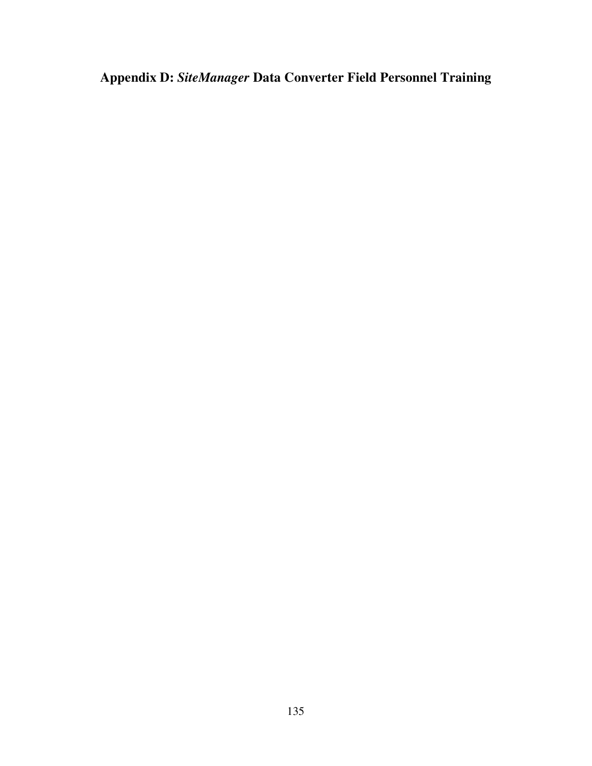**Appendix D:** *SiteManager* **Data Converter Field Personnel Training**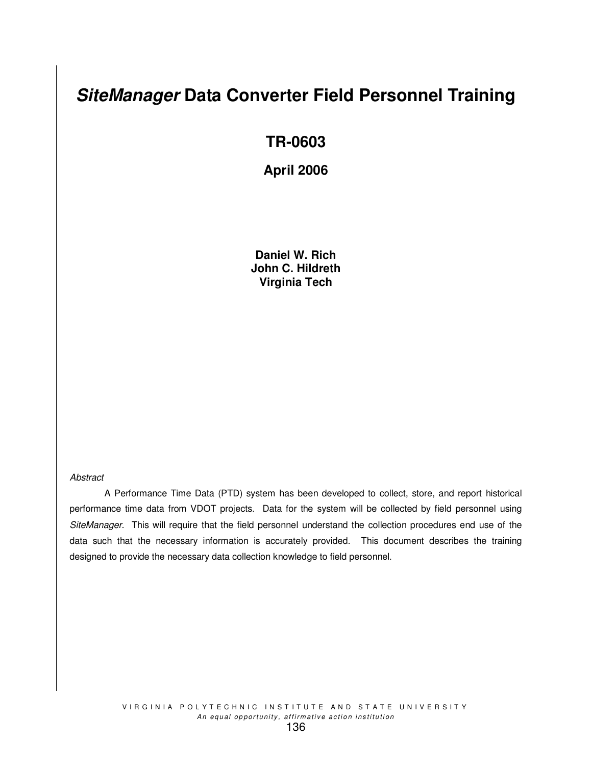# *SiteManager* **Data Converter Field Personnel Training**

# **TR-0603**

# **April 2006**

**Daniel W. Rich John C. Hildreth Virginia Tech**

#### *Abstract*

A Performance Time Data (PTD) system has been developed to collect, store, and report historical performance time data from VDOT projects. Data for the system will be collected by field personnel using *SiteManager*. This will require that the field personnel understand the collection procedures end use of the data such that the necessary information is accurately provided. This document describes the training designed to provide the necessary data collection knowledge to field personnel.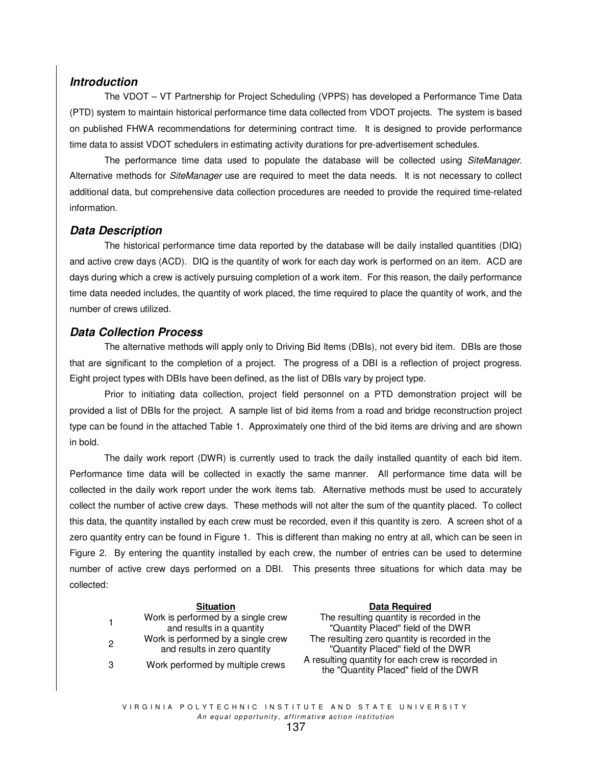# *Introduction*

The VDOT – VT Partnership for Project Scheduling (VPPS) has developed a Performance Time Data (PTD) system to maintain historical performance time data collected from VDOT projects. The system is based on published FHWA recommendations for determining contract time. It is designed to provide performance time data to assist VDOT schedulers in estimating activity durations for pre-advertisement schedules.

The performance time data used to populate the database will be collected using *SiteManager*. Alternative methods for *SiteManager* use are required to meet the data needs. It is not necessary to collect additional data, but comprehensive data collection procedures are needed to provide the required time-related information.

# *Data Description*

The historical performance time data reported by the database will be daily installed quantities (DIQ) and active crew days (ACD). DIQ is the quantity of work for each day work is performed on an item. ACD are days during which a crew is actively pursuing completion of a work item. For this reason, the daily performance time data needed includes, the quantity of work placed, the time required to place the quantity of work, and the number of crews utilized.

# *Data Collection Process*

The alternative methods will apply only to Driving Bid Items (DBIs), not every bid item. DBIs are those that are significant to the completion of a project. The progress of a DBI is a reflection of project progress. Eight project types with DBIs have been defined, as the list of DBIs vary by project type.

Prior to initiating data collection, project field personnel on a PTD demonstration project will be provided a list of DBIs for the project. A sample list of bid items from a road and bridge reconstruction project type can be found in the attached Table 1. Approximately one third of the bid items are driving and are shown in bold.

The daily work report (DWR) is currently used to track the daily installed quantity of each bid item. Performance time data will be collected in exactly the same manner. All performance time data will be collected in the daily work report under the work items tab. Alternative methods must be used to accurately collect the number of active crew days. These methods will not alter the sum of the quantity placed. To collect this data, the quantity installed by each crew must be recorded, even if this quantity is zero. A screen shot of a zero quantity entry can be found in Figure 1. This is different than making no entry at all, which can be seen in Figure 2. By entering the quantity installed by each crew, the number of entries can be used to determine number of active crew days performed on a DBI. This presents three situations for which data may be collected:

| $\mathbf 1$ | Work is performed by a single crew<br>and results in a quantity    |
|-------------|--------------------------------------------------------------------|
| 2           | Work is performed by a single crew<br>and results in zero quantity |
| З           | Work performed by multiple crews                                   |

#### **Situation Data Required**

The resulting quantity is recorded in the "Quantity Placed" field of the DWR The resulting zero quantity is recorded in the "Quantity Placed" field of the DWR A resulting quantity for each crew is recorded in the "Quantity Placed" field of the DWR

VIRGINIA POLYTECHNIC INSTITUTE AND STATE UNIVERSITY An equal opportunity, affirmative action institution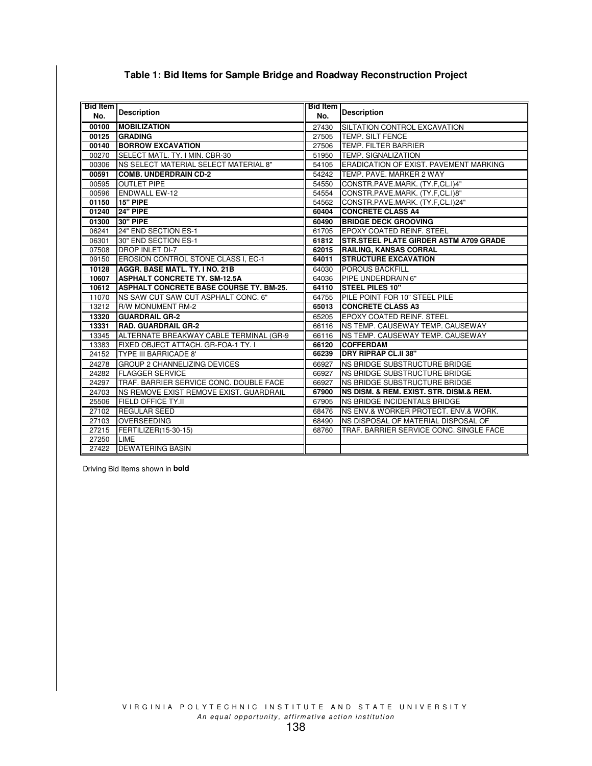| <b>Bid Item</b> |                                                | <b>Bid Item</b> |                                                |
|-----------------|------------------------------------------------|-----------------|------------------------------------------------|
| No.             | <b>Description</b>                             | No.             | <b>Description</b>                             |
| 00100           | <b>MOBILIZATION</b>                            | 27430           | SILTATION CONTROL EXCAVATION                   |
| 00125           | <b>GRADING</b>                                 | 27505           | TEMP. SILT FENCE                               |
| 00140           | <b>BORROW EXCAVATION</b>                       | 27506           | TEMP. FILTER BARRIER                           |
| 00270           | <b>ISELECT MATL. TY. I MIN. CBR-30</b>         | 51950           | <b>TEMP. SIGNALIZATION</b>                     |
| 00306           | <b>NS SELECT MATERIAL SELECT MATERIAL 8"</b>   | 54105           | ERADICATION OF EXIST. PAVEMENT MARKING         |
| 00591           | <b>ICOMB. UNDERDRAIN CD-2</b>                  | 54242           | TEMP. PAVE. MARKER 2 WAY                       |
| 00595           | <b>OUTLET PIPE</b>                             | 54550           | CONSTR.PAVE.MARK. (TY.F.CL.I)4"                |
| 00596           | <b>ENDWALL EW-12</b>                           | 54554           | CONSTR.PAVE.MARK. (TY.F.CL.I)8"                |
| 01150           | <b>15" PIPE</b>                                | 54562           | CONSTR.PAVE.MARK. (TY.F.CL.I)24"               |
| 01240           | 24" PIPE                                       | 60404           | <b>CONCRETE CLASS A4</b>                       |
| 01300           | 30" PIPE                                       | 60490           | <b>BRIDGE DECK GROOVING</b>                    |
| 06241           | 24" END SECTION ES-1                           | 61705           | <b>IEPOXY COATED REINF. STEEL</b>              |
| 06301           | 30" END SECTION ES-1                           | 61812           | <b>ISTR.STEEL PLATE GIRDER ASTM A709 GRADE</b> |
| 07508           | <b>DROP INLET DI-7</b>                         | 62015           | <b>RAILING, KANSAS CORRAL</b>                  |
| 09150           | EROSION CONTROL STONE CLASS I, EC-1            | 64011           | <b>ISTRUCTURE EXCAVATION</b>                   |
| 10128           | <b>AGGR. BASE MATL, TY. INO. 21B</b>           | 64030           | <b>POROUS BACKFILL</b>                         |
| 10607           | <b>ASPHALT CONCRETE TY. SM-12.5A</b>           | 64036           | PIPE UNDERDRAIN 6"                             |
| 10612           | <b>ASPHALT CONCRETE BASE COURSE TY. BM-25.</b> | 64110           | <b>ISTEEL PILES 10"</b>                        |
| 11070           | NS SAW CUT SAW CUT ASPHALT CONC. 6"            | 64755           | PILE POINT FOR 10" STEEL PILE                  |
| 13212           | R/W MONUMENT RM-2                              | 65013           | <b>CONCRETE CLASS A3</b>                       |
| 13320           | <b>IGUARDRAIL GR-2</b>                         | 65205           | <b>IEPOXY COATED REINF, STEEL</b>              |
| 13331           | <b>RAD. GUARDRAIL GR-2</b>                     | 66116           | INS TEMP. CAUSEWAY TEMP. CAUSEWAY              |
| 13345           | ALTERNATE BREAKWAY CABLE TERMINAL (GR-9        | 66116           | INS TEMP. CAUSEWAY TEMP. CAUSEWAY              |
| 13383           | FIXED OBJECT ATTACH. GR-FOA-1 TY. I            | 66120           | <b>COFFERDAM</b>                               |
| 24152           | <b>TYPE III BARRICADE 8'</b>                   | 66239           | <b>IDRY RIPRAP CL.II 38"</b>                   |
| 24278           | <b>GROUP 2 CHANNELIZING DEVICES</b>            | 66927           | NS BRIDGE SUBSTRUCTURE BRIDGE                  |
| 24282           | <b>FLAGGER SERVICE</b>                         | 66927           | NS BRIDGE SUBSTRUCTURE BRIDGE                  |
| 24297           | TRAF. BARRIER SERVICE CONC. DOUBLE FACE        | 66927           | NS BRIDGE SUBSTRUCTURE BRIDGE                  |
| 24703           | NS REMOVE EXIST REMOVE EXIST. GUARDRAIL        | 67900           | NS DISM. & REM. EXIST. STR. DISM.& REM.        |
| 25506           | <b>FIELD OFFICE TY.II</b>                      | 67905           | NS BRIDGE INCIDENTALS BRIDGE                   |
| 27102           | <b>REGULAR SEED</b>                            | 68476           | INS ENV.& WORKER PROTECT. ENV.& WORK.          |
| 27103           | <b>OVERSEEDING</b>                             | 68490           | NS DISPOSAL OF MATERIAL DISPOSAL OF            |
| 27215           | FERTILIZER(15-30-15)                           | 68760           | TRAF. BARRIER SERVICE CONC. SINGLE FACE        |
| 27250           | <b>LIME</b>                                    |                 |                                                |
| 27422           | <b>DEWATERING BASIN</b>                        |                 |                                                |

# **Table 1: Bid Items for Sample Bridge and Roadway Reconstruction Project**

Driving Bid Items shown in **bold**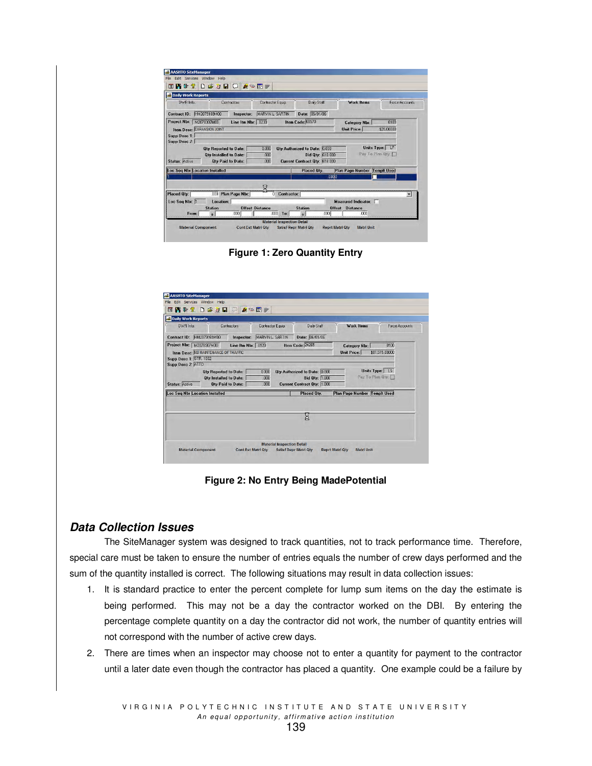| Edit Services Window<br>Help<br>日本初日<br>四重會<br>$\infty$ or $\infty$<br>$\Box$<br><b>A</b>     |                    |                                      |                                  |                          |
|-----------------------------------------------------------------------------------------------|--------------------|--------------------------------------|----------------------------------|--------------------------|
| Daily Work Reports                                                                            |                    |                                      |                                  |                          |
| DWB Info.<br>Contractors                                                                      | Contractor Equip.  | Daily Staff                          | Work Items                       | Force Accounts           |
| Contract ID: HM2079169M00<br>Inspector:                                                       | MARVIN L. SARTIN   | Date: 06/01/06                       |                                  |                          |
| Project Nbr:<br>M2078307M00<br>Line Itm Nbr: 0230                                             |                    | Item Code: 68570                     | <b>Category Nbr:</b>             | 0100                     |
| <b>Item Desc: EXPANSION JOINT</b>                                                             |                    |                                      | <b>Unit Price:</b>               | \$28,00000               |
| Supp Desc 1:                                                                                  |                    |                                      |                                  |                          |
| Supp Desc 2:                                                                                  |                    |                                      |                                  |                          |
|                                                                                               |                    |                                      |                                  |                          |
| <b>Qtv Reported to Date:</b>                                                                  | 0.000              | <b>Qtv Authorized to Date: 0.000</b> |                                  | Units Type: LF           |
| <b>Qtv Installed to Date:</b>                                                                 | 000                | <b>Bid Qty: 618.000</b>              |                                  | Pay To Plan Oty.         |
| <b>Qtv Paid to Date:</b>                                                                      | .000               | Current Contract Qty: 618.000        |                                  |                          |
|                                                                                               |                    | <b>Placed Oty.</b>                   | <b>Plan Page Number</b>          | <b>Templt Used</b>       |
|                                                                                               |                    |                                      | .0000                            |                          |
|                                                                                               |                    |                                      |                                  |                          |
|                                                                                               | ल                  |                                      |                                  |                          |
| .000 Plan Page Nbr:                                                                           | <b>Contractor:</b> |                                      |                                  | $\overline{\phantom{0}}$ |
| Loc Seq Nbr: 1<br>Location:                                                                   |                    |                                      | Measured Indicator:              |                          |
| Station<br><b>Offset Distance</b>                                                             |                    | Station                              | <b>Offset</b><br><b>Distance</b> |                          |
| <b>Status: Active</b><br>Loc Seq Nbr Location Installed<br>Placed Qty:<br>.000<br>From:<br>÷. | .000<br>To:        | .0001                                | .000                             |                          |

**Figure 1: Zero Quantity Entry**

| MARVIN L. SARTIN<br>Date: 06/01/06<br>Contract ID: HM2079169M00<br>Inspector:<br>Item Code: 24265<br>0100<br>Line Itm Nbr: 0120<br><b>Category Nbr:</b><br>\$81,515,00000<br><b>Item Desc: NS MAINTENANCE OF TRAFFIC</b><br><b>Unit Price:</b><br>Units Type: LS<br><b>Qtv Authorized to Date: 0.000</b><br>0.000<br><b>Qtv Reported to Date:</b><br>Pay To Plan Dly:<br>.000 |  |
|-------------------------------------------------------------------------------------------------------------------------------------------------------------------------------------------------------------------------------------------------------------------------------------------------------------------------------------------------------------------------------|--|
| Project Nbr: M2078307M00<br>Supp Desc 1: STR. 1002<br>Supp Desc 2: ATTD                                                                                                                                                                                                                                                                                                       |  |
|                                                                                                                                                                                                                                                                                                                                                                               |  |
| <b>Bid Qty: 1.000</b><br><b>Qty Installed to Date:</b><br>.000<br><b>Status: Active</b><br><b>Qty Paid to Date:</b><br>Current Contract Qty: 1.000                                                                                                                                                                                                                            |  |
| <b>Loc Seg Nbr Location Installed</b><br>Placed Otv.<br><b>Plan Page Number Templt Used</b>                                                                                                                                                                                                                                                                                   |  |
| Σ                                                                                                                                                                                                                                                                                                                                                                             |  |

**Figure 2: No Entry Being MadePotential**

# *Data Collection Issues*

The SiteManager system was designed to track quantities, not to track performance time. Therefore, special care must be taken to ensure the number of entries equals the number of crew days performed and the sum of the quantity installed is correct. The following situations may result in data collection issues:

- 1. It is standard practice to enter the percent complete for lump sum items on the day the estimate is being performed. This may not be a day the contractor worked on the DBI. By entering the percentage complete quantity on a day the contractor did not work, the number of quantity entries will not correspond with the number of active crew days.
- 2. There are times when an inspector may choose not to enter a quantity for payment to the contractor until a later date even though the contractor has placed a quantity. One example could be a failure by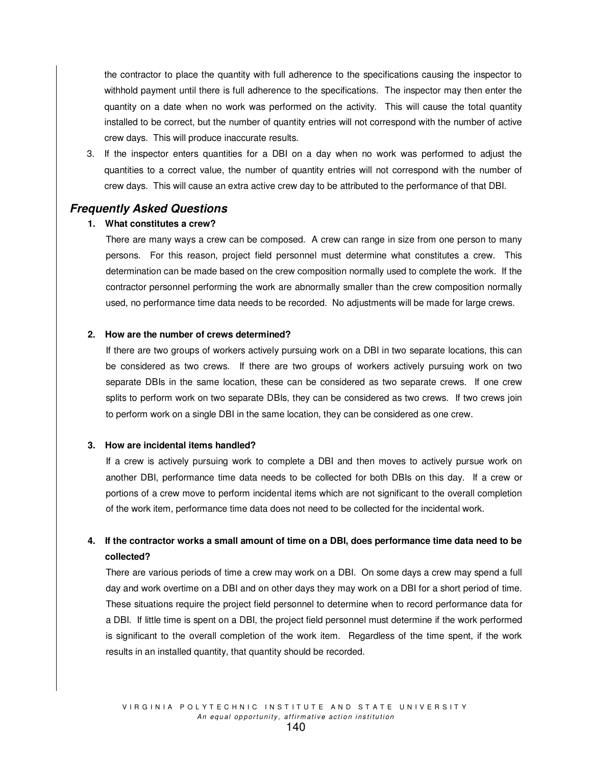the contractor to place the quantity with full adherence to the specifications causing the inspector to withhold payment until there is full adherence to the specifications. The inspector may then enter the quantity on a date when no work was performed on the activity. This will cause the total quantity installed to be correct, but the number of quantity entries will not correspond with the number of active crew days. This will produce inaccurate results.

3. If the inspector enters quantities for a DBI on a day when no work was performed to adjust the quantities to a correct value, the number of quantity entries will not correspond with the number of crew days. This will cause an extra active crew day to be attributed to the performance of that DBI.

#### *Frequently Asked Questions*

#### **1. What constitutes a crew?**

There are many ways a crew can be composed. A crew can range in size from one person to many persons. For this reason, project field personnel must determine what constitutes a crew. This determination can be made based on the crew composition normally used to complete the work. If the contractor personnel performing the work are abnormally smaller than the crew composition normally used, no performance time data needs to be recorded. No adjustments will be made for large crews.

#### **2. How are the number of crews determined?**

If there are two groups of workers actively pursuing work on a DBI in two separate locations, this can be considered as two crews. If there are two groups of workers actively pursuing work on two separate DBIs in the same location, these can be considered as two separate crews. If one crew splits to perform work on two separate DBIs, they can be considered as two crews. If two crews join to perform work on a single DBI in the same location, they can be considered as one crew.

#### **3. How are incidental items handled?**

If a crew is actively pursuing work to complete a DBI and then moves to actively pursue work on another DBI, performance time data needs to be collected for both DBIs on this day. If a crew or portions of a crew move to perform incidental items which are not significant to the overall completion of the work item, performance time data does not need to be collected for the incidental work.

# 4. If the contractor works a small amount of time on a DBI, does performance time data need to be **collected?**

There are various periods of time a crew may work on a DBI. On some days a crew may spend a full day and work overtime on a DBI and on other days they may work on a DBI for a short period of time. These situations require the project field personnel to determine when to record performance data for a DBI. If little time is spent on a DBI, the project field personnel must determine if the work performed is significant to the overall completion of the work item. Regardless of the time spent, if the work results in an installed quantity, that quantity should be recorded.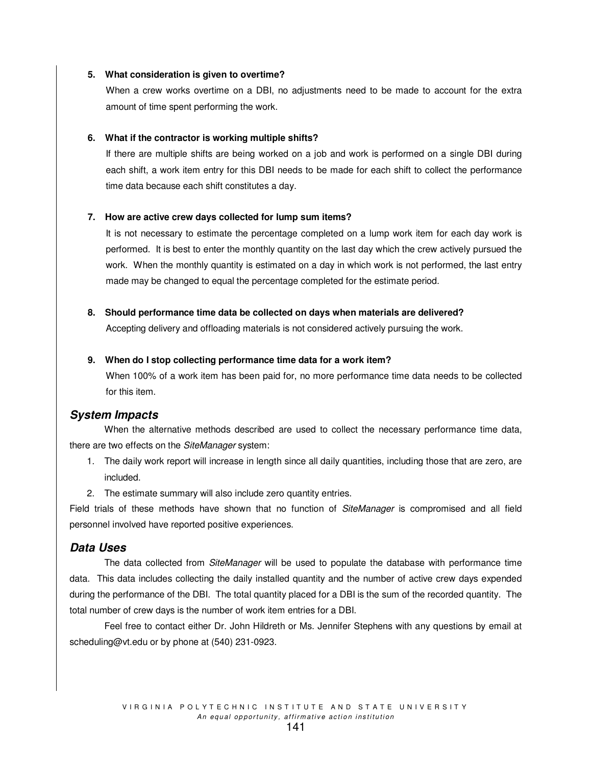#### **5. What consideration is given to overtime?**

When a crew works overtime on a DBI, no adjustments need to be made to account for the extra amount of time spent performing the work.

#### **6. What if the contractor is working multiple shifts?**

If there are multiple shifts are being worked on a job and work is performed on a single DBI during each shift, a work item entry for this DBI needs to be made for each shift to collect the performance time data because each shift constitutes a day.

#### **7. How are active crew days collected for lump sum items?**

It is not necessary to estimate the percentage completed on a lump work item for each day work is performed. It is best to enter the monthly quantity on the last day which the crew actively pursued the work. When the monthly quantity is estimated on a day in which work is not performed, the last entry made may be changed to equal the percentage completed for the estimate period.

#### **8. Should performance time data be collected on days when materials are delivered?**

Accepting delivery and offloading materials is not considered actively pursuing the work.

#### **9. When do I stop collecting performance time data for a work item?**

When 100% of a work item has been paid for, no more performance time data needs to be collected for this item.

# *System Impacts*

When the alternative methods described are used to collect the necessary performance time data, there are two effects on the *SiteManager* system:

- 1. The daily work report will increase in length since all daily quantities, including those that are zero, are included.
- 2. The estimate summary will also include zero quantity entries.

Field trials of these methods have shown that no function of *SiteManager* is compromised and all field personnel involved have reported positive experiences.

# *Data Uses*

The data collected from *SiteManager* will be used to populate the database with performance time data. This data includes collecting the daily installed quantity and the number of active crew days expended during the performance of the DBI. The total quantity placed for a DBI is the sum of the recorded quantity. The total number of crew days is the number of work item entries for a DBI.

Feel free to contact either Dr. John Hildreth or Ms. Jennifer Stephens with any questions by email at scheduling@vt.edu or by phone at (540) 231-0923.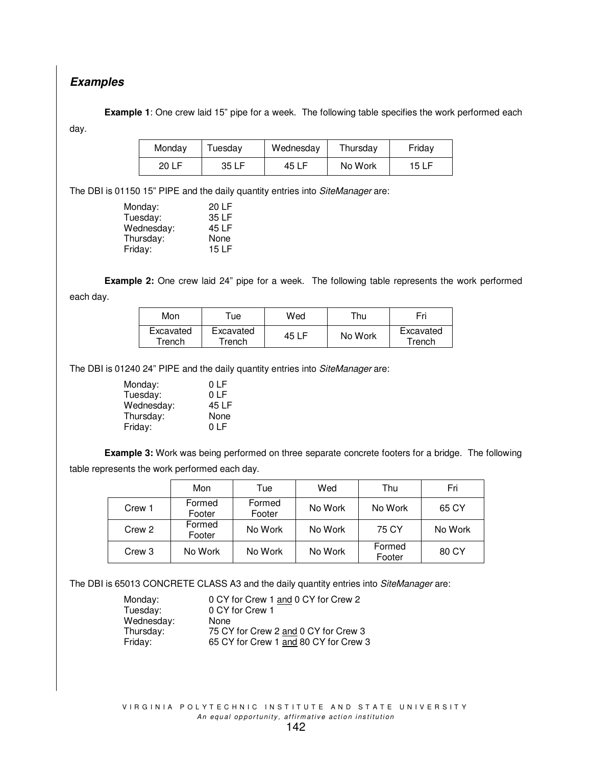# *Examples*

**Example 1**: One crew laid 15" pipe for a week. The following table specifies the work performed each day.

| Monday | Tuesday | Wednesday | Thursday | Friday |  |  |
|--------|---------|-----------|----------|--------|--|--|
| 20 LF  | 35 LF   | 45 LF     | No Work  | 15 LF  |  |  |

The DBI is 01150 15" PIPE and the daily quantity entries into *SiteManager* are:

| Monday:    | 20 LF |
|------------|-------|
| Tuesday:   | 35 LF |
| Wednesday: | 45 LF |
| Thursday:  | None  |
| Friday:    | 15 LF |
|            |       |

**Example 2:** One crew laid 24" pipe for a week. The following table represents the work performed

each day.

| Mon                 | ™ue                 | Wed   | ™hu     | Fri                 |
|---------------------|---------------------|-------|---------|---------------------|
| Excavated<br>Trench | Excavated<br>Trench | 45 LF | No Work | Excavated<br>Trench |

The DBI is 01240 24" PIPE and the daily quantity entries into *SiteManager* are:

| Monday:    | 0 LF  |
|------------|-------|
| Tuesday:   | 0 LF  |
| Wednesday: | 45 LF |
| Thursday:  | None  |
| Friday:    | 0 LF  |

**Example 3:** Work was being performed on three separate concrete footers for a bridge. The following table represents the work performed each day.

|        | Mon              | Tue              | Wed     | Thu              | Fri     |
|--------|------------------|------------------|---------|------------------|---------|
| Crew 1 | Formed<br>Footer | Formed<br>Footer | No Work | No Work          | 65 CY   |
| Crew 2 | Formed<br>Footer | No Work          | No Work | 75 CY            | No Work |
| Crew 3 | No Work          | No Work          | No Work | Formed<br>Footer | 80 CY   |

The DBI is 65013 CONCRETE CLASS A3 and the daily quantity entries into *SiteManager* are:

Wednesday: None<br>Thursday: 75 CY

Monday: 0 CY for Crew 1 and 0 CY for Crew 2 Tuesday: 0 CY for Crew 1 Thursday: 75 CY for Crew 2 and 0 CY for Crew 3<br>Friday: 65 CY for Crew 1 and 80 CY for Crew 3 65 CY for Crew 1 and 80 CY for Crew 3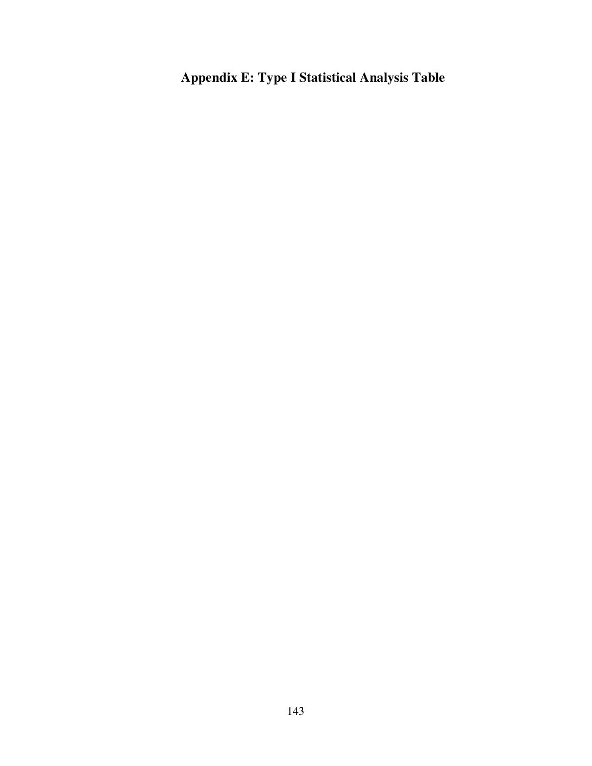**Appendix E: Type I Statistical Analysis Table**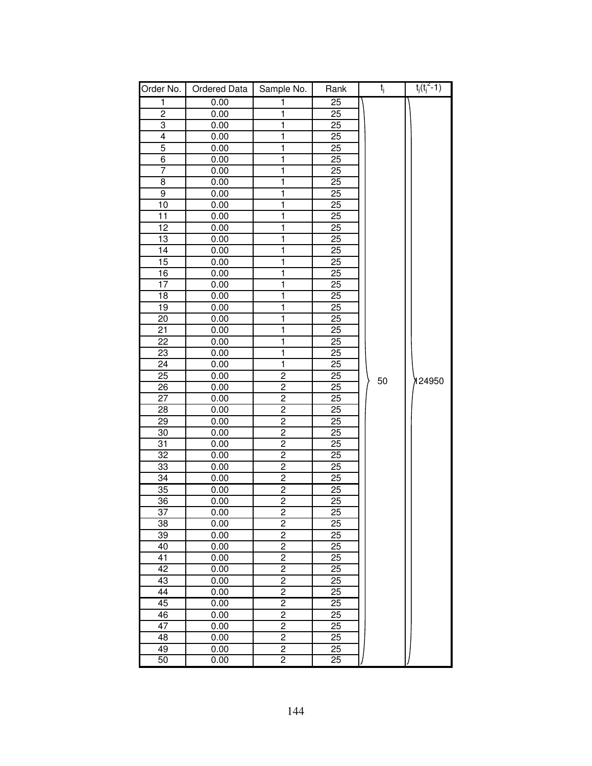| Order No.               | Ordered Data | Sample No.              | Rank            | $t_j$ | $t_j(t_j^2-1)$ |
|-------------------------|--------------|-------------------------|-----------------|-------|----------------|
| 1                       | 0.00         | 1                       | $\overline{25}$ |       |                |
| $\overline{\mathbf{c}}$ | 0.00         | 1                       | 25              |       |                |
| 3                       | 0.00         | $\overline{\mathbf{1}}$ | 25              |       |                |
| $\overline{4}$          | 0.00         | ī                       | $\overline{25}$ |       |                |
| 5                       | 0.00         | 1                       | 25              |       |                |
| 6                       | 0.00         | $\overline{\mathbf{1}}$ | 25              |       |                |
| 7                       | 0.00         | 1                       | 25              |       |                |
| 8                       | 0.00         | 1                       | 25              |       |                |
| 9                       | 0.00         | 1                       | $\overline{25}$ |       |                |
| 10                      | 0.00         | 1                       | 25              |       |                |
| 11                      | 0.00         | $\overline{\mathbf{1}}$ | 25              |       |                |
| 12                      | 0.00         | $\overline{\mathbf{1}}$ | $\overline{25}$ |       |                |
| 13                      | 0.00         | 1                       | $\overline{25}$ |       |                |
| $\overline{14}$         | 0.00         | 1                       | $\overline{25}$ |       |                |
| 15                      | 0.00         | 1                       | 25              |       |                |
| 16                      | 0.00         | 1                       | 25              |       |                |
| 17                      | 0.00         | 1                       | 25              |       |                |
| 18                      | 0.00         | 1                       | 25              |       |                |
| 19                      | 0.00         | 1                       | 25              |       |                |
| 20                      | 0.00         | 1                       | 25              |       |                |
| 21                      | 0.00         | $\overline{\mathbf{1}}$ | 25              |       |                |
| $\overline{22}$         | 0.00         | ī                       | 25              |       |                |
| 23                      | 0.00         | $\overline{\mathbf{1}}$ | 25              |       |                |
| 24                      | 0.00         | $\overline{\mathbf{1}}$ | 25              |       |                |
| 25                      | 0.00         | $\overline{c}$          | 25              | 50    | 124950         |
| $\overline{26}$         | 0.00         | $\overline{c}$          | 25              |       |                |
| 27                      | 0.00         | $\overline{2}$          | 25              |       |                |
| 28                      | 0.00         | $\overline{2}$          | 25              |       |                |
| 29                      | 0.00         | $\overline{2}$          | 25              |       |                |
| 30                      | 0.00         | $\overline{2}$          | 25              |       |                |
| 31                      | 0.00         | $\overline{2}$          | 25              |       |                |
| $\overline{32}$         | 0.00         | $\overline{2}$          | $\overline{25}$ |       |                |
| 33                      | 0.00         | $\overline{2}$          | 25              |       |                |
| 34                      | 0.00         | $\overline{2}$          | 25              |       |                |
| $\overline{35}$         | 0.00         | $\overline{2}$          | $\overline{25}$ |       |                |
| 36                      | 0.00         | $\overline{c}$          | 25              |       |                |
| $\overline{37}$         | 0.00         | $\overline{2}$          | $\overline{25}$ |       |                |
| 38                      | 0.00         | $\overline{\mathbf{c}}$ | 25              |       |                |
| 39                      | 0.00         | $\overline{c}$          | 25              |       |                |
| 40                      | 0.00         | $\overline{c}$          | 25              |       |                |
| 41                      | 0.00         | $\overline{\mathbf{c}}$ | 25              |       |                |
| 42                      | 0.00         | $\overline{2}$          | 25              |       |                |
| 43                      | 0.00         | $\overline{2}$          | 25              |       |                |
| 44                      | 0.00         | 2                       | 25              |       |                |
| 45                      | 0.00         | $\overline{2}$          | 25              |       |                |
| 46                      | 0.00         | $\overline{2}$          | 25              |       |                |
| 47                      | 0.00         | $\overline{2}$          | 25              |       |                |
| 48                      | 0.00         | $\overline{2}$          | 25              |       |                |
| 49                      | 0.00         | $\frac{2}{2}$           | 25              |       |                |
| 50                      | 0.00         |                         | 25              |       |                |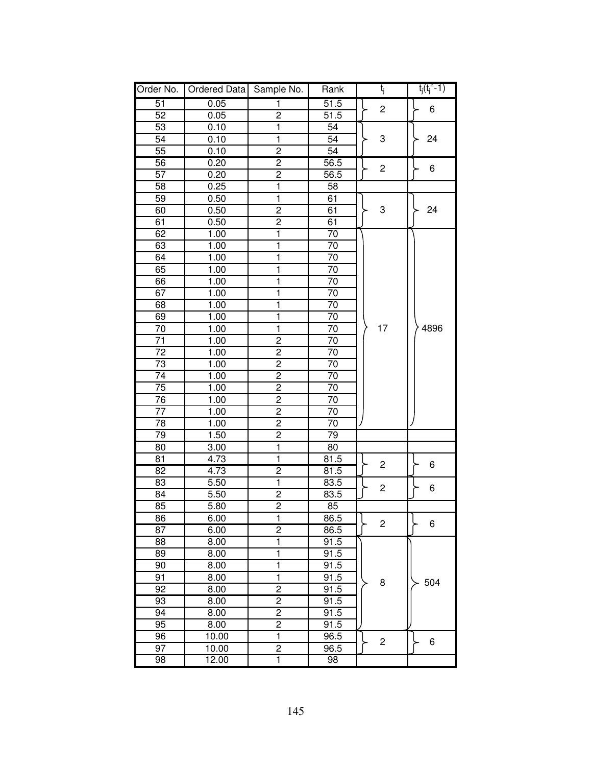| Order No.       | Ordered Data | Sample No.              | Rank            | $t_j$                   | $t_j(t_j^2-1)$ |
|-----------------|--------------|-------------------------|-----------------|-------------------------|----------------|
| 51              | 0.05         | 1                       | 51.5            | $\overline{c}$          | 6              |
| 52              | 0.05         | $\overline{2}$          | 51.5            |                         |                |
| 53              | 0.10         | 1                       | 54              |                         |                |
| 54              | 0.10         | $\mathbf{1}$            | 54              | 3                       | 24             |
| 55              | 0.10         | $\overline{2}$          | 54              |                         |                |
| 56              | 0.20         | $\overline{2}$          | 56.5            |                         |                |
| 57              | 0.20         | $\overline{2}$          | 56.5            | $\overline{\mathbf{c}}$ | 6              |
| 58              | 0.25         | 1                       | 58              |                         |                |
| 59              | 0.50         | $\overline{1}$          | 61              |                         |                |
| 60              | 0.50         | $\overline{c}$          | 61              | 3                       | 24             |
| 61              | 0.50         | $\overline{2}$          | 61              |                         |                |
| 62              | 1.00         | 1                       | 70              |                         |                |
| 63              | 1.00         | 1                       | 70              |                         |                |
| 64              | 1.00         | 1                       | 70              |                         |                |
| 65              | 1.00         | 1                       | 70              |                         |                |
| 66              | 1.00         | 1                       | 70              |                         |                |
| 67              | 1.00         | 1                       | $\overline{70}$ |                         |                |
| 68              | 1.00         | $\mathbf{1}$            | 70              |                         |                |
| 69              | 1.00         | $\mathbf{1}$            | 70              |                         |                |
| 70              | 1.00         | ī                       | 70              | 17                      | 4896           |
| 71              | 1.00         | $\overline{2}$          | 70              |                         |                |
| $\overline{72}$ | 1.00         | $\overline{2}$          | $\overline{70}$ |                         |                |
| $\overline{73}$ | 1.00         | $\overline{2}$          | $\overline{70}$ |                         |                |
| $\overline{74}$ | 1.00         | $\overline{2}$          | 70              |                         |                |
| $\overline{75}$ | 1.00         | $\overline{2}$          | $\overline{70}$ |                         |                |
| 76              | 1.00         | $\overline{2}$          | 70              |                         |                |
| 77              | 1.00         | $\overline{c}$          | 70              |                         |                |
| 78              | 1.00         | $\overline{2}$          | 70              |                         |                |
| 79              | 1.50         | $\overline{2}$          | 79              |                         |                |
| 80              | 3.00         | 1                       | 80              |                         |                |
| 81              | 4.73         | $\mathbf{1}$            | 81.5            | 2                       | 6              |
| 82              | 4.73         | $\overline{c}$          | 81.5            |                         |                |
| 83              | 5.50         | $\mathbf{1}$            | 83.5            | 2                       | 6              |
| 84              | 5.50         | $\overline{2}$          | 83.5            |                         |                |
| 85              | 5.80         | $\overline{2}$          | 85              |                         |                |
| 86              | 6.00         | 1                       | 86.5            | $\overline{\mathbf{c}}$ | 6              |
| $\overline{87}$ | 6.00         | $\overline{2}$          | 86.5            |                         |                |
| 88              | 8.00         | 1                       | 91.5            |                         |                |
| 89              | 8.00         | 1                       | 91.5            |                         |                |
| 90              | 8.00         | ī                       | 91.5            |                         |                |
| 91              | 8.00         | $\overline{1}$          | 91.5            | 8                       | 504            |
| 92              | 8.00         | $\overline{2}$          | 91.5            |                         |                |
| 93              | 8.00         | $\overline{2}$          | 91.5            |                         |                |
| 94              | 8.00         | $\overline{2}$          | 91.5            |                         |                |
| 95              | 8.00         | $\overline{2}$          | 91.5            |                         |                |
| 96              | 10.00        | ī                       | 96.5            | $\overline{c}$          | 6              |
| 97              | 10.00        | $\overline{2}$          | 96.5            |                         |                |
| 98              | 12.00        | $\overline{\mathbf{1}}$ | 98              |                         |                |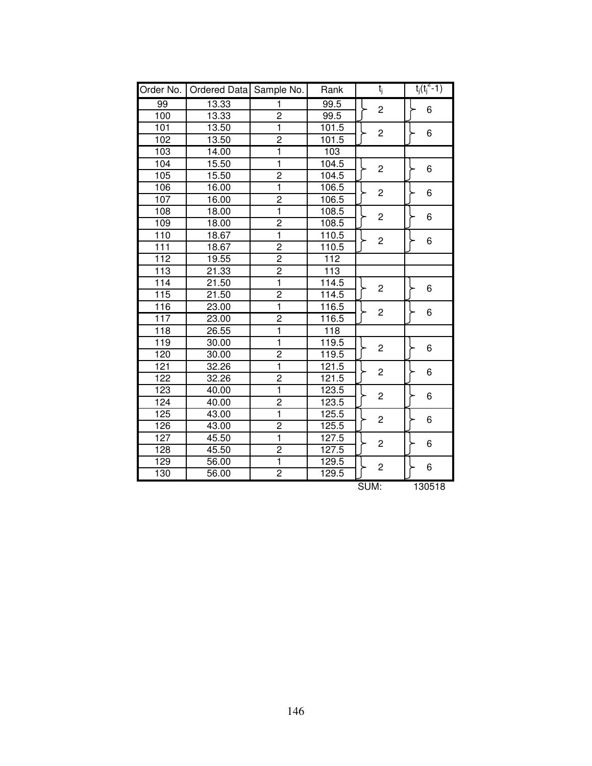| Order No.        | Ordered Data Sample No. |                         | Rank             | t <sub>j</sub> | $t_i(t_i^2-1)$ |
|------------------|-------------------------|-------------------------|------------------|----------------|----------------|
| 99               | 13.33                   | 1                       | 99.5             | $\overline{c}$ | 6              |
| 100              | 13.33                   | $\overline{c}$          | 99.5             |                |                |
| 101              | 13.50                   | 1                       | 101.5            | $\overline{c}$ | 6              |
| 102              | 13.50                   | $\overline{2}$          | 101.5            |                |                |
| 103              | 14.00                   | 1                       | 103              |                |                |
| 104              | 15.50                   | ī                       | 104.5            | $\overline{c}$ | 6              |
| 105              | 15.50                   | $\overline{2}$          | 104.5            |                |                |
| 106              | 16.00                   | 1                       | 106.5            | $\overline{c}$ | 6              |
| 107              | 16.00                   | $\overline{c}$          | 106.5            |                |                |
| 108              | 18.00                   | 1                       | 108.5            | $\overline{c}$ | 6              |
| 109              | 18.00                   | $\overline{c}$          | 108.5            |                |                |
| 110              | 18.67                   | 1                       | 110.5            | $\overline{c}$ | 6              |
| 111              | 18.67                   | $\overline{2}$          | 110.5            |                |                |
| $\overline{112}$ | 19.55                   | $\overline{2}$          | 112              |                |                |
| $\overline{113}$ | 21.33                   | $\overline{2}$          | $\overline{113}$ |                |                |
| 114              | 21.50                   | 1                       | 114.5            | $\overline{c}$ | 6              |
| 115              | 21.50                   | $\overline{2}$          | 114.5            |                |                |
| 116              | 23.00                   | 1                       | 116.5            | $\overline{c}$ | 6              |
| 117              | 23.00                   | $\overline{2}$          | 116.5            |                |                |
| $\overline{118}$ | 26.55                   | ī                       | 118              |                |                |
| 119              | 30.00                   | 1                       | 119.5            | $\overline{c}$ | 6              |
| 120              | 30.00                   | $\overline{\mathbf{c}}$ | 119.5            |                |                |
| 121              | 32.26                   | ī                       | 121.5            | $\overline{c}$ | 6              |
| 122              | 32.26                   | $\overline{2}$          | 121.5            |                |                |
| 123              | 40.00                   | 1                       | 123.5            | $\overline{c}$ | 6              |
| 124              | 40.00                   | $\overline{2}$          | 123.5            |                |                |
| 125              | 43.00                   | $\overline{1}$          | 125.5            | $\overline{c}$ | 6              |
| 126              | 43.00                   | $\overline{2}$          | 125.5            |                |                |
| 127              | 45.50                   | $\overline{\mathbf{1}}$ | 127.5            |                | 6              |
| 128              | 45.50                   | 2                       | 127.5            | $\overline{c}$ |                |
| 129              | 56.00                   | 1                       | 129.5            | $\overline{c}$ | 6              |
| 130              | 56.00                   | $\overline{2}$          | 129.5            |                |                |
|                  |                         |                         |                  | SUM:           | 130518         |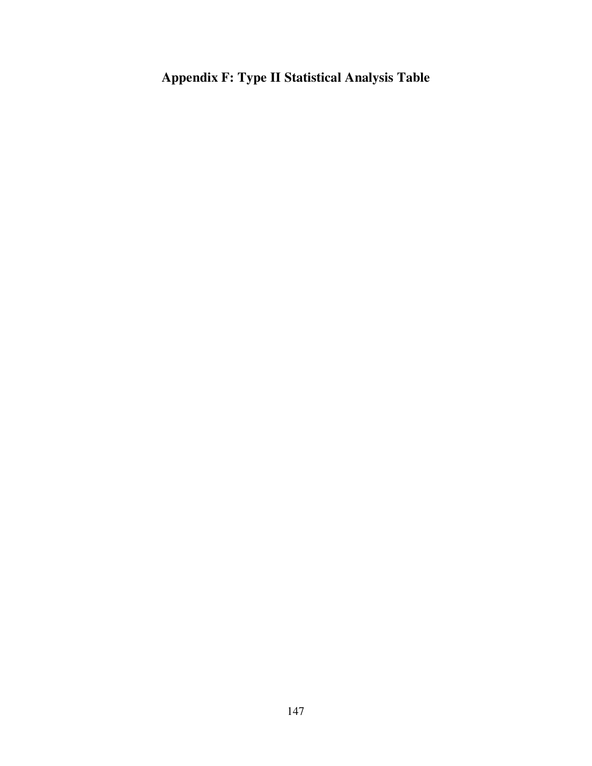**Appendix F: Type II Statistical Analysis Table**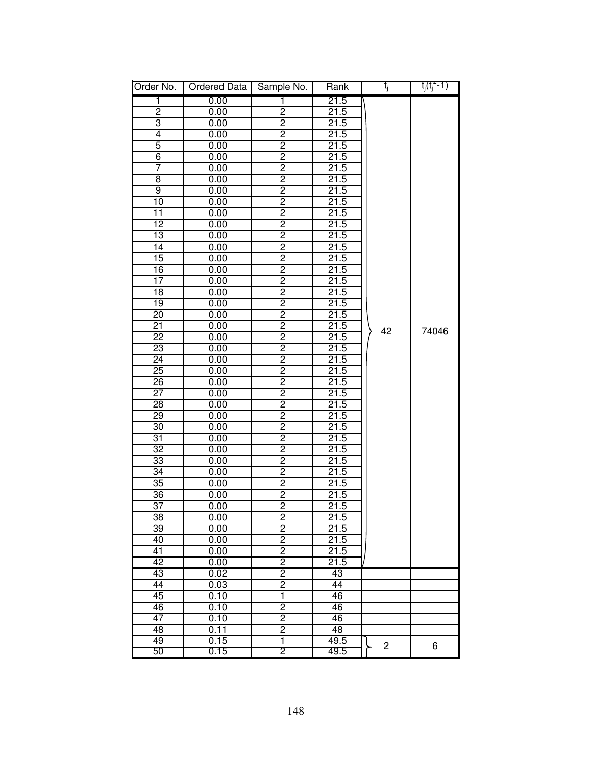| Order No.       | <b>Ordered Data</b> | Sample No.              | Rank | t <sub>j</sub>          | $t_i(t_i = 1)$ |
|-----------------|---------------------|-------------------------|------|-------------------------|----------------|
| 1               | 0.00                | 1                       | 21.5 |                         |                |
| $\overline{2}$  | 0.00                | 2                       | 21.5 |                         |                |
| 3               | 0.00                | $\overline{2}$          | 21.5 |                         |                |
| $\overline{4}$  | 0.00                | $\overline{2}$          | 21.5 |                         |                |
| 5               | 0.00                | $\overline{c}$          | 21.5 |                         |                |
| $\overline{6}$  | 0.00                | $\overline{2}$          | 21.5 |                         |                |
| 7               | 0.00                | $\overline{2}$          | 21.5 |                         |                |
| $\overline{8}$  | 0.00                | $\overline{2}$          | 21.5 |                         |                |
| $\overline{9}$  | 0.00                | $\overline{c}$          | 21.5 |                         |                |
| $\overline{10}$ | 0.00                | $\overline{2}$          | 21.5 |                         |                |
| 11              | 0.00                | $\overline{2}$          | 21.5 |                         |                |
| $\overline{12}$ | 0.00                | $\overline{2}$          | 21.5 |                         |                |
| $\overline{13}$ | 0.00                | $\overline{2}$          | 21.5 |                         |                |
| 14              | 0.00                | $\overline{2}$          | 21.5 |                         |                |
| 15              | 0.00                | $\overline{c}$          | 21.5 |                         |                |
| 16              | 0.00                | $\overline{2}$          | 21.5 |                         |                |
| $\overline{17}$ | 0.00                | $\overline{2}$          | 21.5 |                         |                |
| $\overline{18}$ | 0.00                | $\overline{2}$          | 21.5 |                         |                |
| $\overline{19}$ | 0.00                | $\overline{2}$          | 21.5 |                         |                |
| $\overline{20}$ | 0.00                | $\overline{2}$          | 21.5 |                         |                |
| $\overline{21}$ | 0.00                | $\overline{2}$          | 21.5 | 42                      | 74046          |
| $\overline{22}$ | 0.00                | $\overline{2}$          | 21.5 |                         |                |
| $\overline{23}$ | 0.00                | $\overline{2}$          | 21.5 |                         |                |
| $\overline{24}$ | 0.00                | $\overline{2}$          | 21.5 |                         |                |
| $\overline{25}$ | 0.00                | $\overline{2}$          | 21.5 |                         |                |
| $\overline{26}$ | 0.00                | 2                       | 21.5 |                         |                |
| 27              | 0.00                | 2                       | 21.5 |                         |                |
| 28              | 0.00                | 2                       | 21.5 |                         |                |
| 29              | 0.00                | $\overline{2}$          | 21.5 |                         |                |
| $\overline{30}$ | 0.00                | $\overline{2}$          | 21.5 |                         |                |
| $\overline{31}$ | 0.00                | $\overline{2}$          | 21.5 |                         |                |
| 32              | 0.00                | $\overline{2}$          | 21.5 |                         |                |
| 33              | 0.00                | $\overline{2}$          | 21.5 |                         |                |
| $\overline{34}$ | 0.00                | $\overline{c}$          | 21.5 |                         |                |
| $\overline{35}$ | 0.00                | $\overline{2}$          | 21.5 |                         |                |
| $\overline{36}$ | 0.00                | 2                       | 21.5 |                         |                |
| $\overline{37}$ | 0.00                | 2                       | 21.5 |                         |                |
| 38              | 0.00                | 2                       | 21.5 |                         |                |
| $\overline{39}$ | 0.00                | $\overline{2}$          | 21.5 |                         |                |
| 40              | 0.00                | $\overline{2}$          | 21.5 |                         |                |
| $\overline{41}$ | 0.00                | $\overline{2}$          | 21.5 |                         |                |
| $\overline{42}$ | 0.00                | $\overline{2}$          | 21.5 |                         |                |
| $\overline{43}$ | 0.02                | $\overline{2}$          | 43   |                         |                |
| 44              | 0.03                | $\overline{2}$          | 44   |                         |                |
| 45              | 0.10                | $\overline{\mathbf{1}}$ | 46   |                         |                |
| 46              | 0.10                | $\overline{2}$          | 46   |                         |                |
| 47              | 0.10                | $\overline{2}$          | 46   |                         |                |
| 48              | 0.11                | $\overline{2}$          | 48   |                         |                |
| 49              | 0.15                | ī                       | 49.5 | $\overline{\mathbf{c}}$ | 6              |
| 50              | 0.15                | 2                       | 49.5 |                         |                |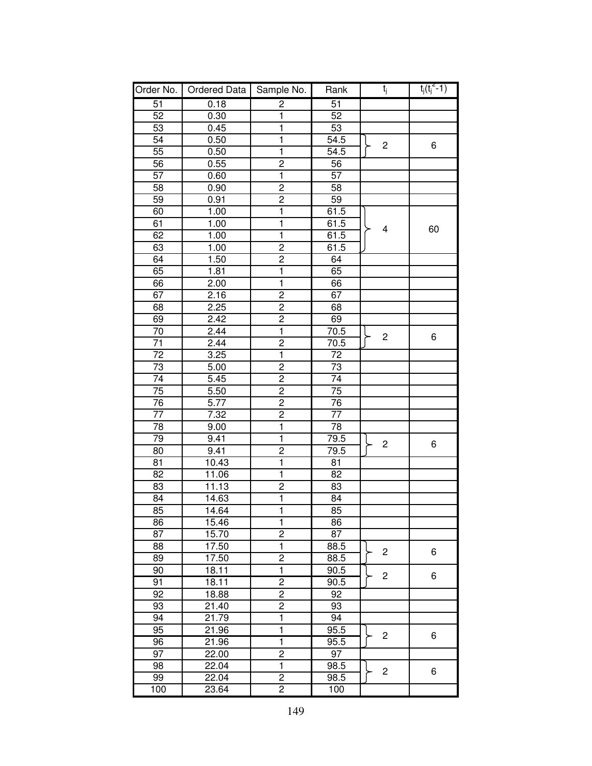| Order No.       | Ordered Data       | Sample No.              | Rank              | t <sub>j</sub>          | $t_j(t_j^2-1)$ |
|-----------------|--------------------|-------------------------|-------------------|-------------------------|----------------|
| $\overline{51}$ | 0.18               | $\overline{2}$          | 51                |                         |                |
| 52              | 0.30               | $\overline{1}$          | 52                |                         |                |
| 53              | 0.45               | $\overline{\mathbf{1}}$ | 53                |                         |                |
| $\overline{54}$ | 0.50               | $\overline{\mathbf{1}}$ | 54.5              | $\overline{c}$          | 6              |
| 55              | 0.50               | $\overline{1}$          | 54.5              |                         |                |
| 56              | 0.55               | $\overline{2}$          | 56                |                         |                |
| 57              | 0.60               | $\overline{1}$          | 57                |                         |                |
| 58              | 0.90               | $\overline{2}$          | 58                |                         |                |
| 59              | 0.91               | $\overline{2}$          | 59                |                         |                |
| 60              | 1.00               | ī                       | 61.5              |                         |                |
| 61              | 1.00               | $\overline{\mathbf{1}}$ | 61.5              | $\overline{\mathbf{4}}$ | 60             |
| 62              | 1.00               | $\overline{\mathbf{1}}$ | 61.5              |                         |                |
| 63              | 1.00               | $\frac{2}{2}$           | $61.\overline{5}$ |                         |                |
| 64              | 1.50               |                         | 64                |                         |                |
| 65              | 1.81               | ī                       | 65                |                         |                |
| 66              | 2.00               | ī                       | 66                |                         |                |
| 67              | 2.16               | $\overline{2}$          | 67                |                         |                |
| 68              | 2.25               | $\overline{2}$          | 68                |                         |                |
| 69              | 2.42               | $\overline{2}$          | 69                |                         |                |
| $\overline{70}$ | 2.44               | $\overline{\mathbf{1}}$ | 70.5              | $\mathbf 2$             |                |
| $\overline{71}$ | 2.44               | $\overline{2}$          | 70.5              |                         | 6              |
| 72              | 3.25               | $\overline{\mathbf{1}}$ | 72                |                         |                |
| 73              | 5.00               | $\overline{2}$          | 73                |                         |                |
| 74              | 5.45               | $\overline{2}$          | 74                |                         |                |
| 75              | 5.50               | $\overline{2}$          | 75                |                         |                |
| 76              | 5.77               | $\overline{2}$          | 76                |                         |                |
| 77              | 7.32               | $\overline{2}$          | 77                |                         |                |
| 78              | 9.00               | $\overline{\mathbf{1}}$ | 78                |                         |                |
| 79              | 9.41               | $\overline{\mathbf{1}}$ | 79.5              |                         |                |
| 80              | 9.41               | $\overline{c}$          | 79.5              | $\overline{c}$          | 6              |
| 81              | 10.43              | $\overline{\mathbf{1}}$ | 81                |                         |                |
| 82              | 11.06              | $\overline{\mathbf{1}}$ | 82                |                         |                |
| 83              | 11.13              | $\overline{2}$          | 83                |                         |                |
| 84              | 14.63              | $\overline{1}$          | 84                |                         |                |
| 85              | 14.64              | $\overline{1}$          | 85                |                         |                |
| 86              | 15.46              | 1                       | 86                |                         |                |
| 87              | 15.70              | $\overline{2}$          | 87                |                         |                |
| 88              | 17.50              | $\overline{\mathbf{1}}$ | 88.5              | $\overline{c}$          | 6              |
| 89              | 17.50              | $\overline{c}$          | 88.5              |                         |                |
| 90              | 18.11              | ī                       | 90.5              | $\overline{c}$          | 6              |
| 91              | 18.11              | $\overline{2}$          | 90.5              |                         |                |
| 92              | 18.88              | $\overline{2}$          | 92                |                         |                |
| 93              | 21.40              | $\overline{2}$          | 93                |                         |                |
| 94              | 21.79              | 1                       | 94                |                         |                |
| 95              | 21.96              | $\overline{\mathbf{1}}$ | 95.5              | $\overline{c}$          | 6              |
| 96              | 21.96              | $\overline{\mathbf{1}}$ | 95.5              |                         |                |
| 97              | 22.00              | $\overline{c}$          | 97                |                         |                |
| 98              | 22.04              | $\overline{1}$          | 98.5              | $\overline{c}$          | 6              |
| 99              | 22.04              | 2                       | 98.5              |                         |                |
| 100             | $23.\overline{64}$ | $\overline{2}$          | 100               |                         |                |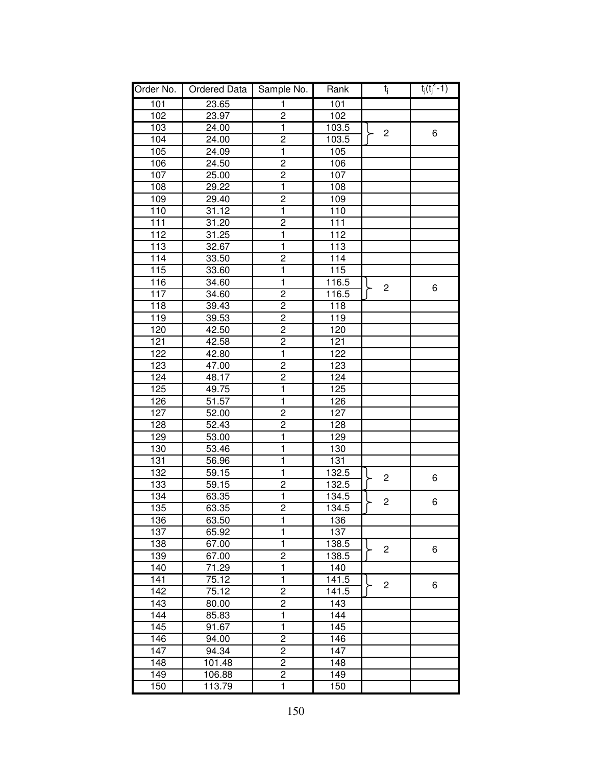| Order No. | Ordered Data | Sample No.              | Rank             | t <sub>j</sub> | $t_i(t_i^2-1)$ |
|-----------|--------------|-------------------------|------------------|----------------|----------------|
| 101       | 23.65        | 1                       | 101              |                |                |
| 102       | 23.97        | 2                       | 102              |                |                |
| 103       | 24.00        | $\mathbf{1}$            | 103.5            | $\overline{c}$ | 6              |
| 104       | 24.00        | $\overline{2}$          | 103.5            |                |                |
| 105       | 24.09        | 1                       | 105              |                |                |
| 106       | 24.50        | $\overline{c}$          | 106              |                |                |
| 107       | 25.00        | $\overline{2}$          | 107              |                |                |
| 108       | 29.22        | 1                       | 108              |                |                |
| 109       | 29.40        | $\overline{2}$          | 109              |                |                |
| 110       | 31.12        | $\mathbf{1}$            | 110              |                |                |
| 111       | 31.20        | $\overline{c}$          | 111              |                |                |
| 112       | 31.25        | 1                       | 112              |                |                |
| 113       | 32.67        | 1                       | 113              |                |                |
| 114       | 33.50        | $\overline{2}$          | 114              |                |                |
| 115       | 33.60        | 1                       | 115              |                |                |
| 116       | 34.60        | $\overline{1}$          | 116.5            | $\overline{c}$ |                |
| 117       | 34.60        | $\overline{c}$          | 116.5            |                | 6              |
| 118       | 39.43        | $\overline{2}$          | 118              |                |                |
| 119       | 39.53        | $\overline{2}$          | 119              |                |                |
| 120       | 42.50        | $\overline{c}$          | 120              |                |                |
| 121       | 42.58        | $\overline{2}$          | 121              |                |                |
| 122       | 42.80        | $\overline{\mathbf{1}}$ | $\overline{122}$ |                |                |
| 123       | 47.00        | $\overline{2}$          | 123              |                |                |
| 124       | 48.17        | $\overline{2}$          | 124              |                |                |
| 125       | 49.75        | 1                       | 125              |                |                |
| 126       | 51.57        | 1                       | 126              |                |                |
| 127       | 52.00        | $\overline{c}$          | 127              |                |                |
| 128       | 52.43        | $\overline{\mathbf{c}}$ | 128              |                |                |
| 129       | 53.00        | 1                       | 129              |                |                |
| 130       | 53.46        | 1                       | 130              |                |                |
| 131       | 56.96        | 1                       | 131              |                |                |
| 132       | 59.15        | $\mathbf{1}$            | 132.5            | $\overline{c}$ | 6              |
| 133       | 59.15        | $\overline{\mathbf{c}}$ | 132.5            |                |                |
| 134       | 63.35        | $\mathbf{1}$            | 134.5            | $\overline{c}$ | 6              |
| 135       | 63.35        | $\overline{c}$          | 134.5            |                |                |
| 136       | 63.50        | 1                       | 136              |                |                |
| 137       | 65.92        | 1                       | 137              |                |                |
| 138       | 67.00        | $\mathbf 1$             | 138.5            | $\overline{c}$ | 6              |
| 139       | 67.00        | $\overline{2}$          | 138.5            |                |                |
| 140       | 71.29        | 1                       | 140              |                |                |
| 141       | 75.12        | $\overline{\mathbf{1}}$ | 141.5            | $\overline{c}$ | 6              |
| 142       | 75.12        | 2                       | 141.5            |                |                |
| 143       | 80.00        | $\overline{2}$          | 143              |                |                |
| 144       | 85.83        | $\mathbf{1}$            | 144              |                |                |
| 145       | 91.67        | $\overline{\mathbf{1}}$ | 145              |                |                |
| 146       | 94.00        | $\overline{2}$          | 146              |                |                |
| 147       | 94.34        | $\overline{c}$          | 147              |                |                |
| 148       | 101.48       | 2                       | 148              |                |                |
| 149       | 106.88       | $\overline{c}$          | 149              |                |                |
| 150       | 113.79       | 1                       | 150              |                |                |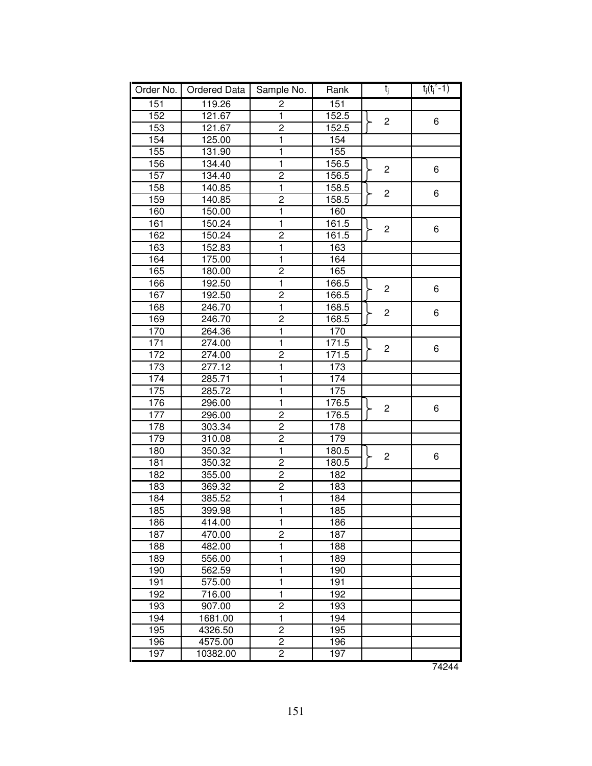| Order No. | Ordered Data | Sample No.              | Rank             | t <sub>j</sub> | $t_j(t_j^2 - 1)$ |
|-----------|--------------|-------------------------|------------------|----------------|------------------|
| 151       | 119.26       | $\overline{2}$          | 151              |                |                  |
| 152       | 121.67       | $\overline{1}$          | 152.5            |                |                  |
| 153       | 121.67       | $\overline{2}$          | 152.5            | $\overline{c}$ | 6                |
| 154       | 125.00       | $\overline{\mathbf{1}}$ | 154              |                |                  |
| 155       | 131.90       | $\overline{\mathbf{1}}$ | $\overline{155}$ |                |                  |
| 156       | 134.40       | $\overline{\mathbf{1}}$ | 156.5            | $\overline{c}$ | 6                |
| 157       | 134.40       | $\overline{2}$          | 156.5            |                |                  |
| 158       | 140.85       | $\mathbf 1$             | 158.5            | $\overline{c}$ | 6                |
| 159       | 140.85       | $\overline{2}$          | 158.5            |                |                  |
| 160       | 150.00       | $\mathbf 1$             | 160              |                |                  |
| 161       | 150.24       | $\overline{1}$          | 161.5            | $\overline{c}$ | 6                |
| 162       | 150.24       | $\overline{2}$          | 161.5            |                |                  |
| 163       | 152.83       | $\overline{1}$          | 163              |                |                  |
| 164       | 175.00       | $\overline{\mathbf{1}}$ | 164              |                |                  |
| 165       | 180.00       | $\overline{2}$          | 165              |                |                  |
| 166       | 192.50       | $\overline{\mathbf{1}}$ | 166.5            | $\overline{c}$ | 6                |
| 167       | 192.50       | $\overline{2}$          | 166.5            |                |                  |
| 168       | 246.70       | ī                       | 168.5            | $\overline{c}$ | 6                |
| 169       | 246.70       | $\overline{2}$          | 168.5            |                |                  |
| 170       | 264.36       | $\overline{\mathbf{1}}$ | 170              |                |                  |
| 171       | 274.00       | $\overline{\mathbf{1}}$ | 171.5            | $\overline{c}$ | 6                |
| 172       | 274.00       | $\overline{2}$          | 171.5            |                |                  |
| 173       | 277.12       | $\overline{\mathbf{1}}$ | 173              |                |                  |
| 174       | 285.71       | $\mathbf 1$             | 174              |                |                  |
| 175       | 285.72       | $\overline{\mathbf{1}}$ | 175              |                |                  |
| 176       | 296.00       | $\overline{1}$          | 176.5            | $\overline{c}$ | 6                |
| 177       | 296.00       | $\overline{\mathbf{c}}$ | 176.5            |                |                  |
| 178       | 303.34       | $\overline{2}$          | 178              |                |                  |
| 179       | 310.08       | $\overline{\mathbf{c}}$ | 179              |                |                  |
| 180       | 350.32       | $\overline{1}$          | 180.5            | $\overline{c}$ | 6                |
| 181       | 350.32       | $\overline{2}$          | 180.5            |                |                  |
| 182       | 355.00       | $\overline{c}$          | 182              |                |                  |
| 183       | 369.32       | $\overline{2}$          | 183              |                |                  |
| 184       | 385.52       | $\overline{\mathbf{1}}$ | 184              |                |                  |
| 185       | 399.98       | $\overline{1}$          | 185              |                |                  |
| 186       | 414.00       | 1                       | 186              |                |                  |
| 187       | 470.00       | $\overline{c}$          | 187              |                |                  |
| 188       | 482.00       | $\mathbf 1$             | 188              |                |                  |
| 189       | 556.00       | 1                       | 189              |                |                  |
| 190       | 562.59       | 1                       | 190              |                |                  |
| 191       | 575.00       | 1                       | 191              |                |                  |
| 192       | 716.00       | 1                       | 192              |                |                  |
| 193       | 907.00       | $\overline{\mathbf{c}}$ | 193              |                |                  |
| 194       | 1681.00      | $\mathbf{1}$            | 194              |                |                  |
| 195       | 4326.50      | $\overline{c}$          | 195              |                |                  |
| 196       | 4575.00      | $\overline{c}$          | 196              |                |                  |
| 197       | 10382.00     | $\overline{2}$          | 197              |                |                  |
|           |              |                         |                  |                | 74244            |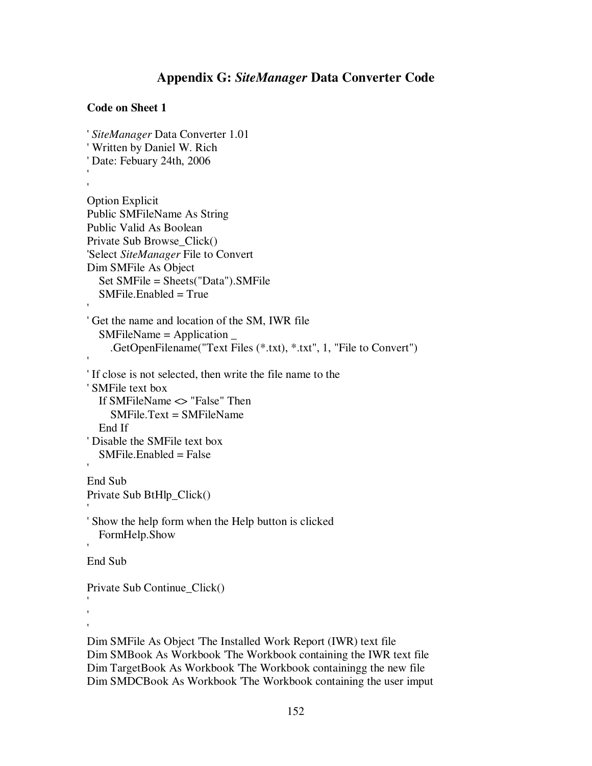# **Appendix G:** *SiteManager* **Data Converter Code**

## **Code on Sheet 1**

```
'SiteManager Data Converter 1.01
'Written by Daniel W. Rich
'Date: Febuary 24th, 2006
''Option Explicit
Public SMFileName As String
Public Valid As Boolean
Private Sub Browse_Click()
'Select SiteManager File to Convert
Dim SMFile As Object
  Set SMFile = Sheets("Data").SMFile
  SMFile. Enabled = True''Get the name and location of the SM, IWR file
  SMFileName = Application _
    .GetOpenFilename("Text Files (*.txt), *.txt", 1, "File to Convert")
''If close is not selected, then write the file name to the
'SMFile text box
  If SMFileName <> "False" Then
    SMFile.Text = SMFileName
  End If
'Disable the SMFile text box
  SMFile. Enabeled = False'End Sub
Private Sub BtHlp_Click()
''Show the help form when the Help button is clicked
  FormHelp.Show
'End Sub
Private Sub Continue_Click()
'''Dim SMFile As Object 'The Installed Work Report (IWR) text file
Dim SMBook As Workbook 'The Workbook containing the IWR text file
Dim TargetBook As Workbook 'The Workbook containingg the new file
Dim SMDCBook As Workbook 'The Workbook containing the user imput
```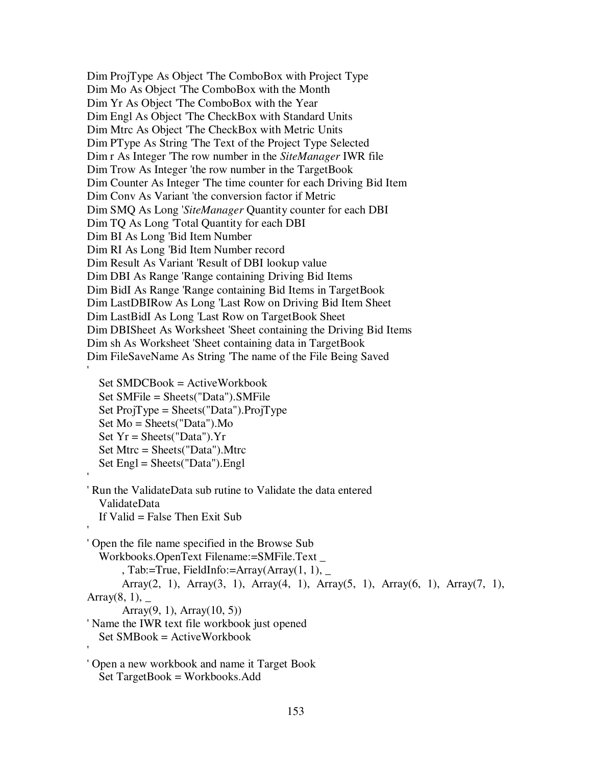Dim ProjType As Object 'The ComboBox with Project Type Dim Mo As Object 'The ComboBox with the Month Dim Yr As Object 'The ComboBox with the Year Dim Engl As Object 'The CheckBox with Standard Units Dim Mtrc As Object 'The CheckBox with Metric Units Dim PType As String 'The Text of the Project Type Selected Dim r As Integer 'The row number in the *SiteManager* IWR file Dim Trow As Integer 'the row number in the TargetBook Dim Counter As Integer 'The time counter for each Driving Bid Item Dim Conv As Variant 'the conversion factor if Metric Dim SMQ As Long '*SiteManager* Quantity counter for each DBI Dim TQ As Long 'Total Quantity for each DBI Dim BI As Long 'Bid Item Number Dim RI As Long 'Bid Item Number record Dim Result As Variant 'Result of DBI lookup value Dim DBI As Range 'Range containing Driving Bid Items Dim BidI As Range 'Range containing Bid Items in TargetBook Dim LastDBIRow As Long 'Last Row on Driving Bid Item Sheet Dim LastBidI As Long 'Last Row on TargetBook Sheet Dim DBISheet As Worksheet 'Sheet containing the Driving Bid Items Dim sh As Worksheet 'Sheet containing data in TargetBook Dim FileSaveName As String 'The name of the File Being Saved

Set SMDCBook = ActiveWorkbook Set SMFile = Sheets("Data").SMFile Set  $ProjType = \text{Sheets}("Data").ProjType$ Set Mo = Sheets("Data").Mo Set  $Yr = \text{Sheets}("Data").Yr$ Set Mtrc = Sheets("Data").Mtrc Set Engl = Sheets("Data").Engl

'

'

'

'Run the ValidateData sub rutine to Validate the data entered ValidateData If Valid  $=$  False Then Exit Sub

'Open the file name specified in the Browse Sub Workbooks.OpenText Filename:=SMFile.Text \_ , Tab:=True, FieldInfo:=Array(Array(1, 1),  $\overline{\phantom{a}}$ Array(2, 1), Array(3, 1), Array(4, 1), Array(5, 1), Array(6, 1), Array(7, 1), Array $(8, 1)$ , \_ Array $(9, 1)$ , Array $(10, 5)$ ) 'Name the IWR text file workbook just opened Set SMBook = ActiveWorkbook '

'Open a new workbook and name it Target Book Set TargetBook = Workbooks.Add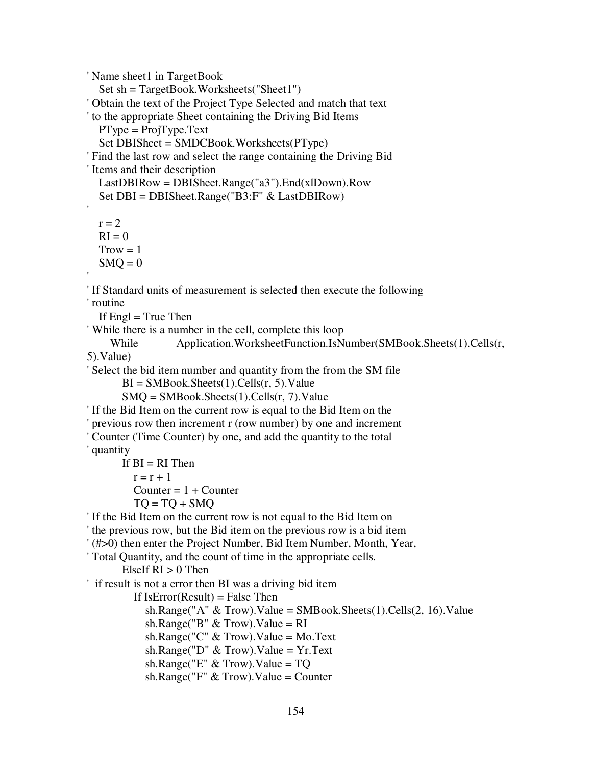'Name sheet1 in TargetBook

Set sh = TargetBook.Worksheets("Sheet1") 'Obtain the text of the Project Type Selected and match that text 'to the appropriate Sheet containing the Driving Bid Items  $PT$ ype =  $ProjType.Text$ Set DBISheet = SMDCBook.Worksheets(PType) 'Find the last row and select the range containing the Driving Bid 'Items and their description LastDBIRow = DBISheet.Range("a3").End(xlDown).Row Set DBI = DBISheet.Range("B3:F" & LastDBIRow) ' $r = 2$  $RI = 0$  $Trow = 1$  $SMO = 0$ ''If Standard units of measurement is selected then execute the following 'routine If  $Engl = True$  Then 'While there is a number in the cell, complete this loop While Application.WorksheetFunction.IsNumber(SMBook.Sheets(1).Cells(r, 5).Value) 'Select the bid item number and quantity from the from the SM file  $BI = SMBook. Sheets(1).Cells(r, 5).Value$  $SMQ = SMBook. Sheets(1).Cells(r, 7).Value$ 'If the Bid Item on the current row is equal to the Bid Item on the 'previous row then increment r (row number) by one and increment 'Counter (Time Counter) by one, and add the quantity to the total 'quantity If  $BI = RI$  Then  $r = r + 1$ Counter  $= 1 +$  Counter  $TO = TQ + SMQ$ 'If the Bid Item on the current row is not equal to the Bid Item on 'the previous row, but the Bid item on the previous row is a bid item '(#>0) then enter the Project Number, Bid Item Number, Month, Year, 'Total Quantity, and the count of time in the appropriate cells. ElseIf  $RI > 0$  Then 'if result is not a error then BI was a driving bid item If  $IsError(Result) = False Then$ sh.Range("A" & Trow).Value = SMBook.Sheets(1).Cells(2, 16).Value sh.Range("B"  $&$  Trow).Value = RI sh.Range("C"  $&$  Trow).Value = Mo.Text sh.Range("D"  $&$  Trow).Value = Yr.Text sh.Range("E" & Trow).Value = TQ sh.Range("F"  $&$  Trow).Value = Counter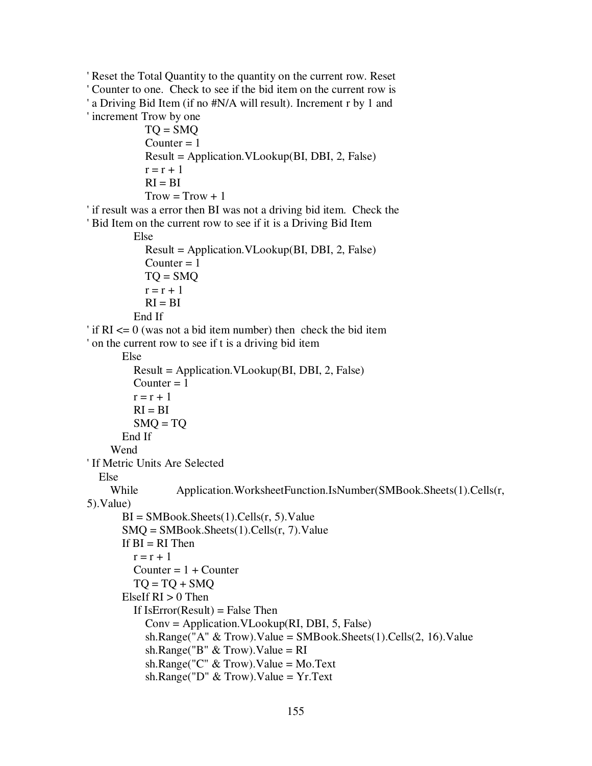```
'Reset the Total Quantity to the quantity on the current row. Reset
'Counter to one. Check to see if the bid item on the current row is
'a Driving Bid Item (if no #N/A will result). Increment r by 1 and
'increment Trow by one
           TO = SMOCounter = 1Result = Application.VLookup(BI, DBI, 2, False)
           r = r + 1RI = BITrow = Trow + 1'if result was a error then BI was not a driving bid item. Check the
'Bid Item on the current row to see if it is a Driving Bid Item
         Else
           Result = Application.VLookup(BI, DBI, 2, False)
           Counter = 1TQ = SMQr = r + 1RI = BIEnd If
'if RI <= 0 (was not a bid item number) then check the bid item
'on the current row to see if t is a driving bid item
      Else
         Result = Application.VLookup(BI, DBI, 2, False)
         Counter = 1r = r + 1RI = BISMO = TOEnd If
    Wend
'If Metric Units Are Selected
  Else
    While Application.WorksheetFunction.IsNumber(SMBook.Sheets(1).Cells(r,
5).Value)
       BI = SMBook. Sheets(1).Cells(r, 5).ValueSMQ = SMBook. sheets(1).Cells(r, 7).ValueIf BI = RI Then
         r = r + 1Counter = 1 + CounterTO = TO + SMOElseIf RI > 0 Then
         If IsError(Result) = False ThenConv = Application.VLookup(RI, DBI, 5, False)
           sh.Range("A" & Trow).Value = SMBook.Sheets(1).Cells(2, 16).Value
           sh.Range("B" & Trow).Value = RI
           sh.Range("C" & Trow).Value = Mo.Text
           sh.Range("D" & Trow).Value = Yr.Text
```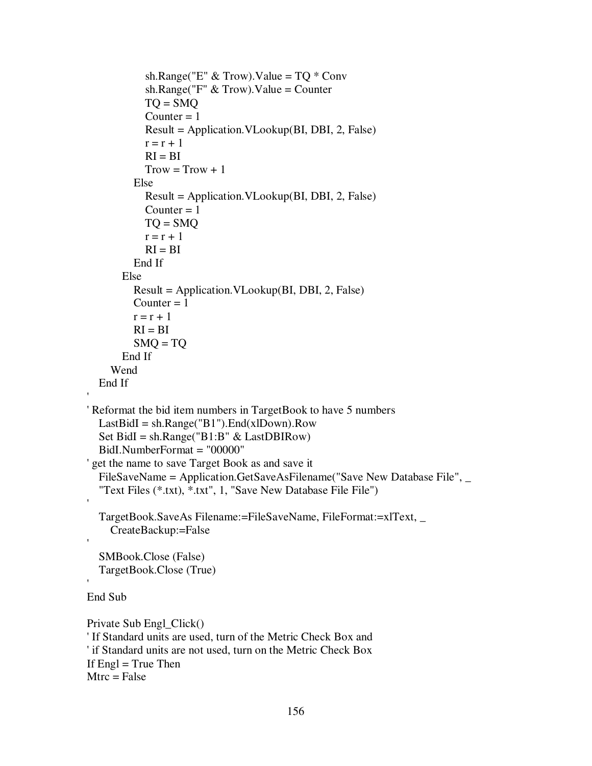```
sh.Range("E" & Trow).Value = TQ & Conv
           sh.Range("F" & Trow).Value = Counter
           TO = SMOCounter = 1Result = Application.VLookup(BI, DBI, 2, False)
           r = r + 1RI = BITrow = Trow + 1Else
           Result = Application.VLookup(BI, DBI, 2, False)
           Counter = 1TQ = SMQr = r + 1RI = BIEnd If
      Else
         Result = Application.VLookup(BI, DBI, 2, False)
         Counter = 1r = r + 1RI = BISMQ = TQEnd If
    Wend
  End If
'Reformat the bid item numbers in TargetBook to have 5 numbers
  LastBidI = sh.Range("B1").End(xlDown).RowSet BidI = sh.Range("B1:B" & LastDBIRow)
  BidI.NumberFormat = "00000"
'get the name to save Target Book as and save it
  FileSaveName = Application.GetSaveAsFilename("Save New Database File", \overline{\phantom{a}}"Text Files (*.txt), *.txt", 1, "Save New Database File File")
  TargetBook.SaveAs Filename:=FileSaveName, FileFormat:=xlText, _
    CreateBackup:=False
  SMBook.Close (False)
  TargetBook.Close (True)
End Sub
Private Sub Engl_Click()
'If Standard units are used, turn of the Metric Check Box and
'if Standard units are not used, turn on the Metric Check Box
If Engl = True Then
```

```
Mtrc = False
```
'

'

'

'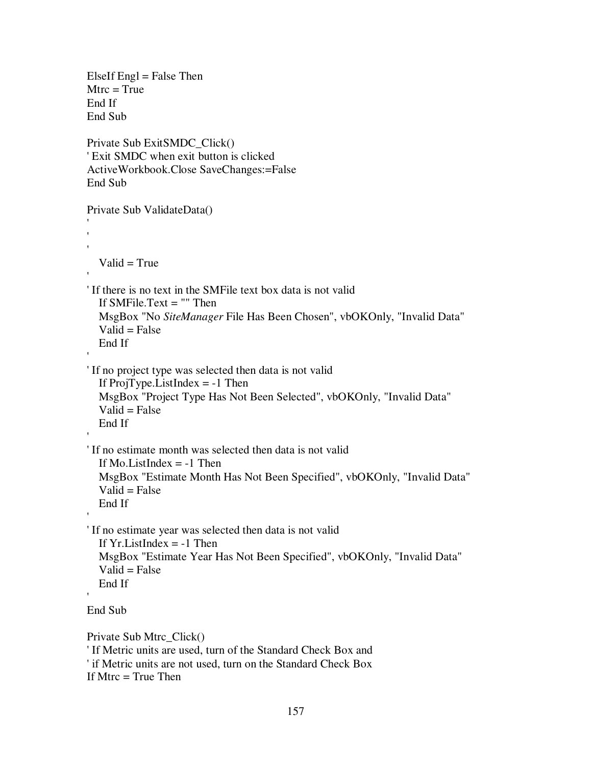```
ElseIf Engl = False Then
Mtrc = True
End If
End Sub
Private Sub ExitSMDC_Click()
'Exit SMDC when exit button is clicked
ActiveWorkbook.Close SaveChanges:=False
End Sub
Private Sub ValidateData()
'''Valid = True''If there is no text in the SMFile text box data is not valid
  If SMFile.Text = "" Then
  MsgBox "No SiteManager File Has Been Chosen", vbOKOnly, "Invalid Data"
  Valid = FalseEnd If
''If no project type was selected then data is not valid
  If ProjType.ListIndex = -1 Then
  MsgBox "Project Type Has Not Been Selected", vbOKOnly, "Invalid Data"
  Valid = FalseEnd If
''If no estimate month was selected then data is not valid
  If Mo.ListIndex = -1 Then
  MsgBox "Estimate Month Has Not Been Specified", vbOKOnly, "Invalid Data"
  Valid = FalseEnd If
''If no estimate year was selected then data is not valid
  If Yr.ListIndex = -1 Then
  MsgBox "Estimate Year Has Not Been Specified", vbOKOnly, "Invalid Data"
  Valid = FalseEnd If
'End Sub
Private Sub Mtrc_Click()
'If Metric units are used, turn of the Standard Check Box and
'if Metric units are not used, turn on the Standard Check Box
```

```
If Mtrc = True Then
```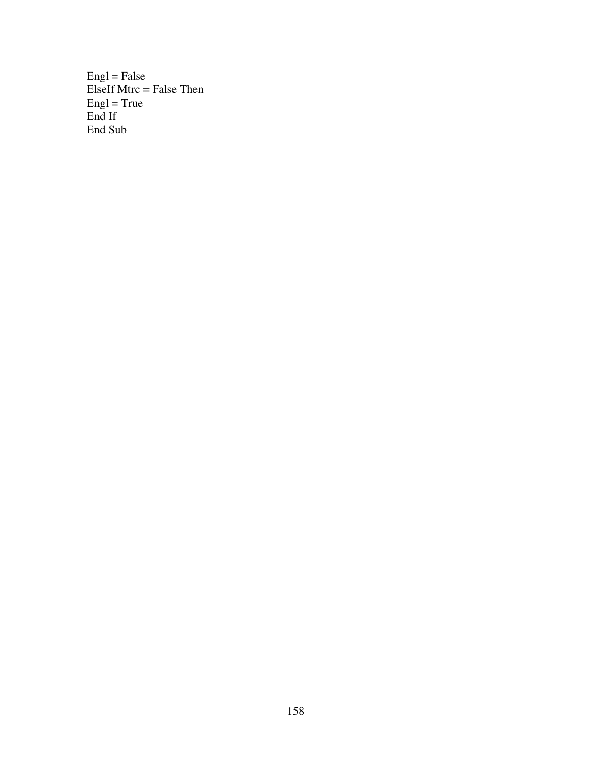$English = False$ ElseIf Mtrc = False Then Engl = True End If End Sub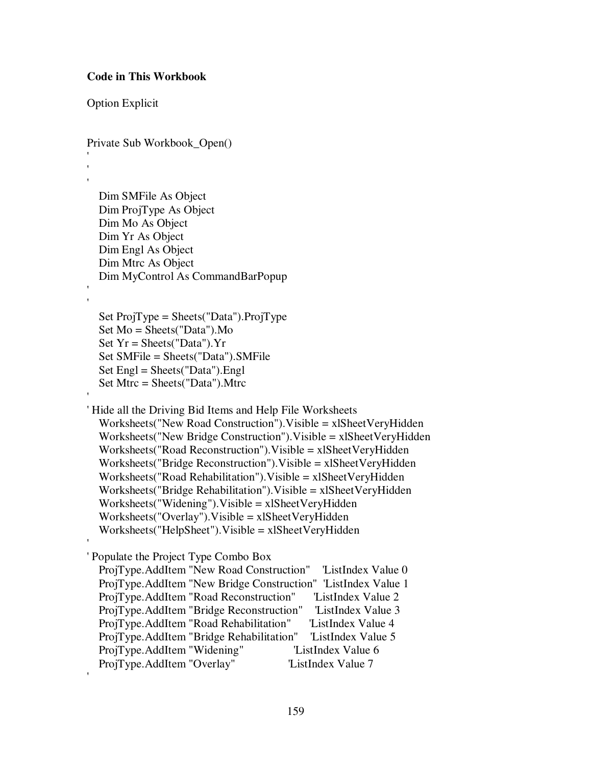## **Code in This Workbook**

Option Explicit

Private Sub Workbook\_Open()

'''

> Dim SMFile As Object Dim ProjType As Object Dim Mo As Object Dim Yr As Object Dim Engl As Object Dim Mtrc As Object Dim MyControl As CommandBarPopup

''

'

'

'

Set ProjType = Sheets("Data").ProjType Set Mo = Sheets("Data").Mo Set  $Yr = \text{Sheets}("Data").Yr$ Set SMFile = Sheets("Data").SMFile Set Engl = Sheets("Data").Engl Set Mtrc = Sheets("Data").Mtrc

'Hide all the Driving Bid Items and Help File Worksheets Worksheets("New Road Construction").Visible = xlSheetVeryHidden Worksheets("New Bridge Construction").Visible = xlSheetVeryHidden Worksheets("Road Reconstruction").Visible = xlSheetVeryHidden Worksheets("Bridge Reconstruction").Visible = xlSheetVeryHidden Worksheets("Road Rehabilitation").Visible = xlSheetVeryHidden Worksheets("Bridge Rehabilitation").Visible = xlSheetVeryHidden Worksheets("Widening").Visible = xlSheetVeryHidden Worksheets("Overlay").Visible = xlSheetVeryHidden Worksheets("HelpSheet").Visible = xlSheetVeryHidden

'Populate the Project Type Combo Box

ProjType.AddItem "New Road Construction" 'ListIndex Value 0 ProjType.AddItem "New Bridge Construction" 'ListIndex Value 1 ProjType.AddItem "Road Reconstruction" 'ListIndex Value 2 ProjType.AddItem "Bridge Reconstruction" 'ListIndex Value 3 ProjType.AddItem "Road Rehabilitation" 'ListIndex Value 4 ProjType.AddItem "Bridge Rehabilitation" 'ListIndex Value 5 ProjType.AddItem "Widening" 
ListIndex Value 6 ProjType.AddItem "Overlay" 
ListIndex Value 7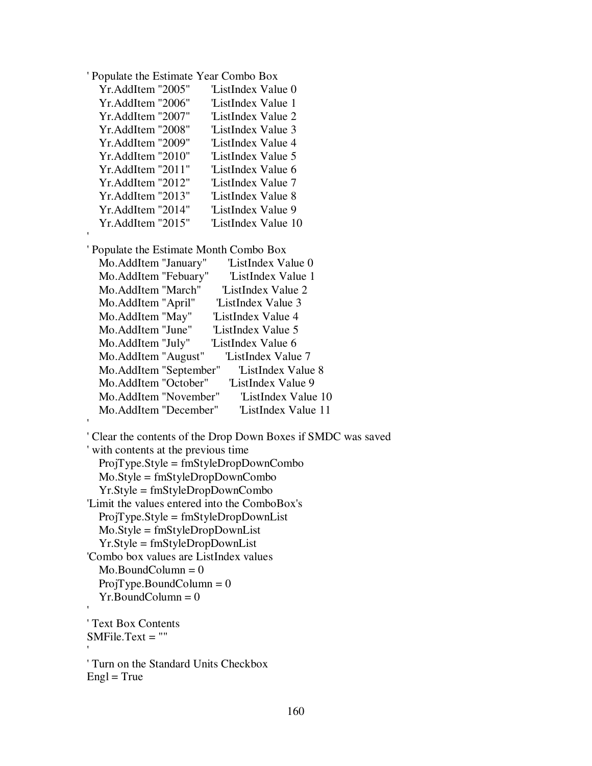| Populate the Estimate Year Combo Box |  |  |  |
|--------------------------------------|--|--|--|
|--------------------------------------|--|--|--|

| Yr.AddItem "2005" | ListIndex Value 0   |
|-------------------|---------------------|
| Yr.AddItem "2006" | 'ListIndex Value 1  |
| Yr.AddItem "2007" | 'ListIndex Value 2  |
| Yr.AddItem "2008" | 'ListIndex Value 3  |
| Yr.AddItem "2009" | 'ListIndex Value 4  |
| Yr.AddItem "2010" | ListIndex Value 5   |
| Yr.AddItem "2011" | ListIndex Value 6   |
| Yr.AddItem "2012" | 'ListIndex Value 7  |
| Yr.AddItem "2013" | 'ListIndex Value 8  |
| Yr.AddItem "2014" | ListIndex Value 9   |
| Yr.AddItem "2015" | 'ListIndex Value 10 |

'Populate the Estimate Month Combo Box

'

'

'

| Mo.AddItem "January"   | 'ListIndex Value 0  |
|------------------------|---------------------|
| Mo.AddItem "Febuary"   | 'ListIndex Value 1  |
| Mo.AddItem "March"     | 'ListIndex Value 2  |
| Mo.AddItem "April"     | 'ListIndex Value 3  |
| Mo.AddItem "May"       | 'ListIndex Value 4  |
| Mo. AddItem "June"     | 'ListIndex Value 5  |
| Mo. AddItem "July"     | ListIndex Value 6   |
| Mo.AddItem "August"    | 'ListIndex Value 7  |
| Mo.AddItem "September" | 'ListIndex Value 8  |
| Mo.AddItem "October"   | 'ListIndex Value 9  |
| Mo.AddItem "November"  | 'ListIndex Value 10 |
| Mo.AddItem "December"  | 'ListIndex Value 11 |

```
'Clear the contents of the Drop Down Boxes if SMDC was saved
'with contents at the previous time
  ProjType.Style = fmStyleDropDownCombo
  Mo.Style = fmStyleDropDownCombo
  Yr.Style = fmStyleDropDownCombo
'Limit the values entered into the ComboBox's
  ProjType.Style = fmStyleDropDownList
  Mo.Style = fmStyleDropDownList
  Yr.Style = fmStyleDropDownList
'Combo box values are ListIndex values
  Mo.BoundColumn = 0ProjType.BoundColumn = 0Yr.BoundColumn = 0'
```

```
'Text Box Contents
SMFile.Text = ""
```
'Turn on the Standard Units Checkbox  $English = True$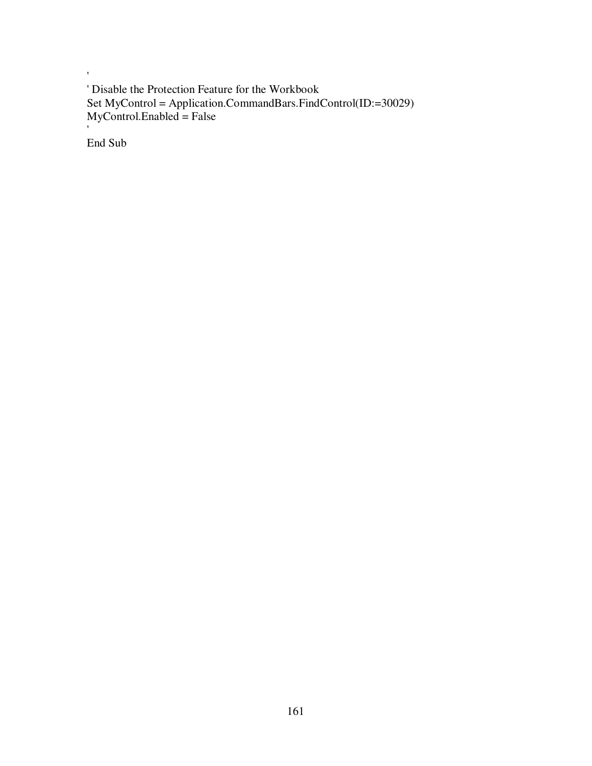'Disable the Protection Feature for the Workbook Set MyControl = Application.CommandBars.FindControl(ID:=30029) MyControl.Enabled = False

End Sub

'

'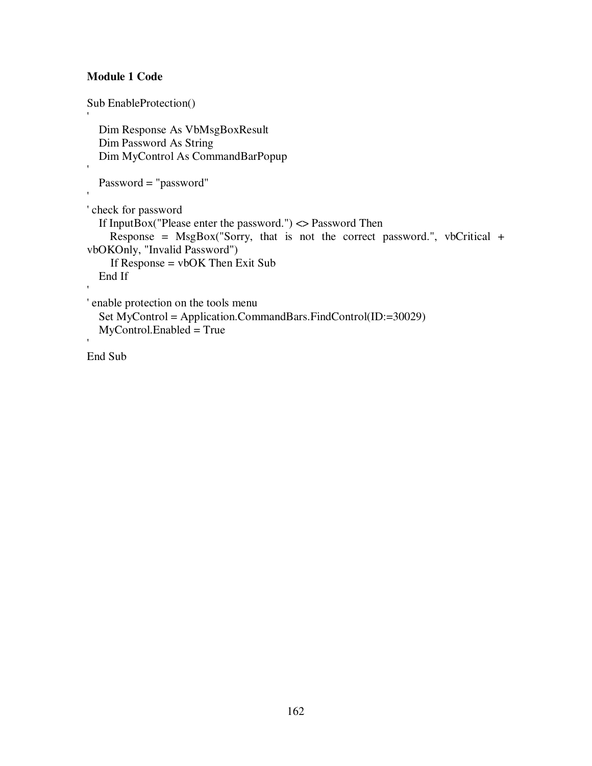# **Module 1 Code**

Sub EnableProtection() 'Dim Response As VbMsgBoxResult Dim Password As String Dim MyControl As CommandBarPopup 'Password = "password" ''check for password If InputBox("Please enter the password.") <> Password Then Response =  $MsgBox("Sorry, that is not the correct password."$ , vbCritical + vbOKOnly, "Invalid Password") If Response = vbOK Then Exit Sub End If ''enable protection on the tools menu Set MyControl = Application.CommandBars.FindControl(ID:=30029) MyControl.Enabled = True '

End Sub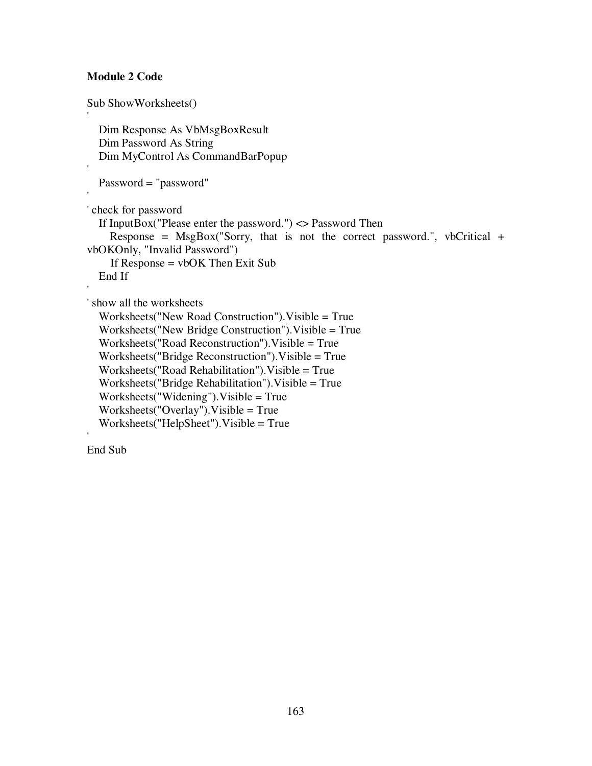# **Module 2 Code**

```
Sub ShowWorksheets()
'Dim Response As VbMsgBoxResult
  Dim Password As String
  Dim MyControl As CommandBarPopup
'Password = "password"
''check for password
  If InputBox("Please enter the password.") <> Password Then
    Response = MsgBox("Sorry, that is not the correct password.", vbCritical +
vbOKOnly, "Invalid Password")
    If Response = vbOK Then Exit Sub
  End If
''show all the worksheets
  Worksheets("New Road Construction").Visible = True
  Worksheets("New Bridge Construction").Visible = True
  Worksheets("Road Reconstruction").Visible = True
  Worksheets("Bridge Reconstruction").Visible = True
  Worksheets("Road Rehabilitation").Visible = True
  Worksheets("Bridge Rehabilitation").Visible = True
  Worksheets("Widening").Visible = True
  Worksheets("Overlay").Visible = True
  Worksheets("HelpSheet").Visible = True
```
End Sub

'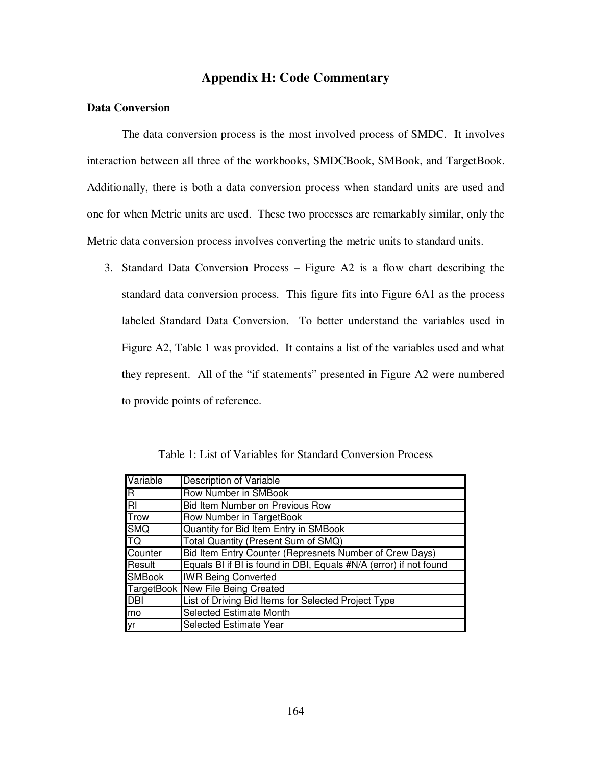# **Appendix H: Code Commentary**

### **Data Conversion**

The data conversion process is the most involved process of SMDC. It involves interaction between all three of the workbooks, SMDCBook, SMBook, and TargetBook. Additionally, there is both a data conversion process when standard units are used and one for when Metric units are used. These two processes are remarkably similar, only the Metric data conversion process involves converting the metric units to standard units.

3. Standard Data Conversion Process – Figure A2 is a flow chart describing the standard data conversion process. This figure fits into Figure 6A1 as the process labeled Standard Data Conversion. To better understand the variables used in Figure A2, Table 1 was provided. It contains a list of the variables used and what they represent. All of the "if statements" presented in Figure A2 were numbered to provide points of reference.

Table 1: List of Variables for Standard Conversion Process

| Variable         | Description of Variable                                           |
|------------------|-------------------------------------------------------------------|
| R                | Row Number in SMBook                                              |
| $\overline{\Xi}$ | Bid Item Number on Previous Row                                   |
| <b>Trow</b>      | Row Number in TargetBook                                          |
| <b>SMQ</b>       | Quantity for Bid Item Entry in SMBook                             |
| TQ               | Total Quantity (Present Sum of SMQ)                               |
| Counter          | Bid Item Entry Counter (Represnets Number of Crew Days)           |
| Result           | Equals BI if BI is found in DBI, Equals #N/A (error) if not found |
| <b>SMBook</b>    | <b>IWR Being Converted</b>                                        |
|                  | TargetBook New File Being Created                                 |
| <b>DBI</b>       | List of Driving Bid Items for Selected Project Type               |
| lmo              | <b>Selected Estimate Month</b>                                    |
| lyr              | Selected Estimate Year                                            |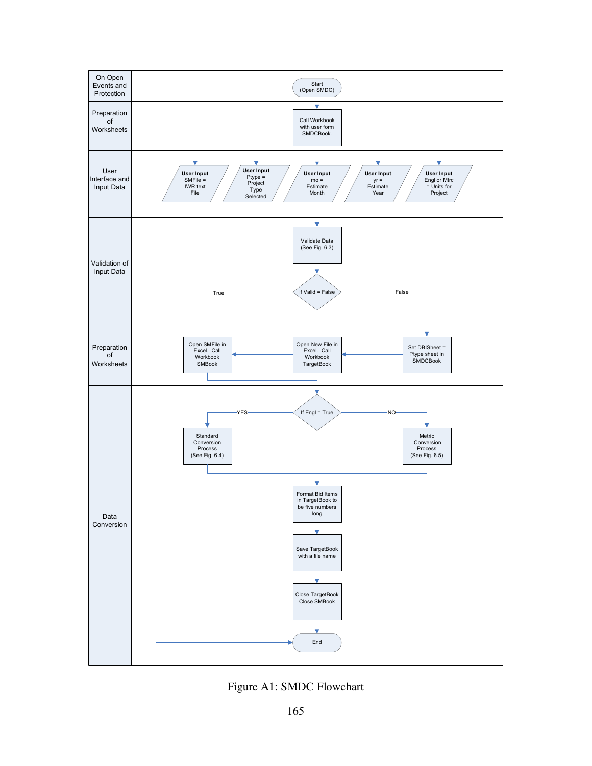

Figure A1: SMDC Flowchart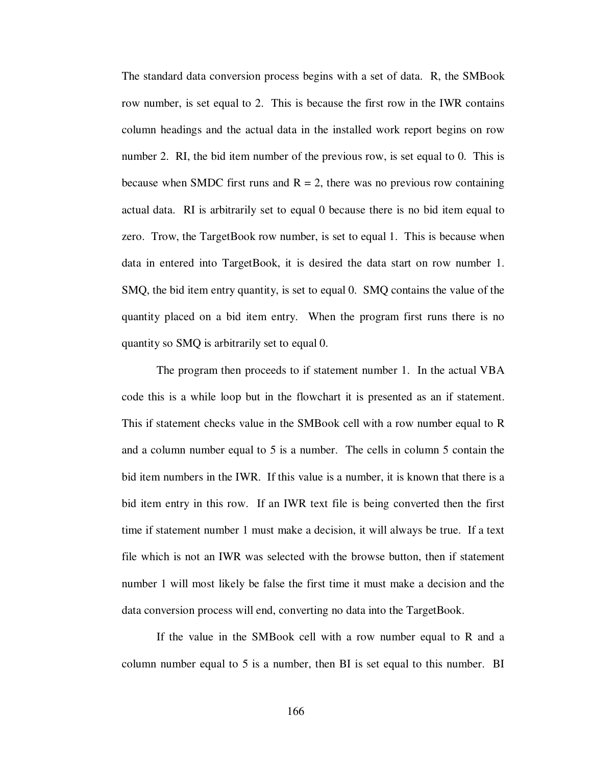The standard data conversion process begins with a set of data. R, the SMBook row number, is set equal to 2. This is because the first row in the IWR contains column headings and the actual data in the installed work report begins on row number 2. RI, the bid item number of the previous row, is set equal to 0. This is because when SMDC first runs and  $R = 2$ , there was no previous row containing actual data. RI is arbitrarily set to equal 0 because there is no bid item equal to zero. Trow, the TargetBook row number, is set to equal 1. This is because when data in entered into TargetBook, it is desired the data start on row number 1. SMQ, the bid item entry quantity, is set to equal 0. SMQ contains the value of the quantity placed on a bid item entry. When the program first runs there is no quantity so SMQ is arbitrarily set to equal 0.

The program then proceeds to if statement number 1. In the actual VBA code this is a while loop but in the flowchart it is presented as an if statement. This if statement checks value in the SMBook cell with a row number equal to R and a column number equal to 5 is a number. The cells in column 5 contain the bid item numbers in the IWR. If this value is a number, it is known that there is a bid item entry in this row. If an IWR text file is being converted then the first time if statement number 1 must make a decision, it will always be true. If a text file which is not an IWR was selected with the browse button, then if statement number 1 will most likely be false the first time it must make a decision and the data conversion process will end, converting no data into the TargetBook.

If the value in the SMBook cell with a row number equal to R and a column number equal to 5 is a number, then BI is set equal to this number. BI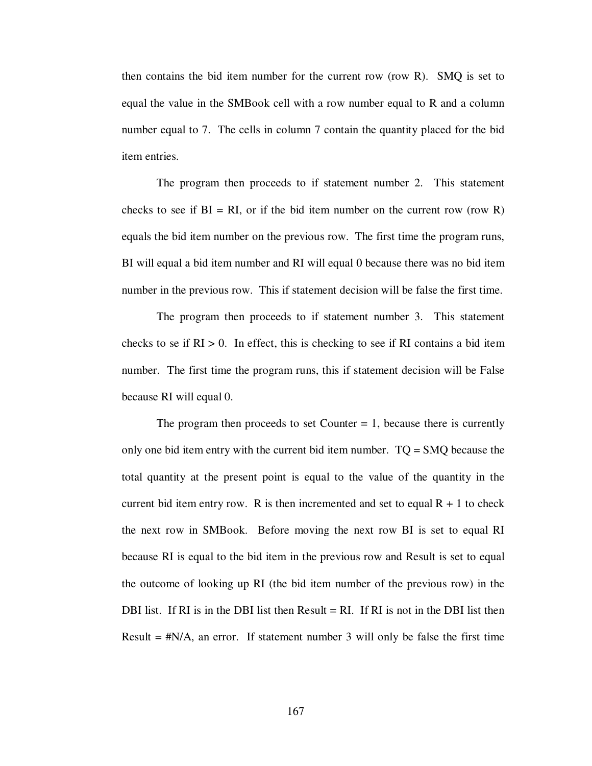then contains the bid item number for the current row (row R). SMQ is set to equal the value in the SMBook cell with a row number equal to R and a column number equal to 7. The cells in column 7 contain the quantity placed for the bid item entries.

The program then proceeds to if statement number 2. This statement checks to see if  $BI = RI$ , or if the bid item number on the current row (row R) equals the bid item number on the previous row. The first time the program runs, BI will equal a bid item number and RI will equal 0 because there was no bid item number in the previous row. This if statement decision will be false the first time.

The program then proceeds to if statement number 3. This statement checks to se if  $RI > 0$ . In effect, this is checking to see if RI contains a bid item number. The first time the program runs, this if statement decision will be False because RI will equal 0.

The program then proceeds to set Counter  $= 1$ , because there is currently only one bid item entry with the current bid item number. TQ = SMQ because the total quantity at the present point is equal to the value of the quantity in the current bid item entry row. R is then incremented and set to equal  $R + 1$  to check the next row in SMBook. Before moving the next row BI is set to equal RI because RI is equal to the bid item in the previous row and Result is set to equal the outcome of looking up RI (the bid item number of the previous row) in the DBI list. If RI is in the DBI list then Result  $= RI$ . If RI is not in the DBI list then Result  $=$  #N/A, an error. If statement number 3 will only be false the first time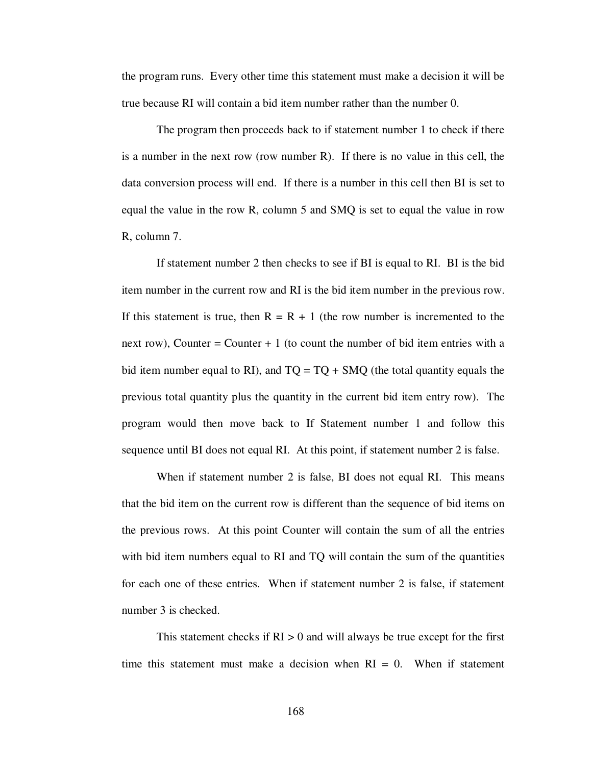the program runs. Every other time this statement must make a decision it will be true because RI will contain a bid item number rather than the number 0.

The program then proceeds back to if statement number 1 to check if there is a number in the next row (row number R). If there is no value in this cell, the data conversion process will end. If there is a number in this cell then BI is set to equal the value in the row R, column 5 and SMQ is set to equal the value in row R, column 7.

If statement number 2 then checks to see if BI is equal to RI. BI is the bid item number in the current row and RI is the bid item number in the previous row. If this statement is true, then  $R = R + 1$  (the row number is incremented to the next row), Counter = Counter  $+1$  (to count the number of bid item entries with a bid item number equal to RI), and  $TQ = TQ + SMQ$  (the total quantity equals the previous total quantity plus the quantity in the current bid item entry row). The program would then move back to If Statement number 1 and follow this sequence until BI does not equal RI. At this point, if statement number 2 is false.

When if statement number 2 is false, BI does not equal RI. This means that the bid item on the current row is different than the sequence of bid items on the previous rows. At this point Counter will contain the sum of all the entries with bid item numbers equal to RI and TQ will contain the sum of the quantities for each one of these entries. When if statement number 2 is false, if statement number 3 is checked.

This statement checks if  $RI > 0$  and will always be true except for the first time this statement must make a decision when  $RI = 0$ . When if statement

168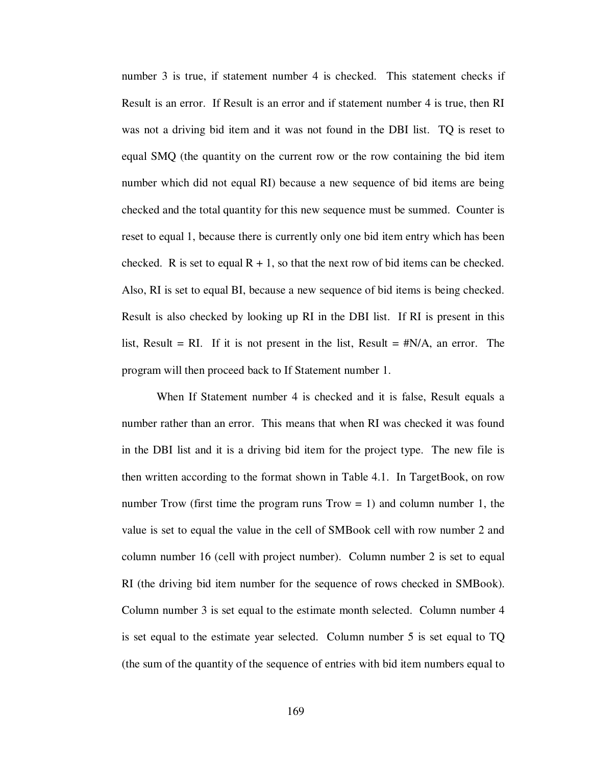number 3 is true, if statement number 4 is checked. This statement checks if Result is an error. If Result is an error and if statement number 4 is true, then RI was not a driving bid item and it was not found in the DBI list. TQ is reset to equal SMQ (the quantity on the current row or the row containing the bid item number which did not equal RI) because a new sequence of bid items are being checked and the total quantity for this new sequence must be summed. Counter is reset to equal 1, because there is currently only one bid item entry which has been checked. R is set to equal  $R + 1$ , so that the next row of bid items can be checked. Also, RI is set to equal BI, because a new sequence of bid items is being checked. Result is also checked by looking up RI in the DBI list. If RI is present in this list, Result = RI. If it is not present in the list, Result =  $\#N/A$ , an error. The program will then proceed back to If Statement number 1.

When If Statement number 4 is checked and it is false, Result equals a number rather than an error. This means that when RI was checked it was found in the DBI list and it is a driving bid item for the project type. The new file is then written according to the format shown in Table 4.1. In TargetBook, on row number Trow (first time the program runs  $Trow = 1$ ) and column number 1, the value is set to equal the value in the cell of SMBook cell with row number 2 and column number 16 (cell with project number). Column number 2 is set to equal RI (the driving bid item number for the sequence of rows checked in SMBook). Column number 3 is set equal to the estimate month selected. Column number 4 is set equal to the estimate year selected. Column number 5 is set equal to TQ (the sum of the quantity of the sequence of entries with bid item numbers equal to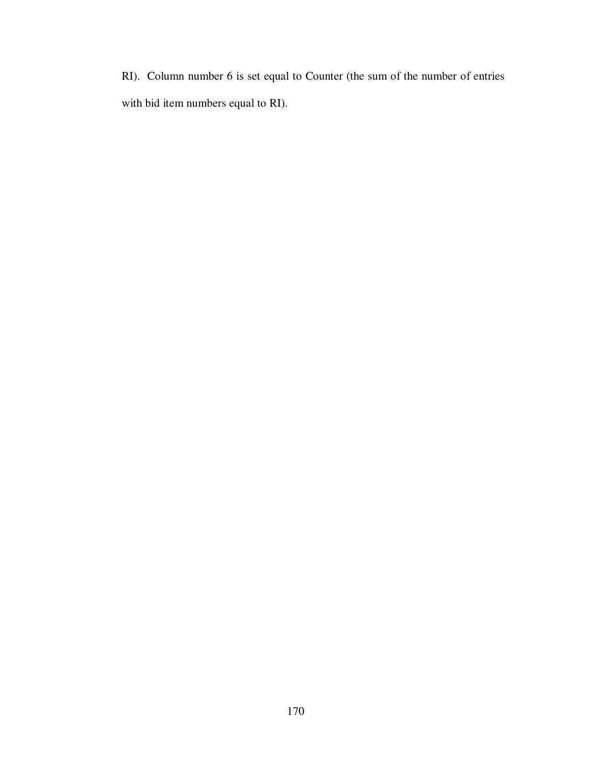RI). Column number 6 is set equal to Counter (the sum of the number of entries with bid item numbers equal to RI).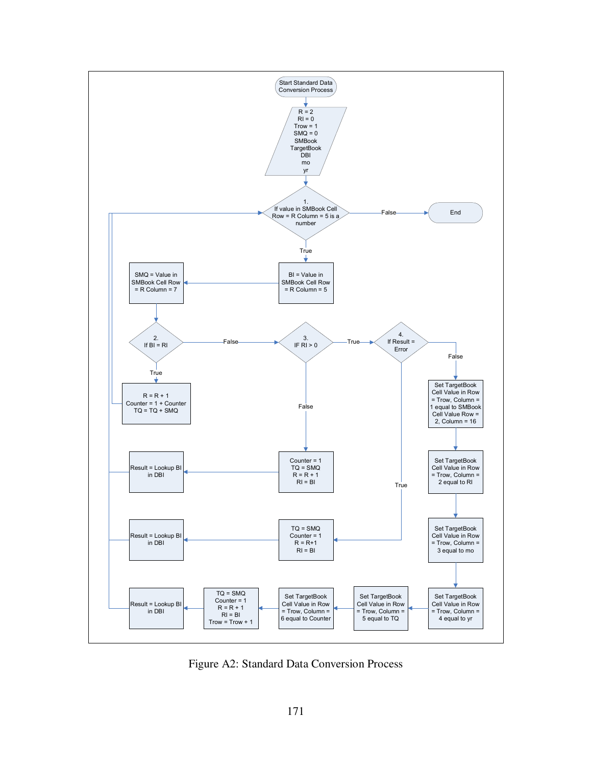

Figure A2: Standard Data Conversion Process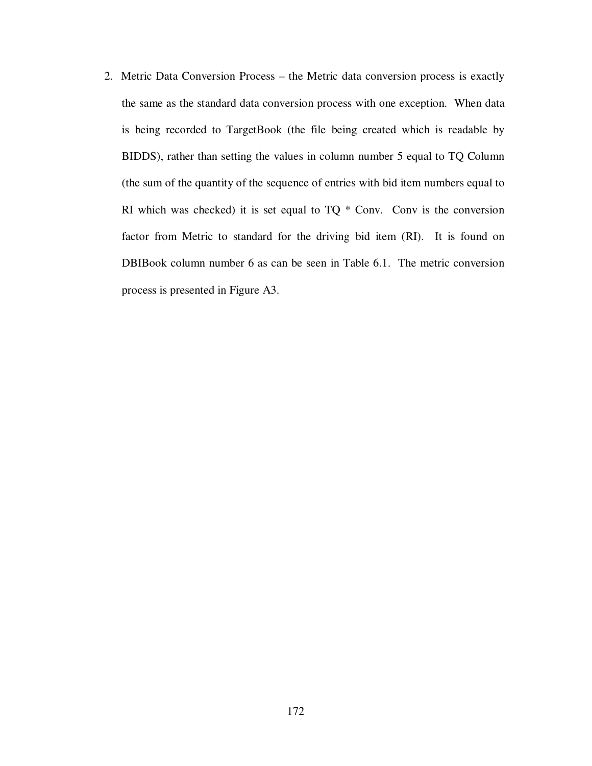2. Metric Data Conversion Process – the Metric data conversion process is exactly the same as the standard data conversion process with one exception. When data is being recorded to TargetBook (the file being created which is readable by BIDDS), rather than setting the values in column number 5 equal to TQ Column (the sum of the quantity of the sequence of entries with bid item numbers equal to RI which was checked) it is set equal to  $TQ * Conv$ . Conv is the conversion factor from Metric to standard for the driving bid item (RI). It is found on DBIBook column number 6 as can be seen in Table 6.1. The metric conversion process is presented in Figure A3.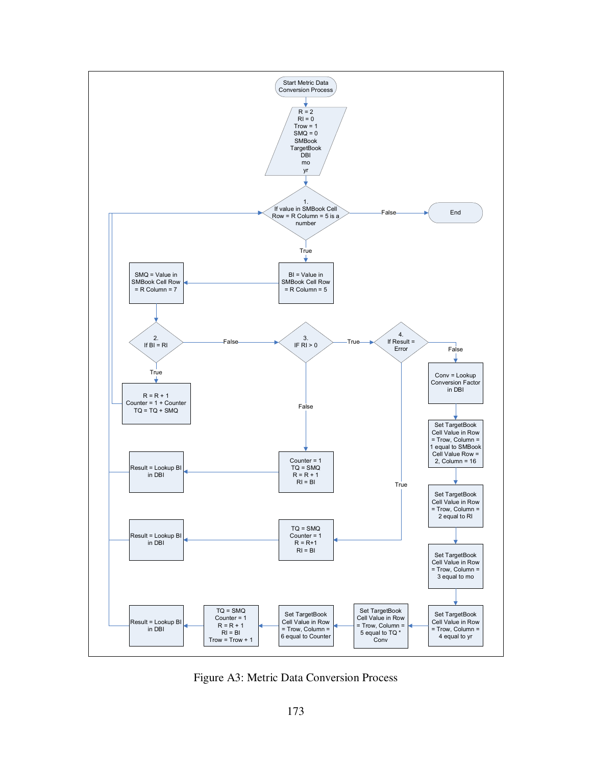

Figure A3: Metric Data Conversion Process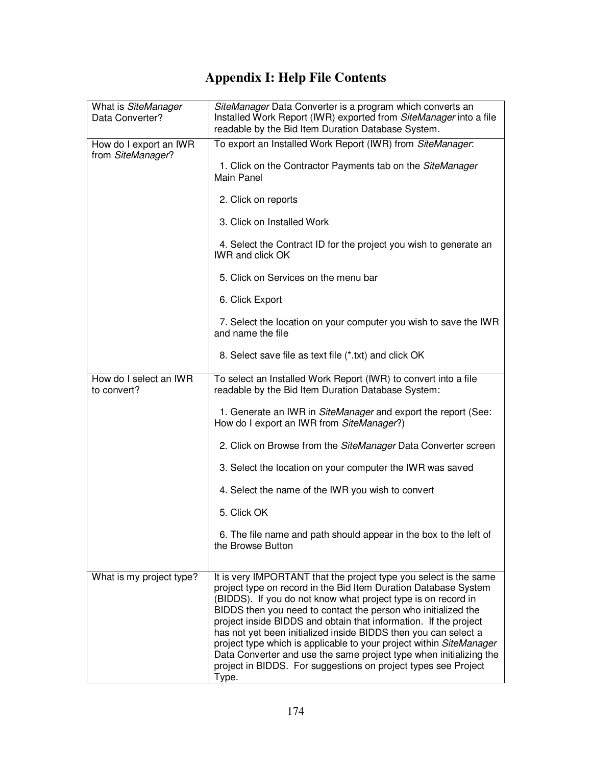## **Appendix I: Help File Contents**

| What is SiteManager<br>Data Converter?      | SiteManager Data Converter is a program which converts an<br>Installed Work Report (IWR) exported from SiteManager into a file<br>readable by the Bid Item Duration Database System.                                                                                                                                                                                                                                                                                                                                                                                                                                                  |
|---------------------------------------------|---------------------------------------------------------------------------------------------------------------------------------------------------------------------------------------------------------------------------------------------------------------------------------------------------------------------------------------------------------------------------------------------------------------------------------------------------------------------------------------------------------------------------------------------------------------------------------------------------------------------------------------|
| How do I export an IWR<br>from SiteManager? | To export an Installed Work Report (IWR) from SiteManager:                                                                                                                                                                                                                                                                                                                                                                                                                                                                                                                                                                            |
|                                             | 1. Click on the Contractor Payments tab on the SiteManager<br>Main Panel                                                                                                                                                                                                                                                                                                                                                                                                                                                                                                                                                              |
|                                             | 2. Click on reports                                                                                                                                                                                                                                                                                                                                                                                                                                                                                                                                                                                                                   |
|                                             | 3. Click on Installed Work                                                                                                                                                                                                                                                                                                                                                                                                                                                                                                                                                                                                            |
|                                             | 4. Select the Contract ID for the project you wish to generate an<br><b>IWR and click OK</b>                                                                                                                                                                                                                                                                                                                                                                                                                                                                                                                                          |
|                                             | 5. Click on Services on the menu bar                                                                                                                                                                                                                                                                                                                                                                                                                                                                                                                                                                                                  |
|                                             | 6. Click Export                                                                                                                                                                                                                                                                                                                                                                                                                                                                                                                                                                                                                       |
|                                             | 7. Select the location on your computer you wish to save the IWR<br>and name the file                                                                                                                                                                                                                                                                                                                                                                                                                                                                                                                                                 |
|                                             | 8. Select save file as text file (*.txt) and click OK                                                                                                                                                                                                                                                                                                                                                                                                                                                                                                                                                                                 |
| How do I select an IWR<br>to convert?       | To select an Installed Work Report (IWR) to convert into a file<br>readable by the Bid Item Duration Database System:                                                                                                                                                                                                                                                                                                                                                                                                                                                                                                                 |
|                                             | 1. Generate an IWR in SiteManager and export the report (See:<br>How do I export an IWR from SiteManager?)                                                                                                                                                                                                                                                                                                                                                                                                                                                                                                                            |
|                                             | 2. Click on Browse from the SiteManager Data Converter screen                                                                                                                                                                                                                                                                                                                                                                                                                                                                                                                                                                         |
|                                             | 3. Select the location on your computer the IWR was saved                                                                                                                                                                                                                                                                                                                                                                                                                                                                                                                                                                             |
|                                             | 4. Select the name of the IWR you wish to convert                                                                                                                                                                                                                                                                                                                                                                                                                                                                                                                                                                                     |
|                                             | 5. Click OK                                                                                                                                                                                                                                                                                                                                                                                                                                                                                                                                                                                                                           |
|                                             | 6. The file name and path should appear in the box to the left of<br>the Browse Button                                                                                                                                                                                                                                                                                                                                                                                                                                                                                                                                                |
| What is my project type?                    | It is very IMPORTANT that the project type you select is the same<br>project type on record in the Bid Item Duration Database System<br>(BIDDS). If you do not know what project type is on record in<br>BIDDS then you need to contact the person who initialized the<br>project inside BIDDS and obtain that information. If the project<br>has not yet been initialized inside BIDDS then you can select a<br>project type which is applicable to your project within SiteManager<br>Data Converter and use the same project type when initializing the<br>project in BIDDS. For suggestions on project types see Project<br>Type. |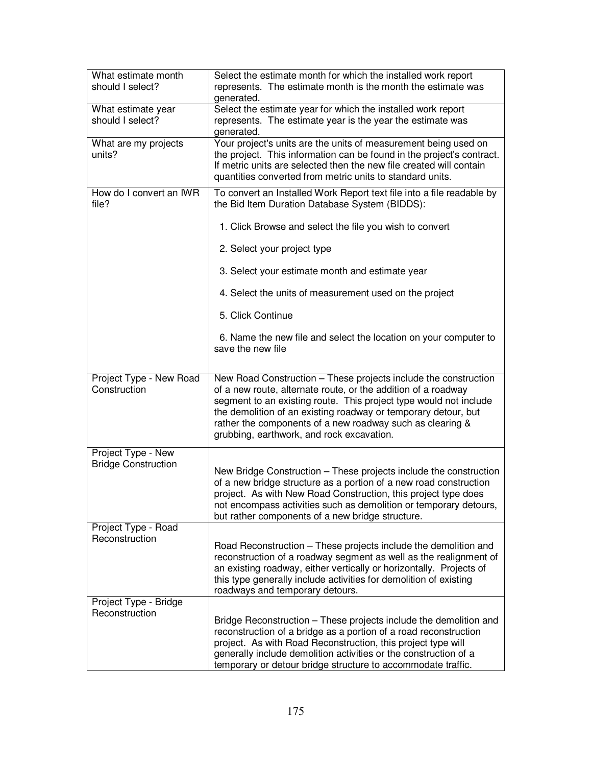| What estimate month<br>should I select?          | Select the estimate month for which the installed work report<br>represents. The estimate month is the month the estimate was<br>generated.                                                                                                                                                                                                                                       |
|--------------------------------------------------|-----------------------------------------------------------------------------------------------------------------------------------------------------------------------------------------------------------------------------------------------------------------------------------------------------------------------------------------------------------------------------------|
| What estimate year<br>should I select?           | Select the estimate year for which the installed work report<br>represents. The estimate year is the year the estimate was<br>generated.                                                                                                                                                                                                                                          |
| What are my projects<br>units?                   | Your project's units are the units of measurement being used on<br>the project. This information can be found in the project's contract.<br>If metric units are selected then the new file created will contain<br>quantities converted from metric units to standard units.                                                                                                      |
| How do I convert an IWR<br>file?                 | To convert an Installed Work Report text file into a file readable by<br>the Bid Item Duration Database System (BIDDS):                                                                                                                                                                                                                                                           |
|                                                  | 1. Click Browse and select the file you wish to convert                                                                                                                                                                                                                                                                                                                           |
|                                                  | 2. Select your project type                                                                                                                                                                                                                                                                                                                                                       |
|                                                  | 3. Select your estimate month and estimate year                                                                                                                                                                                                                                                                                                                                   |
|                                                  | 4. Select the units of measurement used on the project                                                                                                                                                                                                                                                                                                                            |
|                                                  | 5. Click Continue                                                                                                                                                                                                                                                                                                                                                                 |
|                                                  | 6. Name the new file and select the location on your computer to<br>save the new file                                                                                                                                                                                                                                                                                             |
| Project Type - New Road<br>Construction          | New Road Construction - These projects include the construction<br>of a new route, alternate route, or the addition of a roadway<br>segment to an existing route. This project type would not include<br>the demolition of an existing roadway or temporary detour, but<br>rather the components of a new roadway such as clearing &<br>grubbing, earthwork, and rock excavation. |
| Project Type - New<br><b>Bridge Construction</b> | New Bridge Construction – These projects include the construction<br>of a new bridge structure as a portion of a new road construction<br>project. As with New Road Construction, this project type does<br>not encompass activities such as demolition or temporary detours,<br>but rather components of a new bridge structure.                                                 |
| Project Type - Road<br>Reconstruction            | Road Reconstruction – These projects include the demolition and<br>reconstruction of a roadway segment as well as the realignment of<br>an existing roadway, either vertically or horizontally. Projects of<br>this type generally include activities for demolition of existing<br>roadways and temporary detours.                                                               |
| Project Type - Bridge<br>Reconstruction          | Bridge Reconstruction – These projects include the demolition and<br>reconstruction of a bridge as a portion of a road reconstruction<br>project. As with Road Reconstruction, this project type will<br>generally include demolition activities or the construction of a<br>temporary or detour bridge structure to accommodate traffic.                                         |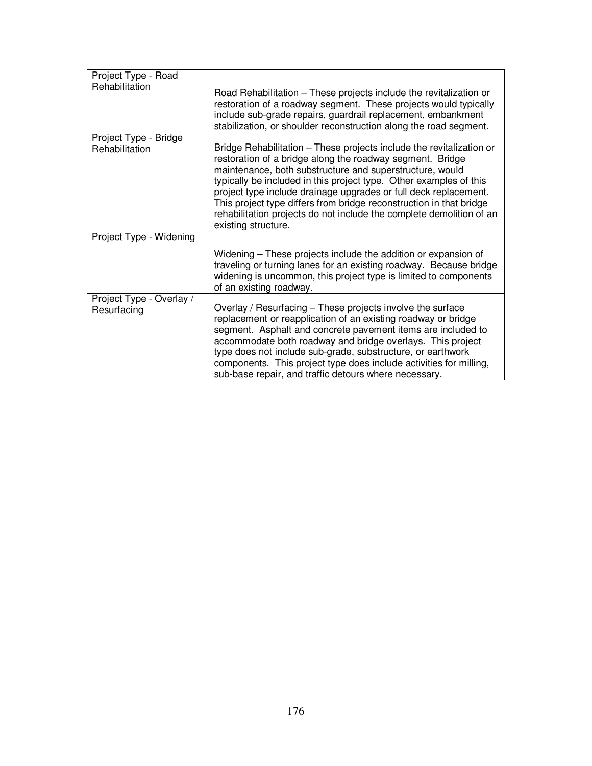| Project Type - Road<br>Rehabilitation   | Road Rehabilitation – These projects include the revitalization or<br>restoration of a roadway segment. These projects would typically<br>include sub-grade repairs, guardrail replacement, embankment<br>stabilization, or shoulder reconstruction along the road segment.                                                                                                                                                                                                                                   |
|-----------------------------------------|---------------------------------------------------------------------------------------------------------------------------------------------------------------------------------------------------------------------------------------------------------------------------------------------------------------------------------------------------------------------------------------------------------------------------------------------------------------------------------------------------------------|
| Project Type - Bridge<br>Rehabilitation | Bridge Rehabilitation - These projects include the revitalization or<br>restoration of a bridge along the roadway segment. Bridge<br>maintenance, both substructure and superstructure, would<br>typically be included in this project type. Other examples of this<br>project type include drainage upgrades or full deck replacement.<br>This project type differs from bridge reconstruction in that bridge<br>rehabilitation projects do not include the complete demolition of an<br>existing structure. |
| Project Type - Widening                 |                                                                                                                                                                                                                                                                                                                                                                                                                                                                                                               |
|                                         | Widening – These projects include the addition or expansion of<br>traveling or turning lanes for an existing roadway. Because bridge<br>widening is uncommon, this project type is limited to components<br>of an existing roadway.                                                                                                                                                                                                                                                                           |
| Project Type - Overlay /<br>Resurfacing | Overlay / Resurfacing – These projects involve the surface<br>replacement or reapplication of an existing roadway or bridge<br>segment. Asphalt and concrete pavement items are included to<br>accommodate both roadway and bridge overlays. This project<br>type does not include sub-grade, substructure, or earthwork<br>components. This project type does include activities for milling,<br>sub-base repair, and traffic detours where necessary.                                                       |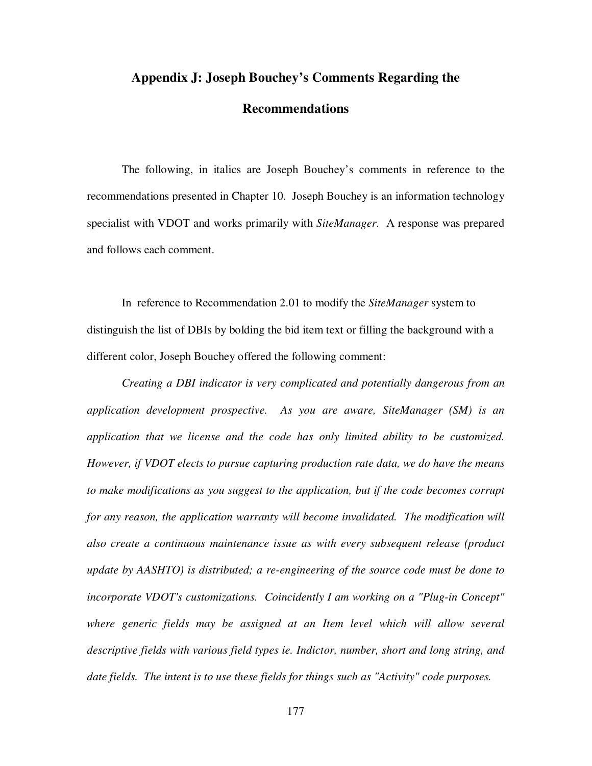## **Appendix J: Joseph Bouchey's Comments Regarding the**

## **Recommendations**

The following, in italics are Joseph Bouchey's comments in reference to the recommendations presented in Chapter 10. Joseph Bouchey is an information technology specialist with VDOT and works primarily with *SiteManager*. A response was prepared and follows each comment.

In reference to Recommendation 2.01 to modify the *SiteManager* system to distinguish the list of DBIs by bolding the bid item text or filling the background with a different color, Joseph Bouchey offered the following comment:

*Creating a DBI indicator is very complicated and potentially dangerous from an application development prospective. As you are aware, SiteManager (SM) is an application that we license and the code has only limited ability to be customized. However, if VDOT elects to pursue capturing production rate data, we do have the means to make modifications as you suggest to the application, but if the code becomes corrupt for any reason, the application warranty will become invalidated. The modification will also create a continuous maintenance issue as with every subsequent release (product update by AASHTO) is distributed; a re-engineering of the source code must be done to incorporate VDOT's customizations. Coincidently I am working on a "Plug-in Concept" where generic fields may be assigned at an Item level which will allow several descriptive fields with various field types ie. Indictor, number, short and long string, and date fields. The intent is to use these fields for things such as "Activity" code purposes.*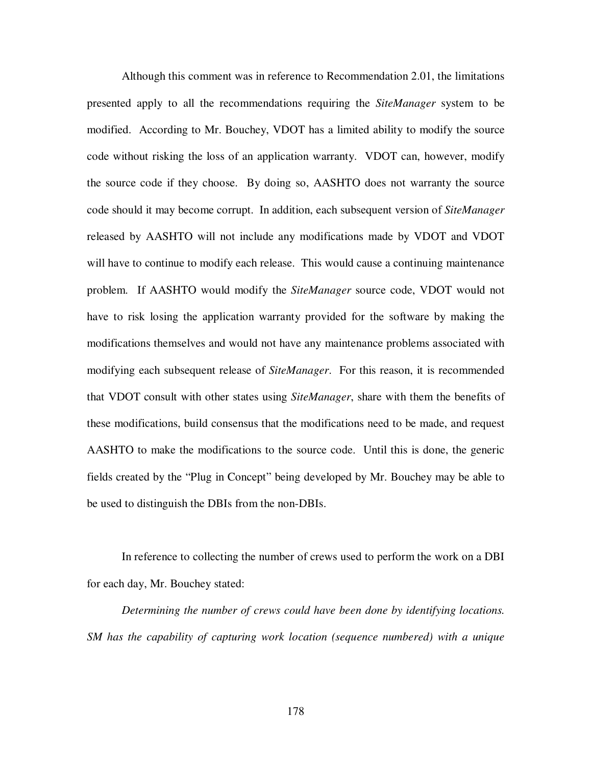Although this comment was in reference to Recommendation 2.01, the limitations presented apply to all the recommendations requiring the *SiteManager* system to be modified. According to Mr. Bouchey, VDOT has a limited ability to modify the source code without risking the loss of an application warranty. VDOT can, however, modify the source code if they choose. By doing so, AASHTO does not warranty the source code should it may become corrupt. In addition, each subsequent version of *SiteManager* released by AASHTO will not include any modifications made by VDOT and VDOT will have to continue to modify each release. This would cause a continuing maintenance problem. If AASHTO would modify the *SiteManager* source code, VDOT would not have to risk losing the application warranty provided for the software by making the modifications themselves and would not have any maintenance problems associated with modifying each subsequent release of *SiteManager*. For this reason, it is recommended that VDOT consult with other states using *SiteManager*, share with them the benefits of these modifications, build consensus that the modifications need to be made, and request AASHTO to make the modifications to the source code. Until this is done, the generic fields created by the "Plug in Concept" being developed by Mr. Bouchey may be able to be used to distinguish the DBIs from the non-DBIs.

In reference to collecting the number of crews used to perform the work on a DBI for each day, Mr. Bouchey stated:

*Determining the number of crews could have been done by identifying locations. SM has the capability of capturing work location (sequence numbered) with a unique*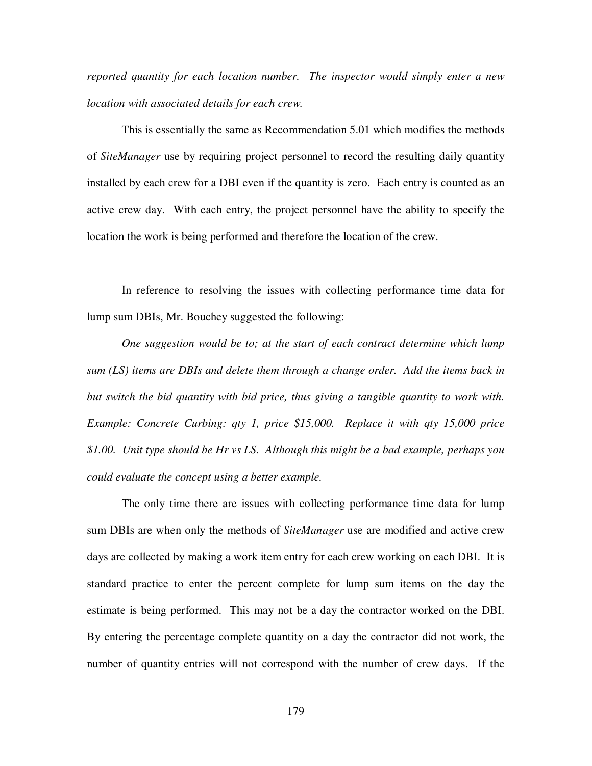*reported quantity for each location number. The inspector would simply enter a new location with associated details for each crew.*

This is essentially the same as Recommendation 5.01 which modifies the methods of *SiteManager* use by requiring project personnel to record the resulting daily quantity installed by each crew for a DBI even if the quantity is zero. Each entry is counted as an active crew day. With each entry, the project personnel have the ability to specify the location the work is being performed and therefore the location of the crew.

In reference to resolving the issues with collecting performance time data for lump sum DBIs, Mr. Bouchey suggested the following:

*One suggestion would be to; at the start of each contract determine which lump sum (LS) items are DBIs and delete them through a change order. Add the items back in but switch the bid quantity with bid price, thus giving a tangible quantity to work with. Example: Concrete Curbing: qty 1, price \$15,000. Replace it with qty 15,000 price \$1.00. Unit type should be Hr vs LS. Although this might be a bad example, perhaps you could evaluate the concept using a better example.*

The only time there are issues with collecting performance time data for lump sum DBIs are when only the methods of *SiteManager* use are modified and active crew days are collected by making a work item entry for each crew working on each DBI. It is standard practice to enter the percent complete for lump sum items on the day the estimate is being performed. This may not be a day the contractor worked on the DBI. By entering the percentage complete quantity on a day the contractor did not work, the number of quantity entries will not correspond with the number of crew days. If the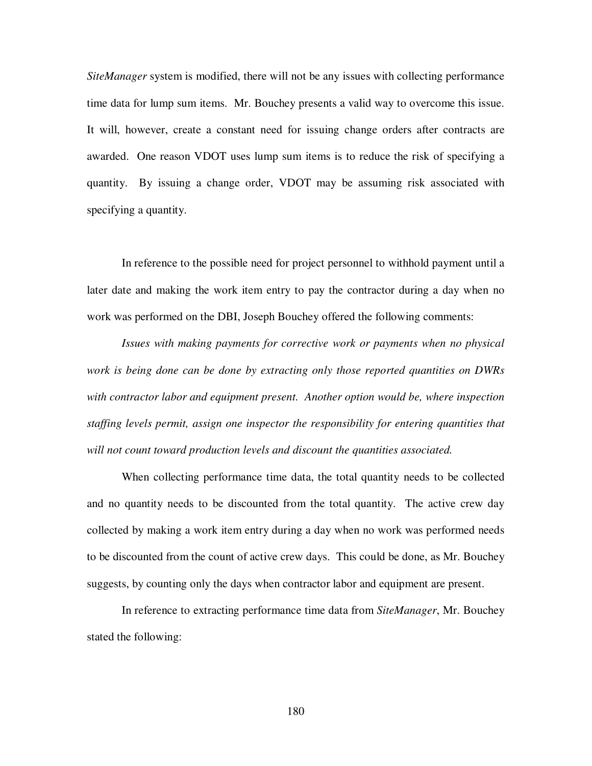*SiteManager* system is modified, there will not be any issues with collecting performance time data for lump sum items. Mr. Bouchey presents a valid way to overcome this issue. It will, however, create a constant need for issuing change orders after contracts are awarded. One reason VDOT uses lump sum items is to reduce the risk of specifying a quantity. By issuing a change order, VDOT may be assuming risk associated with specifying a quantity.

In reference to the possible need for project personnel to withhold payment until a later date and making the work item entry to pay the contractor during a day when no work was performed on the DBI, Joseph Bouchey offered the following comments:

*Issues with making payments for corrective work or payments when no physical work is being done can be done by extracting only those reported quantities on DWRs with contractor labor and equipment present. Another option would be, where inspection staffing levels permit, assign one inspector the responsibility for entering quantities that will not count toward production levels and discount the quantities associated.*

When collecting performance time data, the total quantity needs to be collected and no quantity needs to be discounted from the total quantity. The active crew day collected by making a work item entry during a day when no work was performed needs to be discounted from the count of active crew days. This could be done, as Mr. Bouchey suggests, by counting only the days when contractor labor and equipment are present.

In reference to extracting performance time data from *SiteManager*, Mr. Bouchey stated the following: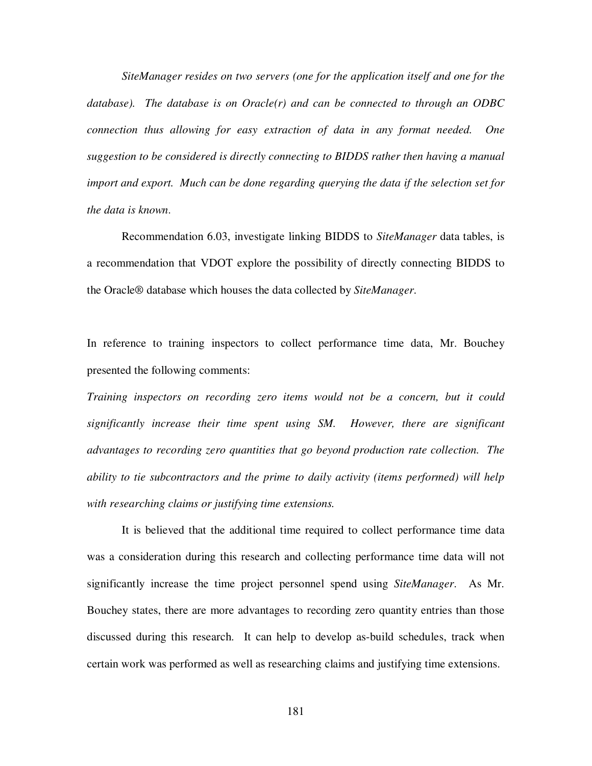*SiteManager resides on two servers (one for the application itself and one for the database). The database is on Oracle(r) and can be connected to through an ODBC connection thus allowing for easy extraction of data in any format needed. One suggestion to be considered is directly connecting to BIDDS rather then having a manual import and export. Much can be done regarding querying the data if the selection set for the data is known*.

Recommendation 6.03, investigate linking BIDDS to *SiteManager* data tables, is a recommendation that VDOT explore the possibility of directly connecting BIDDS to the Oracle® database which houses the data collected by *SiteManager*.

In reference to training inspectors to collect performance time data, Mr. Bouchey presented the following comments:

*Training inspectors on recording zero items would not be a concern, but it could significantly increase their time spent using SM. However, there are significant advantages to recording zero quantities that go beyond production rate collection. The ability to tie subcontractors and the prime to daily activity (items performed) will help with researching claims or justifying time extensions.*

It is believed that the additional time required to collect performance time data was a consideration during this research and collecting performance time data will not significantly increase the time project personnel spend using *SiteManager*. As Mr. Bouchey states, there are more advantages to recording zero quantity entries than those discussed during this research. It can help to develop as-build schedules, track when certain work was performed as well as researching claims and justifying time extensions.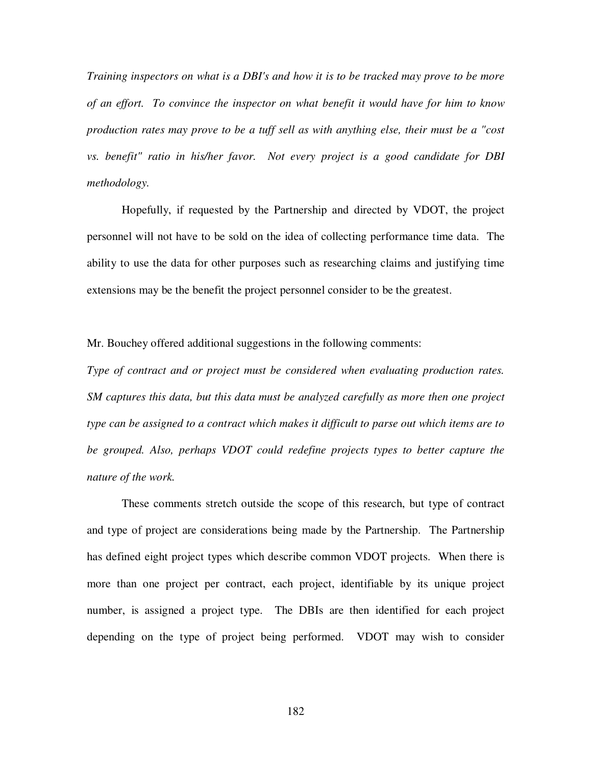*Training inspectors on what is a DBI's and how it is to be tracked may prove to be more of an effort. To convince the inspector on what benefit it would have for him to know production rates may prove to be a tuff sell as with anything else, their must be a "cost vs. benefit" ratio in his/her favor. Not every project is a good candidate for DBI methodology.*

Hopefully, if requested by the Partnership and directed by VDOT, the project personnel will not have to be sold on the idea of collecting performance time data. The ability to use the data for other purposes such as researching claims and justifying time extensions may be the benefit the project personnel consider to be the greatest.

Mr. Bouchey offered additional suggestions in the following comments:

*Type of contract and or project must be considered when evaluating production rates. SM captures this data, but this data must be analyzed carefully as more then one project type can be assigned to a contract which makes it difficult to parse out which items are to be grouped. Also, perhaps VDOT could redefine projects types to better capture the nature of the work.*

These comments stretch outside the scope of this research, but type of contract and type of project are considerations being made by the Partnership. The Partnership has defined eight project types which describe common VDOT projects. When there is more than one project per contract, each project, identifiable by its unique project number, is assigned a project type. The DBIs are then identified for each project depending on the type of project being performed. VDOT may wish to consider